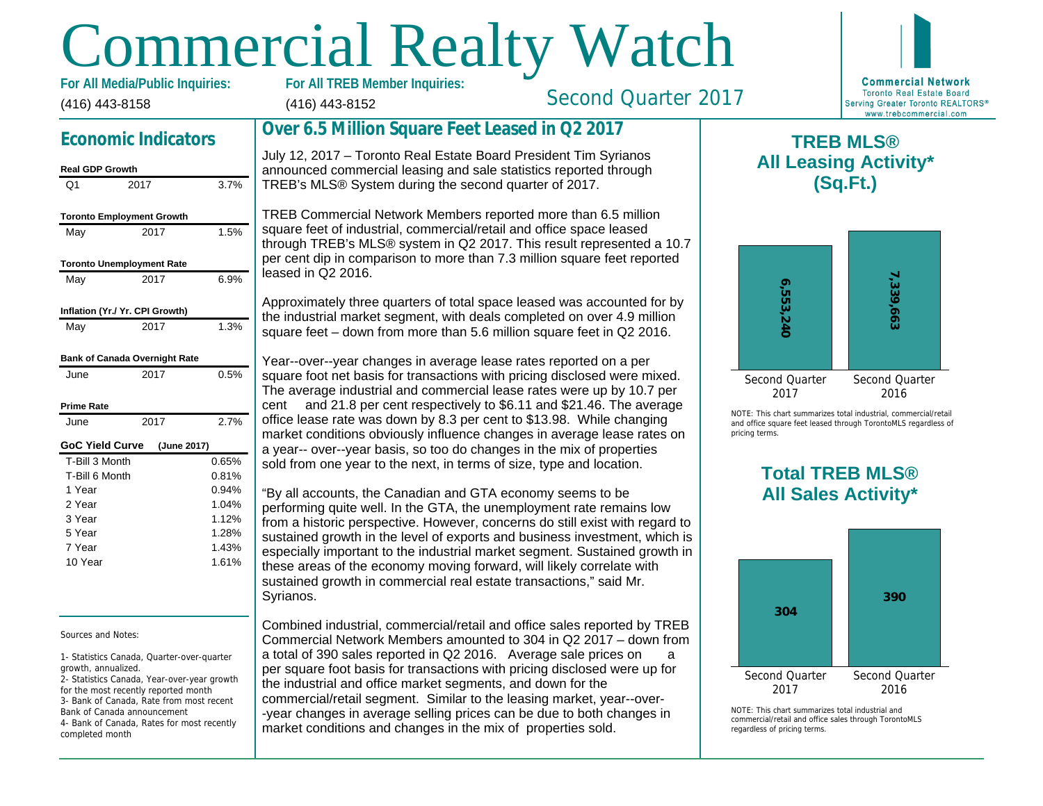# Commercial Realty Watch

(416) 443-8158 For All Media/Public Inquiries:

## Economic Indicators

#### Real GDP Growth Q1 2017 3.7% Toronto Employment Growth May 2017 1.5% Toronto Unemployment Rate May 2017 6.9% Inflation (Yr./ Yr. CPI Growth) May 2017 1.3% Bank of Canada Overnight Rate June 2017 0.5% Prime Rate June 2017 2.7% GoC Yield Curve (June 2017) T-Bill 3 Month T-Bill 6 Month 1 Year 2 Year 3 Year 5 Year 7 Year 10 Year 0.65% 0.81% 0.94% 1.04% 1.12% 1.28% 1.43% 1.61%

#### Sources and Notes:

1- Statistics Canada, Quarter-over-quarter growth, annualized.

2- Statistics Canada, Year-over-year growth for the most recently reported month 3- Bank of Canada, Rate from most recent Bank of Canada announcement 4- Bank of Canada, Rates for most recently completed month

(416) 443-8152

Second Quarter 2017

## Over 6.5 Million Square Feet Leased in Q2 2017

July 12, 2017 – Toronto Real Estate Board President Tim Syrianos announced commercial leasing and sale statistics reported through TREB's MLS® System during the second quarter of 2017.

TREB Commercial Network Members reported more than 6.5 million square feet of industrial, commercial/retail and office space leased through TREB's MLS® system in Q2 2017. This result represented a 10.7 per cent dip in comparison to more than 7.3 million square feet reported leased in Q2 2016.

Approximately three quarters of total space leased was accounted for by the industrial market segment, with deals completed on over 4.9 million square feet – down from more than 5.6 million square feet in Q2 2016.

Year--over--year changes in average lease rates reported on a per square foot net basis for transactions with pricing disclosed were mixed. The average industrial and commercial lease rates were up by 10.7 per cent and 21.8 per cent respectively to \$6.11 and \$21.46. The average office lease rate was down by 8.3 per cent to \$13.98. While changing market conditions obviously influence changes in average lease rates on a year-- over--year basis, so too do changes in the mix of properties sold from one year to the next, in terms of size, type and location.

"By all accounts, the Canadian and GTA economy seems to be performing quite well. In the GTA, the unemployment rate remains low from a historic perspective. However, concerns do still exist with regard to sustained growth in the level of exports and business investment, which is especially important to the industrial market segment. Sustained growth in these areas of the economy moving forward, will likely correlate with sustained growth in commercial real estate transactions," said Mr. Syrianos.

Combined industrial, commercial/retail and office sales reported by TREB Commercial Network Members amounted to 304 in Q2 2017 – down from a total of 390 sales reported in Q2 2016. Average sale prices on a per square foot basis for transactions with pricing disclosed were up for the industrial and office market segments, and down for the commercial/retail segment. Similar to the leasing market, year--over- -year changes in average selling prices can be due to both changes in market conditions and changes in the mix of properties sold.

All Lea

 $\mathsf T$ 

NOTE: This chart sur and office square fee pricing terms.

## Total All Sa

 $NOTF: This chart sur$ commercial/retail and regardless of pricing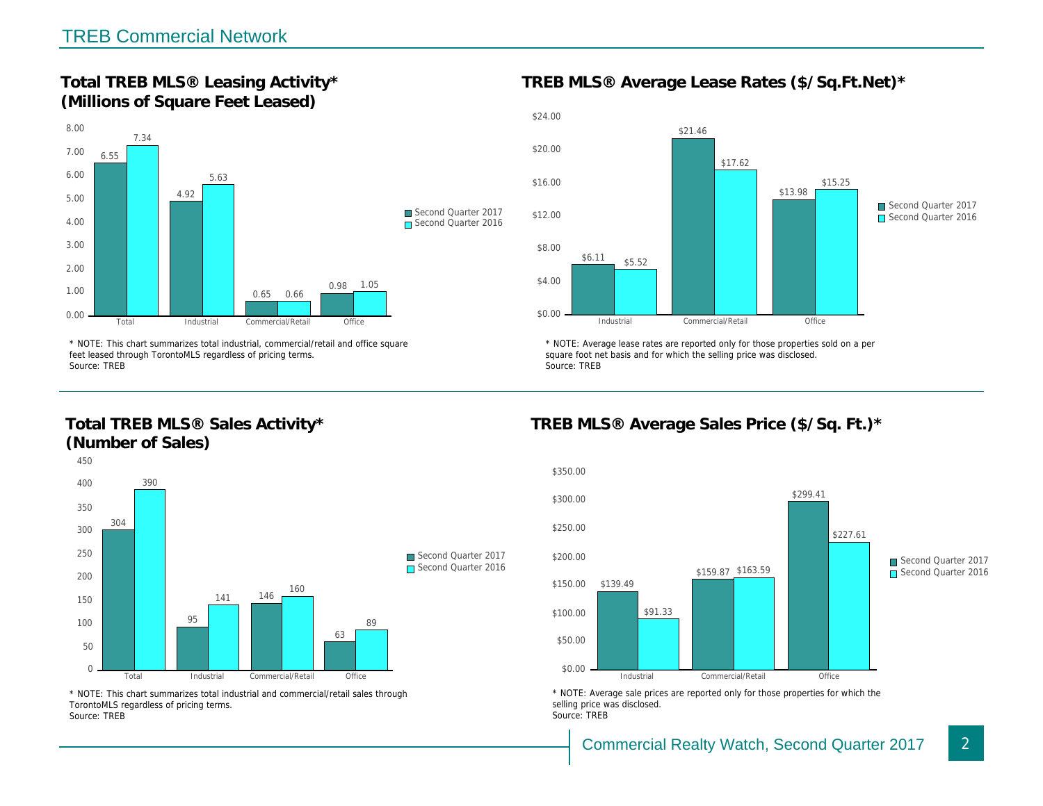Total TREB MLS® Leasing Activity\* (Millions of Square Feet Leased)

TREB MLS® Average Lease Rates (\$/So.

\* NOTE: This chart summarizes total industrial, commercial/retail and office square feet leased through TorontoMLS regardless of pricing terms. Source: TREB

Total TREB MLS® Sales Activity\* (Number of Sales)

\* NOTE: Average lease rates are reported only for those proper square foot net basis and for which the selling price was disclos Source: TREB

TREB MLS® Average Sales Price (\$/So.

\* NOTE: This chart summarizes total industrial and commercial/retail sales through TorontoMLS regardless of pricing terms. Source: TREB

\* NOTE: Average sale prices are reported only for those prope selling price was disclosed. Source: TREB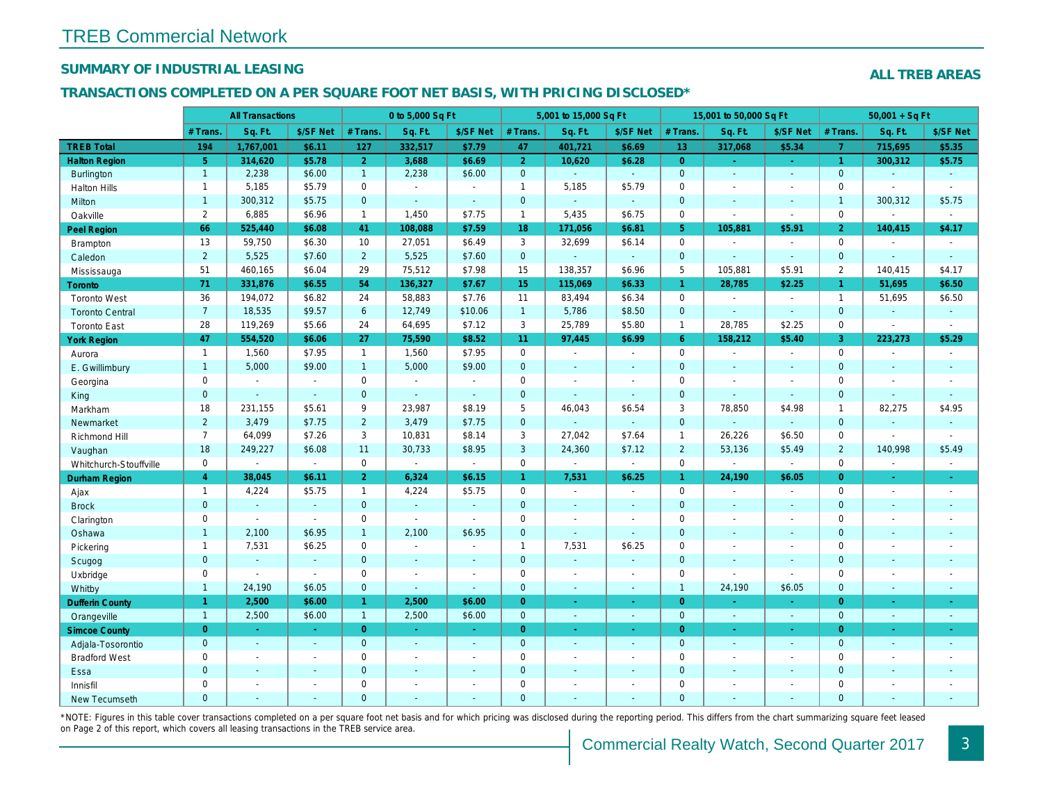## SUMMARY OF INDUSTRIAL LEASING

#### TRANSACTIONS COMPLETED ON A PER SQUARE FOOT NET BASIS, WITH PRICING DISCLOSED\*

|                        |                | <b>All Transactions</b>  |                          |                | 0 to 5,000 Sq Ft |                |                | 5,001 to 15,000 Sq Ft    |                  |                 | 15,001 to 50,000 Sq Ft |                      |
|------------------------|----------------|--------------------------|--------------------------|----------------|------------------|----------------|----------------|--------------------------|------------------|-----------------|------------------------|----------------------|
|                        | # Trans.       | Sq. Ft.                  | \$/SF Net                | # Trans.       | Sq. Ft.          | \$/SF Net      | # Trans.       | Sq. Ft.                  | \$/SF Net        | # Trans.        | Sq. Ft.                | \$/SF Ne             |
| <b>TREB Total</b>      | 194            | 1,767,001                | \$6.11                   | 127            | 332,517          | \$7.79         | 47             | 401,721                  | \$6.69           | 13 <sup>°</sup> | 317,068                | \$5.34               |
| <b>Halton Region</b>   | 5 <sup>5</sup> | 314,620                  | \$5.78                   | 2 <sup>1</sup> | 3,688            | \$6.69         | 2 <sup>1</sup> | 10,620                   | \$6.28           | $\overline{0}$  | $\omega$               | $\omega_{\rm c}$     |
| Burlington             | $\mathbf{1}$   | 2,238                    | \$6.00                   | 1              | 2,238            | \$6.00         | $\mathbf{0}$   | ¥.                       | $\sim$           | $\mathbf 0$     | $\omega$               | $\bullet$            |
| <b>Halton Hills</b>    | $\mathbf{1}$   | 5,185                    | \$5.79                   | $\mathbf 0$    | $\blacksquare$   | $\sim$         | $\mathbf{1}$   | 5,185                    | \$5.79           | $\mathbf 0$     | $\sim$                 | $\blacksquare$       |
| Milton                 | $\mathbf{1}$   | 300,312                  | \$5.75                   | $\overline{0}$ | $\sim$           | $\omega$       | $\mathbf{0}$   | $\blacksquare$           | $\omega_{\rm c}$ | $\mathbf{0}$    | $\omega$               | $\sim$               |
| Oakville               | $\overline{2}$ | 6,885                    | \$6.96                   | $\mathbf{1}$   | 1,450            | \$7.75         | $\mathbf{1}$   | 5,435                    | \$6.75           | $\mathbf 0$     | $\tilde{\phantom{a}}$  | $\blacksquare$       |
| <b>Peel Region</b>     | 66             | 525,440                  | \$6.08                   | 41             | 108,088          | \$7.59         | 18             | 171,056                  | \$6.81           | 5 <sup>5</sup>  | 105,881                | \$5.91               |
| Brampton               | 13             | 59,750                   | \$6.30                   | 10             | 27,051           | \$6.49         | 3              | 32,699                   | \$6.14           | $\mathbf 0$     |                        | $\sim$               |
| Caledon                | $\overline{2}$ | 5,525                    | \$7.60                   | $\overline{2}$ | 5,525            | \$7.60         | $\mathbf{0}$   | ä,                       | $\omega$         | $\mathbf{0}$    |                        | $\blacksquare$       |
| Mississauga            | 51             | 460,165                  | \$6.04                   | 29             | 75,512           | \$7.98         | 15             | 138,357                  | \$6.96           | 5               | 105,881                | \$5.91               |
| Toronto                | 71             | 331,876                  | \$6.55                   | 54             | 136,327          | \$7.67         | 15             | 115,069                  | \$6.33           | $\mathbf{1}$    | 28,785                 | \$2.25               |
| <b>Toronto West</b>    | 36             | 194,072                  | \$6.82                   | 24             | 58,883           | \$7.76         | 11             | 83,494                   | \$6.34           | $\mathbf 0$     | $\blacksquare$         | $\sim$               |
| <b>Toronto Central</b> | 7 <sup>1</sup> | 18,535                   | \$9.57                   | 6              | 12,749           | \$10.06        | $\mathbf{1}$   | 5,786                    | \$8.50           | $\mathbf{0}$    | $\Delta$               | $\sim$               |
| <b>Toronto East</b>    | 28             | 119,269                  | \$5.66                   | 24             | 64,695           | \$7.12         | 3              | 25,789                   | \$5.80           | $\mathbf{1}$    | 28,785                 | \$2.25               |
| <b>York Region</b>     | 47             | 554,520                  | \$6.06                   | 27             | 75,590           | \$8.52         | 11             | 97,445                   | \$6.99           | $6^{\circ}$     | 158,212                | \$5.40               |
| Aurora                 | $\overline{1}$ | 1,560                    | \$7.95                   | $\mathbf{1}$   | 1,560            | \$7.95         | $\mathsf{O}$   | $\blacksquare$           | $\blacksquare$   | $\mathbf 0$     | $\blacksquare$         | $\blacksquare$       |
| E. Gwillimbury         | $\mathbf{1}$   | 5,000                    | \$9.00                   | $\mathbf{1}$   | 5,000            | \$9.00         | $\mathbf{0}$   | $\omega$                 | ä,               | $\mathbf{0}$    | $\omega$               | $\blacksquare$       |
| Georgina               | 0              | $\blacksquare$           | $\blacksquare$           | 0              | $\mathbf{r}$     | $\sim$         | $\mathbf 0$    | $\blacksquare$           | $\overline{a}$   | $\mathbf 0$     | $\blacksquare$         | $\blacksquare$       |
| King                   | $\mathbf{0}$   | $\blacksquare$           | $\omega$                 | $\mathbf 0$    | $\Delta$         | $\omega$       | $\mathbf 0$    | $\omega$                 | $\omega$         | $\mathbf{0}$    | $\Delta$               | $\blacksquare$       |
| Markham                | 18             | 231,155                  | \$5.61                   | 9              | 23,987           | \$8.19         | 5              | 46,043                   | \$6.54           | 3               | 78,850                 | \$4.98               |
| Newmarket              | $\overline{2}$ | 3,479                    | \$7.75                   | $\overline{2}$ | 3,479            | \$7.75         | $\overline{0}$ |                          | ä,               | $\mathbf{0}$    |                        |                      |
| Richmond Hill          | $\overline{7}$ | 64,099                   | \$7.26                   | 3              | 10,831           | \$8.14         | 3              | 27,042                   | \$7.64           | $\mathbf{1}$    | 26,226                 | \$6.50               |
| Vaughan                | 18             | 249,227                  | \$6.08                   | 11             | 30,733           | \$8.95         | $\mathbf{3}$   | 24,360                   | \$7.12           | $\overline{2}$  | 53,136                 | \$5.49               |
| Whitchurch-Stouffville | 0              | $\blacksquare$           | $\blacksquare$           | 0              | $\omega$         | $\blacksquare$ | 0              | $\blacksquare$           | $\sim$           | $\mathbf 0$     | $\blacksquare$         | $\blacksquare$       |
| Durham Region          | $\overline{4}$ | 38,045                   | \$6.11                   | 2 <sup>1</sup> | 6,324            | \$6.15         | $\mathbf{1}$   | 7,531                    | \$6.25           | $\mathbf{1}$    | 24,190                 | \$6.05               |
| Ajax                   | $\mathbf{1}$   | 4,224                    | \$5.75                   | $\mathbf{1}$   | 4,224            | \$5.75         | $\mathsf{O}$   | $\blacksquare$           | $\mathbf{r}$     | $\mathbf 0$     | $\overline{a}$         | $\sim$               |
| <b>Brock</b>           | $\mathbf{0}$   | $\sim$                   | $\sim$                   | $\mathbf 0$    | $\omega$         | $\blacksquare$ | $\mathbf{0}$   | $\omega$                 | $\omega$         | $\mathbf{0}$    | $\omega$               | $\blacksquare$       |
| Clarington             | 0              | $\sim$                   | $\sim$                   | 0              | $\sim$           | $\mathbf{r}$   | $\mathbf 0$    | $\blacksquare$           | $\blacksquare$   | $\mathbf 0$     | $\blacksquare$         | $\blacksquare$       |
| Oshawa                 | $\mathbf{1}$   | 2,100                    | \$6.95                   | $\mathbf{1}$   | 2,100            | \$6.95         | $\pmb{0}$      | $\omega$                 | $\omega$         | $\mathbf{0}$    | $\blacksquare$         | $\blacksquare$       |
| Pickering              | $\mathbf{1}$   | 7,531                    | \$6.25                   | 0              | $\omega$         | $\blacksquare$ | $\mathbf{1}$   | 7,531                    | \$6.25           | $\mathbf 0$     | $\blacksquare$         | $\blacksquare$       |
| Scugog                 | $\mathbf{0}$   | $\mathbf{r}$             | $\omega$                 | $\overline{0}$ | $\mathbf{r}$     | $\blacksquare$ | $\overline{0}$ | $\omega$                 | $\blacksquare$   | $\mathbf{0}$    | $\sim$                 | $\blacksquare$       |
| Uxbridge               | 0              | $\blacksquare$           | $\blacksquare$           | $\mathbf 0$    | $\blacksquare$   | $\blacksquare$ | $\mathbf 0$    | $\overline{\phantom{a}}$ | $\blacksquare$   | $\mathbf 0$     | $\blacksquare$         | $\blacksquare$       |
| Whitby                 | $\mathbf{1}$   | 24,190                   | \$6.05                   | $\mathbf{0}$   | $\blacksquare$   | $\blacksquare$ | $\mathbf{0}$   | $\sim$                   | $\blacksquare$   | $\overline{1}$  | 24,190                 | \$6.05               |
| <b>Dufferin County</b> | $\mathbf{1}$   | 2,500                    | \$6.00                   | $\mathbf{1}$   | 2,500            | \$6.00         | $\overline{0}$ | $\omega_{\rm c}$         | $\omega_{\rm c}$ | $\overline{0}$  | $\blacksquare$         | $\frac{1}{\sqrt{2}}$ |
| Orangeville            | $\overline{1}$ | 2,500                    | \$6.00                   | $\mathbf{1}$   | 2,500            | \$6.00         | $\overline{0}$ | $\omega$                 | ¥.               | $\mathbf{0}$    | $\omega$               | $\sim$               |
| <b>Simcoe County</b>   | $\overline{0}$ | $\sim$                   | $\sim$                   | $\overline{0}$ | $\omega$         | $\blacksquare$ | $\overline{0}$ | $\omega$                 | ÷.               | $\overline{0}$  | $\sim$                 | $\sim$               |
| Adjala-Tosorontio      | $\mathbf{0}$   | $\sim$                   | $\sim$                   | $\mathbf{0}$   | $\Delta$         | $\sim$         | $\mathbf{0}$   | $\mathbf{r}$             | $\mathbf{r}$     | $\mathbf{0}$    | $\omega$               | $\sim$               |
| <b>Bradford West</b>   | 0              | $\sim$                   | $\sim$                   | 0              | $\blacksquare$   | $\sim$         | $\mathsf 0$    | $\blacksquare$           | $\blacksquare$   | $\mathbf 0$     | $\blacksquare$         | $\blacksquare$       |
| Essa                   | $\mathbf 0$    | $\sim$                   | $\sim$                   | $\overline{0}$ | $\omega$         | $\blacksquare$ | $\pmb{0}$      | $\omega$                 | $\blacksquare$   | $\mathbf{0}$    | $\blacksquare$         | $\blacksquare$       |
| Innisfil               | 0              | $\overline{\phantom{a}}$ | $\overline{\phantom{a}}$ | 0              | $\blacksquare$   | $\blacksquare$ | $\mathbf 0$    | $\blacksquare$           | $\blacksquare$   | $\mathbf 0$     | $\blacksquare$         | $\blacksquare$       |
| New Tecumseth          | $\Omega$       |                          |                          | $\Omega$       | L,               | ä,             | $\mathbf{0}$   | ä,                       | ä,               | $\mathbf{0}$    | $\Delta$               | $\omega$             |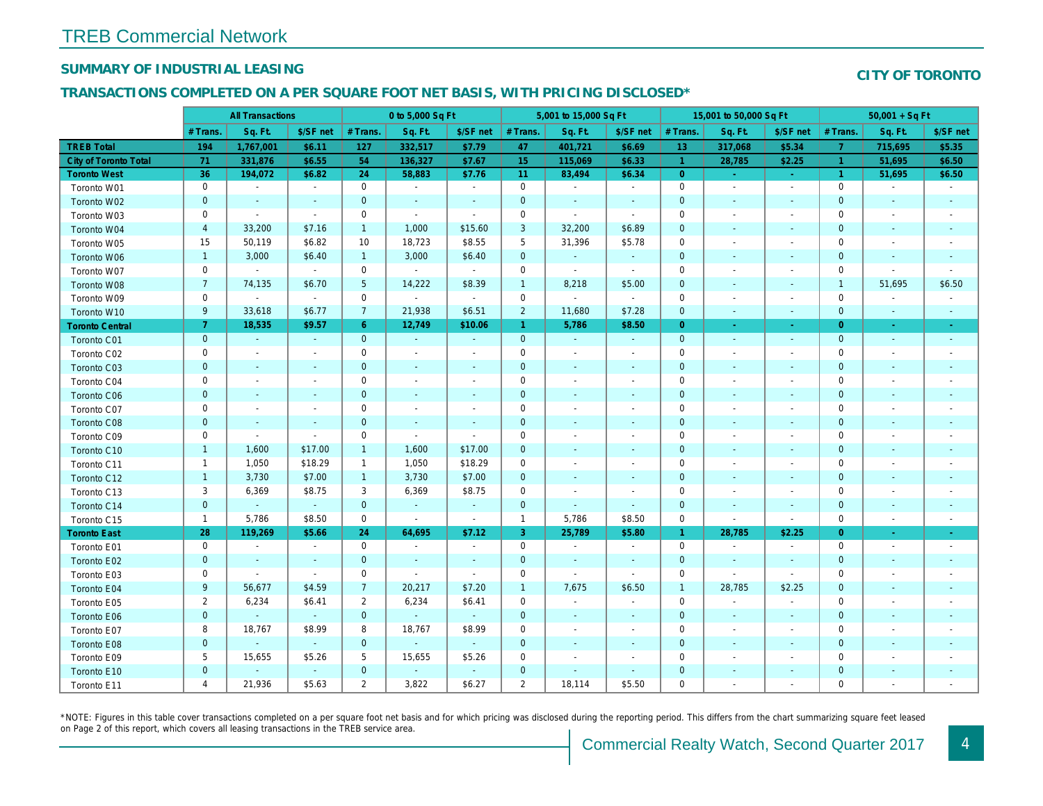## SUMMARY OF INDUSTRIAL LEASING

#### TRANSACTIONS COMPLETED ON A PER SQUARE FOOT NET BASIS, WITH PRICING DISCLOSED\*

|                              |                  | <b>All Transactions</b>  |                          |                | 0 to 5,000 Sq Ft         |                          |                     | 5,001 to 15,000 Sq Ft    |                          |                | 15,001 to 50,000 Sq Ft   |                          |
|------------------------------|------------------|--------------------------|--------------------------|----------------|--------------------------|--------------------------|---------------------|--------------------------|--------------------------|----------------|--------------------------|--------------------------|
|                              | # Trans.         | Sq. Ft.                  | \$/SF net                | # Trans.       | Sq. Ft.                  | \$/SF net                | # Trans.            | Sq. Ft.                  | \$/SF net                | # Trans.       | Sq. Ft.                  | \$/SF ne                 |
| <b>TREB Total</b>            | 194              | 1,767,001                | \$6.11                   | 127            | 332,517                  | \$7.79                   | 47                  | 401,721                  | \$6.69                   | 13             | 317,068                  | \$5.34                   |
| <b>City of Toronto Total</b> | 71               | 331,876                  | \$6.55                   | 54             | 136,327                  | \$7.67                   | 15                  | 115,069                  | \$6.33                   | $\overline{1}$ | 28,785                   | \$2.25                   |
| <b>Toronto West</b>          | 36               | 194,072                  | \$6.82                   | 24             | 58,883                   | \$7.76                   | 11                  | 83,494                   | \$6.34                   | $\overline{0}$ |                          | $\sim$                   |
| Toronto W01                  | $\mathbf 0$      | $\sim$                   | $\blacksquare$           | $\mathbf 0$    | $\blacksquare$           | $\blacksquare$           | $\mathbf 0$         | $\blacksquare$           | $\blacksquare$           | $\mathbf 0$    | $\sim$                   | $\sim$                   |
| Toronto W02                  | $\pmb{0}$        | $\sim$                   | $\blacksquare$           | $\mathbf 0$    | $\blacksquare$           | $\blacksquare$           | $\mathbf 0$         | $\blacksquare$           | $\overline{\phantom{a}}$ | $\mathbf 0$    | $\sim$                   | $\sim$                   |
| Toronto W03                  | 0                | $\blacksquare$           | $\sim$                   | $\mathbf 0$    | $\blacksquare$           | $\blacksquare$           | $\mathbf 0$         | $\blacksquare$           | $\blacksquare$           | 0              | $\overline{\phantom{a}}$ | $\overline{\phantom{a}}$ |
| Toronto W04                  | $\overline{a}$   | 33,200                   | \$7.16                   | $\mathbf{1}$   | 1,000                    | \$15.60                  | 3                   | 32,200                   | \$6.89                   | $\mathbf 0$    | $\overline{\phantom{a}}$ | $\sim$                   |
| Toronto W05                  | 15               | 50,119                   | \$6.82                   | 10             | 18,723                   | \$8.55                   | $\sqrt{5}$          | 31,396                   | \$5.78                   | 0              |                          | $\overline{\phantom{a}}$ |
| Toronto W06                  | $\mathbf{1}$     | 3,000                    | \$6.40                   | $\mathbf{1}$   | 3,000                    | \$6.40                   | $\mathbf 0$         | $\blacksquare$           | $\blacksquare$           | $\mathbf 0$    | $\sim$                   | $\sim$                   |
| Toronto W07                  | $\mathbf 0$      | $\sim$                   | $\sim$                   | $\mathbf 0$    | $\blacksquare$           | $\blacksquare$           | $\mathbf 0$         | $\blacksquare$           | $\blacksquare$           | $\mathbf 0$    |                          | $\sim$                   |
| Toronto W08                  | $\overline{7}$   | 74,135                   | \$6.70                   | $\sqrt{5}$     | 14,222                   | \$8.39                   | $\mathbf{1}$        | 8,218                    | \$5.00                   | $\mathbf 0$    | $\blacksquare$           | $\overline{\phantom{a}}$ |
| Toronto W09                  | $\mathsf 0$      | $\sim$                   | $\blacksquare$           | $\mathbf 0$    | $\blacksquare$           | $\omega$                 | $\mathsf{O}\xspace$ | $\blacksquare$           | $\blacksquare$           | 0              |                          | $\overline{\phantom{a}}$ |
| Toronto W10                  | 9                | 33,618                   | \$6.77                   | $\overline{7}$ | 21,938                   | \$6.51                   | $\overline{2}$      | 11,680                   | \$7.28                   | $\mathbf 0$    | $\overline{\phantom{a}}$ | $\sim$                   |
| <b>Toronto Central</b>       | $\overline{7}$   | 18,535                   | \$9.57                   | $6^{\circ}$    | 12,749                   | \$10.06                  | $\mathbf{1}$        | 5,786                    | \$8.50                   | $\overline{0}$ | $\sim$                   | $\sim$                   |
| Toronto C01                  | $\pmb{0}$        | $\omega$                 | $\sim$                   | $\mathbf{0}$   | $\omega$                 | $\blacksquare$           | $\mathbf 0$         | $\blacksquare$           | $\sim$                   | $\mathbf{0}$   | $\blacksquare$           | $\sim$                   |
| Toronto C02                  | $\mathbf 0$      | $\blacksquare$           | $\overline{a}$           | $\mathbf 0$    | $\blacksquare$           | $\overline{\phantom{a}}$ | $\mathbf 0$         | $\blacksquare$           | $\blacksquare$           | 0              |                          | $\overline{\phantom{a}}$ |
| Toronto C03                  | $\pmb{0}$        | $\blacksquare$           | $\blacksquare$           | $\mathbf 0$    | $\blacksquare$           | $\blacksquare$           | 0                   | $\blacksquare$           | $\overline{\phantom{a}}$ | 0              | $\overline{\phantom{a}}$ | $\sim$                   |
| Toronto C04                  | $\mathbf 0$      | $\overline{\phantom{a}}$ |                          | $\mathbf 0$    | $\overline{a}$           | $\frac{1}{2}$            | $\mathbf 0$         | $\overline{\phantom{a}}$ |                          | 0              |                          | $\overline{\phantom{a}}$ |
| <b>Toronto C06</b>           | $\pmb{0}$        | $\blacksquare$           | $\blacksquare$           | $\mathbf 0$    | $\blacksquare$           | $\blacksquare$           | $\pmb{0}$           | $\blacksquare$           | $\blacksquare$           | $\pmb{0}$      | $\overline{\phantom{a}}$ | $\overline{\phantom{a}}$ |
| Toronto C07                  | $\mathsf 0$      | $\blacksquare$           |                          | $\mathsf 0$    | $\overline{a}$           | $\frac{1}{2}$            | $\mathsf{O}\xspace$ | $\blacksquare$           | $\ddot{\phantom{0}}$     | 0              |                          | $\overline{\phantom{a}}$ |
| Toronto C08                  | $\pmb{0}$        | $\blacksquare$           | $\blacksquare$           | $\mathbf 0$    | $\blacksquare$           | $\blacksquare$           | $\mathbf 0$         | $\blacksquare$           | $\blacksquare$           | $\mathbf 0$    | $\blacksquare$           | $\sim$                   |
| Toronto C09                  | $\mathbf 0$      | $\blacksquare$           | $\sim$                   | $\mathbf 0$    | $\blacksquare$           | $\blacksquare$           | $\mathbf 0$         | $\blacksquare$           | $\ddot{\phantom{0}}$     | $\mathbf 0$    |                          |                          |
| Toronto C10                  | $\mathbf{1}$     | 1,600                    | \$17.00                  | $\mathbf{1}$   | 1,600                    | \$17.00                  | $\mathbf 0$         | $\blacksquare$           | $\blacksquare$           | $\mathbf 0$    | $\blacksquare$           |                          |
| Toronto C11                  | $\mathbf{1}$     | 1,050                    | \$18.29                  | $\mathbf{1}$   | 1,050                    | \$18.29                  | $\mathbf 0$         | $\blacksquare$           | $\ddot{\phantom{0}}$     | 0              |                          |                          |
| Toronto C12                  | $\mathbf{1}$     | 3,730                    | \$7.00                   | $\mathbf{1}$   | 3,730                    | \$7.00                   | $\mathbf 0$         | $\blacksquare$           | $\blacksquare$           | $\mathbf 0$    | $\blacksquare$           | $\blacksquare$           |
| Toronto C13                  | 3                | 6,369                    | \$8.75                   | 3              | 6,369                    | \$8.75                   | $\mathbf 0$         | $\overline{\phantom{a}}$ |                          | $\mathbf 0$    |                          |                          |
| Toronto C14                  | $\pmb{0}$        | $\omega$                 | $\omega$                 | $\mathbf 0$    | $\omega$                 | $\blacksquare$           | $\mathbf 0$         | $\blacksquare$           | $\blacksquare$           | $\pmb{0}$      | $\blacksquare$           | $\blacksquare$           |
| Toronto C15                  | $\mathbf{1}$     | 5,786                    | \$8.50                   | $\mathbf 0$    | ÷,                       | $\blacksquare$           | $\mathbf{1}$        | 5,786                    | \$8.50                   | $\mathbf 0$    |                          | $\blacksquare$           |
| <b>Toronto East</b>          | 28               | 119,269                  | \$5.66                   | 24             | 64,695                   | \$7.12                   | $\mathbf{3}$        | 25,789                   | \$5.80                   | $\mathbf{1}$   | 28,785                   | \$2.25                   |
| Toronto E01                  | $\mathbf 0$      | $\sim$                   | $\overline{\phantom{a}}$ | $\mathbf 0$    | $\overline{\phantom{a}}$ | $\blacksquare$           | $\mathbf 0$         | $\blacksquare$           | $\overline{\phantom{a}}$ | $\mathbf 0$    | $\overline{\phantom{a}}$ | $\blacksquare$           |
| Toronto E02                  | $\mathbf 0$      | $\blacksquare$           | $\blacksquare$           | $\mathbf{0}$   | $\blacksquare$           | $\blacksquare$           | $\mathbf 0$         | $\omega$                 | $\blacksquare$           | $\mathbf 0$    | $\blacksquare$           | $\blacksquare$           |
| Toronto E03                  | $\mathsf 0$      | $\blacksquare$           | $\sim$                   | $\mathbf 0$    | $\overline{\phantom{a}}$ | $\sim$                   | $\mathsf{O}\xspace$ | $\blacksquare$           | $\blacksquare$           | $\mathbf 0$    |                          | $\blacksquare$           |
| Toronto E04                  | $\boldsymbol{9}$ | 56,677                   | \$4.59                   | $\overline{7}$ | 20,217                   | \$7.20                   | $\mathbf{1}$        | 7,675                    | \$6.50                   | $\overline{1}$ | 28,785                   | \$2.25                   |
| Toronto E05                  | $\overline{2}$   | 6,234                    | \$6.41                   | $\overline{2}$ | 6,234                    | \$6.41                   | $\mathsf{O}\xspace$ | $\blacksquare$           | $\blacksquare$           | $\mathbf 0$    | $\blacksquare$           | $\blacksquare$           |
| Toronto E06                  | $\pmb{0}$        | $\omega$                 | $\omega$                 | $\mathbf{0}$   | $\omega$                 | $\omega$                 | $\mathbf 0$         | $\blacksquare$           | $\blacksquare$           | $\mathbf 0$    | $\blacksquare$           | $\sim$                   |
| Toronto E07                  | 8                | 18,767                   | \$8.99                   | 8              | 18,767                   | \$8.99                   | $\mathbf 0$         | $\blacksquare$           | $\overline{\phantom{a}}$ | 0              | $\blacksquare$           | $\sim$                   |
| Toronto E08                  | $\pmb{0}$        | $\blacksquare$           | $\omega$                 | $\mathbf 0$    | $\blacksquare$           | $\blacksquare$           | $\mathbf 0$         | $\blacksquare$           | $\blacksquare$           | $\mathbf 0$    | ٠                        | $\sim$                   |
| Toronto E09                  | 5                | 15,655                   | \$5.26                   | 5              | 15,655                   | \$5.26                   | 0                   | $\blacksquare$           | $\overline{\phantom{a}}$ | 0              | $\overline{\phantom{a}}$ | $\overline{\phantom{a}}$ |
| Toronto E10                  | $\pmb{0}$        | $\blacksquare$           | $\omega$                 | $\mathbf 0$    | $\omega$                 | $\blacksquare$           | $\mathbf 0$         | $\blacksquare$           | $\blacksquare$           | $\pmb{0}$      | $\overline{\phantom{a}}$ | ٠                        |
| Toronto E11                  | 4                | 21,936                   | \$5.63                   | $\overline{2}$ | 3,822                    | \$6.27                   | $\overline{2}$      | 18,114                   | \$5.50                   | 0              |                          | $\overline{\phantom{a}}$ |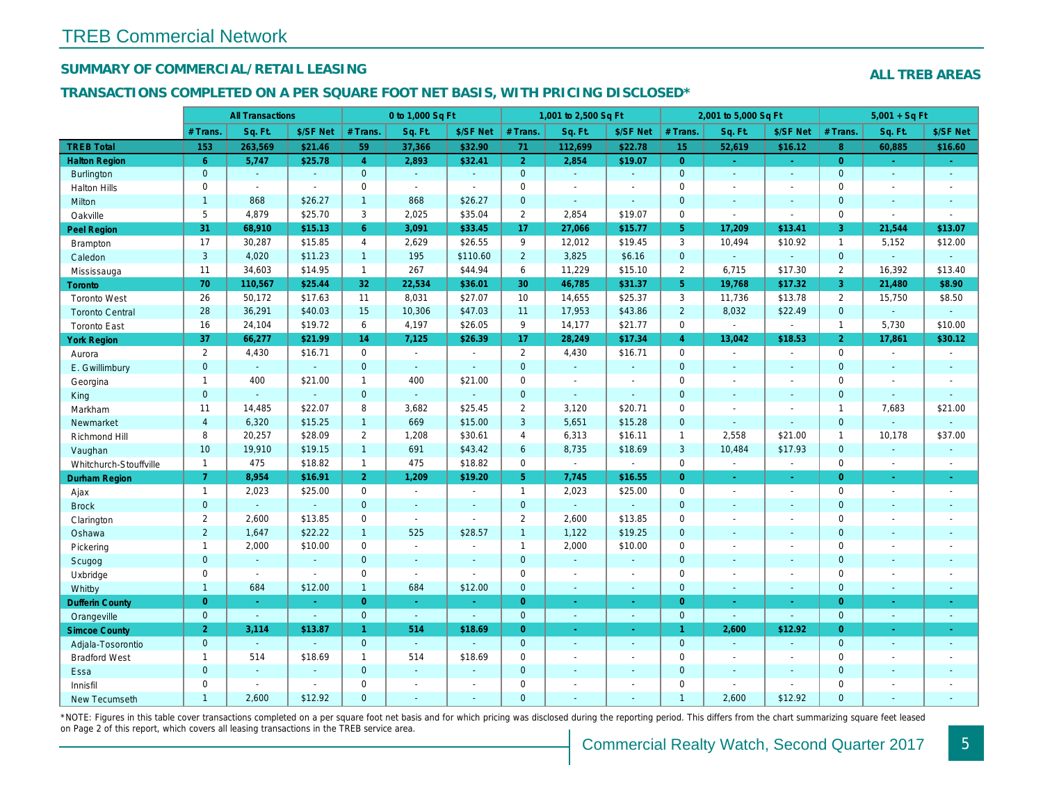## SUMMARY OF COMMERCIAL/RETAIL LEASING

#### TRANSACTIONS COMPLETED ON A PER SQUARE FOOT NET BASIS, WITH PRICING DISCLOSED\*

|                        |                | <b>All Transactions</b>  |                |                | 0 to 1,000 Sq Ft |                          |                     | 1,001 to 2,500 Sq Ft     |                          |                | 2,001 to 5,000 Sq Ft  |                          |
|------------------------|----------------|--------------------------|----------------|----------------|------------------|--------------------------|---------------------|--------------------------|--------------------------|----------------|-----------------------|--------------------------|
|                        | # Trans.       | Sq. Ft.                  | \$/SF Net      | # Trans.       | Sq. Ft.          | \$/SF Net                | # Trans.            | Sq. Ft.                  | \$/SF Net                | # Trans.       | Sq. Ft.               | \$/SF Ne                 |
| <b>TREB Total</b>      | 153            | 263,569                  | \$21.46        | 59             | 37,366           | \$32.90                  | 71                  | 112,699                  | \$22.78                  | 15             | 52,619                | \$16.12                  |
| <b>Halton Region</b>   | $6^{\circ}$    | 5,747                    | \$25.78        | $\overline{4}$ | 2,893            | \$32.41                  | 2 <sup>1</sup>      | 2,854                    | \$19.07                  | $\overline{0}$ | $\sim$                | $\sim$                   |
| <b>Burlington</b>      | $\mathbf{0}$   | $\omega$                 | $\omega$       | $\overline{0}$ | $\sim$           | $\blacksquare$           | $\mathbf{0}$        | $\sim$                   | $\omega$ .               | $\mathbf{0}$   | $\Delta$              | $\sim$                   |
| <b>Halton Hills</b>    | 0              | $\omega$                 | $\sim$         | 0              | $\sim$           | $\sim$                   | $\mathbf 0$         | $\blacksquare$           | $\blacksquare$           | $\Omega$       | $\blacksquare$        | $\sim$                   |
| Milton                 | $\mathbf{1}$   | 868                      | \$26.27        | $\mathbf{1}$   | 868              | \$26.27                  | $\pmb{0}$           | $\omega$                 | $\mathbf{r}$             | $\mathbf{0}$   | $\omega$              | $\blacksquare$           |
| Oakville               | 5              | 4,879                    | \$25.70        | 3              | 2,025            | \$35.04                  | $\overline{2}$      | 2,854                    | \$19.07                  | $\mathbf 0$    | $\blacksquare$        | $\blacksquare$           |
| <b>Peel Region</b>     | 31             | 68,910                   | \$15.13        | 6 <sup>1</sup> | 3,091            | \$33.45                  | 17                  | 27,066                   | \$15.77                  | 5 <sup>5</sup> | 17,209                | \$13.41                  |
| <b>Brampton</b>        | 17             | 30,287                   | \$15.85        | $\overline{4}$ | 2,629            | \$26.55                  | 9                   | 12,012                   | \$19.45                  | 3              | 10,494                | \$10.92                  |
| Caledon                | 3              | 4,020                    | \$11.23        | 1              | 195              | \$110.60                 | $2^{\circ}$         | 3,825                    | \$6.16                   | $\mathbf 0$    | $\omega$              | $\blacksquare$           |
| Mississauga            | 11             | 34,603                   | \$14.95        | $\mathbf{1}$   | 267              | \$44.94                  | 6                   | 11,229                   | \$15.10                  | 2              | 6,715                 | \$17.30                  |
| Toronto                | 70             | 110,567                  | \$25.44        | 32             | 22.534           | \$36.01                  | 30                  | 46,785                   | \$31.37                  | 5 <sup>5</sup> | 19,768                | \$17.32                  |
| <b>Toronto West</b>    | 26             | 50,172                   | \$17.63        | 11             | 8,031            | \$27.07                  | 10                  | 14,655                   | \$25.37                  | 3              | 11,736                | \$13.78                  |
| <b>Toronto Central</b> | 28             | 36,291                   | \$40.03        | 15             | 10,306           | \$47.03                  | 11                  | 17,953                   | \$43.86                  | $\overline{2}$ | 8,032                 | \$22.49                  |
| <b>Toronto East</b>    | 16             | 24,104                   | \$19.72        | 6              | 4,197            | \$26.05                  | 9                   | 14,177                   | \$21.77                  | $\mathbf 0$    | $\tilde{\phantom{a}}$ | $\blacksquare$           |
| <b>York Region</b>     | 37             | 66,277                   | \$21.99        | 14             | 7,125            | \$26.39                  | 17                  | 28,249                   | \$17.34                  | $\overline{4}$ | 13,042                | \$18.53                  |
| Aurora                 | $\overline{2}$ | 4,430                    | \$16.71        | $\mathbf 0$    | $\sim$           | $\sim$                   | $\overline{2}$      | 4,430                    | \$16.71                  | $\mathbf 0$    | $\blacksquare$        | $\sim$                   |
| E. Gwillimbury         | $\overline{0}$ | $\omega$                 | $\omega$       | $\mathbf{0}$   | $\omega$         | ä,                       | $\overline{0}$      | $\omega$                 | $\blacksquare$           | $\mathbf{0}$   | $\Delta$              | $\sim$                   |
| Georgina               | $\mathbf{1}$   | 400                      | \$21.00        | $\mathbf{1}$   | 400              | \$21.00                  | $\mathsf{O}\xspace$ | $\blacksquare$           | $\overline{a}$           | $\mathbf 0$    | $\blacksquare$        | $\blacksquare$           |
| King                   | $\mathbf{0}$   | $\sim$                   | $\mathbf{r}$   | $\overline{0}$ | $\mathbf{u}$     | $\blacksquare$           | $\mathbf{0}$        | $\omega$                 | $\omega$                 | $\mathbf{0}$   | $\blacksquare$        | $\blacksquare$           |
| Markham                | 11             | 14,485                   | \$22.07        | 8              | 3,682            | \$25.45                  | $\overline{2}$      | 3,120                    | \$20.71                  | $\mathbf 0$    | $\sim$                | $\blacksquare$           |
| Newmarket              | $\overline{4}$ | 6,320                    | \$15.25        | 1              | 669              | \$15.00                  | $\mathbf{3}$        | 5,651                    | \$15.28                  | $\mathbf{0}$   | $\Delta$              |                          |
| Richmond Hill          | 8              | 20,257                   | \$28.09        | $\overline{2}$ | 1,208            | \$30.61                  | 4                   | 6,313                    | \$16.11                  | $\mathbf{1}$   | 2,558                 | \$21.00                  |
| Vaughan                | 10             | 19,910                   | \$19.15        | 1              | 691              | \$43.42                  | 6                   | 8,735                    | \$18.69                  | 3              | 10,484                | \$17.93                  |
| Whitchurch-Stouffville | $\overline{1}$ | 475                      | \$18.82        | $\mathbf{1}$   | 475              | \$18.82                  | $\mathsf{O}$        | $\omega$                 | $\sim$                   | $\mathbf 0$    | $\blacksquare$        | $\sim$                   |
| Durham Region          | $\mathbf{7}$   | 8,954                    | \$16.91        | 2 <sup>1</sup> | 1,209            | \$19.20                  | 5 <sub>5</sub>      | 7,745                    | \$16.55                  | $\overline{0}$ | $\omega$              | $\sigma$                 |
| Ajax                   | $\overline{1}$ | 2,023                    | \$25.00        | $\mathbf 0$    | $\sim$           | $\sim$                   | $\mathbf{1}$        | 2,023                    | \$25.00                  | $\mathbf 0$    | $\blacksquare$        | $\sim$                   |
| <b>Brock</b>           | $\mathbf{0}$   | $\sim$                   | $\sim$         | $\mathbf 0$    | $\sim$           | $\sim$                   | $\overline{0}$      | $\omega_{\rm c}$         | $\mathbf{r}$             | $\mathbf{0}$   | $\omega$              | $\sim$                   |
| Clarington             | $\mathbf{2}$   | 2,600                    | \$13.85        | 0              | $\sim$           | $\sim$                   | $\overline{2}$      | 2,600                    | \$13.85                  | $\mathsf{O}$   | $\overline{a}$        | $\blacksquare$           |
| Oshawa                 | $\overline{2}$ | 1,647                    | \$22.22        | $\mathbf{1}$   | 525              | \$28.57                  | $\mathbf{1}$        | 1,122                    | \$19.25                  | $\mathbf{0}$   | $\sim$                | $\sim$                   |
| Pickering              | $\mathbf{1}$   | 2,000                    | \$10.00        | 0              | $\mathbf{r}$     | $\sim$                   | $\mathbf{1}$        | 2,000                    | \$10.00                  | $\mathbf 0$    | $\blacksquare$        | $\blacksquare$           |
| Scugog                 | $\overline{0}$ | $\omega$                 | $\mathbf{r}$   | $\overline{0}$ | $\mathbf{r}$     | ÷.                       | $\mathbf{0}$        | ä,                       | $\blacksquare$           | $\mathbf{0}$   | $\Delta$              | $\blacksquare$           |
| Uxbridge               | 0              | $\blacksquare$           | $\blacksquare$ | $\mathbf 0$    | $\sim$           | $\blacksquare$           | $\mathbf 0$         | $\blacksquare$           | $\blacksquare$           | $\mathbf 0$    | $\blacksquare$        | $\blacksquare$           |
| Whitby                 | $\mathbf{1}$   | 684                      | \$12.00        | $\mathbf{1}$   | 684              | \$12.00                  | $\overline{0}$      | $\sim$                   | $\blacksquare$           | $\mathbf{0}$   | $\blacksquare$        | $\blacksquare$           |
| <b>Dufferin County</b> | $\overline{0}$ | $\sim$                   | $\sim$         | $\overline{0}$ | $\sim$           | $\sim$                   | $\overline{0}$      | $\sim$                   | $\omega_{\rm c}$         | $\overline{0}$ | $\sim$                | $\sim$                   |
| Orangeville            | $\mathbf 0$    | $\omega$                 | $\omega$       | $\overline{0}$ | $\omega$         | $\omega$                 | $\overline{0}$      | $\omega$                 | $\blacksquare$           | $\mathbf{0}$   | $\omega$              | $\omega$                 |
| <b>Simcoe County</b>   | $\overline{2}$ | 3,114                    | \$13.87        | $\mathbf{1}$   | 514              | \$18.69                  | $\overline{0}$      | $\blacksquare$           | ÷.                       | $\mathbf{1}$   | 2,600                 | \$12.92                  |
| Adjala-Tosorontio      | $\overline{0}$ | $\omega$                 | $\sim$         | $\Omega$       | $\sim$           |                          | $\overline{0}$      | $\sim$                   | $\omega$                 | $\mathbf{0}$   | $\sim$                | $\sim$                   |
| <b>Bradford West</b>   | $\mathbf{1}$   | 514                      | \$18.69        | $\mathbf{1}$   | 514              | \$18.69                  | $\mathsf{O}\xspace$ | $\overline{\phantom{a}}$ | $\overline{\phantom{a}}$ | $\mathbf 0$    | $\blacksquare$        | $\overline{\phantom{a}}$ |
| Essa                   | $\mathbf{0}$   | $\blacksquare$           | $\sim$         | $\mathbf{0}$   | $\omega$         | $\sim$                   | $\overline{0}$      | $\blacksquare$           | $\blacksquare$           | $\mathbf{0}$   | $\sim$                | $\blacksquare$           |
| Innisfil               | $\mathbf{0}$   | $\overline{\phantom{a}}$ | $\sim$         | $\mathbf 0$    | $\sim$           | $\overline{\phantom{a}}$ | $\mathbf 0$         | $\blacksquare$           | $\blacksquare$           | $\mathbf 0$    | $\blacksquare$        | $\blacksquare$           |
| <b>New Tecumseth</b>   | $\mathbf{1}$   | 2,600                    | \$12.92        | $\Omega$       | $\overline{a}$   | $\sim$                   | $\mathbf{0}$        | ä,                       | $\blacksquare$           | $\overline{1}$ | 2,600                 | \$12.92                  |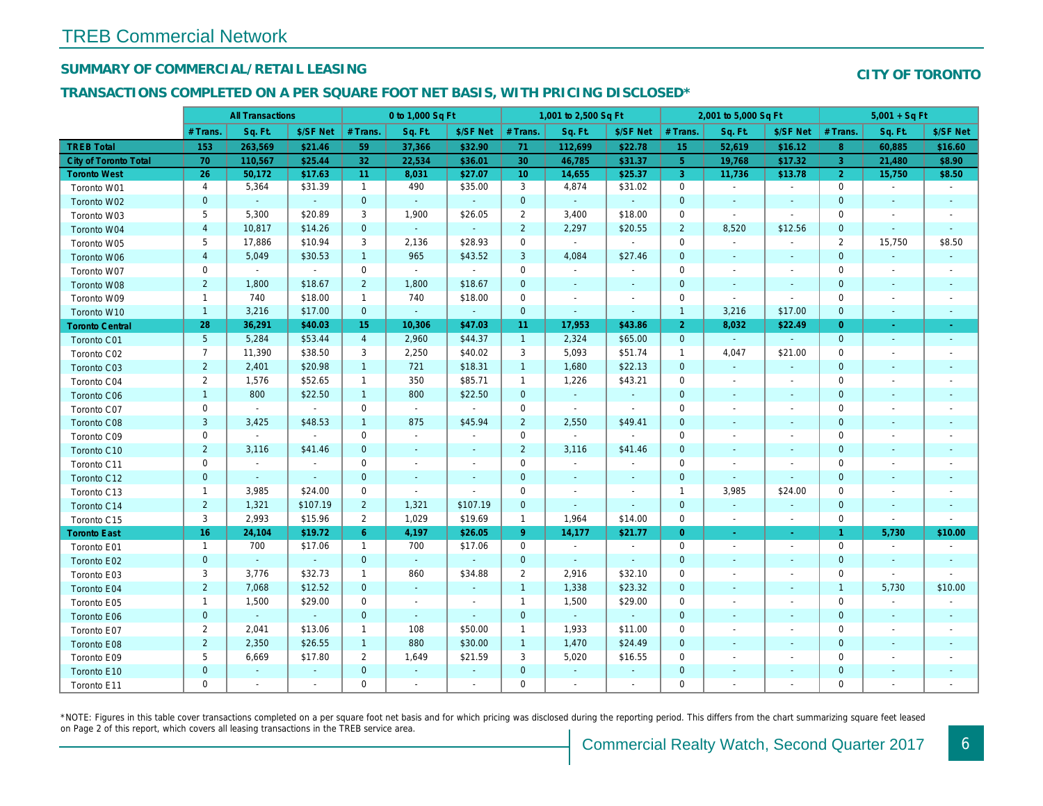## SUMMARY OF COMMERCIAL/RETAIL LEASING

## TRANSACTIONS COMPLETED ON A PER SQUARE FOOT NET BASIS, WITH PRICING DISCLOSED\*

| Sq. Ft.<br>Sq. Ft.<br>Sq. Ft.<br>Sq. Ft.<br>\$/SF Net<br># Trans.<br>\$/SF Net<br># Trans.<br>\$/SF Net<br># Trans.<br># Trans.<br><b>TREB Total</b><br>\$32.90<br>52,619<br>153<br>263,569<br>\$21.46<br>59<br>37,366<br>71<br>112,699<br>\$22.78<br>15<br>\$25.44<br>32<br>22,534<br>30<br><b>City of Toronto Total</b><br>70<br>110,567<br>\$36.01<br>46,785<br>\$31.37<br>5 <sub>5</sub><br>19,768<br><b>Toronto West</b><br>26<br>\$17.63<br>11<br>\$27.07<br>10 <sup>°</sup><br>14,655<br>\$25.37<br>$\mathbf{3}$<br>50,172<br>8,031<br>11,736<br>$\overline{4}$<br>3<br>5,364<br>\$31.39<br>$\mathbf{1}$<br>490<br>\$35.00<br>4,874<br>\$31.02<br>$\mathbf 0$<br>Toronto W01<br>$\blacksquare$<br>$\sim$<br>$\mathbf{0}$<br>$\mathbf{0}$<br>$\mathbf 0$<br>$\mathbf{0}$<br>$\sim$<br>$\sim$<br>$\omega$<br>$\omega$<br>$\omega$<br>Toronto W02<br>$\sim$<br>$\sim$<br>$\sim$<br>5<br>5,300<br>\$20.89<br>3<br>1,900<br>\$26.05<br>$\overline{2}$<br>3,400<br>\$18.00<br>0<br>Toronto W03<br>$\blacksquare$<br>$\blacksquare$<br>$\overline{\mathbf{4}}$<br>\$14.26<br>$\mathbf{0}$<br>$\omega$<br>$\overline{2}$<br>\$20.55<br>$\overline{2}$<br>8,520<br>10,817<br>2,297<br>Toronto W04<br>$\mathcal{L}$<br>5<br>17,886<br>\$10.94<br>3<br>2,136<br>\$28.93<br>$\mathbf 0$<br>$\blacksquare$<br>$\mathbf 0$<br>Toronto W05<br>$\sim$<br>$\blacksquare$<br>$\blacksquare$<br>$\overline{\mathbf{4}}$<br>$\mathbf{1}$<br>3<br>5,049<br>\$30.53<br>965<br>\$43.52<br>4,084<br>\$27.46<br>$\mathbf{0}$<br>Toronto W06<br>$\sim$<br>$\sim$<br>$\mathbf 0$<br>0<br>$\sim$<br>$\mathbf 0$<br>$\sim$<br>$\sim$<br>$\mathbf 0$<br>$\sim$<br>Toronto W07<br>$\blacksquare$<br>$\blacksquare$<br>$\blacksquare$<br>$\blacksquare$<br>$\overline{2}$<br>$\overline{2}$<br>1,800<br>\$18.67<br>1,800<br>\$18.67<br>$\mathbf 0$<br>$\mathbf{0}$<br>Toronto W08<br>$\blacksquare$<br>$\blacksquare$<br>$\blacksquare$<br>740<br>\$18.00<br>740<br>$\mathbf 0$<br>$\mathbf 0$<br>$\mathbf{1}$<br>$\mathbf{1}$<br>\$18.00<br>Toronto W09<br>$\omega$<br>$\blacksquare$<br>$\blacksquare$<br>$\blacksquare$<br>3,216<br>\$17.00<br>$\mathbf{0}$<br>$\mathbf 0$<br>$\mathbf{1}$<br>3,216<br>$\mathbf{1}$<br>Toronto W10<br>$\sim$<br>$\sim$<br>$\blacksquare$<br>$\blacksquare$<br>28<br>8,032<br>36,291<br>\$40.03<br>15<br>10,306<br>\$47.03<br>11<br>17,953<br>\$43.86<br>$\overline{2}$<br><b>Toronto Central</b><br>$5\phantom{.0}$<br>\$53.44<br>$\overline{4}$<br>2,960<br>$\mathbf{1}$<br>\$65.00<br>$\overline{0}$<br>5,284<br>\$44.37<br>2,324<br>$\omega$<br>Toronto C01<br>$\omega$<br>$\overline{7}$<br>\$38.50<br>2,250<br>3<br>\$51.74<br>4,047<br>11,390<br>3<br>\$40.02<br>5,093<br>$\mathbf{1}$<br>Toronto C02<br>$\overline{2}$<br>\$20.98<br>$\mathbf{1}$<br>721<br>\$18.31<br>$\mathbf{1}$<br>1,680<br>\$22.13<br>2,401<br>$\mathbf{0}$<br>Toronto C03<br>$\sim$<br>$\blacksquare$<br>$\overline{2}$<br>\$52.65<br>350<br>\$85.71<br>$\mathbf{1}$<br>\$43.21<br>1,576<br>$\mathbf{1}$<br>1,226<br>0<br>Toronto C04<br>$\blacksquare$<br>$\blacksquare$<br>$\mathbf{1}$<br>\$22.50<br>$\mathbf{1}$<br>800<br>$\mathbf 0$<br>800<br>\$22.50<br>$\mathbf 0$<br>Toronto C06<br>$\omega$<br>$\blacksquare$<br>$\blacksquare$<br>$\blacksquare$<br>$\mathbf 0$<br>$\mathbf 0$<br>$\omega$<br>$\mathbf 0$<br>$\sim$<br>$\mathbf 0$<br>Toronto C07<br>$\omega$<br>$\sim$<br>$\blacksquare$<br>$\sim$<br>$\blacksquare$<br>$\blacksquare$<br>3<br>$\overline{2}$<br>\$48.53<br>875<br>\$45.94<br>2,550<br>\$49.41<br>3,425<br>$\mathbf{1}$<br>$\mathbf 0$<br>Toronto C08<br>$\sim$<br>$\blacksquare$<br>$\mathbf 0$<br>0<br>$\mathbf 0$<br>$\blacksquare$<br>$\mathbf 0$<br>Toronto C09<br>$\blacksquare$<br>$\sim$<br>$\sim$<br>$\blacksquare$<br>$\blacksquare$<br>$\blacksquare$<br>$\blacksquare$<br>$\overline{2}$<br>$\overline{2}$<br>$\mathbf{0}$<br>3,116<br>\$41.46<br>3,116<br>\$41.46<br>$\mathbf 0$<br>Toronto C10<br>$\omega$<br>$\blacksquare$<br>$\blacksquare$<br>$\blacksquare$<br>0<br>$\mathbf 0$<br>0<br>0<br>Toronto C11<br>$\blacksquare$<br>$\sim$<br>$\tilde{\phantom{a}}$<br>$\blacksquare$<br>$\omega$<br>$\blacksquare$<br>$\blacksquare$<br>$\blacksquare$<br>$\mathbf{0}$<br>$\mathbf 0$<br>$\mathbf{0}$<br>$\mathbf{0}$<br>Toronto C12<br>$\sim$<br>$\Delta$<br>$\sim$<br>$\sim$<br>$\sim$<br>$\blacksquare$<br>$\blacksquare$<br>$\mathbf{1}$<br>3,985<br>\$24.00<br>$\mathbf 0$<br>$\mathbf 0$<br>$\overline{1}$<br>3,985<br>Toronto C13<br>$\blacksquare$<br>$\sim$<br>$\blacksquare$<br>$\overline{\phantom{a}}$<br>$\overline{2}$<br>1,321<br>\$107.19<br>$\overline{2}$<br>1,321<br>\$107.19<br>$\mathbf 0$<br>$\mathbf{0}$<br>Toronto C14<br>$\blacksquare$<br>$\blacksquare$<br>$\blacksquare$<br>$\blacksquare$<br>3<br>2,993<br>\$15.96<br>$\overline{2}$<br>1,029<br>\$19.69<br>$\mathbf{1}$<br>1,964<br>\$14.00<br>$\mathbf 0$<br>Toronto C15<br>$\blacksquare$<br>$\blacksquare$<br>16<br>\$19.72<br>\$26.05<br>\$21.77<br>24,104<br>$6^{\circ}$<br>4,197<br>$9^{\circ}$<br>14,177<br>$\overline{0}$<br><b>Toronto East</b><br>$\blacksquare$<br>$\sigma$<br>700<br>700<br>$\mathbf 0$<br>$\mathbf{1}$<br>\$17.06<br>$\mathbf{1}$<br>\$17.06<br>0<br>Toronto E01<br>$\sim$<br>$\sim$<br>$\overline{\phantom{a}}$<br>$\sim$<br>$\mathbf{0}$<br>$\overline{0}$<br>$\mathbf{0}$<br>$\omega$<br>$\mathbf{0}$<br>Toronto E02<br>$\omega$<br>$\sim$<br>$\omega$<br>$\omega$ .<br>$\sim$<br>$\blacksquare$<br>$\blacksquare$<br>3<br>\$32.73<br>\$34.88<br>$\overline{2}$<br>\$32.10<br>3,776<br>$\mathbf{1}$<br>860<br>2,916<br>$\mathbf 0$<br>Toronto E03<br>$\blacksquare$<br>$\blacksquare$<br>$\overline{2}$<br>\$23.32<br>7,068<br>\$12.52<br>$\mathbf{0}$<br>$\mathbf{1}$<br>1,338<br>$\mathbf{0}$<br>Toronto E04<br>$\omega$<br>$\blacksquare$<br>$\blacksquare$<br>$\blacksquare$<br>$\mathbf{1}$<br>1,500<br>\$29.00<br>0<br>$\mathbf{1}$<br>1,500<br>\$29.00<br>$\mathbf 0$<br>Toronto E05<br>$\blacksquare$<br>$\blacksquare$<br>$\overline{\phantom{a}}$<br>$\blacksquare$<br>$\mathbf{0}$<br>$\mathbf{0}$<br>$\mathbf 0$<br>$\mathbf{0}$<br>$\omega$<br>$\omega$ .<br>$\omega$<br>$\omega$<br>Toronto E06<br>$\omega$<br>$\blacksquare$<br>$\blacksquare$<br>$\blacksquare$<br>$\overline{2}$<br>2,041<br>\$13.06<br>108<br>\$50.00<br>$\mathbf{1}$<br>\$11.00<br>$\mathbf{1}$<br>1,933<br>$\mathbf 0$<br>$\sim$<br>$\blacksquare$ |             | <b>All Transactions</b> |  | 0 to 1,000 Sq Ft |  | 1,001 to 2,500 Sq Ft |  | 2,001 to 5,000 Sq Ft |          |
|----------------------------------------------------------------------------------------------------------------------------------------------------------------------------------------------------------------------------------------------------------------------------------------------------------------------------------------------------------------------------------------------------------------------------------------------------------------------------------------------------------------------------------------------------------------------------------------------------------------------------------------------------------------------------------------------------------------------------------------------------------------------------------------------------------------------------------------------------------------------------------------------------------------------------------------------------------------------------------------------------------------------------------------------------------------------------------------------------------------------------------------------------------------------------------------------------------------------------------------------------------------------------------------------------------------------------------------------------------------------------------------------------------------------------------------------------------------------------------------------------------------------------------------------------------------------------------------------------------------------------------------------------------------------------------------------------------------------------------------------------------------------------------------------------------------------------------------------------------------------------------------------------------------------------------------------------------------------------------------------------------------------------------------------------------------------------------------------------------------------------------------------------------------------------------------------------------------------------------------------------------------------------------------------------------------------------------------------------------------------------------------------------------------------------------------------------------------------------------------------------------------------------------------------------------------------------------------------------------------------------------------------------------------------------------------------------------------------------------------------------------------------------------------------------------------------------------------------------------------------------------------------------------------------------------------------------------------------------------------------------------------------------------------------------------------------------------------------------------------------------------------------------------------------------------------------------------------------------------------------------------------------------------------------------------------------------------------------------------------------------------------------------------------------------------------------------------------------------------------------------------------------------------------------------------------------------------------------------------------------------------------------------------------------------------------------------------------------------------------------------------------------------------------------------------------------------------------------------------------------------------------------------------------------------------------------------------------------------------------------------------------------------------------------------------------------------------------------------------------------------------------------------------------------------------------------------------------------------------------------------------------------------------------------------------------------------------------------------------------------------------------------------------------------------------------------------------------------------------------------------------------------------------------------------------------------------------------------------------------------------------------------------------------------------------------------------------------------------------------------------------------------------------------------------------------------------------------------------------------------------------------------------------------------------------------------------------------------------------------------------------------------------------------------------------------------------------------------------------------------------------------------------------------------------------------------------------------------------------------------------------------------------------------------------------------------------------------------------------------------------------------------------------------------------------------------------------------------------------------------------------------------------------------------------------------------------------------------------------------------------------------------------------------------------------------------------------------------------------------------------------------------------------------------------------------------------------------------------------------------------------------------------------------------------------------------------------------------------------------------------------------------------------------------------------------------------------------------------------------------------------------------------------------------------------------------------------------------------------------------------------------------------------------------------------------------------------------------------------------------------------------|-------------|-------------------------|--|------------------|--|----------------------|--|----------------------|----------|
|                                                                                                                                                                                                                                                                                                                                                                                                                                                                                                                                                                                                                                                                                                                                                                                                                                                                                                                                                                                                                                                                                                                                                                                                                                                                                                                                                                                                                                                                                                                                                                                                                                                                                                                                                                                                                                                                                                                                                                                                                                                                                                                                                                                                                                                                                                                                                                                                                                                                                                                                                                                                                                                                                                                                                                                                                                                                                                                                                                                                                                                                                                                                                                                                                                                                                                                                                                                                                                                                                                                                                                                                                                                                                                                                                                                                                                                                                                                                                                                                                                                                                                                                                                                                                                                                                                                                                                                                                                                                                                                                                                                                                                                                                                                                                                                                                                                                                                                                                                                                                                                                                                                                                                                                                                                                                                                                                                                                                                                                                                                                                                                                                                                                                                                                                                                                                                                                                                                                                                                                                                                                                                                                                                                                                                                                                                                                                                                        |             |                         |  |                  |  |                      |  |                      | \$/SF Ne |
|                                                                                                                                                                                                                                                                                                                                                                                                                                                                                                                                                                                                                                                                                                                                                                                                                                                                                                                                                                                                                                                                                                                                                                                                                                                                                                                                                                                                                                                                                                                                                                                                                                                                                                                                                                                                                                                                                                                                                                                                                                                                                                                                                                                                                                                                                                                                                                                                                                                                                                                                                                                                                                                                                                                                                                                                                                                                                                                                                                                                                                                                                                                                                                                                                                                                                                                                                                                                                                                                                                                                                                                                                                                                                                                                                                                                                                                                                                                                                                                                                                                                                                                                                                                                                                                                                                                                                                                                                                                                                                                                                                                                                                                                                                                                                                                                                                                                                                                                                                                                                                                                                                                                                                                                                                                                                                                                                                                                                                                                                                                                                                                                                                                                                                                                                                                                                                                                                                                                                                                                                                                                                                                                                                                                                                                                                                                                                                                        |             |                         |  |                  |  |                      |  |                      | \$16.12  |
|                                                                                                                                                                                                                                                                                                                                                                                                                                                                                                                                                                                                                                                                                                                                                                                                                                                                                                                                                                                                                                                                                                                                                                                                                                                                                                                                                                                                                                                                                                                                                                                                                                                                                                                                                                                                                                                                                                                                                                                                                                                                                                                                                                                                                                                                                                                                                                                                                                                                                                                                                                                                                                                                                                                                                                                                                                                                                                                                                                                                                                                                                                                                                                                                                                                                                                                                                                                                                                                                                                                                                                                                                                                                                                                                                                                                                                                                                                                                                                                                                                                                                                                                                                                                                                                                                                                                                                                                                                                                                                                                                                                                                                                                                                                                                                                                                                                                                                                                                                                                                                                                                                                                                                                                                                                                                                                                                                                                                                                                                                                                                                                                                                                                                                                                                                                                                                                                                                                                                                                                                                                                                                                                                                                                                                                                                                                                                                                        |             |                         |  |                  |  |                      |  |                      | \$17.32  |
|                                                                                                                                                                                                                                                                                                                                                                                                                                                                                                                                                                                                                                                                                                                                                                                                                                                                                                                                                                                                                                                                                                                                                                                                                                                                                                                                                                                                                                                                                                                                                                                                                                                                                                                                                                                                                                                                                                                                                                                                                                                                                                                                                                                                                                                                                                                                                                                                                                                                                                                                                                                                                                                                                                                                                                                                                                                                                                                                                                                                                                                                                                                                                                                                                                                                                                                                                                                                                                                                                                                                                                                                                                                                                                                                                                                                                                                                                                                                                                                                                                                                                                                                                                                                                                                                                                                                                                                                                                                                                                                                                                                                                                                                                                                                                                                                                                                                                                                                                                                                                                                                                                                                                                                                                                                                                                                                                                                                                                                                                                                                                                                                                                                                                                                                                                                                                                                                                                                                                                                                                                                                                                                                                                                                                                                                                                                                                                                        |             |                         |  |                  |  |                      |  |                      | \$13.78  |
|                                                                                                                                                                                                                                                                                                                                                                                                                                                                                                                                                                                                                                                                                                                                                                                                                                                                                                                                                                                                                                                                                                                                                                                                                                                                                                                                                                                                                                                                                                                                                                                                                                                                                                                                                                                                                                                                                                                                                                                                                                                                                                                                                                                                                                                                                                                                                                                                                                                                                                                                                                                                                                                                                                                                                                                                                                                                                                                                                                                                                                                                                                                                                                                                                                                                                                                                                                                                                                                                                                                                                                                                                                                                                                                                                                                                                                                                                                                                                                                                                                                                                                                                                                                                                                                                                                                                                                                                                                                                                                                                                                                                                                                                                                                                                                                                                                                                                                                                                                                                                                                                                                                                                                                                                                                                                                                                                                                                                                                                                                                                                                                                                                                                                                                                                                                                                                                                                                                                                                                                                                                                                                                                                                                                                                                                                                                                                                                        |             |                         |  |                  |  |                      |  |                      |          |
|                                                                                                                                                                                                                                                                                                                                                                                                                                                                                                                                                                                                                                                                                                                                                                                                                                                                                                                                                                                                                                                                                                                                                                                                                                                                                                                                                                                                                                                                                                                                                                                                                                                                                                                                                                                                                                                                                                                                                                                                                                                                                                                                                                                                                                                                                                                                                                                                                                                                                                                                                                                                                                                                                                                                                                                                                                                                                                                                                                                                                                                                                                                                                                                                                                                                                                                                                                                                                                                                                                                                                                                                                                                                                                                                                                                                                                                                                                                                                                                                                                                                                                                                                                                                                                                                                                                                                                                                                                                                                                                                                                                                                                                                                                                                                                                                                                                                                                                                                                                                                                                                                                                                                                                                                                                                                                                                                                                                                                                                                                                                                                                                                                                                                                                                                                                                                                                                                                                                                                                                                                                                                                                                                                                                                                                                                                                                                                                        |             |                         |  |                  |  |                      |  |                      |          |
|                                                                                                                                                                                                                                                                                                                                                                                                                                                                                                                                                                                                                                                                                                                                                                                                                                                                                                                                                                                                                                                                                                                                                                                                                                                                                                                                                                                                                                                                                                                                                                                                                                                                                                                                                                                                                                                                                                                                                                                                                                                                                                                                                                                                                                                                                                                                                                                                                                                                                                                                                                                                                                                                                                                                                                                                                                                                                                                                                                                                                                                                                                                                                                                                                                                                                                                                                                                                                                                                                                                                                                                                                                                                                                                                                                                                                                                                                                                                                                                                                                                                                                                                                                                                                                                                                                                                                                                                                                                                                                                                                                                                                                                                                                                                                                                                                                                                                                                                                                                                                                                                                                                                                                                                                                                                                                                                                                                                                                                                                                                                                                                                                                                                                                                                                                                                                                                                                                                                                                                                                                                                                                                                                                                                                                                                                                                                                                                        |             |                         |  |                  |  |                      |  |                      |          |
|                                                                                                                                                                                                                                                                                                                                                                                                                                                                                                                                                                                                                                                                                                                                                                                                                                                                                                                                                                                                                                                                                                                                                                                                                                                                                                                                                                                                                                                                                                                                                                                                                                                                                                                                                                                                                                                                                                                                                                                                                                                                                                                                                                                                                                                                                                                                                                                                                                                                                                                                                                                                                                                                                                                                                                                                                                                                                                                                                                                                                                                                                                                                                                                                                                                                                                                                                                                                                                                                                                                                                                                                                                                                                                                                                                                                                                                                                                                                                                                                                                                                                                                                                                                                                                                                                                                                                                                                                                                                                                                                                                                                                                                                                                                                                                                                                                                                                                                                                                                                                                                                                                                                                                                                                                                                                                                                                                                                                                                                                                                                                                                                                                                                                                                                                                                                                                                                                                                                                                                                                                                                                                                                                                                                                                                                                                                                                                                        |             |                         |  |                  |  |                      |  |                      | \$12.56  |
|                                                                                                                                                                                                                                                                                                                                                                                                                                                                                                                                                                                                                                                                                                                                                                                                                                                                                                                                                                                                                                                                                                                                                                                                                                                                                                                                                                                                                                                                                                                                                                                                                                                                                                                                                                                                                                                                                                                                                                                                                                                                                                                                                                                                                                                                                                                                                                                                                                                                                                                                                                                                                                                                                                                                                                                                                                                                                                                                                                                                                                                                                                                                                                                                                                                                                                                                                                                                                                                                                                                                                                                                                                                                                                                                                                                                                                                                                                                                                                                                                                                                                                                                                                                                                                                                                                                                                                                                                                                                                                                                                                                                                                                                                                                                                                                                                                                                                                                                                                                                                                                                                                                                                                                                                                                                                                                                                                                                                                                                                                                                                                                                                                                                                                                                                                                                                                                                                                                                                                                                                                                                                                                                                                                                                                                                                                                                                                                        |             |                         |  |                  |  |                      |  |                      |          |
|                                                                                                                                                                                                                                                                                                                                                                                                                                                                                                                                                                                                                                                                                                                                                                                                                                                                                                                                                                                                                                                                                                                                                                                                                                                                                                                                                                                                                                                                                                                                                                                                                                                                                                                                                                                                                                                                                                                                                                                                                                                                                                                                                                                                                                                                                                                                                                                                                                                                                                                                                                                                                                                                                                                                                                                                                                                                                                                                                                                                                                                                                                                                                                                                                                                                                                                                                                                                                                                                                                                                                                                                                                                                                                                                                                                                                                                                                                                                                                                                                                                                                                                                                                                                                                                                                                                                                                                                                                                                                                                                                                                                                                                                                                                                                                                                                                                                                                                                                                                                                                                                                                                                                                                                                                                                                                                                                                                                                                                                                                                                                                                                                                                                                                                                                                                                                                                                                                                                                                                                                                                                                                                                                                                                                                                                                                                                                                                        |             |                         |  |                  |  |                      |  |                      |          |
|                                                                                                                                                                                                                                                                                                                                                                                                                                                                                                                                                                                                                                                                                                                                                                                                                                                                                                                                                                                                                                                                                                                                                                                                                                                                                                                                                                                                                                                                                                                                                                                                                                                                                                                                                                                                                                                                                                                                                                                                                                                                                                                                                                                                                                                                                                                                                                                                                                                                                                                                                                                                                                                                                                                                                                                                                                                                                                                                                                                                                                                                                                                                                                                                                                                                                                                                                                                                                                                                                                                                                                                                                                                                                                                                                                                                                                                                                                                                                                                                                                                                                                                                                                                                                                                                                                                                                                                                                                                                                                                                                                                                                                                                                                                                                                                                                                                                                                                                                                                                                                                                                                                                                                                                                                                                                                                                                                                                                                                                                                                                                                                                                                                                                                                                                                                                                                                                                                                                                                                                                                                                                                                                                                                                                                                                                                                                                                                        |             |                         |  |                  |  |                      |  |                      |          |
|                                                                                                                                                                                                                                                                                                                                                                                                                                                                                                                                                                                                                                                                                                                                                                                                                                                                                                                                                                                                                                                                                                                                                                                                                                                                                                                                                                                                                                                                                                                                                                                                                                                                                                                                                                                                                                                                                                                                                                                                                                                                                                                                                                                                                                                                                                                                                                                                                                                                                                                                                                                                                                                                                                                                                                                                                                                                                                                                                                                                                                                                                                                                                                                                                                                                                                                                                                                                                                                                                                                                                                                                                                                                                                                                                                                                                                                                                                                                                                                                                                                                                                                                                                                                                                                                                                                                                                                                                                                                                                                                                                                                                                                                                                                                                                                                                                                                                                                                                                                                                                                                                                                                                                                                                                                                                                                                                                                                                                                                                                                                                                                                                                                                                                                                                                                                                                                                                                                                                                                                                                                                                                                                                                                                                                                                                                                                                                                        |             |                         |  |                  |  |                      |  |                      |          |
|                                                                                                                                                                                                                                                                                                                                                                                                                                                                                                                                                                                                                                                                                                                                                                                                                                                                                                                                                                                                                                                                                                                                                                                                                                                                                                                                                                                                                                                                                                                                                                                                                                                                                                                                                                                                                                                                                                                                                                                                                                                                                                                                                                                                                                                                                                                                                                                                                                                                                                                                                                                                                                                                                                                                                                                                                                                                                                                                                                                                                                                                                                                                                                                                                                                                                                                                                                                                                                                                                                                                                                                                                                                                                                                                                                                                                                                                                                                                                                                                                                                                                                                                                                                                                                                                                                                                                                                                                                                                                                                                                                                                                                                                                                                                                                                                                                                                                                                                                                                                                                                                                                                                                                                                                                                                                                                                                                                                                                                                                                                                                                                                                                                                                                                                                                                                                                                                                                                                                                                                                                                                                                                                                                                                                                                                                                                                                                                        |             |                         |  |                  |  |                      |  |                      |          |
|                                                                                                                                                                                                                                                                                                                                                                                                                                                                                                                                                                                                                                                                                                                                                                                                                                                                                                                                                                                                                                                                                                                                                                                                                                                                                                                                                                                                                                                                                                                                                                                                                                                                                                                                                                                                                                                                                                                                                                                                                                                                                                                                                                                                                                                                                                                                                                                                                                                                                                                                                                                                                                                                                                                                                                                                                                                                                                                                                                                                                                                                                                                                                                                                                                                                                                                                                                                                                                                                                                                                                                                                                                                                                                                                                                                                                                                                                                                                                                                                                                                                                                                                                                                                                                                                                                                                                                                                                                                                                                                                                                                                                                                                                                                                                                                                                                                                                                                                                                                                                                                                                                                                                                                                                                                                                                                                                                                                                                                                                                                                                                                                                                                                                                                                                                                                                                                                                                                                                                                                                                                                                                                                                                                                                                                                                                                                                                                        |             |                         |  |                  |  |                      |  |                      | \$17.00  |
|                                                                                                                                                                                                                                                                                                                                                                                                                                                                                                                                                                                                                                                                                                                                                                                                                                                                                                                                                                                                                                                                                                                                                                                                                                                                                                                                                                                                                                                                                                                                                                                                                                                                                                                                                                                                                                                                                                                                                                                                                                                                                                                                                                                                                                                                                                                                                                                                                                                                                                                                                                                                                                                                                                                                                                                                                                                                                                                                                                                                                                                                                                                                                                                                                                                                                                                                                                                                                                                                                                                                                                                                                                                                                                                                                                                                                                                                                                                                                                                                                                                                                                                                                                                                                                                                                                                                                                                                                                                                                                                                                                                                                                                                                                                                                                                                                                                                                                                                                                                                                                                                                                                                                                                                                                                                                                                                                                                                                                                                                                                                                                                                                                                                                                                                                                                                                                                                                                                                                                                                                                                                                                                                                                                                                                                                                                                                                                                        |             |                         |  |                  |  |                      |  |                      | \$22.49  |
|                                                                                                                                                                                                                                                                                                                                                                                                                                                                                                                                                                                                                                                                                                                                                                                                                                                                                                                                                                                                                                                                                                                                                                                                                                                                                                                                                                                                                                                                                                                                                                                                                                                                                                                                                                                                                                                                                                                                                                                                                                                                                                                                                                                                                                                                                                                                                                                                                                                                                                                                                                                                                                                                                                                                                                                                                                                                                                                                                                                                                                                                                                                                                                                                                                                                                                                                                                                                                                                                                                                                                                                                                                                                                                                                                                                                                                                                                                                                                                                                                                                                                                                                                                                                                                                                                                                                                                                                                                                                                                                                                                                                                                                                                                                                                                                                                                                                                                                                                                                                                                                                                                                                                                                                                                                                                                                                                                                                                                                                                                                                                                                                                                                                                                                                                                                                                                                                                                                                                                                                                                                                                                                                                                                                                                                                                                                                                                                        |             |                         |  |                  |  |                      |  |                      |          |
|                                                                                                                                                                                                                                                                                                                                                                                                                                                                                                                                                                                                                                                                                                                                                                                                                                                                                                                                                                                                                                                                                                                                                                                                                                                                                                                                                                                                                                                                                                                                                                                                                                                                                                                                                                                                                                                                                                                                                                                                                                                                                                                                                                                                                                                                                                                                                                                                                                                                                                                                                                                                                                                                                                                                                                                                                                                                                                                                                                                                                                                                                                                                                                                                                                                                                                                                                                                                                                                                                                                                                                                                                                                                                                                                                                                                                                                                                                                                                                                                                                                                                                                                                                                                                                                                                                                                                                                                                                                                                                                                                                                                                                                                                                                                                                                                                                                                                                                                                                                                                                                                                                                                                                                                                                                                                                                                                                                                                                                                                                                                                                                                                                                                                                                                                                                                                                                                                                                                                                                                                                                                                                                                                                                                                                                                                                                                                                                        |             |                         |  |                  |  |                      |  |                      | \$21.00  |
|                                                                                                                                                                                                                                                                                                                                                                                                                                                                                                                                                                                                                                                                                                                                                                                                                                                                                                                                                                                                                                                                                                                                                                                                                                                                                                                                                                                                                                                                                                                                                                                                                                                                                                                                                                                                                                                                                                                                                                                                                                                                                                                                                                                                                                                                                                                                                                                                                                                                                                                                                                                                                                                                                                                                                                                                                                                                                                                                                                                                                                                                                                                                                                                                                                                                                                                                                                                                                                                                                                                                                                                                                                                                                                                                                                                                                                                                                                                                                                                                                                                                                                                                                                                                                                                                                                                                                                                                                                                                                                                                                                                                                                                                                                                                                                                                                                                                                                                                                                                                                                                                                                                                                                                                                                                                                                                                                                                                                                                                                                                                                                                                                                                                                                                                                                                                                                                                                                                                                                                                                                                                                                                                                                                                                                                                                                                                                                                        |             |                         |  |                  |  |                      |  |                      |          |
|                                                                                                                                                                                                                                                                                                                                                                                                                                                                                                                                                                                                                                                                                                                                                                                                                                                                                                                                                                                                                                                                                                                                                                                                                                                                                                                                                                                                                                                                                                                                                                                                                                                                                                                                                                                                                                                                                                                                                                                                                                                                                                                                                                                                                                                                                                                                                                                                                                                                                                                                                                                                                                                                                                                                                                                                                                                                                                                                                                                                                                                                                                                                                                                                                                                                                                                                                                                                                                                                                                                                                                                                                                                                                                                                                                                                                                                                                                                                                                                                                                                                                                                                                                                                                                                                                                                                                                                                                                                                                                                                                                                                                                                                                                                                                                                                                                                                                                                                                                                                                                                                                                                                                                                                                                                                                                                                                                                                                                                                                                                                                                                                                                                                                                                                                                                                                                                                                                                                                                                                                                                                                                                                                                                                                                                                                                                                                                                        |             |                         |  |                  |  |                      |  |                      |          |
|                                                                                                                                                                                                                                                                                                                                                                                                                                                                                                                                                                                                                                                                                                                                                                                                                                                                                                                                                                                                                                                                                                                                                                                                                                                                                                                                                                                                                                                                                                                                                                                                                                                                                                                                                                                                                                                                                                                                                                                                                                                                                                                                                                                                                                                                                                                                                                                                                                                                                                                                                                                                                                                                                                                                                                                                                                                                                                                                                                                                                                                                                                                                                                                                                                                                                                                                                                                                                                                                                                                                                                                                                                                                                                                                                                                                                                                                                                                                                                                                                                                                                                                                                                                                                                                                                                                                                                                                                                                                                                                                                                                                                                                                                                                                                                                                                                                                                                                                                                                                                                                                                                                                                                                                                                                                                                                                                                                                                                                                                                                                                                                                                                                                                                                                                                                                                                                                                                                                                                                                                                                                                                                                                                                                                                                                                                                                                                                        |             |                         |  |                  |  |                      |  |                      |          |
|                                                                                                                                                                                                                                                                                                                                                                                                                                                                                                                                                                                                                                                                                                                                                                                                                                                                                                                                                                                                                                                                                                                                                                                                                                                                                                                                                                                                                                                                                                                                                                                                                                                                                                                                                                                                                                                                                                                                                                                                                                                                                                                                                                                                                                                                                                                                                                                                                                                                                                                                                                                                                                                                                                                                                                                                                                                                                                                                                                                                                                                                                                                                                                                                                                                                                                                                                                                                                                                                                                                                                                                                                                                                                                                                                                                                                                                                                                                                                                                                                                                                                                                                                                                                                                                                                                                                                                                                                                                                                                                                                                                                                                                                                                                                                                                                                                                                                                                                                                                                                                                                                                                                                                                                                                                                                                                                                                                                                                                                                                                                                                                                                                                                                                                                                                                                                                                                                                                                                                                                                                                                                                                                                                                                                                                                                                                                                                                        |             |                         |  |                  |  |                      |  |                      |          |
|                                                                                                                                                                                                                                                                                                                                                                                                                                                                                                                                                                                                                                                                                                                                                                                                                                                                                                                                                                                                                                                                                                                                                                                                                                                                                                                                                                                                                                                                                                                                                                                                                                                                                                                                                                                                                                                                                                                                                                                                                                                                                                                                                                                                                                                                                                                                                                                                                                                                                                                                                                                                                                                                                                                                                                                                                                                                                                                                                                                                                                                                                                                                                                                                                                                                                                                                                                                                                                                                                                                                                                                                                                                                                                                                                                                                                                                                                                                                                                                                                                                                                                                                                                                                                                                                                                                                                                                                                                                                                                                                                                                                                                                                                                                                                                                                                                                                                                                                                                                                                                                                                                                                                                                                                                                                                                                                                                                                                                                                                                                                                                                                                                                                                                                                                                                                                                                                                                                                                                                                                                                                                                                                                                                                                                                                                                                                                                                        |             |                         |  |                  |  |                      |  |                      |          |
|                                                                                                                                                                                                                                                                                                                                                                                                                                                                                                                                                                                                                                                                                                                                                                                                                                                                                                                                                                                                                                                                                                                                                                                                                                                                                                                                                                                                                                                                                                                                                                                                                                                                                                                                                                                                                                                                                                                                                                                                                                                                                                                                                                                                                                                                                                                                                                                                                                                                                                                                                                                                                                                                                                                                                                                                                                                                                                                                                                                                                                                                                                                                                                                                                                                                                                                                                                                                                                                                                                                                                                                                                                                                                                                                                                                                                                                                                                                                                                                                                                                                                                                                                                                                                                                                                                                                                                                                                                                                                                                                                                                                                                                                                                                                                                                                                                                                                                                                                                                                                                                                                                                                                                                                                                                                                                                                                                                                                                                                                                                                                                                                                                                                                                                                                                                                                                                                                                                                                                                                                                                                                                                                                                                                                                                                                                                                                                                        |             |                         |  |                  |  |                      |  |                      |          |
|                                                                                                                                                                                                                                                                                                                                                                                                                                                                                                                                                                                                                                                                                                                                                                                                                                                                                                                                                                                                                                                                                                                                                                                                                                                                                                                                                                                                                                                                                                                                                                                                                                                                                                                                                                                                                                                                                                                                                                                                                                                                                                                                                                                                                                                                                                                                                                                                                                                                                                                                                                                                                                                                                                                                                                                                                                                                                                                                                                                                                                                                                                                                                                                                                                                                                                                                                                                                                                                                                                                                                                                                                                                                                                                                                                                                                                                                                                                                                                                                                                                                                                                                                                                                                                                                                                                                                                                                                                                                                                                                                                                                                                                                                                                                                                                                                                                                                                                                                                                                                                                                                                                                                                                                                                                                                                                                                                                                                                                                                                                                                                                                                                                                                                                                                                                                                                                                                                                                                                                                                                                                                                                                                                                                                                                                                                                                                                                        |             |                         |  |                  |  |                      |  |                      |          |
|                                                                                                                                                                                                                                                                                                                                                                                                                                                                                                                                                                                                                                                                                                                                                                                                                                                                                                                                                                                                                                                                                                                                                                                                                                                                                                                                                                                                                                                                                                                                                                                                                                                                                                                                                                                                                                                                                                                                                                                                                                                                                                                                                                                                                                                                                                                                                                                                                                                                                                                                                                                                                                                                                                                                                                                                                                                                                                                                                                                                                                                                                                                                                                                                                                                                                                                                                                                                                                                                                                                                                                                                                                                                                                                                                                                                                                                                                                                                                                                                                                                                                                                                                                                                                                                                                                                                                                                                                                                                                                                                                                                                                                                                                                                                                                                                                                                                                                                                                                                                                                                                                                                                                                                                                                                                                                                                                                                                                                                                                                                                                                                                                                                                                                                                                                                                                                                                                                                                                                                                                                                                                                                                                                                                                                                                                                                                                                                        |             |                         |  |                  |  |                      |  |                      |          |
|                                                                                                                                                                                                                                                                                                                                                                                                                                                                                                                                                                                                                                                                                                                                                                                                                                                                                                                                                                                                                                                                                                                                                                                                                                                                                                                                                                                                                                                                                                                                                                                                                                                                                                                                                                                                                                                                                                                                                                                                                                                                                                                                                                                                                                                                                                                                                                                                                                                                                                                                                                                                                                                                                                                                                                                                                                                                                                                                                                                                                                                                                                                                                                                                                                                                                                                                                                                                                                                                                                                                                                                                                                                                                                                                                                                                                                                                                                                                                                                                                                                                                                                                                                                                                                                                                                                                                                                                                                                                                                                                                                                                                                                                                                                                                                                                                                                                                                                                                                                                                                                                                                                                                                                                                                                                                                                                                                                                                                                                                                                                                                                                                                                                                                                                                                                                                                                                                                                                                                                                                                                                                                                                                                                                                                                                                                                                                                                        |             |                         |  |                  |  |                      |  |                      |          |
|                                                                                                                                                                                                                                                                                                                                                                                                                                                                                                                                                                                                                                                                                                                                                                                                                                                                                                                                                                                                                                                                                                                                                                                                                                                                                                                                                                                                                                                                                                                                                                                                                                                                                                                                                                                                                                                                                                                                                                                                                                                                                                                                                                                                                                                                                                                                                                                                                                                                                                                                                                                                                                                                                                                                                                                                                                                                                                                                                                                                                                                                                                                                                                                                                                                                                                                                                                                                                                                                                                                                                                                                                                                                                                                                                                                                                                                                                                                                                                                                                                                                                                                                                                                                                                                                                                                                                                                                                                                                                                                                                                                                                                                                                                                                                                                                                                                                                                                                                                                                                                                                                                                                                                                                                                                                                                                                                                                                                                                                                                                                                                                                                                                                                                                                                                                                                                                                                                                                                                                                                                                                                                                                                                                                                                                                                                                                                                                        |             |                         |  |                  |  |                      |  |                      | \$24.00  |
|                                                                                                                                                                                                                                                                                                                                                                                                                                                                                                                                                                                                                                                                                                                                                                                                                                                                                                                                                                                                                                                                                                                                                                                                                                                                                                                                                                                                                                                                                                                                                                                                                                                                                                                                                                                                                                                                                                                                                                                                                                                                                                                                                                                                                                                                                                                                                                                                                                                                                                                                                                                                                                                                                                                                                                                                                                                                                                                                                                                                                                                                                                                                                                                                                                                                                                                                                                                                                                                                                                                                                                                                                                                                                                                                                                                                                                                                                                                                                                                                                                                                                                                                                                                                                                                                                                                                                                                                                                                                                                                                                                                                                                                                                                                                                                                                                                                                                                                                                                                                                                                                                                                                                                                                                                                                                                                                                                                                                                                                                                                                                                                                                                                                                                                                                                                                                                                                                                                                                                                                                                                                                                                                                                                                                                                                                                                                                                                        |             |                         |  |                  |  |                      |  |                      |          |
|                                                                                                                                                                                                                                                                                                                                                                                                                                                                                                                                                                                                                                                                                                                                                                                                                                                                                                                                                                                                                                                                                                                                                                                                                                                                                                                                                                                                                                                                                                                                                                                                                                                                                                                                                                                                                                                                                                                                                                                                                                                                                                                                                                                                                                                                                                                                                                                                                                                                                                                                                                                                                                                                                                                                                                                                                                                                                                                                                                                                                                                                                                                                                                                                                                                                                                                                                                                                                                                                                                                                                                                                                                                                                                                                                                                                                                                                                                                                                                                                                                                                                                                                                                                                                                                                                                                                                                                                                                                                                                                                                                                                                                                                                                                                                                                                                                                                                                                                                                                                                                                                                                                                                                                                                                                                                                                                                                                                                                                                                                                                                                                                                                                                                                                                                                                                                                                                                                                                                                                                                                                                                                                                                                                                                                                                                                                                                                                        |             |                         |  |                  |  |                      |  |                      |          |
|                                                                                                                                                                                                                                                                                                                                                                                                                                                                                                                                                                                                                                                                                                                                                                                                                                                                                                                                                                                                                                                                                                                                                                                                                                                                                                                                                                                                                                                                                                                                                                                                                                                                                                                                                                                                                                                                                                                                                                                                                                                                                                                                                                                                                                                                                                                                                                                                                                                                                                                                                                                                                                                                                                                                                                                                                                                                                                                                                                                                                                                                                                                                                                                                                                                                                                                                                                                                                                                                                                                                                                                                                                                                                                                                                                                                                                                                                                                                                                                                                                                                                                                                                                                                                                                                                                                                                                                                                                                                                                                                                                                                                                                                                                                                                                                                                                                                                                                                                                                                                                                                                                                                                                                                                                                                                                                                                                                                                                                                                                                                                                                                                                                                                                                                                                                                                                                                                                                                                                                                                                                                                                                                                                                                                                                                                                                                                                                        |             |                         |  |                  |  |                      |  |                      |          |
|                                                                                                                                                                                                                                                                                                                                                                                                                                                                                                                                                                                                                                                                                                                                                                                                                                                                                                                                                                                                                                                                                                                                                                                                                                                                                                                                                                                                                                                                                                                                                                                                                                                                                                                                                                                                                                                                                                                                                                                                                                                                                                                                                                                                                                                                                                                                                                                                                                                                                                                                                                                                                                                                                                                                                                                                                                                                                                                                                                                                                                                                                                                                                                                                                                                                                                                                                                                                                                                                                                                                                                                                                                                                                                                                                                                                                                                                                                                                                                                                                                                                                                                                                                                                                                                                                                                                                                                                                                                                                                                                                                                                                                                                                                                                                                                                                                                                                                                                                                                                                                                                                                                                                                                                                                                                                                                                                                                                                                                                                                                                                                                                                                                                                                                                                                                                                                                                                                                                                                                                                                                                                                                                                                                                                                                                                                                                                                                        |             |                         |  |                  |  |                      |  |                      |          |
|                                                                                                                                                                                                                                                                                                                                                                                                                                                                                                                                                                                                                                                                                                                                                                                                                                                                                                                                                                                                                                                                                                                                                                                                                                                                                                                                                                                                                                                                                                                                                                                                                                                                                                                                                                                                                                                                                                                                                                                                                                                                                                                                                                                                                                                                                                                                                                                                                                                                                                                                                                                                                                                                                                                                                                                                                                                                                                                                                                                                                                                                                                                                                                                                                                                                                                                                                                                                                                                                                                                                                                                                                                                                                                                                                                                                                                                                                                                                                                                                                                                                                                                                                                                                                                                                                                                                                                                                                                                                                                                                                                                                                                                                                                                                                                                                                                                                                                                                                                                                                                                                                                                                                                                                                                                                                                                                                                                                                                                                                                                                                                                                                                                                                                                                                                                                                                                                                                                                                                                                                                                                                                                                                                                                                                                                                                                                                                                        |             |                         |  |                  |  |                      |  |                      |          |
|                                                                                                                                                                                                                                                                                                                                                                                                                                                                                                                                                                                                                                                                                                                                                                                                                                                                                                                                                                                                                                                                                                                                                                                                                                                                                                                                                                                                                                                                                                                                                                                                                                                                                                                                                                                                                                                                                                                                                                                                                                                                                                                                                                                                                                                                                                                                                                                                                                                                                                                                                                                                                                                                                                                                                                                                                                                                                                                                                                                                                                                                                                                                                                                                                                                                                                                                                                                                                                                                                                                                                                                                                                                                                                                                                                                                                                                                                                                                                                                                                                                                                                                                                                                                                                                                                                                                                                                                                                                                                                                                                                                                                                                                                                                                                                                                                                                                                                                                                                                                                                                                                                                                                                                                                                                                                                                                                                                                                                                                                                                                                                                                                                                                                                                                                                                                                                                                                                                                                                                                                                                                                                                                                                                                                                                                                                                                                                                        |             |                         |  |                  |  |                      |  |                      |          |
|                                                                                                                                                                                                                                                                                                                                                                                                                                                                                                                                                                                                                                                                                                                                                                                                                                                                                                                                                                                                                                                                                                                                                                                                                                                                                                                                                                                                                                                                                                                                                                                                                                                                                                                                                                                                                                                                                                                                                                                                                                                                                                                                                                                                                                                                                                                                                                                                                                                                                                                                                                                                                                                                                                                                                                                                                                                                                                                                                                                                                                                                                                                                                                                                                                                                                                                                                                                                                                                                                                                                                                                                                                                                                                                                                                                                                                                                                                                                                                                                                                                                                                                                                                                                                                                                                                                                                                                                                                                                                                                                                                                                                                                                                                                                                                                                                                                                                                                                                                                                                                                                                                                                                                                                                                                                                                                                                                                                                                                                                                                                                                                                                                                                                                                                                                                                                                                                                                                                                                                                                                                                                                                                                                                                                                                                                                                                                                                        |             |                         |  |                  |  |                      |  |                      |          |
|                                                                                                                                                                                                                                                                                                                                                                                                                                                                                                                                                                                                                                                                                                                                                                                                                                                                                                                                                                                                                                                                                                                                                                                                                                                                                                                                                                                                                                                                                                                                                                                                                                                                                                                                                                                                                                                                                                                                                                                                                                                                                                                                                                                                                                                                                                                                                                                                                                                                                                                                                                                                                                                                                                                                                                                                                                                                                                                                                                                                                                                                                                                                                                                                                                                                                                                                                                                                                                                                                                                                                                                                                                                                                                                                                                                                                                                                                                                                                                                                                                                                                                                                                                                                                                                                                                                                                                                                                                                                                                                                                                                                                                                                                                                                                                                                                                                                                                                                                                                                                                                                                                                                                                                                                                                                                                                                                                                                                                                                                                                                                                                                                                                                                                                                                                                                                                                                                                                                                                                                                                                                                                                                                                                                                                                                                                                                                                                        |             |                         |  |                  |  |                      |  |                      |          |
|                                                                                                                                                                                                                                                                                                                                                                                                                                                                                                                                                                                                                                                                                                                                                                                                                                                                                                                                                                                                                                                                                                                                                                                                                                                                                                                                                                                                                                                                                                                                                                                                                                                                                                                                                                                                                                                                                                                                                                                                                                                                                                                                                                                                                                                                                                                                                                                                                                                                                                                                                                                                                                                                                                                                                                                                                                                                                                                                                                                                                                                                                                                                                                                                                                                                                                                                                                                                                                                                                                                                                                                                                                                                                                                                                                                                                                                                                                                                                                                                                                                                                                                                                                                                                                                                                                                                                                                                                                                                                                                                                                                                                                                                                                                                                                                                                                                                                                                                                                                                                                                                                                                                                                                                                                                                                                                                                                                                                                                                                                                                                                                                                                                                                                                                                                                                                                                                                                                                                                                                                                                                                                                                                                                                                                                                                                                                                                                        |             |                         |  |                  |  |                      |  |                      |          |
|                                                                                                                                                                                                                                                                                                                                                                                                                                                                                                                                                                                                                                                                                                                                                                                                                                                                                                                                                                                                                                                                                                                                                                                                                                                                                                                                                                                                                                                                                                                                                                                                                                                                                                                                                                                                                                                                                                                                                                                                                                                                                                                                                                                                                                                                                                                                                                                                                                                                                                                                                                                                                                                                                                                                                                                                                                                                                                                                                                                                                                                                                                                                                                                                                                                                                                                                                                                                                                                                                                                                                                                                                                                                                                                                                                                                                                                                                                                                                                                                                                                                                                                                                                                                                                                                                                                                                                                                                                                                                                                                                                                                                                                                                                                                                                                                                                                                                                                                                                                                                                                                                                                                                                                                                                                                                                                                                                                                                                                                                                                                                                                                                                                                                                                                                                                                                                                                                                                                                                                                                                                                                                                                                                                                                                                                                                                                                                                        | Toronto E07 |                         |  |                  |  |                      |  |                      |          |
| $\overline{2}$<br>2,350<br>\$26.55<br>880<br>$\mathbf{1}$<br>\$30.00<br>$\mathbf{1}$<br>1,470<br>\$24.49<br>$\mathbf{0}$<br>Toronto E08<br>$\blacksquare$<br>$\blacksquare$                                                                                                                                                                                                                                                                                                                                                                                                                                                                                                                                                                                                                                                                                                                                                                                                                                                                                                                                                                                                                                                                                                                                                                                                                                                                                                                                                                                                                                                                                                                                                                                                                                                                                                                                                                                                                                                                                                                                                                                                                                                                                                                                                                                                                                                                                                                                                                                                                                                                                                                                                                                                                                                                                                                                                                                                                                                                                                                                                                                                                                                                                                                                                                                                                                                                                                                                                                                                                                                                                                                                                                                                                                                                                                                                                                                                                                                                                                                                                                                                                                                                                                                                                                                                                                                                                                                                                                                                                                                                                                                                                                                                                                                                                                                                                                                                                                                                                                                                                                                                                                                                                                                                                                                                                                                                                                                                                                                                                                                                                                                                                                                                                                                                                                                                                                                                                                                                                                                                                                                                                                                                                                                                                                                                            |             |                         |  |                  |  |                      |  |                      |          |
| 5<br>6,669<br>\$17.80<br>$\overline{2}$<br>1,649<br>\$21.59<br>3<br>5,020<br>\$16.55<br>0<br>Toronto E09<br>$\overline{\phantom{a}}$<br>$\blacksquare$                                                                                                                                                                                                                                                                                                                                                                                                                                                                                                                                                                                                                                                                                                                                                                                                                                                                                                                                                                                                                                                                                                                                                                                                                                                                                                                                                                                                                                                                                                                                                                                                                                                                                                                                                                                                                                                                                                                                                                                                                                                                                                                                                                                                                                                                                                                                                                                                                                                                                                                                                                                                                                                                                                                                                                                                                                                                                                                                                                                                                                                                                                                                                                                                                                                                                                                                                                                                                                                                                                                                                                                                                                                                                                                                                                                                                                                                                                                                                                                                                                                                                                                                                                                                                                                                                                                                                                                                                                                                                                                                                                                                                                                                                                                                                                                                                                                                                                                                                                                                                                                                                                                                                                                                                                                                                                                                                                                                                                                                                                                                                                                                                                                                                                                                                                                                                                                                                                                                                                                                                                                                                                                                                                                                                                 |             |                         |  |                  |  |                      |  |                      |          |
| $\mathbf{0}$<br>$\mathbf 0$<br>$\mathbf 0$<br>$\mathbf{0}$<br>Toronto E10<br>$\omega$<br>$\sim$<br>$\omega$<br>$\sim$<br>$\blacksquare$<br>$\blacksquare$<br>$\blacksquare$<br>$\overline{\phantom{a}}$                                                                                                                                                                                                                                                                                                                                                                                                                                                                                                                                                                                                                                                                                                                                                                                                                                                                                                                                                                                                                                                                                                                                                                                                                                                                                                                                                                                                                                                                                                                                                                                                                                                                                                                                                                                                                                                                                                                                                                                                                                                                                                                                                                                                                                                                                                                                                                                                                                                                                                                                                                                                                                                                                                                                                                                                                                                                                                                                                                                                                                                                                                                                                                                                                                                                                                                                                                                                                                                                                                                                                                                                                                                                                                                                                                                                                                                                                                                                                                                                                                                                                                                                                                                                                                                                                                                                                                                                                                                                                                                                                                                                                                                                                                                                                                                                                                                                                                                                                                                                                                                                                                                                                                                                                                                                                                                                                                                                                                                                                                                                                                                                                                                                                                                                                                                                                                                                                                                                                                                                                                                                                                                                                                                |             |                         |  |                  |  |                      |  |                      |          |
| 0<br>$\mathbf 0$<br>$\mathbf 0$<br>$\mathbf 0$<br>$\sim$<br>$\blacksquare$<br>Toronto E11<br>$\blacksquare$<br>$\sim$<br>$\blacksquare$<br>$\blacksquare$<br>$\blacksquare$                                                                                                                                                                                                                                                                                                                                                                                                                                                                                                                                                                                                                                                                                                                                                                                                                                                                                                                                                                                                                                                                                                                                                                                                                                                                                                                                                                                                                                                                                                                                                                                                                                                                                                                                                                                                                                                                                                                                                                                                                                                                                                                                                                                                                                                                                                                                                                                                                                                                                                                                                                                                                                                                                                                                                                                                                                                                                                                                                                                                                                                                                                                                                                                                                                                                                                                                                                                                                                                                                                                                                                                                                                                                                                                                                                                                                                                                                                                                                                                                                                                                                                                                                                                                                                                                                                                                                                                                                                                                                                                                                                                                                                                                                                                                                                                                                                                                                                                                                                                                                                                                                                                                                                                                                                                                                                                                                                                                                                                                                                                                                                                                                                                                                                                                                                                                                                                                                                                                                                                                                                                                                                                                                                                                            |             |                         |  |                  |  |                      |  |                      |          |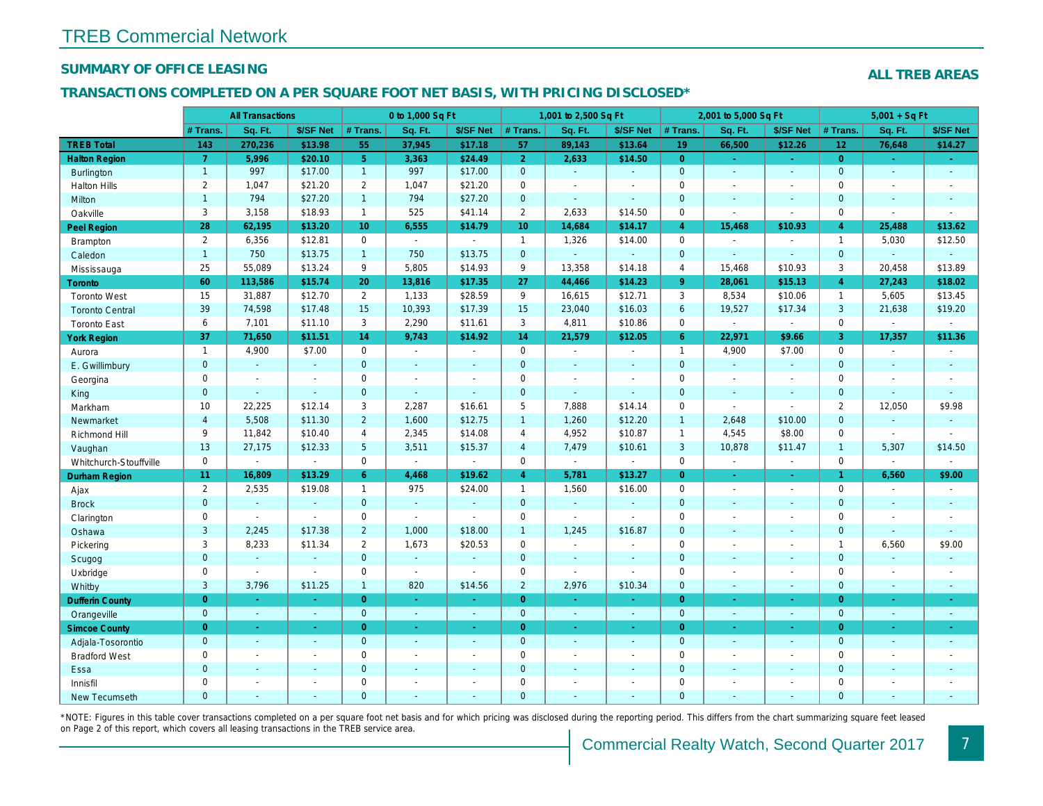### SUMMARY OF OFFICE LEASING

#### TRANSACTIONS COMPLETED ON A PER SQUARE FOOT NET BASIS, WITH PRICING DISCLOSED\*

|                        |                | <b>All Transactions</b> |                |                  | 0 to 1,000 Sq Ft         |                       |                     | 1,001 to 2,500 Sq Ft |                          |                | 2,001 to 5,000 Sq Ft |                  |
|------------------------|----------------|-------------------------|----------------|------------------|--------------------------|-----------------------|---------------------|----------------------|--------------------------|----------------|----------------------|------------------|
|                        | # Trans.       | Sq. Ft.                 | \$/SF Net      | # Trans.         | Sq. Ft.                  | \$/SF Net             | $#$ Trans.          | Sq. Ft.              | \$/SF Net                | # Trans.       | Sq. Ft.              | \$/SF Ne         |
| <b>TREB Total</b>      | 143            | 270,236                 | \$13.98        | 55               | 37,945                   | \$17.18               | 57                  | 89,143               | \$13.64                  | 19             | 66,500               | \$12.26          |
| <b>Halton Region</b>   | $\overline{7}$ | 5,996                   | \$20.10        | 5 <sup>1</sup>   | 3,363                    | \$24.49               | $\overline{2}$      | 2,633                | \$14.50                  | $\overline{0}$ | $\omega$             | $\omega_{\rm c}$ |
| <b>Burlington</b>      | $\overline{1}$ | 997                     | \$17.00        | $\mathbf{1}$     | 997                      | \$17.00               | $\mathbf{0}$        | $\blacksquare$       | $\Delta$                 | $\overline{0}$ | $\omega$             | $\blacksquare$   |
| <b>Halton Hills</b>    | 2              | 1,047                   | \$21.20        | $\overline{2}$   | 1,047                    | \$21.20               | $\mathbf 0$         | $\blacksquare$       | $\overline{\phantom{a}}$ | $\mathbf 0$    | $\blacksquare$       | $\blacksquare$   |
| Milton                 | $\mathbf{1}$   | 794                     | \$27.20        | $\mathbf{1}$     | 794                      | \$27.20               | $\mathbf{0}$        | $\blacksquare$       | $\sim$                   | $\mathbf{0}$   | $\blacksquare$       | $\blacksquare$   |
| Oakville               | 3              | 3,158                   | \$18.93        | $\mathbf{1}$     | 525                      | \$41.14               | $\overline{2}$      | 2,633                | \$14.50                  | $\mathbf{0}$   | $\omega$             | $\sim$           |
| <b>Peel Region</b>     | 28             | 62,195                  | \$13.20        | 10 <sup>10</sup> | 6,555                    | \$14.79               | 10 <sup>°</sup>     | 14,684               | \$14.17                  | $\overline{4}$ | 15,468               | \$10.93          |
| <b>Brampton</b>        | $\overline{2}$ | 6,356                   | \$12.81        | $\mathbf 0$      | $\sim$                   | $\mathbf{r}$          | $\mathbf{1}$        | 1,326                | \$14.00                  | $\mathbf 0$    | $\omega$             |                  |
| Caledon                | 1              | 750                     | \$13.75        | $\mathbf{1}$     | 750                      | \$13.75               | $\mathbf{0}$        | $\omega$             | $\omega$                 | $\mathbf{0}$   | $\blacksquare$       | $\blacksquare$   |
| Mississauga            | 25             | 55,089                  | \$13.24        | 9                | 5,805                    | \$14.93               | 9                   | 13,358               | \$14.18                  | $\overline{4}$ | 15,468               | \$10.93          |
| Toronto                | 60             | 113,586                 | \$15.74        | 20               | 13,816                   | \$17.35               | 27                  | 44,466               | \$14.23                  | 9 <sup>°</sup> | 28,061               | \$15.13          |
| <b>Toronto West</b>    | 15             | 31,887                  | \$12.70        | $\overline{2}$   | 1,133                    | \$28.59               | 9                   | 16,615               | \$12.71                  | 3              | 8,534                | \$10.06          |
| <b>Toronto Central</b> | 39             | 74,598                  | \$17.48        | 15               | 10,393                   | \$17.39               | 15                  | 23,040               | \$16.03                  | 6              | 19,527               | \$17.34          |
| <b>Toronto East</b>    | 6              | 7,101                   | \$11.10        | 3                | 2,290                    | \$11.61               | 3                   | 4,811                | \$10.86                  | $\mathbf{0}$   | $\blacksquare$       |                  |
| <b>York Region</b>     | 37             | 71,650                  | \$11.51        | 14               | 9,743                    | \$14.92               | 14                  | 21,579               | \$12.05                  | $6^{\circ}$    | 22,971               | \$9.66           |
| Aurora                 | $\mathbf{1}$   | 4,900                   | \$7.00         | $\mathbf 0$      | $\bullet$                | $\omega$              | $\mathsf 0$         | $\blacksquare$       | $\sim$                   | $\overline{1}$ | 4,900                | \$7.00           |
| E. Gwillimbury         | $\overline{0}$ | $\Delta$                | $\omega$       | $\mathbf{0}$     | $\blacksquare$           | $\blacksquare$        | $\mathbf{0}$        | ä,                   | ÷.                       | $\overline{0}$ | $\omega$             | $\omega$         |
| Georgina               | 0              | $\sim$                  | $\blacksquare$ | $\mathbf 0$      | $\blacksquare$           | $\blacksquare$        | $\mathbf 0$         | $\blacksquare$       | $\blacksquare$           | $\mathbf 0$    | $\blacksquare$       | $\blacksquare$   |
| King                   | $\mathbf 0$    | $\blacksquare$          | $\Delta$       | $\mathbf 0$      | $\omega$                 | $\omega$              | $\mathbf{0}$        | $\omega$             | $\blacksquare$           | $\mathbf{0}$   | $\blacksquare$       | $\sim$           |
| Markham                | 10             | 22,225                  | \$12.14        | 3                | 2,287                    | \$16.61               | $5\phantom{.0}$     | 7,888                | \$14.14                  | $\mathbf 0$    | $\sim$               | $\blacksquare$   |
| Newmarket              | $\overline{4}$ | 5,508                   | \$11.30        | $\overline{2}$   | 1,600                    | \$12.75               | $\overline{1}$      | 1,260                | \$12.20                  | $\mathbf{1}$   | 2,648                | \$10.00          |
| Richmond Hill          | 9              | 11,842                  | \$10.40        | $\overline{4}$   | 2,345                    | \$14.08               | $\overline{4}$      | 4,952                | \$10.87                  | $\overline{1}$ | 4,545                | \$8.00           |
| Vaughan                | 13             | 27,175                  | \$12.33        | 5 <sup>5</sup>   | 3,511                    | \$15.37               | $\overline{4}$      | 7,479                | \$10.61                  | 3              | 10,878               | \$11.47          |
| Whitchurch-Stouffville | $\mathbf 0$    | $\sim$                  | $\blacksquare$ | $\mathbf 0$      | $\sim$                   | $\blacksquare$        | $\mathbf 0$         | $\blacksquare$       | $\bullet$                | $\mathbf 0$    | $\blacksquare$       | $\sim$           |
| Durham Region          | 11             | 16,809                  | \$13.29        | 6 <sup>°</sup>   | 4,468                    | \$19.62               | $\overline{4}$      | 5,781                | \$13.27                  | $\overline{0}$ | $\omega$             | $\sigma$         |
| Ajax                   | $\overline{2}$ | 2,535                   | \$19.08        | $\mathbf{1}$     | 975                      | \$24.00               | $\mathbf{1}$        | 1,560                | \$16.00                  | $\Omega$       | $\sim$               | $\sim$           |
| <b>Brock</b>           | $\mathbf 0$    | $\omega$                | $\omega$       | $\mathbf{0}$     | $\omega$                 | $\blacksquare$        | $\mathbf{0}$        | $\omega$             | $\blacksquare$           | $\mathbf{0}$   | $\blacksquare$       | $\blacksquare$   |
| Clarington             | 0              | $\blacksquare$          | $\sim$         | 0                | $\overline{\phantom{a}}$ | $\blacksquare$        | $\mathsf{O}\xspace$ | $\overline{a}$       | $\blacksquare$           | $\mathbf 0$    | $\blacksquare$       | $\blacksquare$   |
| Oshawa                 | 3              | 2,245                   | \$17.38        | $\overline{2}$   | 1,000                    | \$18.00               | $\mathbf{1}$        | 1,245                | \$16.87                  | $\mathbf{0}$   | $\blacksquare$       | $\blacksquare$   |
| Pickering              | 3              | 8,233                   | \$11.34        | $\overline{2}$   | 1,673                    | \$20.53               | $\mathbf 0$         | $\blacksquare$       | $\overline{a}$           | $\mathbf 0$    | $\blacksquare$       | $\blacksquare$   |
| Scugog                 | $\mathbf 0$    | $\omega$                | $\sim$         | $\overline{0}$   | $\omega$                 | $\blacksquare$        | $\mathbf{0}$        | $\Delta$             | $\sim$                   | $\mathbf{0}$   | $\Delta$             | $\blacksquare$   |
| Uxbridge               | 0              | $\sim$                  | $\mathbf{r}$   | 0                | $\omega$                 | $\tilde{\phantom{a}}$ | $\mathbf 0$         | L.                   | $\overline{a}$           | $\mathbf 0$    | $\blacksquare$       | $\blacksquare$   |
| Whitby                 | 3              | 3,796                   | \$11.25        | $\mathbf{1}$     | 820                      | \$14.56               | $\overline{2}$      | 2,976                | \$10.34                  | $\mathbf{0}$   | $\blacksquare$       | $\blacksquare$   |
| <b>Dufferin County</b> | $\overline{0}$ | $\omega$                | $\Delta$       | $\overline{0}$   | $\omega$                 | $\omega$              | $\overline{0}$      | $\Delta$             | $\omega$                 | $\overline{0}$ | $\omega$             | $\sim$           |
| Orangeville            | $\mathbf{0}$   | $\omega$                | $\omega$       | $\overline{0}$   | $\omega$                 | $\omega$              | $\mathbf{0}$        | $\omega$             | $\omega$                 | $\overline{0}$ | $\omega$             | $\bullet$ .      |
| <b>Simcoe County</b>   | $\overline{0}$ | $\sim$                  | ÷.             | $\overline{0}$   | ÷.                       | $\omega$              | $\overline{0}$      | $\omega$             | ÷.                       | $\overline{0}$ | $\omega$             | $\omega_{\rm c}$ |
| Adjala-Tosorontio      | $\pmb{0}$      | $\sim$                  |                | $\mathbf{0}$     | $\blacksquare$           | $\blacksquare$        | $\mathbf{0}$        | $\blacksquare$       | $\mathbf{r}$             | $\mathbf{0}$   | $\blacksquare$       | $\sim$           |
| <b>Bradford West</b>   | 0              | $\blacksquare$          | $\blacksquare$ | $\pmb{0}$        | $\blacksquare$           | $\blacksquare$        | $\mathbf 0$         | $\blacksquare$       | $\sim$                   | $\mathbf 0$    | $\blacksquare$       | $\blacksquare$   |
| Essa                   | $\mathbf 0$    |                         |                | $\mathbf 0$      | $\blacksquare$           | $\blacksquare$        | $\mathbf{0}$        | $\blacksquare$       | $\blacksquare$           | $\mathbf{0}$   | $\blacksquare$       | $\blacksquare$   |
| Innisfil               | 0              | $\blacksquare$          | $\blacksquare$ | $\mathbf 0$      | $\overline{a}$           | $\blacksquare$        | $\mathbf 0$         | $\blacksquare$       | $\blacksquare$           | $\mathbf 0$    | $\blacksquare$       | $\blacksquare$   |
| <b>New Tecumseth</b>   | $\Omega$       |                         |                | $\Omega$         |                          |                       | $\overline{0}$      |                      |                          | $\Omega$       |                      |                  |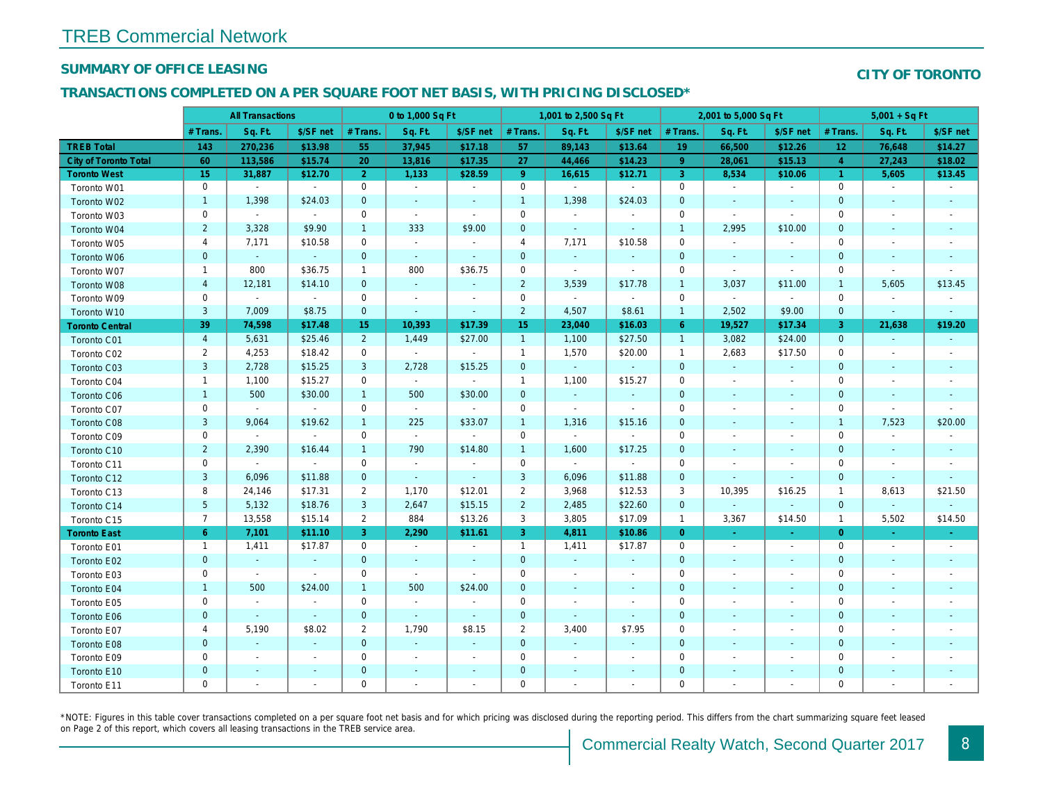#### SUMMARY OF OFFICE LEASING

#### TRANSACTIONS COMPLETED ON A PER SQUARE FOOT NET BASIS, WITH PRICING DISCLOSED\*

|                              |                | <b>All Transactions</b> |                          |                | 0 to 1,000 Sq Ft     |                          |                     | 1,001 to 2,500 Sq Ft     |                          |                | 2,001 to 5,000 Sq Ft     |                          |
|------------------------------|----------------|-------------------------|--------------------------|----------------|----------------------|--------------------------|---------------------|--------------------------|--------------------------|----------------|--------------------------|--------------------------|
|                              | # Trans.       | Sq. Ft.                 | \$/SF net                | # Trans.       | Sq. Ft.              | \$/SF net                | # Trans.            | Sq. Ft.                  | \$/SF net                | # Trans.       | Sq. Ft.                  | \$/SF ne                 |
| <b>TREB Total</b>            | 143            | 270,236                 | \$13.98                  | 55             | 37,945               | \$17.18                  | 57                  | 89,143                   | \$13.64                  | 19             | 66,500                   | \$12.26                  |
| <b>City of Toronto Total</b> | 60             | 113,586                 | \$15.74                  | 20             | 13,816               | \$17.35                  | 27                  | 44,466                   | \$14.23                  | 9              | 28,061                   | \$15.13                  |
| <b>Toronto West</b>          | 15             | 31,887                  | \$12.70                  | $\overline{2}$ | 1,133                | \$28.59                  | $9^{\circ}$         | 16,615                   | \$12.71                  | 3              | 8,534                    | \$10.06                  |
| Toronto W01                  | 0              | $\sim$                  | $\sim$                   | $\mathbf 0$    | $\blacksquare$       | $\sim$                   | $\mathbf 0$         | $\blacksquare$           | $\blacksquare$           | 0              | $\blacksquare$           | $\sim$                   |
| Toronto W02                  | $\mathbf{1}$   | 1,398                   | \$24.03                  | $\mathbf 0$    | $\blacksquare$       | $\blacksquare$           | $\mathbf{1}$        | 1,398                    | \$24.03                  | $\mathbf 0$    | $\sim$                   | $\sim$                   |
| Toronto W03                  | 0              | $\sim$                  | $\sim$                   | $\mathbf 0$    | $\blacksquare$       | $\blacksquare$           | $\mathbf 0$         | $\blacksquare$           | $\sim$                   | $\mathbf 0$    | $\sim$                   | $\sim$                   |
| Toronto W04                  | $\overline{2}$ | 3,328                   | \$9.90                   | $\overline{1}$ | 333                  | \$9.00                   | $\mathbf 0$         | $\omega$                 | $\sim$                   | $\mathbf{1}$   | 2,995                    | \$10.00                  |
| Toronto W05                  | 4              | 7,171                   | \$10.58                  | $\mathbf 0$    | $\omega$             | $\blacksquare$           | 4                   | 7,171                    | \$10.58                  | $\mathbf 0$    | $\blacksquare$           |                          |
| Toronto W06                  | $\mathbf 0$    | $\sim$                  | $\omega$                 | $\mathbf{0}$   | $\sim$               | $\blacksquare$           | 0                   | $\sim$                   | $\blacksquare$           | $\mathbf 0$    | $\blacksquare$           | $\blacksquare$           |
| Toronto W07                  | $\mathbf{1}$   | 800                     | \$36.75                  | $\mathbf{1}$   | 800                  | \$36.75                  | 0                   | $\blacksquare$           | $\blacksquare$           | $\mathbf 0$    | $\blacksquare$           | $\overline{\phantom{a}}$ |
| Toronto W08                  | $\overline{a}$ | 12,181                  | \$14.10                  | $\mathbf{0}$   | $\blacksquare$       | $\blacksquare$           | $\overline{2}$      | 3,539                    | \$17.78                  | $\overline{1}$ | 3,037                    | \$11.00                  |
| Toronto W09                  | 0              | $\blacksquare$          | $\sim$                   | $\mathbf 0$    | $\ddot{\phantom{0}}$ | $\overline{\phantom{a}}$ | $\mathbf 0$         | $\sim$                   | $\sim$                   | $\mathbf 0$    | $\sim$                   | $\blacksquare$           |
| Toronto W10                  | 3              | 7,009                   | \$8.75                   | $\mathbf{0}$   | $\blacksquare$       | $\blacksquare$           | $\overline{2}$      | 4,507                    | \$8.61                   | $\mathbf{1}$   | 2,502                    | \$9.00                   |
| <b>Toronto Central</b>       | 39             | 74,598                  | \$17.48                  | 15             | 10,393               | \$17.39                  | 15                  | 23,040                   | \$16.03                  | $6^{\circ}$    | 19,527                   | \$17.34                  |
| Toronto C01                  | $\overline{4}$ | 5,631                   | \$25.46                  | $\overline{2}$ | 1,449                | \$27.00                  | $\mathbf{1}$        | 1,100                    | \$27.50                  | $\overline{1}$ | 3,082                    | \$24.00                  |
| Toronto C02                  | $\overline{2}$ | 4,253                   | \$18.42                  | $\mathbf 0$    | $\sim$               | $\blacksquare$           | $\mathbf{1}$        | 1,570                    | \$20.00                  | $\overline{1}$ | 2,683                    | \$17.50                  |
| Toronto C03                  | $\mathsf 3$    | 2,728                   | \$15.25                  | 3              | 2,728                | \$15.25                  | $\mathbf 0$         | $\omega$                 | $\blacksquare$           | $\mathbf 0$    | $\blacksquare$           | $\blacksquare$           |
| Toronto C04                  | $\mathbf{1}$   | 1,100                   | \$15.27                  | $\mathbf 0$    | $\sim$               | $\blacksquare$           | $\mathbf{1}$        | 1,100                    | \$15.27                  | $\mathbf 0$    | $\overline{\phantom{a}}$ | $\overline{\phantom{a}}$ |
| <b>Toronto C06</b>           | $\mathbf{1}$   | 500                     | \$30.00                  | $\mathbf{1}$   | 500                  | \$30.00                  | $\mathbf 0$         | $\omega$                 | $\blacksquare$           | $\mathbf 0$    | $\blacksquare$           | $\sim$                   |
| Toronto C07                  | 0              | $\blacksquare$          | $\sim$                   | $\mathbf 0$    | $\omega$             | $\sim$                   | $\mathsf{O}\xspace$ | $\blacksquare$           | $\blacksquare$           | $\mathbf 0$    | $\sim$                   | $\blacksquare$           |
| <b>Toronto C08</b>           | $\mathsf 3$    | 9,064                   | \$19.62                  | $\mathbf{1}$   | 225                  | \$33.07                  | $\mathbf{1}$        | 1,316                    | \$15.16                  | $\mathbf 0$    | $\sim$                   | $\sim$                   |
| Toronto C09                  | 0              | $\sim$                  | $\sim$                   | $\mathbf 0$    | $\sim$               | $\sim$                   | $\mathbf 0$         | $\blacksquare$           | $\blacksquare$           | $\mathbf 0$    | $\overline{\phantom{a}}$ | $\overline{\phantom{a}}$ |
| Toronto C10                  | $\overline{2}$ | 2,390                   | \$16.44                  | $\mathbf{1}$   | 790                  | \$14.80                  | $\mathbf{1}$        | 1,600                    | \$17.25                  | $\mathbf 0$    | $\blacksquare$           | $\sim$                   |
| Toronto C11                  | 0              | $\blacksquare$          | $\sim$                   | $\mathbf 0$    | $\blacksquare$       | $\blacksquare$           | $\mathbf 0$         | $\blacksquare$           | $\blacksquare$           | $\mathbf 0$    | $\overline{\phantom{a}}$ | $\overline{\phantom{a}}$ |
| Toronto C12                  | 3              | 6,096                   | \$11.88                  | $\mathbf{0}$   | $\blacksquare$       | $\blacksquare$           | 3                   | 6,096                    | \$11.88                  | $\mathbf 0$    | $\overline{\phantom{a}}$ | $\overline{\phantom{a}}$ |
| Toronto C13                  | 8              | 24,146                  | \$17.31                  | $\overline{2}$ | 1,170                | \$12.01                  | $\overline{2}$      | 3,968                    | \$12.53                  | 3              | 10,395                   | \$16.25                  |
| Toronto C14                  | $\overline{5}$ | 5,132                   | \$18.76                  | 3              | 2,647                | \$15.15                  | $\overline{2}$      | 2,485                    | \$22.60                  | $\mathbf{0}$   | $\omega$                 | $\sim$                   |
| Toronto C15                  | $\overline{7}$ | 13,558                  | \$15.14                  | $\overline{2}$ | 884                  | \$13.26                  | 3                   | 3,805                    | \$17.09                  | $\overline{1}$ | 3,367                    | \$14.50                  |
| <b>Toronto East</b>          | 6 <sup>1</sup> | 7,101                   | \$11.10                  | 3              | 2,290                | \$11.61                  | 3                   | 4,811                    | \$10.86                  | $\overline{0}$ | $\omega$                 | $\sim$                   |
| Toronto E01                  | $\mathbf{1}$   | 1,411                   | \$17.87                  | $\mathbf 0$    | $\sim$               | $\overline{\phantom{a}}$ | $\mathbf{1}$        | 1,411                    | \$17.87                  | 0              | $\blacksquare$           | $\sim$                   |
| Toronto E02                  | $\pmb{0}$      | $\omega$                | $\sim$                   | $\mathbf{0}$   | $\sim$               | $\blacksquare$           | $\mathbf 0$         | $\omega$                 | $\blacksquare$           | $\mathbf 0$    | $\sim$                   | $\sim$                   |
| Toronto E03                  | 0              | $\sim$                  | $\sim$                   | 0              | $\sim$               | $\blacksquare$           | 0                   | $\blacksquare$           | $\blacksquare$           | 0              | $\overline{\phantom{a}}$ | $\sim$                   |
| Toronto E04                  | $\mathbf{1}$   | 500                     | \$24.00                  | $\mathbf{1}$   | 500                  | \$24.00                  | $\mathbf 0$         | $\blacksquare$           | $\overline{\phantom{a}}$ | $\mathbf 0$    | $\sim$                   | $\overline{\phantom{a}}$ |
| Toronto E05                  | 0              | $\blacksquare$          | $\blacksquare$           | $\mathbf 0$    | $\sim$               | $\blacksquare$           | $\mathbf 0$         | $\blacksquare$           | $\overline{\phantom{a}}$ | $\mathbf 0$    | $\overline{\phantom{a}}$ | $\overline{\phantom{a}}$ |
| Toronto E06                  | $\mathbf 0$    | $\blacksquare$          | $\omega$                 | $\mathbf{0}$   | $\omega$             | $\blacksquare$           | $\mathbf 0$         | $\sim$                   | $\sim$                   | $\mathbf 0$    | $\sim$                   | $\sim$                   |
| Toronto E07                  | 4              | 5,190                   | \$8.02                   | 2              | 1,790                | \$8.15                   | $\overline{2}$      | 3,400                    | \$7.95                   | 0              |                          | $\overline{\phantom{a}}$ |
| Toronto E08                  | $\pmb{0}$      | $\omega$                | $\sim$                   | $\mathbf{0}$   | $\omega$             | $\blacksquare$           | $\mathbf 0$         | $\omega$                 | $\blacksquare$           | $\mathbf 0$    | $\sim$                   | $\overline{\phantom{a}}$ |
| Toronto E09                  | 0              | $\blacksquare$          | $\overline{\phantom{a}}$ | 0              | $\blacksquare$       | $\overline{\phantom{a}}$ | 0                   | $\blacksquare$           | $\blacksquare$           | 0              | $\overline{\phantom{a}}$ | $\overline{\phantom{a}}$ |
| Toronto E10                  | $\pmb{0}$      | $\sim$                  | $\sim$                   | $\mathbf 0$    | $\blacksquare$       | $\blacksquare$           | $\pmb{0}$           | $\blacksquare$           | $\blacksquare$           | $\pmb{0}$      | $\sim$                   |                          |
| Toronto E11                  | 0              | $\blacksquare$          | $\blacksquare$           | $\mathbf 0$    | $\blacksquare$       | $\blacksquare$           | 0                   | $\overline{\phantom{a}}$ | $\blacksquare$           | 0              |                          | $\overline{\phantom{a}}$ |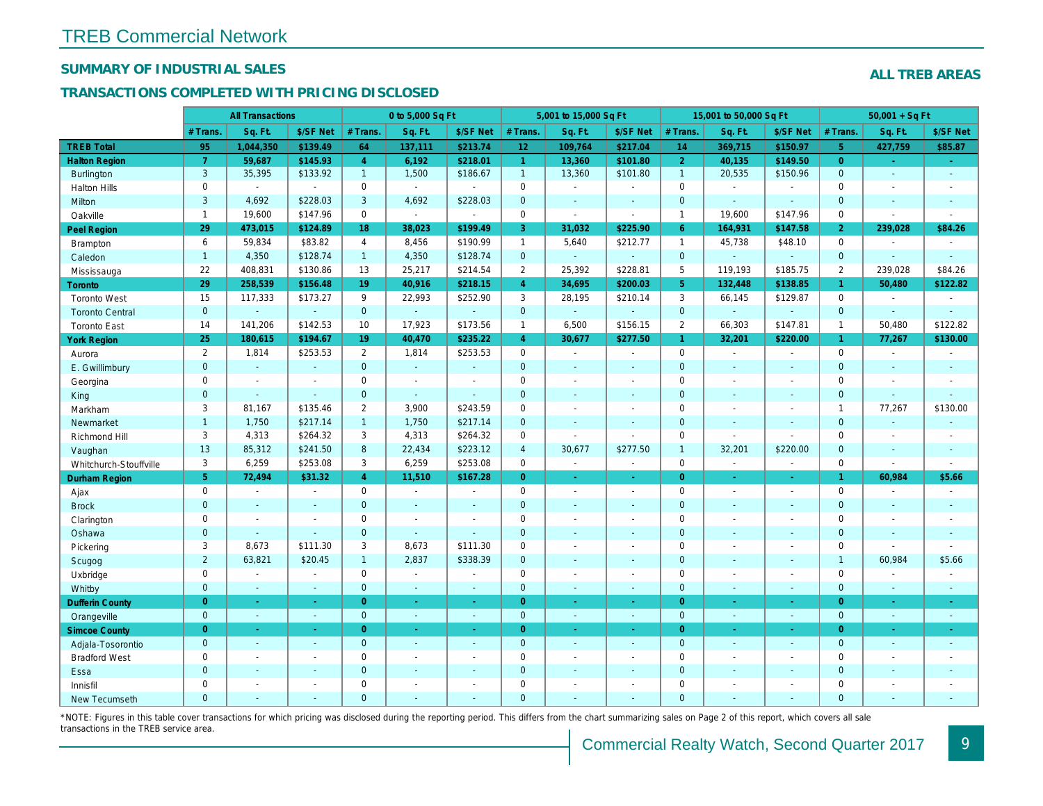## SUMMARY OF INDUSTRIAL SALES

## TRANSACTIONS COMPLETED WITH PRICING DISCLOSED

|                        |                | <b>All Transactions</b>  |                          |                | 0 to 5,000 Sq Ft |                          |                     | 5,001 to 15,000 Sq Ft    |                      |                | 15,001 to 50,000 Sq Ft |                          |
|------------------------|----------------|--------------------------|--------------------------|----------------|------------------|--------------------------|---------------------|--------------------------|----------------------|----------------|------------------------|--------------------------|
|                        | # Trans.       | Sq. Ft.                  | \$/SF Net                | # Trans.       | Sq. Ft.          | \$/SF Net                | # Trans.            | Sq. Ft.                  | \$/SF Net            | # Trans.       | Sq. Ft.                | \$/SF Ne                 |
| <b>TREB Total</b>      | 95             | 1,044,350                | \$139.49                 | 64             | 137,111          | \$213.74                 | 12                  | 109,764                  | \$217.04             | 14             | 369,715                | \$150.97                 |
| <b>Halton Region</b>   | $\overline{7}$ | 59,687                   | \$145.93                 | $\overline{4}$ | 6,192            | \$218.01                 | $\mathbf{1}$        | 13,360                   | \$101.80             | 2 <sup>1</sup> | 40,135                 | \$149.50                 |
| <b>Burlington</b>      | 3              | 35,395                   | \$133.92                 | 1              | 1,500            | \$186.67                 | $\mathbf{1}$        | 13,360                   | \$101.80             | $\overline{1}$ | 20,535                 | \$150.96                 |
| <b>Halton Hills</b>    | $\mathbf{0}$   | $\sim$                   | $\sim$                   | $\mathbf 0$    | $\sim$           | $\overline{a}$           | $\mathbf 0$         | $\blacksquare$           | $\overline{a}$       | $\mathbf 0$    | $\overline{a}$         | $\sim$                   |
| Milton                 | 3              | 4,692                    | \$228.03                 | 3              | 4,692            | \$228.03                 | $\pmb{0}$           | $\omega$                 | $\blacksquare$       | $\mathbf{0}$   | ÷.                     | $\blacksquare$           |
| Oakville               | $\mathbf{1}$   | 19,600                   | \$147.96                 | $\mathbf 0$    | $\blacksquare$   | $\blacksquare$           | $\mathsf{O}$        | $\blacksquare$           | $\sim$               | $\overline{1}$ | 19,600                 | \$147.96                 |
| <b>Peel Region</b>     | 29             | 473,015                  | \$124.89                 | 18             | 38,023           | \$199.49                 | 3                   | 31,032                   | \$225.90             | 6              | 164,931                | \$147.58                 |
| <b>Brampton</b>        | 6              | 59,834                   | \$83.82                  | $\overline{4}$ | 8,456            | \$190.99                 | $\mathbf{1}$        | 5,640                    | \$212.77             | $\mathbf{1}$   | 45,738                 | \$48.10                  |
| Caledon                | $\mathbf{1}$   | 4,350                    | \$128.74                 | $\mathbf{1}$   | 4,350            | \$128.74                 | $\overline{0}$      | $\blacksquare$           | $\omega$             | $\mathbf 0$    | $\blacksquare$         | $\blacksquare$           |
| Mississauga            | 22             | 408,831                  | \$130.86                 | 13             | 25,217           | \$214.54                 | $\overline{2}$      | 25,392                   | \$228.81             | 5              | 119,193                | \$185.75                 |
| <b>Toronto</b>         | 29             | 258,539                  | \$156.48                 | 19             | 40,916           | \$218.15                 | $\overline{4}$      | 34,695                   | \$200.03             | 5 <sup>5</sup> | 132,448                | \$138.8                  |
| <b>Toronto West</b>    | 15             | 117,333                  | \$173.27                 | 9              | 22,993           | \$252.90                 | 3                   | 28,195                   | \$210.14             | 3              | 66,145                 | \$129.87                 |
| <b>Toronto Central</b> | $\mathbf{0}$   |                          | $\sim$                   | $\overline{0}$ | $\omega$         | $\blacksquare$           | $\mathbf{0}$        | $\omega$                 | ÷,                   | $\mathbf{0}$   | $\omega$               |                          |
| <b>Toronto East</b>    | 14             | 141,206                  | \$142.53                 | 10             | 17,923           | \$173.56                 | $\mathbf{1}$        | 6,500                    | \$156.15             | $\overline{2}$ | 66,303                 | \$147.8                  |
| <b>York Region</b>     | 25             | 180,615                  | \$194.67                 | 19             | 40,470           | \$235.22                 | $\overline{4}$      | 30,677                   | \$277.50             | $\mathbf{1}$   | 32,201                 | \$220.00                 |
| Aurora                 | $\overline{2}$ | 1,814                    | \$253.53                 | $\overline{2}$ | 1,814            | \$253.53                 | $\mathbf 0$         | $\sim$                   | $\sim$               | $\mathbf 0$    | $\omega$               | $\sim$                   |
| E. Gwillimbury         | $\mathbf{0}$   | $\omega$                 | $\sim$                   | $\overline{0}$ | $\omega$         | $\sim$                   | $\mathbf{0}$        | ä,                       | $\sim$               | $\overline{0}$ | ÷.                     | $\sim$                   |
| Georgina               | 0              | $\blacksquare$           | $\blacksquare$           | 0              | $\blacksquare$   | $\sim$                   | $\mathsf{O}\xspace$ | $\blacksquare$           | $\overline{a}$       | $\mathbf 0$    | $\blacksquare$         | $\blacksquare$           |
| King                   | $\mathbf{0}$   | $\sim$                   | $\sim$                   | $\mathbf 0$    | $\omega$         | $\blacksquare$           | $\mathbf{0}$        | $\blacksquare$           | $\sim$               | $\mathbf{0}$   | $\omega$               | $\sim$                   |
| Markham                | 3              | 81,167                   | \$135.46                 | $\mathbf{2}$   | 3,900            | \$243.59                 | $\mathsf 0$         | $\blacksquare$           | $\blacksquare$       | $\mathbf 0$    | $\blacksquare$         | $\overline{\phantom{a}}$ |
| Newmarket              | $\mathbf{1}$   | 1,750                    | \$217.14                 | $\mathbf{1}$   | 1,750            | \$217.14                 | $\mathbf{0}$        | ä,                       | ä,                   | $\mathbf{0}$   | $\sim$                 | $\blacksquare$           |
| Richmond Hill          | 3              | 4,313                    | \$264.32                 | 3              | 4,313            | \$264.32                 | $\mathbf 0$         | $\blacksquare$           | $\blacksquare$       | $\mathbf 0$    | $\blacksquare$         | $\blacksquare$           |
| Vaughan                | 13             | 85,312                   | \$241.50                 | 8              | 22,434           | \$223.12                 | $\overline{4}$      | 30,677                   | \$277.50             | $\mathbf{1}$   | 32,201                 | \$220.00                 |
| Whitchurch-Stouffville | 3              | 6,259                    | \$253.08                 | 3              | 6,259            | \$253.08                 | $\mathsf{O}$        | $\blacksquare$           | ÷,                   | $\mathbf 0$    | $\blacksquare$         | $\blacksquare$           |
| Durham Region          | 5 <sup>1</sup> | 72,494                   | \$31.32                  | $\overline{4}$ | 11,510           | \$167.28                 | $\overline{0}$      | ٠                        | ÷                    | $\overline{0}$ | $\blacksquare$         | $\sigma$                 |
| Ajax                   | $\mathbf{0}$   | $\sim$                   | $\sim$                   | $\mathbf 0$    | $\sim$           | $\overline{\phantom{a}}$ | $\mathbf 0$         | $\blacksquare$           | $\blacksquare$       | $\mathbf 0$    | $\blacksquare$         | $\sim$                   |
| <b>Brock</b>           | $\overline{0}$ | $\sim$                   | $\sim$                   | $\mathbf{0}$   | $\omega$         | $\blacksquare$           | $\mathbf{0}$        | $\omega$                 | $\blacksquare$       | $\mathbf{0}$   | $\blacksquare$         | $\blacksquare$           |
| Clarington             | 0              | $\sim$                   | $\sim$                   | 0              | $\overline{a}$   |                          | $\mathsf{O}\xspace$ | $\overline{a}$           | $\overline{a}$       | $\mathbf 0$    | $\overline{a}$         | $\blacksquare$           |
| Oshawa                 | $\mathbf{0}$   |                          | $\sim$                   | $\mathbf 0$    | $\blacksquare$   | $\overline{\phantom{a}}$ | $\mathbf 0$         | ٠                        | $\blacksquare$       | $\mathbf{0}$   | $\blacksquare$         | ٠                        |
| Pickering              | 3              | 8,673                    | \$111.30                 | 3              | 8,673            | \$111.30                 | $\mathbf 0$         | $\blacksquare$           | $\ddot{\phantom{1}}$ | $\mathbf 0$    | ÷.                     | $\overline{\phantom{a}}$ |
| Scugog                 | $\overline{2}$ | 63,821                   | \$20.45                  | $\mathbf{1}$   | 2,837            | \$338.39                 | $\mathbf{0}$        | $\blacksquare$           | $\sim$               | $\mathbf{0}$   | $\Delta$               | $\blacksquare$           |
| Uxbridge               | 0              | $\blacksquare$           | $\sim$                   | 0              | $\blacksquare$   | $\overline{\phantom{a}}$ | $\mathbf 0$         | ä,                       | $\blacksquare$       | $\mathbf 0$    | $\sim$                 | $\blacksquare$           |
| Whitby                 | $\mathbf{0}$   | $\sim$                   | $\sim$                   | $\mathbf{0}$   | $\omega$         | $\sim$                   | $\mathbf{0}$        | $\blacksquare$           | $\blacksquare$       | $\mathbf{0}$   | $\omega$               | $\sim$                   |
| <b>Dufferin County</b> | $\overline{0}$ | $\omega$                 | $\sim$                   | $\overline{0}$ | $\sim$           | $\sim$                   | $\overline{0}$      | $\omega$                 | ÷.                   | $\overline{0}$ | ◆                      | $\omega$                 |
| Orangeville            | $\mathbf{0}$   | $\omega$                 | $\omega$                 | $\mathbf{0}$   | $\omega$         | $\omega$                 | $\mathbf{0}$        | $\omega$                 | $\omega$             | $\mathbf 0$    | $\omega$               | $\sim$                   |
| <b>Simcoe County</b>   | $\overline{0}$ | $\bullet$                | $\sim$                   | $\overline{0}$ | $\blacksquare$   | $\omega$                 | $\overline{0}$      | $\blacksquare$           | $\omega$             | $\overline{0}$ | $\omega$               | $\bullet$                |
| Adjala-Tosorontio      | $\overline{0}$ |                          |                          | $\mathbf{0}$   | $\sim$           | $\blacksquare$           | $\mathbf{0}$        | $\blacksquare$           | $\blacksquare$       | $\mathbf{0}$   | $\omega$               | $\blacksquare$           |
| <b>Bradford West</b>   | 0              | $\blacksquare$           | $\blacksquare$           | 0              | $\sim$           | $\sim$                   | $\mathsf{O}\xspace$ | $\blacksquare$           | $\blacksquare$       | $\mathbf 0$    | $\blacksquare$         | $\blacksquare$           |
| Essa                   | $\mathbf{0}$   | $\sim$                   | $\sim$                   | $\mathbf 0$    | $\blacksquare$   | $\blacksquare$           | $\mathbf 0$         | $\overline{\phantom{a}}$ | $\blacksquare$       | $\mathbf{0}$   | $\blacksquare$         |                          |
| Innisfil               | $\mathbf{0}$   | $\overline{\phantom{a}}$ | $\overline{\phantom{a}}$ | $\mathbf 0$    | $\blacksquare$   | $\blacksquare$           | $\mathbf 0$         | $\overline{a}$           | $\blacksquare$       | $\mathbf 0$    | $\blacksquare$         | $\blacksquare$           |
| <b>New Tecumseth</b>   | $\Omega$       |                          |                          | $\mathbf{0}$   | ÷.               |                          | $\mathbf{0}$        | ä,                       | $\blacksquare$       | $\Omega$       | ÷.                     | $\sim$                   |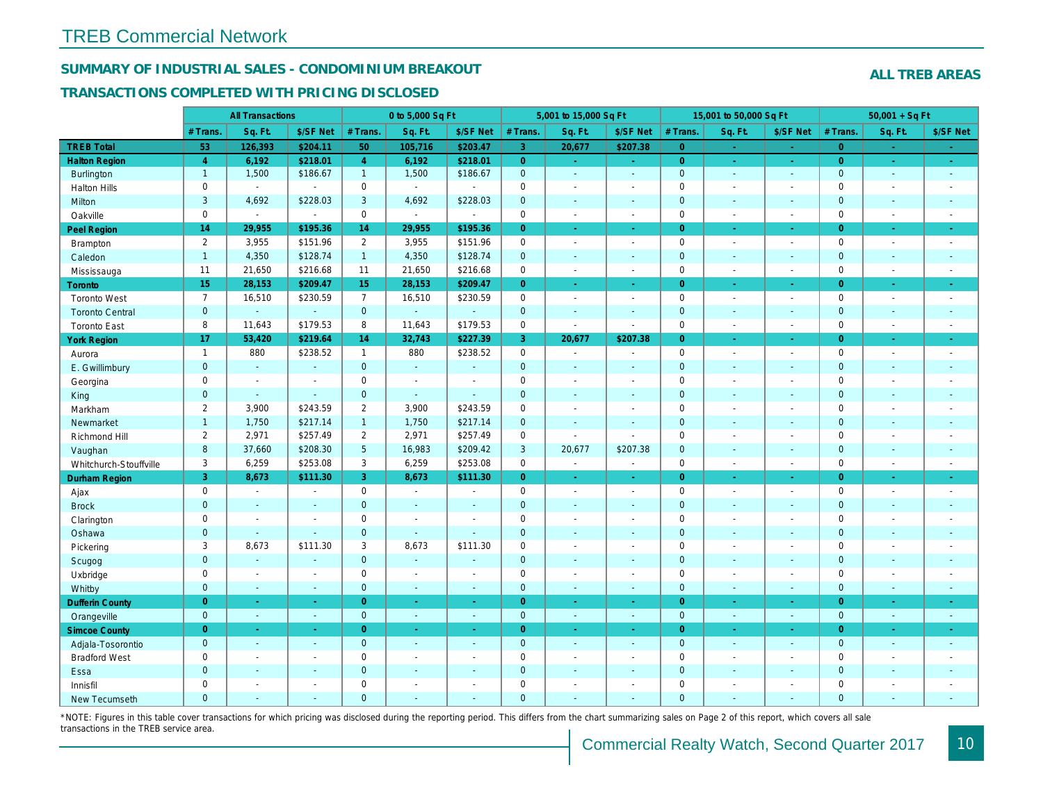## SUMMARY OF INDUSTRIAL SALES - CONDOMINIUM BREAKOUT

#### TRANSACTIONS COMPLETED WITH PRICING DISCLOSED

|                        |                | <b>All Transactions</b> |                |                 | 0 to 5,000 Sq Ft |                |                | 5,001 to 15,000 Sq Ft    |                     |                | 15,001 to 50,000 Sq Ft |                     |
|------------------------|----------------|-------------------------|----------------|-----------------|------------------|----------------|----------------|--------------------------|---------------------|----------------|------------------------|---------------------|
|                        | # Trans.       | Sq. Ft.                 | \$/SF Net      | # Trans.        | Sq. Ft.          | \$/SF Net      | # Trans.       | Sq. Ft.                  | \$/SF Net           | # Trans.       | Sq. Ft.                | \$/SF Ne            |
| <b>TREB Total</b>      | 53             | 126,393                 | \$204.11       | 50              | 105,716          | \$203.47       | $\overline{3}$ | 20,677                   | \$207.38            | $\overline{0}$ | ÷                      | $\sim$              |
| <b>Halton Region</b>   | $\overline{4}$ | 6,192                   | \$218.01       | $\overline{4}$  | 6,192            | \$218.01       | $\overline{0}$ | ÷.                       | $\omega_{\rm{eff}}$ | $\overline{0}$ | $\sim$                 | $\sigma_{\rm{eff}}$ |
| Burlington             | $\mathbf{1}$   | 1,500                   | \$186.67       | $\mathbf{1}$    | 1,500            | \$186.67       | $\mathbf{0}$   | $\blacksquare$           | $\blacksquare$      | $\mathbf 0$    | $\omega$               | $\sim$              |
| <b>Halton Hills</b>    | $\mathbf 0$    | $\blacksquare$          | $\omega$       | $\mathbf 0$     | $\sim$           |                | $\mathbf 0$    | $\blacksquare$           | $\overline{a}$      | $\mathbf 0$    | $\overline{a}$         | $\sim$              |
| Milton                 | 3              | 4,692                   | \$228.03       | 3               | 4,692            | \$228.03       | $\pmb{0}$      | $\omega$                 | $\sim$              | $\mathbf{0}$   | $\blacksquare$         | $\blacksquare$      |
| Oakville               | $\mathbf 0$    | $\blacksquare$          | $\blacksquare$ | $\mathbf 0$     | $\blacksquare$   | $\mathbf{r}$   | 0              | $\blacksquare$           | $\sim$              | $\mathbf 0$    | $\sim$                 | $\blacksquare$      |
| <b>Peel Region</b>     | 14             | 29,955                  | \$195.36       | 14              | 29,955           | \$195.36       | $\overline{0}$ | ä,                       | ÷.                  | $\Omega$       | ÷.                     | $\sim$              |
| <b>Brampton</b>        | $\overline{2}$ | 3,955                   | \$151.96       | $\overline{2}$  | 3,955            | \$151.96       | 0              | $\blacksquare$           | $\blacksquare$      | $\mathbf 0$    | $\blacksquare$         | $\sim$              |
| Caledon                | $\overline{1}$ | 4,350                   | \$128.74       | $\mathbf{1}$    | 4,350            | \$128.74       | $\pmb{0}$      | $\blacksquare$           | $\blacksquare$      | $\mathbf 0$    | $\blacksquare$         | $\blacksquare$      |
| Mississauga            | 11             | 21,650                  | \$216.68       | 11              | 21,650           | \$216.68       | $\pmb{0}$      | $\blacksquare$           | $\blacksquare$      | $\mathbf 0$    | $\blacksquare$         | $\sim$              |
| Toronto                | 15             | 28,153                  | \$209.47       | 15              | 28,153           | \$209.47       | $\overline{0}$ | $\blacksquare$           | $\blacksquare$      | $\overline{0}$ | $\blacksquare$         | $\bullet$ .         |
| <b>Toronto West</b>    | $\overline{7}$ | 16,510                  | \$230.59       | $\overline{7}$  | 16,510           | \$230.59       | 0              | $\blacksquare$           | $\blacksquare$      | $\mathbf 0$    | $\blacksquare$         | $\sim$              |
| <b>Toronto Central</b> | $\mathbf{0}$   | $\omega$                | $\omega$       | $\overline{0}$  | ÷.               | $\Delta$       | $\mathbf 0$    | $\blacksquare$           | $\blacksquare$      | $\mathbf 0$    | $\blacksquare$         | $\sim$              |
| <b>Toronto East</b>    | 8              | 11,643                  | \$179.53       | 8               | 11,643           | \$179.53       | 0              | $\blacksquare$           | $\blacksquare$      | $\mathbf 0$    | $\blacksquare$         | $\sim$              |
| <b>York Region</b>     | 17             | 53,420                  | \$219.64       | 14              | 32,743           | \$227.39       | 3              | 20,677                   | \$207.38            | $\overline{0}$ | ×.                     | $\sim$              |
| Aurora                 | $\mathbf{1}$   | 880                     | \$238.52       | $\mathbf{1}$    | 880              | \$238.52       | 0              | $\sim$                   | $\blacksquare$      | $\mathbf 0$    | $\blacksquare$         | $\sim$              |
| E. Gwillimbury         | $\mathbf{0}$   | $\omega$                | $\blacksquare$ | $\mathbf{0}$    | $\blacksquare$   | $\sim$         | $\mathbf 0$    | $\blacksquare$           | $\blacksquare$      | $\mathbf{0}$   | ٠                      | $\blacksquare$      |
| Georgina               | $\mathbf 0$    | $\blacksquare$          | $\blacksquare$ | 0               | $\sim$           |                | $\pmb{0}$      | $\blacksquare$           | $\blacksquare$      | $\mathbf 0$    | $\blacksquare$         | $\blacksquare$      |
| King                   | $\mathbf{0}$   | $\Delta$                | $\Delta$       | $\mathbf{0}$    | $\omega$         | $\sim$         | $\mathbf 0$    | $\Delta$                 | $\blacksquare$      | $\mathbf{0}$   | ä,                     | $\sim$              |
| Markham                | $\overline{2}$ | 3,900                   | \$243.59       | $\overline{2}$  | 3,900            | \$243.59       | $\pmb{0}$      | $\tilde{\phantom{a}}$    | $\overline{a}$      | $\mathsf 0$    | $\overline{a}$         | $\blacksquare$      |
| Newmarket              | $\overline{1}$ | 1,750                   | \$217.14       | $\mathbf{1}$    | 1,750            | \$217.14       | $\mathbf 0$    | $\blacksquare$           | $\blacksquare$      | $\mathbf{0}$   | $\blacksquare$         | $\blacksquare$      |
| Richmond Hill          | $\overline{2}$ | 2,971                   | \$257.49       | $\overline{2}$  | 2,971            | \$257.49       | $\pmb{0}$      | $\blacksquare$           | $\blacksquare$      | $\mathbf 0$    | L,                     | $\blacksquare$      |
| Vaughan                | 8              | 37,660                  | \$208.30       | $5\phantom{.0}$ | 16,983           | \$209.42       | $\mathbf{3}$   | 20,677                   | \$207.38            | $\mathbf 0$    | $\blacksquare$         | $\blacksquare$      |
| Whitchurch-Stouffville | 3              | 6,259                   | \$253.08       | 3               | 6,259            | \$253.08       | $\mathsf{O}$   | $\overline{\phantom{a}}$ | $\sim$              | $\mathbf 0$    | $\blacksquare$         | $\sim$              |
| Durham Region          | 3              | 8,673                   | \$111.30       | 3               | 8,673            | \$111.30       | $\overline{0}$ | $\omega$                 | $\omega_{\rm c}$    | $\overline{0}$ | $\blacksquare$         | ÷                   |
| Ajax                   | $\mathsf 0$    | $\blacksquare$          | $\blacksquare$ | $\mathbf 0$     | $\sim$           | $\sim$         | 0              | $\blacksquare$           | $\blacksquare$      | $\mathbf 0$    | $\blacksquare$         | $\sim$              |
| <b>Brock</b>           | $\mathbf{0}$   | $\blacksquare$          | $\blacksquare$ | $\mathbf{0}$    | $\sim$           | $\sim$         | $\mathbf 0$    | $\blacksquare$           | $\blacksquare$      | $\mathbf{0}$   | $\blacksquare$         | $\sim$              |
| Clarington             | $\mathbf 0$    | $\sim$                  | $\blacksquare$ | $\mathbf 0$     | $\sim$           |                | $\pmb{0}$      | $\blacksquare$           | $\blacksquare$      | $\mathbf 0$    | ÷.                     | $\blacksquare$      |
| Oshawa                 | $\mathbf{0}$   | $\sim$                  | $\sim$         | $\mathbf{0}$    | $\sim$           | $\sim$         | $\pmb{0}$      | $\blacksquare$           | $\overline{a}$      | $\mathbf 0$    | $\blacksquare$         | $\sim$              |
| Pickering              | 3              | 8,673                   | \$111.30       | 3               | 8,673            | \$111.30       | $\mathbf 0$    | $\blacksquare$           | $\blacksquare$      | $\mathbf 0$    | $\blacksquare$         | $\sim$              |
| Scugog                 | $\mathbf{0}$   | $\Delta$                | $\sim$         | $\mathbf{0}$    | $\omega$         | $\sim$         | $\mathbf 0$    | $\Delta$                 | $\blacksquare$      | $\mathbf 0$    | $\blacksquare$         | $\blacksquare$      |
| Uxbridge               | $\mathbf 0$    | $\blacksquare$          | $\blacksquare$ | $\mathbf 0$     | $\sim$           | ÷.             | $\pmb{0}$      | $\blacksquare$           | $\blacksquare$      | $\mathbf 0$    | $\blacksquare$         | $\blacksquare$      |
| Whitby                 | $\mathbf{0}$   | $\sim$                  | $\blacksquare$ | $\mathbf{0}$    | $\sim$           | $\sim$         | $\pmb{0}$      | $\blacksquare$           | $\blacksquare$      | $\mathbf 0$    | $\blacksquare$         | $\blacksquare$      |
| <b>Dufferin County</b> | $\overline{0}$ | $\sim$                  | $\omega$       | $\overline{0}$  | $\sim$           | $\sim$         | $\overline{0}$ | $\omega$                 | $\omega$            | $\overline{0}$ | $\omega$               | $\sim$              |
| Orangeville            | $\overline{0}$ | $\omega$                | $\blacksquare$ | $\overline{0}$  | $\blacksquare$   | $\Delta$       | $\mathbf{0}$   | $\omega$                 | $\omega$            | $\mathbf{0}$   | $\omega$               | $\sim$              |
| <b>Simcoe County</b>   | $\overline{0}$ | $\bullet$               | $\blacksquare$ | $\overline{0}$  | $\blacksquare$   | $\bullet$      | $\overline{0}$ | $\blacksquare$           | $\omega$            | $\overline{0}$ | $\blacksquare$         | $\sigma_{\rm c}$    |
| Adjala-Tosorontio      | $\overline{0}$ | $\sim$                  | $\sim$         | $\mathbf{0}$    | $\sim$           | $\sim$         | $\mathbf 0$    | $\omega$                 | $\sim$              | $\mathbf{0}$   | $\sim$                 | $\sim$              |
| <b>Bradford West</b>   | $\mathbf 0$    | $\blacksquare$          | $\blacksquare$ | $\mathbf 0$     | $\sim$           | $\blacksquare$ | $\pmb{0}$      | $\blacksquare$           | $\blacksquare$      | $\mathbf 0$    | $\blacksquare$         | $\blacksquare$      |
| Essa                   | $\mathbf{0}$   | $\sim$                  | $\sim$         | $\mathbf{0}$    | $\sim$           | $\sim$         | $\pmb{0}$      | $\blacksquare$           | $\blacksquare$      | $\mathbf{0}$   | $\blacksquare$         | $\blacksquare$      |
| Innisfil               | $\mathbf 0$    | $\blacksquare$          | $\blacksquare$ | $\mathbf 0$     | $\sim$           | $\sim$         | $\mathbf 0$    | $\overline{\phantom{a}}$ | $\blacksquare$      | $\mathbf 0$    | $\blacksquare$         | $\blacksquare$      |
| <b>New Tecumseth</b>   | $\Omega$       | $\sim$                  | $\sim$         | $\Omega$        | $\sim$           | $\sim$         | $\overline{0}$ | ÷.                       | $\overline{a}$      | $\mathbf{0}$   | ÷.                     | $\sim$              |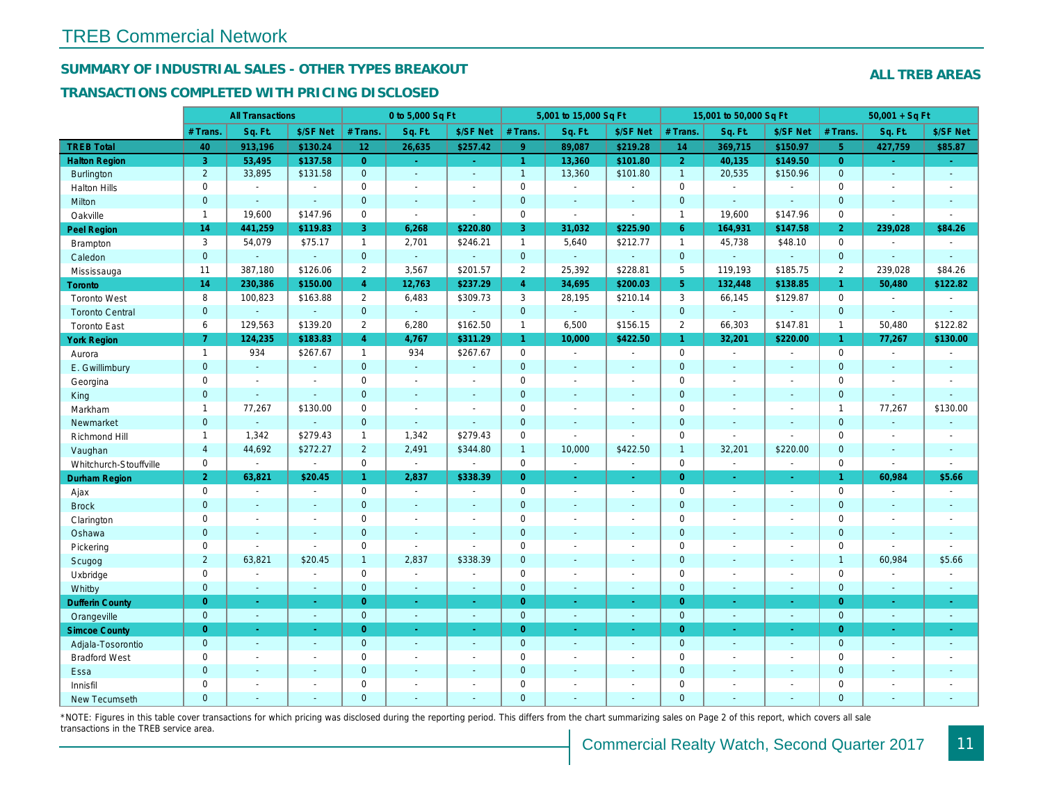## SUMMARY OF INDUSTRIAL SALES - OTHER TYPES BREAKOUT

#### TRANSACTIONS COMPLETED WITH PRICING DISCLOSED

| \$/SF Net<br>Sq. Ft.<br>\$/SF Net<br># Trans.<br>Sq. Ft.<br>\$/SF Net<br># Trans.<br>Sq. Ft.<br># Trans.<br>Sq. Ft.<br># Trans.<br><b>TREB Total</b><br>9 <sup>°</sup><br>40<br>913,196<br>\$130.24<br>12 <sub>2</sub><br>26,635<br>\$257.42<br>89,087<br>\$219.28<br>14<br>369,715<br>3<br>$\overline{0}$<br>$\overline{2}$<br><b>Halton Region</b><br>53,495<br>\$137.58<br>$\mathbf{1}$<br>13,360<br>\$101.80<br>40,135<br>$\sim$ .<br>$\sim$ .<br>$\overline{2}$<br>33,895<br>\$131.58<br>$\overline{0}$<br>$\mathbf{1}$<br>13,360<br>\$101.80<br>20,535<br>$\overline{1}$<br>Burlington<br>$\sim$<br>$\sim$<br>0<br>$\mathbf 0$<br>$\mathbf 0$<br>$\mathbf 0$<br><b>Halton Hills</b><br>$\blacksquare$<br>$\blacksquare$<br>$\blacksquare$<br>$\blacksquare$<br>$\sim$<br>$\blacksquare$<br>$\blacksquare$<br>$\mathbf 0$<br>$\mathbf 0$<br>$\mathbf{0}$<br>$\mathbf{0}$<br>Milton<br>$\mathbf{r}$<br>$\omega$<br>$\blacksquare$<br>$\sim$<br>$\blacksquare$<br>$\sim$<br>$\sim$<br>$\sim$<br>$\mathbf 0$<br>Oakville<br>$\mathbf{1}$<br>19,600<br>\$147.96<br>$\mathbf 0$<br>$\mathbf{1}$<br>19,600<br>$\blacksquare$<br>$\overline{a}$<br>$\blacksquare$<br>$\sim$<br>14<br>441,259<br>\$220.80<br>3<br>31,032<br>164,931<br>\$119.83<br>3<br>6,268<br>\$225.90<br>$6^{\circ}$<br>Peel Region<br>3<br>54,079<br>\$75.17<br>$\mathbf{1}$<br>2,701<br>\$246.21<br>$\mathbf{1}$<br>5,640<br>\$212.77<br>$\mathbf{1}$<br>45,738<br><b>Brampton</b><br>$\mathbf{0}$<br>$\overline{0}$<br>$\mathbf{0}$<br>$\mathbf{0}$<br>$\omega$<br>Caledon<br>$\omega_{\rm c}$<br>÷.<br>$\mathbf{r}$<br>$\mathbf{r}$<br>$\Delta$<br>$\sim$<br>$\omega$<br>387,180<br>\$126.06<br>$\overline{2}$<br>3,567<br>\$201.57<br>$\overline{2}$<br>25,392<br>\$228.81<br>5<br>119,193<br>11<br>Mississauga<br>14<br>$\overline{4}$<br>$\overline{4}$<br>5 <sup>5</sup><br>230,386<br>\$150.00<br>12,763<br>\$237.29<br>34,695<br>\$200.03<br>132,448<br><b>Toronto</b><br>8<br>100,823<br>\$163.88<br>$\mathbf{2}^{\prime}$<br>6,483<br>\$309.73<br>3<br>28,195<br>\$210.14<br>3<br>66,145<br><b>Toronto West</b><br>$\mathbf{0}$<br>$\mathbf{0}$<br>$\mathbf{0}$<br>$\mathbf 0$<br>$\omega$<br><b>Toronto Central</b><br>$\omega$<br>$\omega$<br>$\blacksquare$<br>$\blacksquare$<br>$\blacksquare$<br>\$139.20<br>6,280<br>\$162.50<br>66,303<br>6<br>129,563<br>$\overline{2}$<br>$\mathbf{1}$<br>6,500<br>\$156.15<br>$\overline{2}$<br><b>Toronto East</b><br>$\overline{7}$<br>$\overline{4}$<br>124,235<br>\$183.83<br>4,767<br>\$311.29<br>$\mathbf{1}$<br>10,000<br>\$422.50<br>$\mathbf{1}$<br>32,201<br><b>York Region</b><br>934<br>\$267.67<br>934<br>\$267.67<br>0<br>$\mathbf 0$<br>$\mathbf{1}$<br>$\mathbf{1}$<br>$\sim$<br>$\sim$<br>$\blacksquare$<br>Aurora<br>$\sim$<br>$\mathbf{0}$<br>$\overline{0}$<br>$\mathbf 0$<br>$\mathbf{0}$<br>E. Gwillimbury<br>$\omega$<br>$\omega$<br>$\omega$<br>$\sim$<br>÷.<br>$\sim$<br>$\sim$<br>$\sim$<br>$\mathbf 0$<br>$\mathbf 0$<br>$\mathbf 0$<br>$\mathbf 0$<br>Georgina<br>$\sim$<br>$\blacksquare$<br>$\sim$<br>$\sim$<br>$\sim$<br>$\sim$<br>$\sim$<br>$\overline{\phantom{a}}$<br>$\mathbf{0}$<br>$\overline{0}$<br>$\mathbf 0$<br>$\mathbf{0}$<br>King<br>$\mathbf{r}$<br>$\blacksquare$<br>$\sim$<br>$\blacksquare$<br>$\sim$<br>$\sim$<br>$\sim$<br>$\blacksquare$<br>$\pmb{0}$<br>$\mathbf 0$<br>77,267<br>\$130.00<br>$\mathbf 0$<br>Markham<br>$\overline{1}$<br>$\sim$<br>$\blacksquare$<br>$\sim$<br>$\sim$<br>$\overline{\phantom{a}}$<br>$\blacksquare$<br>$\mathbf 0$<br>$\mathbf{0}$<br>$\Omega$<br>$\mathbf 0$<br>Newmarket<br>$\blacksquare$<br>$\blacksquare$<br>$\sim$<br>ä,<br>ä,<br>$\blacksquare$<br>$\blacksquare$<br>\$279.43<br>1,342<br>\$279.43<br>$\pmb{0}$<br>1,342<br>$\mathbf 0$<br>Richmond Hill<br>$\mathbf{1}$<br>$\overline{1}$<br>$\sim$<br>$\sim$<br>$\sim$<br>$\overline{4}$<br>44,692<br>\$272.27<br>$\overline{2}$<br>2,491<br>\$344.80<br>10,000<br>\$422.50<br>$\overline{1}$<br>32,201<br>$\mathbf{1}$<br>Vaughan<br>$\mathbf 0$<br>$\mathbf 0$<br>$\mathsf 0$<br>$\mathbf 0$<br>$\blacksquare$<br>Whitchurch-Stouffville<br>$\blacksquare$<br>$\blacksquare$<br>$\overline{a}$<br>$\blacksquare$<br>$\sim$<br>$\blacksquare$<br>$\blacksquare$<br>$\overline{2}$<br>63,821<br>\$20.45<br>2,837<br>\$338.39<br>$\overline{0}$<br>$\overline{0}$<br>$\mathbf{1}$<br>Durham Region<br>$\frac{1}{\sqrt{2}}$<br>$\omega$<br>$\blacksquare$<br>$\sim$<br>$\mathbf 0$<br>$\mathbf 0$<br>$\mathbf 0$<br>$\mathbf 0$<br>Ajax<br>$\sim$<br>$\sim$<br>$\sim$<br>$\sim$<br>$\blacksquare$<br>$\sim$<br>$\blacksquare$<br>$\overline{\phantom{a}}$<br>$\mathbf{0}$<br>$\mathbf 0$<br>$\mathbf 0$<br>$\mathbf{0}$<br><b>Brock</b><br>$\omega$<br>$\blacksquare$<br>$\blacksquare$<br>$\blacksquare$<br>$\blacksquare$<br>$\blacksquare$<br>$\blacksquare$<br>$\sim$<br>0<br>$\mathbf 0$<br>$\mathbf 0$<br>$\mathbf 0$<br>Clarington<br>$\blacksquare$<br>L,<br>$\blacksquare$<br>$\blacksquare$<br>$\sim$<br>$\blacksquare$<br>$\blacksquare$<br>$\overline{0}$<br>$\mathbf 0$<br>$\mathbf 0$<br>$\mathbf{0}$<br>Oshawa<br>$\sim$<br>$\sim$<br>$\sim$<br>$\sim$<br>$\blacksquare$<br>$\blacksquare$<br>$\blacksquare$<br>$\sim$<br>0<br>0<br>$\pmb{0}$<br>$\mathbf 0$<br>Pickering<br>$\blacksquare$<br>$\mathbf{r}$<br>$\omega$<br>L.<br>$\blacksquare$<br>$\blacksquare$<br>$\blacksquare$<br>$\sim$<br>$\overline{2}$<br>$\mathbf 0$<br>$\mathbf 0$<br>63,821<br>\$20.45<br>$\mathbf{1}$<br>2,837<br>\$338.39<br>Scugog<br>$\sim$<br>$\sim$<br>$\blacksquare$<br>$\overline{\phantom{a}}$<br>$\mathbf 0$<br>$\mathbf 0$<br>$\mathbf 0$<br>$\mathbf 0$<br>Uxbridge<br>$\blacksquare$<br>$\blacksquare$<br>$\blacksquare$<br>$\blacksquare$<br>$\blacksquare$<br>$\blacksquare$<br>$\sim$<br>$\blacksquare$<br>$\pmb{0}$<br>$\mathbf{0}$<br>$\mathbf 0$<br>$\mathbf 0$<br>Whitby<br>$\omega$<br>$\blacksquare$<br>$\mathbf{u}$<br>$\blacksquare$<br>$\blacksquare$<br>$\blacksquare$<br>$\blacksquare$<br>$\blacksquare$<br><b>Dufferin County</b><br>$\overline{0}$<br>$\overline{0}$<br>$\overline{0}$<br>$\overline{0}$<br>$\sim$<br>$\omega$<br>$\sim$<br>$\sim$<br>$\omega$<br>$\omega$<br>$\sim$<br>$\sim$<br>$\mathbf{0}$<br>$\mathbf{0}$<br>$\overline{0}$<br>$\mathbf{0}$<br>Orangeville<br>$\sim$<br>$\omega$<br>$\omega$<br>$\omega$<br>$\sim$<br>$\blacksquare$<br>$\omega$<br>$\sim$<br>$\overline{0}$<br>$\overline{0}$<br>$\overline{0}$<br>$\overline{0}$<br><b>Simcoe County</b><br>$\blacksquare$<br>$\blacksquare$<br>$\sim$<br>$\blacksquare$<br>$\blacksquare$<br>$\blacksquare$<br>$\blacksquare$<br>$\sigma_{\rm c}$<br>$\mathbf{0}$<br>$\overline{0}$<br>$\mathbf{0}$<br>$\mathbf{0}$<br>Adjala-Tosorontio<br>$\omega$<br>$\sim$<br>$\sim$<br>$\sim$<br>$\sim$<br>$\sim$<br>$\sim$<br>$\blacksquare$<br>0<br>$\mathbf 0$<br>$\mathbf 0$<br>$\mathbf 0$<br><b>Bradford West</b><br>$\blacksquare$<br>$\blacksquare$<br>$\blacksquare$<br>$\blacksquare$<br>$\blacksquare$<br>$\blacksquare$<br>$\blacksquare$<br>$\blacksquare$<br>$\mathbf 0$<br>$\mathbf{0}$<br>$\pmb{0}$<br>$\mathbf{0}$<br>Essa<br>$\blacksquare$<br>$\blacksquare$<br>$\sim$<br>$\blacksquare$<br>$\sim$<br>٠<br>$\mathbf 0$<br>$\mathbf 0$<br>$\mathbf 0$<br>$\mathbf 0$<br>Innisfil<br>$\blacksquare$<br>$\sim$<br>$\blacksquare$<br>$\overline{\phantom{a}}$<br>$\sim$<br>$\blacksquare$<br>$\blacksquare$<br>$\blacksquare$<br>$\Omega$<br>$\Omega$<br>$\overline{0}$<br>$\mathbf{0}$<br><b>New Tecumseth</b><br>÷.<br>÷.<br>$\sim$<br>$\overline{\phantom{a}}$<br>$\overline{\phantom{a}}$<br>$\sim$ |  | <b>All Transactions</b> |  | 0 to 5,000 Sq Ft |  | 5,001 to 15,000 Sq Ft |  | 15,001 to 50,000 Sq Ft |          |
|--------------------------------------------------------------------------------------------------------------------------------------------------------------------------------------------------------------------------------------------------------------------------------------------------------------------------------------------------------------------------------------------------------------------------------------------------------------------------------------------------------------------------------------------------------------------------------------------------------------------------------------------------------------------------------------------------------------------------------------------------------------------------------------------------------------------------------------------------------------------------------------------------------------------------------------------------------------------------------------------------------------------------------------------------------------------------------------------------------------------------------------------------------------------------------------------------------------------------------------------------------------------------------------------------------------------------------------------------------------------------------------------------------------------------------------------------------------------------------------------------------------------------------------------------------------------------------------------------------------------------------------------------------------------------------------------------------------------------------------------------------------------------------------------------------------------------------------------------------------------------------------------------------------------------------------------------------------------------------------------------------------------------------------------------------------------------------------------------------------------------------------------------------------------------------------------------------------------------------------------------------------------------------------------------------------------------------------------------------------------------------------------------------------------------------------------------------------------------------------------------------------------------------------------------------------------------------------------------------------------------------------------------------------------------------------------------------------------------------------------------------------------------------------------------------------------------------------------------------------------------------------------------------------------------------------------------------------------------------------------------------------------------------------------------------------------------------------------------------------------------------------------------------------------------------------------------------------------------------------------------------------------------------------------------------------------------------------------------------------------------------------------------------------------------------------------------------------------------------------------------------------------------------------------------------------------------------------------------------------------------------------------------------------------------------------------------------------------------------------------------------------------------------------------------------------------------------------------------------------------------------------------------------------------------------------------------------------------------------------------------------------------------------------------------------------------------------------------------------------------------------------------------------------------------------------------------------------------------------------------------------------------------------------------------------------------------------------------------------------------------------------------------------------------------------------------------------------------------------------------------------------------------------------------------------------------------------------------------------------------------------------------------------------------------------------------------------------------------------------------------------------------------------------------------------------------------------------------------------------------------------------------------------------------------------------------------------------------------------------------------------------------------------------------------------------------------------------------------------------------------------------------------------------------------------------------------------------------------------------------------------------------------------------------------------------------------------------------------------------------------------------------------------------------------------------------------------------------------------------------------------------------------------------------------------------------------------------------------------------------------------------------------------------------------------------------------------------------------------------------------------------------------------------------------------------------------------------------------------------------------------------------------------------------------------------------------------------------------------------------------------------------------------------------------------------------------------------------------------------------------------------------------------------------------------------------------------------------------------------------------------------------------------------------------------------------------------------------------------------------------------------------------------------------------------------------------------------------------------------------------------------------------------------------------------------------------------------------------------------------------------------------------------------------------------------------------------------------------------------------------------------------------------------------------------------------------------------------------------------------------------------------------------------------------------------------------------------------------------------------------------------------------------------------------------------------------------------------------------------------------------------------------------------------------------------------------------------------------------------------------------------------------------------------------------------------------------------------------------------------------------------------------------------------------------------------------------------------------------------------------------------------------------------------------------------------------------|--|-------------------------|--|------------------|--|-----------------------|--|------------------------|----------|
|                                                                                                                                                                                                                                                                                                                                                                                                                                                                                                                                                                                                                                                                                                                                                                                                                                                                                                                                                                                                                                                                                                                                                                                                                                                                                                                                                                                                                                                                                                                                                                                                                                                                                                                                                                                                                                                                                                                                                                                                                                                                                                                                                                                                                                                                                                                                                                                                                                                                                                                                                                                                                                                                                                                                                                                                                                                                                                                                                                                                                                                                                                                                                                                                                                                                                                                                                                                                                                                                                                                                                                                                                                                                                                                                                                                                                                                                                                                                                                                                                                                                                                                                                                                                                                                                                                                                                                                                                                                                                                                                                                                                                                                                                                                                                                                                                                                                                                                                                                                                                                                                                                                                                                                                                                                                                                                                                                                                                                                                                                                                                                                                                                                                                                                                                                                                                                                                                                                                                                                                                                                                                                                                                                                                                                                                                                                                                                                                                                                                                                                                                                                                                                                                                                                                                                                                                                                                                                                                                                                                                                                                                                                                                                                                                                                                                                                                                                                                                                                                                                                                                                                |  |                         |  |                  |  |                       |  |                        | \$/SF Ne |
|                                                                                                                                                                                                                                                                                                                                                                                                                                                                                                                                                                                                                                                                                                                                                                                                                                                                                                                                                                                                                                                                                                                                                                                                                                                                                                                                                                                                                                                                                                                                                                                                                                                                                                                                                                                                                                                                                                                                                                                                                                                                                                                                                                                                                                                                                                                                                                                                                                                                                                                                                                                                                                                                                                                                                                                                                                                                                                                                                                                                                                                                                                                                                                                                                                                                                                                                                                                                                                                                                                                                                                                                                                                                                                                                                                                                                                                                                                                                                                                                                                                                                                                                                                                                                                                                                                                                                                                                                                                                                                                                                                                                                                                                                                                                                                                                                                                                                                                                                                                                                                                                                                                                                                                                                                                                                                                                                                                                                                                                                                                                                                                                                                                                                                                                                                                                                                                                                                                                                                                                                                                                                                                                                                                                                                                                                                                                                                                                                                                                                                                                                                                                                                                                                                                                                                                                                                                                                                                                                                                                                                                                                                                                                                                                                                                                                                                                                                                                                                                                                                                                                                                |  |                         |  |                  |  |                       |  |                        | \$150.97 |
|                                                                                                                                                                                                                                                                                                                                                                                                                                                                                                                                                                                                                                                                                                                                                                                                                                                                                                                                                                                                                                                                                                                                                                                                                                                                                                                                                                                                                                                                                                                                                                                                                                                                                                                                                                                                                                                                                                                                                                                                                                                                                                                                                                                                                                                                                                                                                                                                                                                                                                                                                                                                                                                                                                                                                                                                                                                                                                                                                                                                                                                                                                                                                                                                                                                                                                                                                                                                                                                                                                                                                                                                                                                                                                                                                                                                                                                                                                                                                                                                                                                                                                                                                                                                                                                                                                                                                                                                                                                                                                                                                                                                                                                                                                                                                                                                                                                                                                                                                                                                                                                                                                                                                                                                                                                                                                                                                                                                                                                                                                                                                                                                                                                                                                                                                                                                                                                                                                                                                                                                                                                                                                                                                                                                                                                                                                                                                                                                                                                                                                                                                                                                                                                                                                                                                                                                                                                                                                                                                                                                                                                                                                                                                                                                                                                                                                                                                                                                                                                                                                                                                                                |  |                         |  |                  |  |                       |  |                        | \$149.50 |
|                                                                                                                                                                                                                                                                                                                                                                                                                                                                                                                                                                                                                                                                                                                                                                                                                                                                                                                                                                                                                                                                                                                                                                                                                                                                                                                                                                                                                                                                                                                                                                                                                                                                                                                                                                                                                                                                                                                                                                                                                                                                                                                                                                                                                                                                                                                                                                                                                                                                                                                                                                                                                                                                                                                                                                                                                                                                                                                                                                                                                                                                                                                                                                                                                                                                                                                                                                                                                                                                                                                                                                                                                                                                                                                                                                                                                                                                                                                                                                                                                                                                                                                                                                                                                                                                                                                                                                                                                                                                                                                                                                                                                                                                                                                                                                                                                                                                                                                                                                                                                                                                                                                                                                                                                                                                                                                                                                                                                                                                                                                                                                                                                                                                                                                                                                                                                                                                                                                                                                                                                                                                                                                                                                                                                                                                                                                                                                                                                                                                                                                                                                                                                                                                                                                                                                                                                                                                                                                                                                                                                                                                                                                                                                                                                                                                                                                                                                                                                                                                                                                                                                                |  |                         |  |                  |  |                       |  |                        | \$150.96 |
|                                                                                                                                                                                                                                                                                                                                                                                                                                                                                                                                                                                                                                                                                                                                                                                                                                                                                                                                                                                                                                                                                                                                                                                                                                                                                                                                                                                                                                                                                                                                                                                                                                                                                                                                                                                                                                                                                                                                                                                                                                                                                                                                                                                                                                                                                                                                                                                                                                                                                                                                                                                                                                                                                                                                                                                                                                                                                                                                                                                                                                                                                                                                                                                                                                                                                                                                                                                                                                                                                                                                                                                                                                                                                                                                                                                                                                                                                                                                                                                                                                                                                                                                                                                                                                                                                                                                                                                                                                                                                                                                                                                                                                                                                                                                                                                                                                                                                                                                                                                                                                                                                                                                                                                                                                                                                                                                                                                                                                                                                                                                                                                                                                                                                                                                                                                                                                                                                                                                                                                                                                                                                                                                                                                                                                                                                                                                                                                                                                                                                                                                                                                                                                                                                                                                                                                                                                                                                                                                                                                                                                                                                                                                                                                                                                                                                                                                                                                                                                                                                                                                                                                |  |                         |  |                  |  |                       |  |                        |          |
|                                                                                                                                                                                                                                                                                                                                                                                                                                                                                                                                                                                                                                                                                                                                                                                                                                                                                                                                                                                                                                                                                                                                                                                                                                                                                                                                                                                                                                                                                                                                                                                                                                                                                                                                                                                                                                                                                                                                                                                                                                                                                                                                                                                                                                                                                                                                                                                                                                                                                                                                                                                                                                                                                                                                                                                                                                                                                                                                                                                                                                                                                                                                                                                                                                                                                                                                                                                                                                                                                                                                                                                                                                                                                                                                                                                                                                                                                                                                                                                                                                                                                                                                                                                                                                                                                                                                                                                                                                                                                                                                                                                                                                                                                                                                                                                                                                                                                                                                                                                                                                                                                                                                                                                                                                                                                                                                                                                                                                                                                                                                                                                                                                                                                                                                                                                                                                                                                                                                                                                                                                                                                                                                                                                                                                                                                                                                                                                                                                                                                                                                                                                                                                                                                                                                                                                                                                                                                                                                                                                                                                                                                                                                                                                                                                                                                                                                                                                                                                                                                                                                                                                |  |                         |  |                  |  |                       |  |                        |          |
|                                                                                                                                                                                                                                                                                                                                                                                                                                                                                                                                                                                                                                                                                                                                                                                                                                                                                                                                                                                                                                                                                                                                                                                                                                                                                                                                                                                                                                                                                                                                                                                                                                                                                                                                                                                                                                                                                                                                                                                                                                                                                                                                                                                                                                                                                                                                                                                                                                                                                                                                                                                                                                                                                                                                                                                                                                                                                                                                                                                                                                                                                                                                                                                                                                                                                                                                                                                                                                                                                                                                                                                                                                                                                                                                                                                                                                                                                                                                                                                                                                                                                                                                                                                                                                                                                                                                                                                                                                                                                                                                                                                                                                                                                                                                                                                                                                                                                                                                                                                                                                                                                                                                                                                                                                                                                                                                                                                                                                                                                                                                                                                                                                                                                                                                                                                                                                                                                                                                                                                                                                                                                                                                                                                                                                                                                                                                                                                                                                                                                                                                                                                                                                                                                                                                                                                                                                                                                                                                                                                                                                                                                                                                                                                                                                                                                                                                                                                                                                                                                                                                                                                |  |                         |  |                  |  |                       |  |                        | \$147.96 |
|                                                                                                                                                                                                                                                                                                                                                                                                                                                                                                                                                                                                                                                                                                                                                                                                                                                                                                                                                                                                                                                                                                                                                                                                                                                                                                                                                                                                                                                                                                                                                                                                                                                                                                                                                                                                                                                                                                                                                                                                                                                                                                                                                                                                                                                                                                                                                                                                                                                                                                                                                                                                                                                                                                                                                                                                                                                                                                                                                                                                                                                                                                                                                                                                                                                                                                                                                                                                                                                                                                                                                                                                                                                                                                                                                                                                                                                                                                                                                                                                                                                                                                                                                                                                                                                                                                                                                                                                                                                                                                                                                                                                                                                                                                                                                                                                                                                                                                                                                                                                                                                                                                                                                                                                                                                                                                                                                                                                                                                                                                                                                                                                                                                                                                                                                                                                                                                                                                                                                                                                                                                                                                                                                                                                                                                                                                                                                                                                                                                                                                                                                                                                                                                                                                                                                                                                                                                                                                                                                                                                                                                                                                                                                                                                                                                                                                                                                                                                                                                                                                                                                                                |  |                         |  |                  |  |                       |  |                        | \$147.58 |
|                                                                                                                                                                                                                                                                                                                                                                                                                                                                                                                                                                                                                                                                                                                                                                                                                                                                                                                                                                                                                                                                                                                                                                                                                                                                                                                                                                                                                                                                                                                                                                                                                                                                                                                                                                                                                                                                                                                                                                                                                                                                                                                                                                                                                                                                                                                                                                                                                                                                                                                                                                                                                                                                                                                                                                                                                                                                                                                                                                                                                                                                                                                                                                                                                                                                                                                                                                                                                                                                                                                                                                                                                                                                                                                                                                                                                                                                                                                                                                                                                                                                                                                                                                                                                                                                                                                                                                                                                                                                                                                                                                                                                                                                                                                                                                                                                                                                                                                                                                                                                                                                                                                                                                                                                                                                                                                                                                                                                                                                                                                                                                                                                                                                                                                                                                                                                                                                                                                                                                                                                                                                                                                                                                                                                                                                                                                                                                                                                                                                                                                                                                                                                                                                                                                                                                                                                                                                                                                                                                                                                                                                                                                                                                                                                                                                                                                                                                                                                                                                                                                                                                                |  |                         |  |                  |  |                       |  |                        | \$48.10  |
|                                                                                                                                                                                                                                                                                                                                                                                                                                                                                                                                                                                                                                                                                                                                                                                                                                                                                                                                                                                                                                                                                                                                                                                                                                                                                                                                                                                                                                                                                                                                                                                                                                                                                                                                                                                                                                                                                                                                                                                                                                                                                                                                                                                                                                                                                                                                                                                                                                                                                                                                                                                                                                                                                                                                                                                                                                                                                                                                                                                                                                                                                                                                                                                                                                                                                                                                                                                                                                                                                                                                                                                                                                                                                                                                                                                                                                                                                                                                                                                                                                                                                                                                                                                                                                                                                                                                                                                                                                                                                                                                                                                                                                                                                                                                                                                                                                                                                                                                                                                                                                                                                                                                                                                                                                                                                                                                                                                                                                                                                                                                                                                                                                                                                                                                                                                                                                                                                                                                                                                                                                                                                                                                                                                                                                                                                                                                                                                                                                                                                                                                                                                                                                                                                                                                                                                                                                                                                                                                                                                                                                                                                                                                                                                                                                                                                                                                                                                                                                                                                                                                                                                |  |                         |  |                  |  |                       |  |                        |          |
|                                                                                                                                                                                                                                                                                                                                                                                                                                                                                                                                                                                                                                                                                                                                                                                                                                                                                                                                                                                                                                                                                                                                                                                                                                                                                                                                                                                                                                                                                                                                                                                                                                                                                                                                                                                                                                                                                                                                                                                                                                                                                                                                                                                                                                                                                                                                                                                                                                                                                                                                                                                                                                                                                                                                                                                                                                                                                                                                                                                                                                                                                                                                                                                                                                                                                                                                                                                                                                                                                                                                                                                                                                                                                                                                                                                                                                                                                                                                                                                                                                                                                                                                                                                                                                                                                                                                                                                                                                                                                                                                                                                                                                                                                                                                                                                                                                                                                                                                                                                                                                                                                                                                                                                                                                                                                                                                                                                                                                                                                                                                                                                                                                                                                                                                                                                                                                                                                                                                                                                                                                                                                                                                                                                                                                                                                                                                                                                                                                                                                                                                                                                                                                                                                                                                                                                                                                                                                                                                                                                                                                                                                                                                                                                                                                                                                                                                                                                                                                                                                                                                                                                |  |                         |  |                  |  |                       |  |                        | \$185.75 |
|                                                                                                                                                                                                                                                                                                                                                                                                                                                                                                                                                                                                                                                                                                                                                                                                                                                                                                                                                                                                                                                                                                                                                                                                                                                                                                                                                                                                                                                                                                                                                                                                                                                                                                                                                                                                                                                                                                                                                                                                                                                                                                                                                                                                                                                                                                                                                                                                                                                                                                                                                                                                                                                                                                                                                                                                                                                                                                                                                                                                                                                                                                                                                                                                                                                                                                                                                                                                                                                                                                                                                                                                                                                                                                                                                                                                                                                                                                                                                                                                                                                                                                                                                                                                                                                                                                                                                                                                                                                                                                                                                                                                                                                                                                                                                                                                                                                                                                                                                                                                                                                                                                                                                                                                                                                                                                                                                                                                                                                                                                                                                                                                                                                                                                                                                                                                                                                                                                                                                                                                                                                                                                                                                                                                                                                                                                                                                                                                                                                                                                                                                                                                                                                                                                                                                                                                                                                                                                                                                                                                                                                                                                                                                                                                                                                                                                                                                                                                                                                                                                                                                                                |  |                         |  |                  |  |                       |  |                        | \$138.85 |
|                                                                                                                                                                                                                                                                                                                                                                                                                                                                                                                                                                                                                                                                                                                                                                                                                                                                                                                                                                                                                                                                                                                                                                                                                                                                                                                                                                                                                                                                                                                                                                                                                                                                                                                                                                                                                                                                                                                                                                                                                                                                                                                                                                                                                                                                                                                                                                                                                                                                                                                                                                                                                                                                                                                                                                                                                                                                                                                                                                                                                                                                                                                                                                                                                                                                                                                                                                                                                                                                                                                                                                                                                                                                                                                                                                                                                                                                                                                                                                                                                                                                                                                                                                                                                                                                                                                                                                                                                                                                                                                                                                                                                                                                                                                                                                                                                                                                                                                                                                                                                                                                                                                                                                                                                                                                                                                                                                                                                                                                                                                                                                                                                                                                                                                                                                                                                                                                                                                                                                                                                                                                                                                                                                                                                                                                                                                                                                                                                                                                                                                                                                                                                                                                                                                                                                                                                                                                                                                                                                                                                                                                                                                                                                                                                                                                                                                                                                                                                                                                                                                                                                                |  |                         |  |                  |  |                       |  |                        | \$129.87 |
|                                                                                                                                                                                                                                                                                                                                                                                                                                                                                                                                                                                                                                                                                                                                                                                                                                                                                                                                                                                                                                                                                                                                                                                                                                                                                                                                                                                                                                                                                                                                                                                                                                                                                                                                                                                                                                                                                                                                                                                                                                                                                                                                                                                                                                                                                                                                                                                                                                                                                                                                                                                                                                                                                                                                                                                                                                                                                                                                                                                                                                                                                                                                                                                                                                                                                                                                                                                                                                                                                                                                                                                                                                                                                                                                                                                                                                                                                                                                                                                                                                                                                                                                                                                                                                                                                                                                                                                                                                                                                                                                                                                                                                                                                                                                                                                                                                                                                                                                                                                                                                                                                                                                                                                                                                                                                                                                                                                                                                                                                                                                                                                                                                                                                                                                                                                                                                                                                                                                                                                                                                                                                                                                                                                                                                                                                                                                                                                                                                                                                                                                                                                                                                                                                                                                                                                                                                                                                                                                                                                                                                                                                                                                                                                                                                                                                                                                                                                                                                                                                                                                                                                |  |                         |  |                  |  |                       |  |                        |          |
|                                                                                                                                                                                                                                                                                                                                                                                                                                                                                                                                                                                                                                                                                                                                                                                                                                                                                                                                                                                                                                                                                                                                                                                                                                                                                                                                                                                                                                                                                                                                                                                                                                                                                                                                                                                                                                                                                                                                                                                                                                                                                                                                                                                                                                                                                                                                                                                                                                                                                                                                                                                                                                                                                                                                                                                                                                                                                                                                                                                                                                                                                                                                                                                                                                                                                                                                                                                                                                                                                                                                                                                                                                                                                                                                                                                                                                                                                                                                                                                                                                                                                                                                                                                                                                                                                                                                                                                                                                                                                                                                                                                                                                                                                                                                                                                                                                                                                                                                                                                                                                                                                                                                                                                                                                                                                                                                                                                                                                                                                                                                                                                                                                                                                                                                                                                                                                                                                                                                                                                                                                                                                                                                                                                                                                                                                                                                                                                                                                                                                                                                                                                                                                                                                                                                                                                                                                                                                                                                                                                                                                                                                                                                                                                                                                                                                                                                                                                                                                                                                                                                                                                |  |                         |  |                  |  |                       |  |                        | \$147.8' |
|                                                                                                                                                                                                                                                                                                                                                                                                                                                                                                                                                                                                                                                                                                                                                                                                                                                                                                                                                                                                                                                                                                                                                                                                                                                                                                                                                                                                                                                                                                                                                                                                                                                                                                                                                                                                                                                                                                                                                                                                                                                                                                                                                                                                                                                                                                                                                                                                                                                                                                                                                                                                                                                                                                                                                                                                                                                                                                                                                                                                                                                                                                                                                                                                                                                                                                                                                                                                                                                                                                                                                                                                                                                                                                                                                                                                                                                                                                                                                                                                                                                                                                                                                                                                                                                                                                                                                                                                                                                                                                                                                                                                                                                                                                                                                                                                                                                                                                                                                                                                                                                                                                                                                                                                                                                                                                                                                                                                                                                                                                                                                                                                                                                                                                                                                                                                                                                                                                                                                                                                                                                                                                                                                                                                                                                                                                                                                                                                                                                                                                                                                                                                                                                                                                                                                                                                                                                                                                                                                                                                                                                                                                                                                                                                                                                                                                                                                                                                                                                                                                                                                                                |  |                         |  |                  |  |                       |  |                        | \$220.00 |
|                                                                                                                                                                                                                                                                                                                                                                                                                                                                                                                                                                                                                                                                                                                                                                                                                                                                                                                                                                                                                                                                                                                                                                                                                                                                                                                                                                                                                                                                                                                                                                                                                                                                                                                                                                                                                                                                                                                                                                                                                                                                                                                                                                                                                                                                                                                                                                                                                                                                                                                                                                                                                                                                                                                                                                                                                                                                                                                                                                                                                                                                                                                                                                                                                                                                                                                                                                                                                                                                                                                                                                                                                                                                                                                                                                                                                                                                                                                                                                                                                                                                                                                                                                                                                                                                                                                                                                                                                                                                                                                                                                                                                                                                                                                                                                                                                                                                                                                                                                                                                                                                                                                                                                                                                                                                                                                                                                                                                                                                                                                                                                                                                                                                                                                                                                                                                                                                                                                                                                                                                                                                                                                                                                                                                                                                                                                                                                                                                                                                                                                                                                                                                                                                                                                                                                                                                                                                                                                                                                                                                                                                                                                                                                                                                                                                                                                                                                                                                                                                                                                                                                                |  |                         |  |                  |  |                       |  |                        |          |
|                                                                                                                                                                                                                                                                                                                                                                                                                                                                                                                                                                                                                                                                                                                                                                                                                                                                                                                                                                                                                                                                                                                                                                                                                                                                                                                                                                                                                                                                                                                                                                                                                                                                                                                                                                                                                                                                                                                                                                                                                                                                                                                                                                                                                                                                                                                                                                                                                                                                                                                                                                                                                                                                                                                                                                                                                                                                                                                                                                                                                                                                                                                                                                                                                                                                                                                                                                                                                                                                                                                                                                                                                                                                                                                                                                                                                                                                                                                                                                                                                                                                                                                                                                                                                                                                                                                                                                                                                                                                                                                                                                                                                                                                                                                                                                                                                                                                                                                                                                                                                                                                                                                                                                                                                                                                                                                                                                                                                                                                                                                                                                                                                                                                                                                                                                                                                                                                                                                                                                                                                                                                                                                                                                                                                                                                                                                                                                                                                                                                                                                                                                                                                                                                                                                                                                                                                                                                                                                                                                                                                                                                                                                                                                                                                                                                                                                                                                                                                                                                                                                                                                                |  |                         |  |                  |  |                       |  |                        |          |
|                                                                                                                                                                                                                                                                                                                                                                                                                                                                                                                                                                                                                                                                                                                                                                                                                                                                                                                                                                                                                                                                                                                                                                                                                                                                                                                                                                                                                                                                                                                                                                                                                                                                                                                                                                                                                                                                                                                                                                                                                                                                                                                                                                                                                                                                                                                                                                                                                                                                                                                                                                                                                                                                                                                                                                                                                                                                                                                                                                                                                                                                                                                                                                                                                                                                                                                                                                                                                                                                                                                                                                                                                                                                                                                                                                                                                                                                                                                                                                                                                                                                                                                                                                                                                                                                                                                                                                                                                                                                                                                                                                                                                                                                                                                                                                                                                                                                                                                                                                                                                                                                                                                                                                                                                                                                                                                                                                                                                                                                                                                                                                                                                                                                                                                                                                                                                                                                                                                                                                                                                                                                                                                                                                                                                                                                                                                                                                                                                                                                                                                                                                                                                                                                                                                                                                                                                                                                                                                                                                                                                                                                                                                                                                                                                                                                                                                                                                                                                                                                                                                                                                                |  |                         |  |                  |  |                       |  |                        |          |
|                                                                                                                                                                                                                                                                                                                                                                                                                                                                                                                                                                                                                                                                                                                                                                                                                                                                                                                                                                                                                                                                                                                                                                                                                                                                                                                                                                                                                                                                                                                                                                                                                                                                                                                                                                                                                                                                                                                                                                                                                                                                                                                                                                                                                                                                                                                                                                                                                                                                                                                                                                                                                                                                                                                                                                                                                                                                                                                                                                                                                                                                                                                                                                                                                                                                                                                                                                                                                                                                                                                                                                                                                                                                                                                                                                                                                                                                                                                                                                                                                                                                                                                                                                                                                                                                                                                                                                                                                                                                                                                                                                                                                                                                                                                                                                                                                                                                                                                                                                                                                                                                                                                                                                                                                                                                                                                                                                                                                                                                                                                                                                                                                                                                                                                                                                                                                                                                                                                                                                                                                                                                                                                                                                                                                                                                                                                                                                                                                                                                                                                                                                                                                                                                                                                                                                                                                                                                                                                                                                                                                                                                                                                                                                                                                                                                                                                                                                                                                                                                                                                                                                                |  |                         |  |                  |  |                       |  |                        |          |
|                                                                                                                                                                                                                                                                                                                                                                                                                                                                                                                                                                                                                                                                                                                                                                                                                                                                                                                                                                                                                                                                                                                                                                                                                                                                                                                                                                                                                                                                                                                                                                                                                                                                                                                                                                                                                                                                                                                                                                                                                                                                                                                                                                                                                                                                                                                                                                                                                                                                                                                                                                                                                                                                                                                                                                                                                                                                                                                                                                                                                                                                                                                                                                                                                                                                                                                                                                                                                                                                                                                                                                                                                                                                                                                                                                                                                                                                                                                                                                                                                                                                                                                                                                                                                                                                                                                                                                                                                                                                                                                                                                                                                                                                                                                                                                                                                                                                                                                                                                                                                                                                                                                                                                                                                                                                                                                                                                                                                                                                                                                                                                                                                                                                                                                                                                                                                                                                                                                                                                                                                                                                                                                                                                                                                                                                                                                                                                                                                                                                                                                                                                                                                                                                                                                                                                                                                                                                                                                                                                                                                                                                                                                                                                                                                                                                                                                                                                                                                                                                                                                                                                                |  |                         |  |                  |  |                       |  |                        |          |
|                                                                                                                                                                                                                                                                                                                                                                                                                                                                                                                                                                                                                                                                                                                                                                                                                                                                                                                                                                                                                                                                                                                                                                                                                                                                                                                                                                                                                                                                                                                                                                                                                                                                                                                                                                                                                                                                                                                                                                                                                                                                                                                                                                                                                                                                                                                                                                                                                                                                                                                                                                                                                                                                                                                                                                                                                                                                                                                                                                                                                                                                                                                                                                                                                                                                                                                                                                                                                                                                                                                                                                                                                                                                                                                                                                                                                                                                                                                                                                                                                                                                                                                                                                                                                                                                                                                                                                                                                                                                                                                                                                                                                                                                                                                                                                                                                                                                                                                                                                                                                                                                                                                                                                                                                                                                                                                                                                                                                                                                                                                                                                                                                                                                                                                                                                                                                                                                                                                                                                                                                                                                                                                                                                                                                                                                                                                                                                                                                                                                                                                                                                                                                                                                                                                                                                                                                                                                                                                                                                                                                                                                                                                                                                                                                                                                                                                                                                                                                                                                                                                                                                                |  |                         |  |                  |  |                       |  |                        |          |
|                                                                                                                                                                                                                                                                                                                                                                                                                                                                                                                                                                                                                                                                                                                                                                                                                                                                                                                                                                                                                                                                                                                                                                                                                                                                                                                                                                                                                                                                                                                                                                                                                                                                                                                                                                                                                                                                                                                                                                                                                                                                                                                                                                                                                                                                                                                                                                                                                                                                                                                                                                                                                                                                                                                                                                                                                                                                                                                                                                                                                                                                                                                                                                                                                                                                                                                                                                                                                                                                                                                                                                                                                                                                                                                                                                                                                                                                                                                                                                                                                                                                                                                                                                                                                                                                                                                                                                                                                                                                                                                                                                                                                                                                                                                                                                                                                                                                                                                                                                                                                                                                                                                                                                                                                                                                                                                                                                                                                                                                                                                                                                                                                                                                                                                                                                                                                                                                                                                                                                                                                                                                                                                                                                                                                                                                                                                                                                                                                                                                                                                                                                                                                                                                                                                                                                                                                                                                                                                                                                                                                                                                                                                                                                                                                                                                                                                                                                                                                                                                                                                                                                                |  |                         |  |                  |  |                       |  |                        |          |
|                                                                                                                                                                                                                                                                                                                                                                                                                                                                                                                                                                                                                                                                                                                                                                                                                                                                                                                                                                                                                                                                                                                                                                                                                                                                                                                                                                                                                                                                                                                                                                                                                                                                                                                                                                                                                                                                                                                                                                                                                                                                                                                                                                                                                                                                                                                                                                                                                                                                                                                                                                                                                                                                                                                                                                                                                                                                                                                                                                                                                                                                                                                                                                                                                                                                                                                                                                                                                                                                                                                                                                                                                                                                                                                                                                                                                                                                                                                                                                                                                                                                                                                                                                                                                                                                                                                                                                                                                                                                                                                                                                                                                                                                                                                                                                                                                                                                                                                                                                                                                                                                                                                                                                                                                                                                                                                                                                                                                                                                                                                                                                                                                                                                                                                                                                                                                                                                                                                                                                                                                                                                                                                                                                                                                                                                                                                                                                                                                                                                                                                                                                                                                                                                                                                                                                                                                                                                                                                                                                                                                                                                                                                                                                                                                                                                                                                                                                                                                                                                                                                                                                                |  |                         |  |                  |  |                       |  |                        | \$220.00 |
|                                                                                                                                                                                                                                                                                                                                                                                                                                                                                                                                                                                                                                                                                                                                                                                                                                                                                                                                                                                                                                                                                                                                                                                                                                                                                                                                                                                                                                                                                                                                                                                                                                                                                                                                                                                                                                                                                                                                                                                                                                                                                                                                                                                                                                                                                                                                                                                                                                                                                                                                                                                                                                                                                                                                                                                                                                                                                                                                                                                                                                                                                                                                                                                                                                                                                                                                                                                                                                                                                                                                                                                                                                                                                                                                                                                                                                                                                                                                                                                                                                                                                                                                                                                                                                                                                                                                                                                                                                                                                                                                                                                                                                                                                                                                                                                                                                                                                                                                                                                                                                                                                                                                                                                                                                                                                                                                                                                                                                                                                                                                                                                                                                                                                                                                                                                                                                                                                                                                                                                                                                                                                                                                                                                                                                                                                                                                                                                                                                                                                                                                                                                                                                                                                                                                                                                                                                                                                                                                                                                                                                                                                                                                                                                                                                                                                                                                                                                                                                                                                                                                                                                |  |                         |  |                  |  |                       |  |                        |          |
|                                                                                                                                                                                                                                                                                                                                                                                                                                                                                                                                                                                                                                                                                                                                                                                                                                                                                                                                                                                                                                                                                                                                                                                                                                                                                                                                                                                                                                                                                                                                                                                                                                                                                                                                                                                                                                                                                                                                                                                                                                                                                                                                                                                                                                                                                                                                                                                                                                                                                                                                                                                                                                                                                                                                                                                                                                                                                                                                                                                                                                                                                                                                                                                                                                                                                                                                                                                                                                                                                                                                                                                                                                                                                                                                                                                                                                                                                                                                                                                                                                                                                                                                                                                                                                                                                                                                                                                                                                                                                                                                                                                                                                                                                                                                                                                                                                                                                                                                                                                                                                                                                                                                                                                                                                                                                                                                                                                                                                                                                                                                                                                                                                                                                                                                                                                                                                                                                                                                                                                                                                                                                                                                                                                                                                                                                                                                                                                                                                                                                                                                                                                                                                                                                                                                                                                                                                                                                                                                                                                                                                                                                                                                                                                                                                                                                                                                                                                                                                                                                                                                                                                |  |                         |  |                  |  |                       |  |                        |          |
|                                                                                                                                                                                                                                                                                                                                                                                                                                                                                                                                                                                                                                                                                                                                                                                                                                                                                                                                                                                                                                                                                                                                                                                                                                                                                                                                                                                                                                                                                                                                                                                                                                                                                                                                                                                                                                                                                                                                                                                                                                                                                                                                                                                                                                                                                                                                                                                                                                                                                                                                                                                                                                                                                                                                                                                                                                                                                                                                                                                                                                                                                                                                                                                                                                                                                                                                                                                                                                                                                                                                                                                                                                                                                                                                                                                                                                                                                                                                                                                                                                                                                                                                                                                                                                                                                                                                                                                                                                                                                                                                                                                                                                                                                                                                                                                                                                                                                                                                                                                                                                                                                                                                                                                                                                                                                                                                                                                                                                                                                                                                                                                                                                                                                                                                                                                                                                                                                                                                                                                                                                                                                                                                                                                                                                                                                                                                                                                                                                                                                                                                                                                                                                                                                                                                                                                                                                                                                                                                                                                                                                                                                                                                                                                                                                                                                                                                                                                                                                                                                                                                                                                |  |                         |  |                  |  |                       |  |                        |          |
|                                                                                                                                                                                                                                                                                                                                                                                                                                                                                                                                                                                                                                                                                                                                                                                                                                                                                                                                                                                                                                                                                                                                                                                                                                                                                                                                                                                                                                                                                                                                                                                                                                                                                                                                                                                                                                                                                                                                                                                                                                                                                                                                                                                                                                                                                                                                                                                                                                                                                                                                                                                                                                                                                                                                                                                                                                                                                                                                                                                                                                                                                                                                                                                                                                                                                                                                                                                                                                                                                                                                                                                                                                                                                                                                                                                                                                                                                                                                                                                                                                                                                                                                                                                                                                                                                                                                                                                                                                                                                                                                                                                                                                                                                                                                                                                                                                                                                                                                                                                                                                                                                                                                                                                                                                                                                                                                                                                                                                                                                                                                                                                                                                                                                                                                                                                                                                                                                                                                                                                                                                                                                                                                                                                                                                                                                                                                                                                                                                                                                                                                                                                                                                                                                                                                                                                                                                                                                                                                                                                                                                                                                                                                                                                                                                                                                                                                                                                                                                                                                                                                                                                |  |                         |  |                  |  |                       |  |                        |          |
|                                                                                                                                                                                                                                                                                                                                                                                                                                                                                                                                                                                                                                                                                                                                                                                                                                                                                                                                                                                                                                                                                                                                                                                                                                                                                                                                                                                                                                                                                                                                                                                                                                                                                                                                                                                                                                                                                                                                                                                                                                                                                                                                                                                                                                                                                                                                                                                                                                                                                                                                                                                                                                                                                                                                                                                                                                                                                                                                                                                                                                                                                                                                                                                                                                                                                                                                                                                                                                                                                                                                                                                                                                                                                                                                                                                                                                                                                                                                                                                                                                                                                                                                                                                                                                                                                                                                                                                                                                                                                                                                                                                                                                                                                                                                                                                                                                                                                                                                                                                                                                                                                                                                                                                                                                                                                                                                                                                                                                                                                                                                                                                                                                                                                                                                                                                                                                                                                                                                                                                                                                                                                                                                                                                                                                                                                                                                                                                                                                                                                                                                                                                                                                                                                                                                                                                                                                                                                                                                                                                                                                                                                                                                                                                                                                                                                                                                                                                                                                                                                                                                                                                |  |                         |  |                  |  |                       |  |                        |          |
|                                                                                                                                                                                                                                                                                                                                                                                                                                                                                                                                                                                                                                                                                                                                                                                                                                                                                                                                                                                                                                                                                                                                                                                                                                                                                                                                                                                                                                                                                                                                                                                                                                                                                                                                                                                                                                                                                                                                                                                                                                                                                                                                                                                                                                                                                                                                                                                                                                                                                                                                                                                                                                                                                                                                                                                                                                                                                                                                                                                                                                                                                                                                                                                                                                                                                                                                                                                                                                                                                                                                                                                                                                                                                                                                                                                                                                                                                                                                                                                                                                                                                                                                                                                                                                                                                                                                                                                                                                                                                                                                                                                                                                                                                                                                                                                                                                                                                                                                                                                                                                                                                                                                                                                                                                                                                                                                                                                                                                                                                                                                                                                                                                                                                                                                                                                                                                                                                                                                                                                                                                                                                                                                                                                                                                                                                                                                                                                                                                                                                                                                                                                                                                                                                                                                                                                                                                                                                                                                                                                                                                                                                                                                                                                                                                                                                                                                                                                                                                                                                                                                                                                |  |                         |  |                  |  |                       |  |                        |          |
|                                                                                                                                                                                                                                                                                                                                                                                                                                                                                                                                                                                                                                                                                                                                                                                                                                                                                                                                                                                                                                                                                                                                                                                                                                                                                                                                                                                                                                                                                                                                                                                                                                                                                                                                                                                                                                                                                                                                                                                                                                                                                                                                                                                                                                                                                                                                                                                                                                                                                                                                                                                                                                                                                                                                                                                                                                                                                                                                                                                                                                                                                                                                                                                                                                                                                                                                                                                                                                                                                                                                                                                                                                                                                                                                                                                                                                                                                                                                                                                                                                                                                                                                                                                                                                                                                                                                                                                                                                                                                                                                                                                                                                                                                                                                                                                                                                                                                                                                                                                                                                                                                                                                                                                                                                                                                                                                                                                                                                                                                                                                                                                                                                                                                                                                                                                                                                                                                                                                                                                                                                                                                                                                                                                                                                                                                                                                                                                                                                                                                                                                                                                                                                                                                                                                                                                                                                                                                                                                                                                                                                                                                                                                                                                                                                                                                                                                                                                                                                                                                                                                                                                |  |                         |  |                  |  |                       |  |                        |          |
|                                                                                                                                                                                                                                                                                                                                                                                                                                                                                                                                                                                                                                                                                                                                                                                                                                                                                                                                                                                                                                                                                                                                                                                                                                                                                                                                                                                                                                                                                                                                                                                                                                                                                                                                                                                                                                                                                                                                                                                                                                                                                                                                                                                                                                                                                                                                                                                                                                                                                                                                                                                                                                                                                                                                                                                                                                                                                                                                                                                                                                                                                                                                                                                                                                                                                                                                                                                                                                                                                                                                                                                                                                                                                                                                                                                                                                                                                                                                                                                                                                                                                                                                                                                                                                                                                                                                                                                                                                                                                                                                                                                                                                                                                                                                                                                                                                                                                                                                                                                                                                                                                                                                                                                                                                                                                                                                                                                                                                                                                                                                                                                                                                                                                                                                                                                                                                                                                                                                                                                                                                                                                                                                                                                                                                                                                                                                                                                                                                                                                                                                                                                                                                                                                                                                                                                                                                                                                                                                                                                                                                                                                                                                                                                                                                                                                                                                                                                                                                                                                                                                                                                |  |                         |  |                  |  |                       |  |                        |          |
|                                                                                                                                                                                                                                                                                                                                                                                                                                                                                                                                                                                                                                                                                                                                                                                                                                                                                                                                                                                                                                                                                                                                                                                                                                                                                                                                                                                                                                                                                                                                                                                                                                                                                                                                                                                                                                                                                                                                                                                                                                                                                                                                                                                                                                                                                                                                                                                                                                                                                                                                                                                                                                                                                                                                                                                                                                                                                                                                                                                                                                                                                                                                                                                                                                                                                                                                                                                                                                                                                                                                                                                                                                                                                                                                                                                                                                                                                                                                                                                                                                                                                                                                                                                                                                                                                                                                                                                                                                                                                                                                                                                                                                                                                                                                                                                                                                                                                                                                                                                                                                                                                                                                                                                                                                                                                                                                                                                                                                                                                                                                                                                                                                                                                                                                                                                                                                                                                                                                                                                                                                                                                                                                                                                                                                                                                                                                                                                                                                                                                                                                                                                                                                                                                                                                                                                                                                                                                                                                                                                                                                                                                                                                                                                                                                                                                                                                                                                                                                                                                                                                                                                |  |                         |  |                  |  |                       |  |                        |          |
|                                                                                                                                                                                                                                                                                                                                                                                                                                                                                                                                                                                                                                                                                                                                                                                                                                                                                                                                                                                                                                                                                                                                                                                                                                                                                                                                                                                                                                                                                                                                                                                                                                                                                                                                                                                                                                                                                                                                                                                                                                                                                                                                                                                                                                                                                                                                                                                                                                                                                                                                                                                                                                                                                                                                                                                                                                                                                                                                                                                                                                                                                                                                                                                                                                                                                                                                                                                                                                                                                                                                                                                                                                                                                                                                                                                                                                                                                                                                                                                                                                                                                                                                                                                                                                                                                                                                                                                                                                                                                                                                                                                                                                                                                                                                                                                                                                                                                                                                                                                                                                                                                                                                                                                                                                                                                                                                                                                                                                                                                                                                                                                                                                                                                                                                                                                                                                                                                                                                                                                                                                                                                                                                                                                                                                                                                                                                                                                                                                                                                                                                                                                                                                                                                                                                                                                                                                                                                                                                                                                                                                                                                                                                                                                                                                                                                                                                                                                                                                                                                                                                                                                |  |                         |  |                  |  |                       |  |                        |          |
|                                                                                                                                                                                                                                                                                                                                                                                                                                                                                                                                                                                                                                                                                                                                                                                                                                                                                                                                                                                                                                                                                                                                                                                                                                                                                                                                                                                                                                                                                                                                                                                                                                                                                                                                                                                                                                                                                                                                                                                                                                                                                                                                                                                                                                                                                                                                                                                                                                                                                                                                                                                                                                                                                                                                                                                                                                                                                                                                                                                                                                                                                                                                                                                                                                                                                                                                                                                                                                                                                                                                                                                                                                                                                                                                                                                                                                                                                                                                                                                                                                                                                                                                                                                                                                                                                                                                                                                                                                                                                                                                                                                                                                                                                                                                                                                                                                                                                                                                                                                                                                                                                                                                                                                                                                                                                                                                                                                                                                                                                                                                                                                                                                                                                                                                                                                                                                                                                                                                                                                                                                                                                                                                                                                                                                                                                                                                                                                                                                                                                                                                                                                                                                                                                                                                                                                                                                                                                                                                                                                                                                                                                                                                                                                                                                                                                                                                                                                                                                                                                                                                                                                |  |                         |  |                  |  |                       |  |                        |          |
|                                                                                                                                                                                                                                                                                                                                                                                                                                                                                                                                                                                                                                                                                                                                                                                                                                                                                                                                                                                                                                                                                                                                                                                                                                                                                                                                                                                                                                                                                                                                                                                                                                                                                                                                                                                                                                                                                                                                                                                                                                                                                                                                                                                                                                                                                                                                                                                                                                                                                                                                                                                                                                                                                                                                                                                                                                                                                                                                                                                                                                                                                                                                                                                                                                                                                                                                                                                                                                                                                                                                                                                                                                                                                                                                                                                                                                                                                                                                                                                                                                                                                                                                                                                                                                                                                                                                                                                                                                                                                                                                                                                                                                                                                                                                                                                                                                                                                                                                                                                                                                                                                                                                                                                                                                                                                                                                                                                                                                                                                                                                                                                                                                                                                                                                                                                                                                                                                                                                                                                                                                                                                                                                                                                                                                                                                                                                                                                                                                                                                                                                                                                                                                                                                                                                                                                                                                                                                                                                                                                                                                                                                                                                                                                                                                                                                                                                                                                                                                                                                                                                                                                |  |                         |  |                  |  |                       |  |                        |          |
|                                                                                                                                                                                                                                                                                                                                                                                                                                                                                                                                                                                                                                                                                                                                                                                                                                                                                                                                                                                                                                                                                                                                                                                                                                                                                                                                                                                                                                                                                                                                                                                                                                                                                                                                                                                                                                                                                                                                                                                                                                                                                                                                                                                                                                                                                                                                                                                                                                                                                                                                                                                                                                                                                                                                                                                                                                                                                                                                                                                                                                                                                                                                                                                                                                                                                                                                                                                                                                                                                                                                                                                                                                                                                                                                                                                                                                                                                                                                                                                                                                                                                                                                                                                                                                                                                                                                                                                                                                                                                                                                                                                                                                                                                                                                                                                                                                                                                                                                                                                                                                                                                                                                                                                                                                                                                                                                                                                                                                                                                                                                                                                                                                                                                                                                                                                                                                                                                                                                                                                                                                                                                                                                                                                                                                                                                                                                                                                                                                                                                                                                                                                                                                                                                                                                                                                                                                                                                                                                                                                                                                                                                                                                                                                                                                                                                                                                                                                                                                                                                                                                                                                |  |                         |  |                  |  |                       |  |                        |          |
|                                                                                                                                                                                                                                                                                                                                                                                                                                                                                                                                                                                                                                                                                                                                                                                                                                                                                                                                                                                                                                                                                                                                                                                                                                                                                                                                                                                                                                                                                                                                                                                                                                                                                                                                                                                                                                                                                                                                                                                                                                                                                                                                                                                                                                                                                                                                                                                                                                                                                                                                                                                                                                                                                                                                                                                                                                                                                                                                                                                                                                                                                                                                                                                                                                                                                                                                                                                                                                                                                                                                                                                                                                                                                                                                                                                                                                                                                                                                                                                                                                                                                                                                                                                                                                                                                                                                                                                                                                                                                                                                                                                                                                                                                                                                                                                                                                                                                                                                                                                                                                                                                                                                                                                                                                                                                                                                                                                                                                                                                                                                                                                                                                                                                                                                                                                                                                                                                                                                                                                                                                                                                                                                                                                                                                                                                                                                                                                                                                                                                                                                                                                                                                                                                                                                                                                                                                                                                                                                                                                                                                                                                                                                                                                                                                                                                                                                                                                                                                                                                                                                                                                |  |                         |  |                  |  |                       |  |                        |          |
|                                                                                                                                                                                                                                                                                                                                                                                                                                                                                                                                                                                                                                                                                                                                                                                                                                                                                                                                                                                                                                                                                                                                                                                                                                                                                                                                                                                                                                                                                                                                                                                                                                                                                                                                                                                                                                                                                                                                                                                                                                                                                                                                                                                                                                                                                                                                                                                                                                                                                                                                                                                                                                                                                                                                                                                                                                                                                                                                                                                                                                                                                                                                                                                                                                                                                                                                                                                                                                                                                                                                                                                                                                                                                                                                                                                                                                                                                                                                                                                                                                                                                                                                                                                                                                                                                                                                                                                                                                                                                                                                                                                                                                                                                                                                                                                                                                                                                                                                                                                                                                                                                                                                                                                                                                                                                                                                                                                                                                                                                                                                                                                                                                                                                                                                                                                                                                                                                                                                                                                                                                                                                                                                                                                                                                                                                                                                                                                                                                                                                                                                                                                                                                                                                                                                                                                                                                                                                                                                                                                                                                                                                                                                                                                                                                                                                                                                                                                                                                                                                                                                                                                |  |                         |  |                  |  |                       |  |                        |          |
|                                                                                                                                                                                                                                                                                                                                                                                                                                                                                                                                                                                                                                                                                                                                                                                                                                                                                                                                                                                                                                                                                                                                                                                                                                                                                                                                                                                                                                                                                                                                                                                                                                                                                                                                                                                                                                                                                                                                                                                                                                                                                                                                                                                                                                                                                                                                                                                                                                                                                                                                                                                                                                                                                                                                                                                                                                                                                                                                                                                                                                                                                                                                                                                                                                                                                                                                                                                                                                                                                                                                                                                                                                                                                                                                                                                                                                                                                                                                                                                                                                                                                                                                                                                                                                                                                                                                                                                                                                                                                                                                                                                                                                                                                                                                                                                                                                                                                                                                                                                                                                                                                                                                                                                                                                                                                                                                                                                                                                                                                                                                                                                                                                                                                                                                                                                                                                                                                                                                                                                                                                                                                                                                                                                                                                                                                                                                                                                                                                                                                                                                                                                                                                                                                                                                                                                                                                                                                                                                                                                                                                                                                                                                                                                                                                                                                                                                                                                                                                                                                                                                                                                |  |                         |  |                  |  |                       |  |                        |          |
|                                                                                                                                                                                                                                                                                                                                                                                                                                                                                                                                                                                                                                                                                                                                                                                                                                                                                                                                                                                                                                                                                                                                                                                                                                                                                                                                                                                                                                                                                                                                                                                                                                                                                                                                                                                                                                                                                                                                                                                                                                                                                                                                                                                                                                                                                                                                                                                                                                                                                                                                                                                                                                                                                                                                                                                                                                                                                                                                                                                                                                                                                                                                                                                                                                                                                                                                                                                                                                                                                                                                                                                                                                                                                                                                                                                                                                                                                                                                                                                                                                                                                                                                                                                                                                                                                                                                                                                                                                                                                                                                                                                                                                                                                                                                                                                                                                                                                                                                                                                                                                                                                                                                                                                                                                                                                                                                                                                                                                                                                                                                                                                                                                                                                                                                                                                                                                                                                                                                                                                                                                                                                                                                                                                                                                                                                                                                                                                                                                                                                                                                                                                                                                                                                                                                                                                                                                                                                                                                                                                                                                                                                                                                                                                                                                                                                                                                                                                                                                                                                                                                                                                |  |                         |  |                  |  |                       |  |                        |          |
|                                                                                                                                                                                                                                                                                                                                                                                                                                                                                                                                                                                                                                                                                                                                                                                                                                                                                                                                                                                                                                                                                                                                                                                                                                                                                                                                                                                                                                                                                                                                                                                                                                                                                                                                                                                                                                                                                                                                                                                                                                                                                                                                                                                                                                                                                                                                                                                                                                                                                                                                                                                                                                                                                                                                                                                                                                                                                                                                                                                                                                                                                                                                                                                                                                                                                                                                                                                                                                                                                                                                                                                                                                                                                                                                                                                                                                                                                                                                                                                                                                                                                                                                                                                                                                                                                                                                                                                                                                                                                                                                                                                                                                                                                                                                                                                                                                                                                                                                                                                                                                                                                                                                                                                                                                                                                                                                                                                                                                                                                                                                                                                                                                                                                                                                                                                                                                                                                                                                                                                                                                                                                                                                                                                                                                                                                                                                                                                                                                                                                                                                                                                                                                                                                                                                                                                                                                                                                                                                                                                                                                                                                                                                                                                                                                                                                                                                                                                                                                                                                                                                                                                |  |                         |  |                  |  |                       |  |                        |          |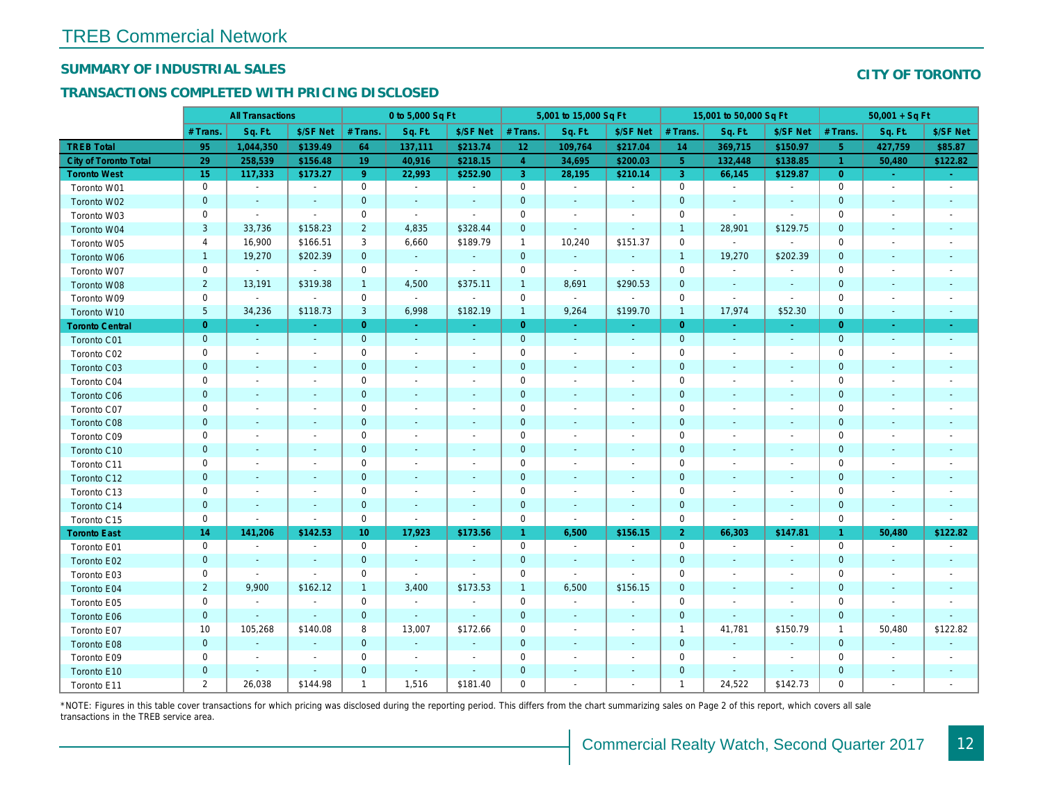## SUMMARY OF INDUSTRIAL SALES

## TRANSACTIONS COMPLETED WITH PRICING DISCLOSED

|                              |                | <b>All Transactions</b>  |                          |                | 0 to 5,000 Sq Ft         |                          |                 | 5,001 to 15,000 Sq Ft |                          |                | 15,001 to 50,000 Sq Ft   |                          |
|------------------------------|----------------|--------------------------|--------------------------|----------------|--------------------------|--------------------------|-----------------|-----------------------|--------------------------|----------------|--------------------------|--------------------------|
|                              | # Trans.       | Sq. Ft.                  | \$/SF Net                | # Trans.       | Sq. Ft.                  | \$/SF Net                | # Trans.        | Sq. Ft.               | \$/SF Net                | # Trans.       | Sq. Ft.                  | \$/SF Ne                 |
| <b>TREB Total</b>            | 95             | 1,044,350                | \$139.49                 | 64             | 137,111                  | \$213.74                 | 12 <sub>2</sub> | 109,764               | \$217.04                 | 14             | 369,715                  | \$150.97                 |
| <b>City of Toronto Total</b> | 29             | 258,539                  | \$156.48                 | 19             | 40,916                   | \$218.15                 | $\overline{4}$  | 34,695                | \$200.03                 | 5 <sup>5</sup> | 132,448                  | \$138.85                 |
| <b>Toronto West</b>          | 15             | 117,333                  | \$173.27                 | 9 <sup>°</sup> | 22,993                   | \$252.90                 | 3 <sup>°</sup>  | 28,195                | \$210.14                 | $\mathbf{3}$   | 66,145                   | \$129.87                 |
| Toronto W01                  | 0              | $\blacksquare$           | $\blacksquare$           | 0              | $\sim$                   | $\blacksquare$           | $\mathbf 0$     | $\blacksquare$        | $\blacksquare$           | $\mathbf 0$    | $\blacksquare$           | $\blacksquare$           |
| Toronto W02                  | $\mathbf 0$    | $\sim$                   | $\sim$                   | $\mathbf 0$    | $\blacksquare$           | $\blacksquare$           | $\mathbf 0$     | $\blacksquare$        | $\blacksquare$           | $\mathbf 0$    | $\blacksquare$           | ٠.                       |
| Toronto W03                  | 0              | $\sim$                   | $\sim$                   | 0              | $\blacksquare$           | $\sim$                   | 0               | $\sim$                | $\blacksquare$           | $\mathbf 0$    | $\blacksquare$           | $\sim$                   |
| Toronto W04                  | 3              | 33,736                   | \$158.23                 | $\overline{2}$ | 4,835                    | \$328.44                 | $\mathbf 0$     | $\blacksquare$        | $\sim$                   | $\overline{1}$ | 28,901                   | \$129.75                 |
| Toronto W05                  | 4              | 16,900                   | \$166.51                 | 3              | 6,660                    | \$189.79                 | $\mathbf{1}$    | 10,240                | \$151.37                 | $\mathbf 0$    | $\sim$                   |                          |
| Toronto W06                  | $\mathbf{1}$   | 19,270                   | \$202.39                 | $\mathbf 0$    | $\bullet$                | $\blacksquare$           | $\mathbf 0$     | $\blacksquare$        | $\sim$                   | $\mathbf{1}$   | 19,270                   | \$202.39                 |
| Toronto W07                  | $\mathbf 0$    | $\sim$                   | $\mathbf{r}$             | $\mathbf 0$    | $\sim$                   | $\overline{\phantom{a}}$ | $\mathbf 0$     | $\blacksquare$        | $\sim$                   | $\mathbf 0$    | $\blacksquare$           |                          |
| Toronto W08                  | $\overline{2}$ | 13,191                   | \$319.38                 | $\mathbf{1}$   | 4,500                    | \$375.11                 | $\mathbf{1}$    | 8,691                 | \$290.53                 | $\mathbf{0}$   | $\blacksquare$           | $\blacksquare$           |
| Toronto W09                  | 0              | $\blacksquare$           | $\sim$                   | $\mathbf 0$    | $\blacksquare$           | $\overline{\phantom{a}}$ | $\mathbf 0$     | $\blacksquare$        | $\blacksquare$           | $\mathbf 0$    | $\blacksquare$           | $\blacksquare$           |
| Toronto W10                  | $\sqrt{5}$     | 34,236                   | \$118.73                 | 3              | 6,998                    | \$182.19                 | $\mathbf{1}$    | 9,264                 | \$199.70                 | $\overline{1}$ | 17,974                   | \$52.30                  |
| <b>Toronto Central</b>       | $\overline{0}$ | $\sim$                   |                          | $\overline{0}$ | $\sim$                   | Ξ                        | $\overline{0}$  | $\omega$              | ÷.                       | $\overline{0}$ | ÷.                       | $\omega$                 |
| Toronto C01                  | $\mathbf{0}$   | $\sim$                   | $\sim$                   | $\mathbf 0$    | $\sim$                   | $\blacksquare$           | $\mathbf 0$     | $\sim$                | $\sim$                   | $\mathbf 0$    | $\sim$                   | $\blacksquare$           |
| Toronto C02                  | 0              | $\overline{\phantom{a}}$ |                          | $\mathbf 0$    | $\blacksquare$           | $\blacksquare$           | $\mathbf 0$     | $\blacksquare$        | $\overline{\phantom{a}}$ | $\mathbf 0$    | $\overline{\phantom{a}}$ | $\blacksquare$           |
| Toronto C03                  | $\mathbf{0}$   | $\sim$                   | $\sim$                   | $\mathbf 0$    | $\blacksquare$           | $\blacksquare$           | $\mathbf 0$     | $\blacksquare$        | $\blacksquare$           | $\mathbf 0$    | $\blacksquare$           | $\sim$                   |
| Toronto C04                  | 0              | $\sim$                   | $\overline{\phantom{a}}$ | $\mathbf 0$    | $\sim$                   | $\blacksquare$           | $\mathbf 0$     | $\sim$                | $\sim$                   | 0              | $\blacksquare$           | $\blacksquare$           |
| Toronto C06                  | $\mathbf{0}$   | $\sim$                   | $\sim$                   | $\mathbf 0$    | $\sim$                   | $\sim$                   | $\mathbf 0$     | $\sim$                | $\sim$                   | $\mathbf 0$    | $\sim$                   | $\sim$                   |
| Toronto C07                  | 0              | $\blacksquare$           | $\overline{\phantom{a}}$ | $\mathbf 0$    | $\blacksquare$           | $\overline{\phantom{a}}$ | $\pmb{0}$       | $\blacksquare$        | $\blacksquare$           | 0              | $\overline{\phantom{a}}$ | $\overline{\phantom{a}}$ |
| Toronto C08                  | $\mathbf{0}$   | $\sim$                   | $\sim$                   | $\mathbf{0}$   | $\blacksquare$           | $\blacksquare$           | $\mathbf{0}$    | $\blacksquare$        | $\blacksquare$           | $\mathbf{0}$   | $\blacksquare$           | $\blacksquare$           |
| Toronto C09                  | 0              | $\overline{\phantom{a}}$ | $\sim$                   | $\mathbf 0$    | $\blacksquare$           | $\blacksquare$           | $\mathbf 0$     | $\blacksquare$        | $\overline{\phantom{a}}$ | $\mathbf 0$    | $\blacksquare$           | $\blacksquare$           |
| Toronto C10                  | $\mathbf 0$    | $\overline{\phantom{a}}$ | $\sim$                   | $\mathbf 0$    | $\overline{\phantom{a}}$ | $\blacksquare$           | $\mathbf 0$     | $\sim$                | $\sim$                   | $\mathbf 0$    | $\sim$                   | $\sim$                   |
| Toronto C11                  | 0              | $\overline{\phantom{a}}$ | $\overline{\phantom{a}}$ | $\mathbf 0$    | $\blacksquare$           | $\overline{\phantom{a}}$ | $\pmb{0}$       | $\blacksquare$        | $\blacksquare$           | 0              | $\blacksquare$           | $\blacksquare$           |
| Toronto C12                  | $\mathbf{0}$   | $\sim$                   | $\sim$                   | $\mathbf{0}$   | $\sim$                   | $\blacksquare$           | $\mathbf 0$     | $\sim$                | $\sim$                   | $\mathbf{0}$   | $\sim$                   | $\sim$                   |
| Toronto C13                  | 0              | $\blacksquare$           | $\sim$                   | $\mathbf 0$    | $\blacksquare$           | $\blacksquare$           | $\mathbf 0$     | $\blacksquare$        | $\blacksquare$           | $\mathbf 0$    | $\blacksquare$           | $\blacksquare$           |
| Toronto C14                  | $\mathbf 0$    |                          | $\sim$                   | $\mathbf 0$    | $\blacksquare$           | $\blacksquare$           | $\mathbf 0$     | $\blacksquare$        | $\blacksquare$           | $\mathbf{0}$   | $\blacksquare$           | $\blacksquare$           |
| Toronto C15                  | 0              | $\blacksquare$           | $\blacksquare$           | $\mathbf 0$    | $\blacksquare$           | $\blacksquare$           | $\mathbf 0$     | $\blacksquare$        | $\blacksquare$           | $\mathbf 0$    | $\blacksquare$           | $\blacksquare$           |
| <b>Toronto East</b>          | 14             | 141,206                  | \$142.53                 | 10             | 17,923                   | \$173.56                 | $\mathbf{1}$    | 6,500                 | \$156.15                 | $\overline{2}$ | 66,303                   | \$147.8'                 |
| Toronto E01                  | $\mathbf 0$    | $\blacksquare$           | $\sim$                   | $\mathbf 0$    | $\sim$                   | $\sim$                   | $\mathbf 0$     | $\blacksquare$        | $\omega$                 | $\mathbf 0$    | $\blacksquare$           | $\sim$                   |
| Toronto E02                  | $\mathbf 0$    | $\overline{\phantom{a}}$ |                          | $\mathbf 0$    | $\blacksquare$           | $\blacksquare$           | $\mathbf 0$     | $\blacksquare$        | $\sim$                   | $\mathbf 0$    | $\sim$                   | $\blacksquare$           |
| Toronto E03                  | 0              | $\blacksquare$           | $\blacksquare$           | $\mathbf 0$    | $\sim$                   | $\blacksquare$           | $\mathbf 0$     | $\blacksquare$        | $\blacksquare$           | 0              | $\blacksquare$           | $\blacksquare$           |
| Toronto E04                  | $\overline{2}$ | 9,900                    | \$162.12                 | $\mathbf{1}$   | 3,400                    | \$173.53                 | $\mathbf{1}$    | 6,500                 | \$156.15                 | $\mathbf 0$    | $\blacksquare$           | $\sim$                   |
| Toronto E05                  | 0              | $\blacksquare$           | $\sim$                   | 0              | $\omega$                 | $\sim$                   | $\mathbf 0$     | $\omega$              | $\omega$                 | $\mathbf 0$    | $\blacksquare$           | $\blacksquare$           |
| Toronto E06                  | $\mathbf 0$    | $\sim$                   | $\sim$                   | $\mathbf 0$    | $\omega$                 | $\blacksquare$           | $\mathbf 0$     | $\blacksquare$        | $\sim$                   | $\mathbf 0$    | $\sim$                   |                          |
| Toronto E07                  | 10             | 105,268                  | \$140.08                 | 8              | 13,007                   | \$172.66                 | 0               | $\blacksquare$        | $\overline{\phantom{a}}$ | $\overline{1}$ | 41,781                   | \$150.79                 |
| Toronto E08                  | $\mathbf{0}$   | $\sim$                   | $\sim$                   | $\overline{0}$ | $\omega$                 | $\blacksquare$           | $\mathbf 0$     | $\sim$                | $\sim$                   | $\mathbf{0}$   | $\blacksquare$           |                          |
| Toronto E09                  | 0              | $\sim$                   | $\overline{\phantom{a}}$ | $\mathbf 0$    | $\blacksquare$           | $\overline{\phantom{a}}$ | $\mathbf 0$     | $\blacksquare$        | $\overline{\phantom{a}}$ | $\mathbf 0$    | ٠                        | $\blacksquare$           |
| Toronto E10                  | $\mathbf{0}$   |                          | $\sim$                   | $\mathbf 0$    | ٠                        | ٠                        | $\mathbf 0$     |                       | $\blacksquare$           | $\mathbf 0$    | $\blacksquare$           |                          |
| Toronto E11                  | $\overline{2}$ | 26,038                   | \$144.98                 | $\mathbf{1}$   | 1,516                    | \$181.40                 | 0               | $\blacksquare$        | $\blacksquare$           | $\overline{1}$ | 24,522                   | \$142.73                 |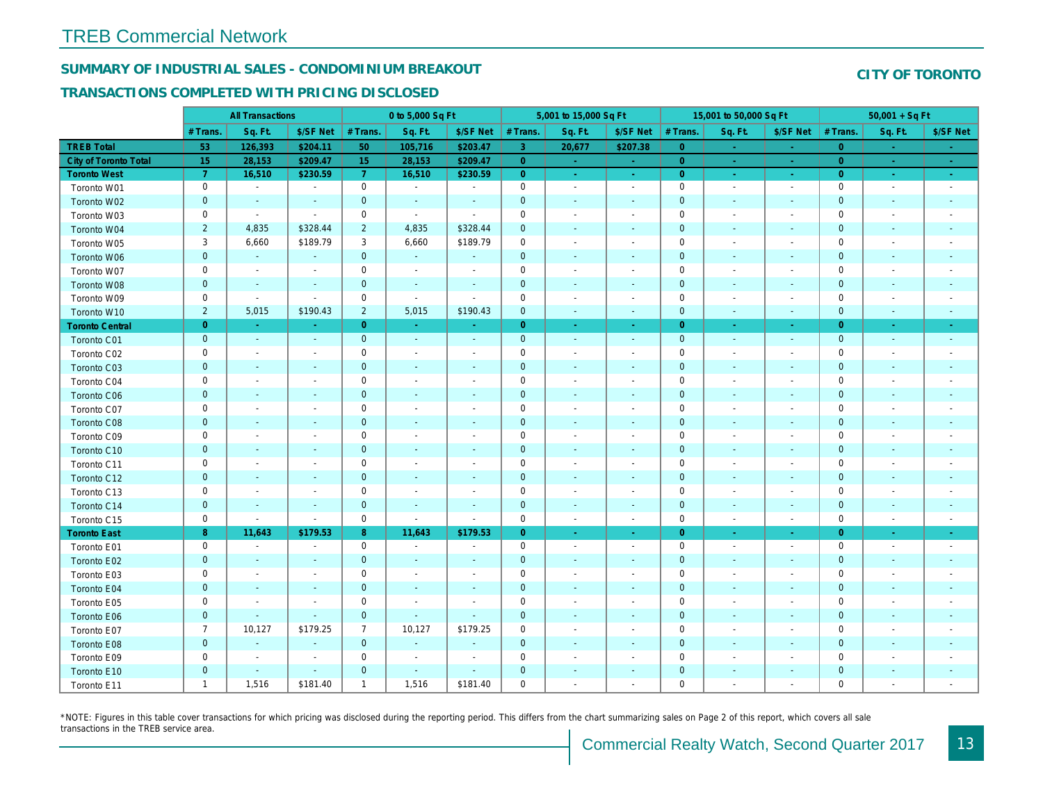## SUMMARY OF INDUSTRIAL SALES - CONDOMINIUM BREAKOUT

#### TRANSACTIONS COMPLETED WITH PRICING DISCLOSED

|                        |                | <b>All Transactions</b>  |                          |                | 0 to 5,000 Sq Ft         |                          |                     | 5,001 to 15,000 Sq Ft    |                          |                | 15,001 to 50,000 Sq Ft   |                          |
|------------------------|----------------|--------------------------|--------------------------|----------------|--------------------------|--------------------------|---------------------|--------------------------|--------------------------|----------------|--------------------------|--------------------------|
|                        | # Trans.       | Sq. Ft.                  | \$/SF Net                | # Trans.       | Sq. Ft.                  | \$/SF Net                | # Trans.            | Sq. Ft.                  | \$/SF Net                | # Trans.       | Sq. Ft.                  | \$/SF Ne                 |
| <b>TREB Total</b>      | 53             | 126,393                  | \$204.11                 | 50             | 105,716                  | \$203.47                 | $\mathbf{3}$        | 20,677                   | \$207.38                 | $\overline{0}$ | $\sim$                   | $\sim$                   |
| City of Toronto Total  | 15             | 28,153                   | \$209.47                 | 15             | 28,153                   | \$209.47                 | $\overline{0}$      | $\omega_{\rm c}$         | $\omega_{\rm c}$         | $\overline{0}$ |                          | $\omega_{\rm c}$         |
| <b>Toronto West</b>    | $\overline{7}$ | 16,510                   | \$230.59                 | $\mathbf{7}$   | 16,510                   | \$230.59                 | $\overline{0}$      | $\sim$                   | $\omega_{\rm c}$         | $\overline{0}$ | $\sim$                   | $\sim$                   |
| Toronto W01            | 0              | $\sim$                   | $\blacksquare$           | $\mathbf 0$    | $\sim$                   | $\blacksquare$           | $\mathbf 0$         | $\blacksquare$           | $\blacksquare$           | $\mathbf 0$    | $\blacksquare$           | $\sim$                   |
| Toronto W02            | $\mathbf{0}$   | $\sim$                   | $\sim$                   | $\mathbf 0$    | $\sim$                   | $\sim$                   | $\mathbf 0$         | $\sim$                   | $\blacksquare$           | $\mathbf{0}$   | $\sim$                   | $\sim$                   |
| Toronto W03            | 0              | $\blacksquare$           | $\sim$                   | $\mathbf 0$    | $\sim$                   | $\sim$                   | $\mathbf 0$         | $\overline{\phantom{a}}$ | $\blacksquare$           | $\mathbf 0$    | $\blacksquare$           | $\overline{\phantom{a}}$ |
| Toronto W04            | $\overline{2}$ | 4,835                    | \$328.44                 | $\overline{2}$ | 4,835                    | \$328.44                 | $\mathbf 0$         | $\blacksquare$           | $\blacksquare$           | $\mathbf{0}$   | $\blacksquare$           | $\blacksquare$           |
| Toronto W05            | 3              | 6,660                    | \$189.79                 | 3              | 6,660                    | \$189.79                 | $\mathbf 0$         | $\blacksquare$           | $\blacksquare$           | 0              | $\blacksquare$           | $\overline{\phantom{a}}$ |
| Toronto W06            | $\mathbf 0$    | $\sim$                   | $\sim$                   | $\mathbf 0$    | $\sim$                   | $\blacksquare$           | $\mathbf 0$         | $\blacksquare$           | $\sim$                   | $\mathbf 0$    | $\blacksquare$           | $\blacksquare$           |
| Toronto W07            | 0              | $\overline{\phantom{a}}$ | $\overline{\phantom{a}}$ | $\mathbf 0$    | $\blacksquare$           | $\blacksquare$           | $\mathbf 0$         | $\blacksquare$           | $\blacksquare$           | $\mathbf 0$    | $\blacksquare$           | $\blacksquare$           |
| Toronto W08            | $\mathbf{0}$   | $\blacksquare$           | $\blacksquare$           | $\mathbf 0$    | $\blacksquare$           | $\blacksquare$           | $\mathbf 0$         | $\overline{\phantom{a}}$ | $\overline{\phantom{a}}$ | $\mathbf{0}$   | $\blacksquare$           |                          |
| Toronto W09            | 0              | $\blacksquare$           | $\sim$                   | $\mathbf 0$    | $\sim$                   | $\sim$                   | $\mathsf{O}\xspace$ | $\blacksquare$           | $\blacksquare$           | $\mathbf 0$    | $\blacksquare$           | $\blacksquare$           |
| Toronto W10            | $\overline{2}$ | 5,015                    | \$190.43                 | $\overline{2}$ | 5,015                    | \$190.43                 | $\mathbf 0$         | $\blacksquare$           | $\blacksquare$           | $\mathbf 0$    | $\blacksquare$           | ٠                        |
| <b>Toronto Central</b> | $\overline{0}$ | $\sim$                   | $\sim$                   | $\overline{0}$ | $\sim$                   | $\bullet$                | $\overline{0}$      | $\sim$                   | $\bullet$ .              | $\overline{0}$ | $\bullet$                | $\sim$                   |
| Toronto C01            | $\mathbf{0}$   | $\sim$                   | $\sim$                   | $\mathbf 0$    | $\sim$                   | $\sim$                   | $\mathbf 0$         | $\omega$                 | $\mathbf{r}$             | $\mathbf 0$    | $\omega$                 | $\sim$                   |
| Toronto C02            | 0              | $\blacksquare$           | $\overline{\phantom{a}}$ | $\mathbf 0$    | $\blacksquare$           | $\blacksquare$           | $\mathbf 0$         | $\overline{a}$           | $\blacksquare$           | $\mathbf 0$    | $\sim$                   | $\blacksquare$           |
| Toronto C03            | $\mathbf 0$    | $\sim$                   | $\sim$                   | $\mathbf 0$    | $\blacksquare$           | $\blacksquare$           | $\mathbf 0$         | $\blacksquare$           | ٠                        | $\mathbf 0$    | $\overline{\phantom{a}}$ | $\blacksquare$           |
| Toronto C04            | 0              | $\overline{\phantom{a}}$ | $\overline{\phantom{a}}$ | $\mathbf 0$    | $\sim$                   | $\blacksquare$           | $\mathbf 0$         | $\overline{a}$           | $\blacksquare$           | $\mathbf 0$    | $\overline{\phantom{a}}$ | $\blacksquare$           |
| Toronto C06            | $\mathbf 0$    | $\sim$                   | $\blacksquare$           | $\mathbf 0$    | $\blacksquare$           | $\sim$                   | $\mathbf 0$         | $\blacksquare$           | $\blacksquare$           | $\mathbf{0}$   | $\blacksquare$           | $\blacksquare$           |
| Toronto C07            | 0              | $\overline{\phantom{a}}$ |                          | $\mathbf 0$    | $\blacksquare$           | $\blacksquare$           | $\mathbf 0$         | $\overline{a}$           | $\overline{a}$           | $\mathbf 0$    | $\overline{\phantom{a}}$ | $\blacksquare$           |
| Toronto C08            | $\mathbf{0}$   | $\sim$                   | $\sim$                   | $\mathbf{0}$   | $\blacksquare$           | $\blacksquare$           | $\mathbf 0$         | $\blacksquare$           | $\blacksquare$           | $\mathbf 0$    | $\blacksquare$           | $\blacksquare$           |
| Toronto C09            | 0              | $\sim$                   | $\overline{\phantom{a}}$ | $\mathsf 0$    | $\sim$                   | $\blacksquare$           | $\mathbf 0$         | $\overline{a}$           | $\blacksquare$           | $\mathbf 0$    | $\overline{\phantom{a}}$ |                          |
| Toronto C10            | $\mathbf 0$    | $\blacksquare$           | $\blacksquare$           | $\mathbf 0$    | $\blacksquare$           | $\blacksquare$           | $\mathbf 0$         | $\blacksquare$           | $\blacksquare$           | $\mathbf{0}$   | $\blacksquare$           | $\blacksquare$           |
| Toronto C11            | 0              | $\overline{\phantom{a}}$ |                          | $\mathbf 0$    | $\blacksquare$           |                          | $\mathbf 0$         | $\overline{\phantom{a}}$ | $\overline{a}$           | $\mathbf 0$    | $\overline{a}$           | $\overline{\phantom{a}}$ |
| Toronto C12            | $\mathbf 0$    | $\sim$                   | $\sim$                   | $\mathbf 0$    | $\blacksquare$           | $\blacksquare$           | $\mathbf 0$         | $\blacksquare$           | $\blacksquare$           | $\mathbf{0}$   | $\blacksquare$           | $\blacksquare$           |
| Toronto C13            | 0              | $\blacksquare$           | $\overline{\phantom{a}}$ | $\mathbf 0$    | $\blacksquare$           | $\sim$                   | $\mathbf 0$         | $\overline{\phantom{a}}$ | $\overline{a}$           | $\mathbf 0$    | $\blacksquare$           | $\blacksquare$           |
| Toronto C14            | $\mathbf 0$    | $\sim$                   | $\sim$                   | $\pmb{0}$      | $\blacksquare$           | $\blacksquare$           | $\mathbf 0$         | $\sim$                   | $\sim$                   | $\mathbf 0$    | $\blacksquare$           | $\sim$                   |
| Toronto C15            | 0              | $\blacksquare$           | $\sim$                   | $\mathsf 0$    | $\mathbf{r}$             | $\blacksquare$           | $\mathbf 0$         | $\sim$                   | $\blacksquare$           | $\mathbf 0$    | ÷,                       | $\sim$                   |
| <b>Toronto East</b>    | 8              | 11,643                   | \$179.53                 | 8              | 11,643                   | \$179.53                 | $\overline{0}$      | $\omega$                 | $\omega_{\rm c}$         | $\overline{0}$ | $\omega$                 | $\omega_{\rm c}$         |
| Toronto E01            | 0              | $\sim$                   | $\overline{\phantom{a}}$ | $\mathbf 0$    | $\blacksquare$           | $\overline{\phantom{a}}$ | $\mathbf 0$         | $\blacksquare$           | $\overline{\phantom{a}}$ | $\mathbf 0$    | $\blacksquare$           | $\sim$                   |
| Toronto E02            | $\mathbf{0}$   | $\sim$                   | $\sim$                   | $\mathbf 0$    | $\sim$                   | $\sim$                   | $\mathbf 0$         | $\sim$                   | $\blacksquare$           | $\mathbf 0$    | $\sim$                   | $\sim$                   |
| Toronto E03            | 0              | $\overline{\phantom{a}}$ | $\overline{\phantom{a}}$ | $\mathbf 0$    | $\blacksquare$           | $\overline{\phantom{a}}$ | $\mathbf 0$         | $\blacksquare$           | $\blacksquare$           | $\mathbf 0$    | $\blacksquare$           | $\blacksquare$           |
| Toronto E04            | $\mathbf 0$    | $\blacksquare$           | $\sim$                   | $\mathbf 0$    | $\sim$                   | $\blacksquare$           | $\mathbf 0$         | $\blacksquare$           | $\blacksquare$           | $\mathbf{0}$   | $\blacksquare$           | $\sim$                   |
| Toronto E05            | 0              | $\overline{\phantom{a}}$ | $\overline{\phantom{a}}$ | $\mathbf 0$    | $\overline{\phantom{a}}$ | $\overline{\phantom{a}}$ | $\mathbf 0$         | $\blacksquare$           | $\blacksquare$           | 0              | $\blacksquare$           | $\overline{\phantom{a}}$ |
| Toronto E06            | $\mathbf 0$    | $\blacksquare$           | $\sim$                   | $\mathbf 0$    | $\blacksquare$           | $\blacksquare$           | $\mathbf 0$         | $\overline{\phantom{a}}$ | $\sim$                   | $\mathbf 0$    | $\blacksquare$           | $\blacksquare$           |
| Toronto E07            | $\overline{7}$ | 10,127                   | \$179.25                 | $\overline{7}$ | 10,127                   | \$179.25                 | $\mathbf 0$         | $\overline{\phantom{a}}$ | $\blacksquare$           | $\mathbf 0$    | $\blacksquare$           | $\blacksquare$           |
| Toronto E08            | $\mathbf 0$    | $\blacksquare$           | $\blacksquare$           | $\mathbf{0}$   | $\omega$                 | $\blacksquare$           | $\mathbf 0$         | $\overline{\phantom{a}}$ | $\blacksquare$           | $\mathbf{0}$   | $\blacksquare$           |                          |
| Toronto E09            | 0              | $\blacksquare$           | $\blacksquare$           | $\mathbf 0$    | $\blacksquare$           | $\blacksquare$           | $\mathsf{O}\xspace$ | $\blacksquare$           | $\blacksquare$           | $\mathbf 0$    | $\blacksquare$           | $\blacksquare$           |
| Toronto E10            | $\mathbf 0$    | $\sim$                   | $\blacksquare$           | $\mathbf 0$    | $\sim$                   | $\blacksquare$           | $\pmb{0}$           |                          |                          | $\mathbf 0$    | $\sim$                   |                          |
| Toronto E11            | $\mathbf{1}$   | 1,516                    | \$181.40                 | $\mathbf{1}$   | 1,516                    | \$181.40                 | $\mathbf 0$         | $\blacksquare$           | $\blacksquare$           | $\mathbf 0$    | $\blacksquare$           | $\blacksquare$           |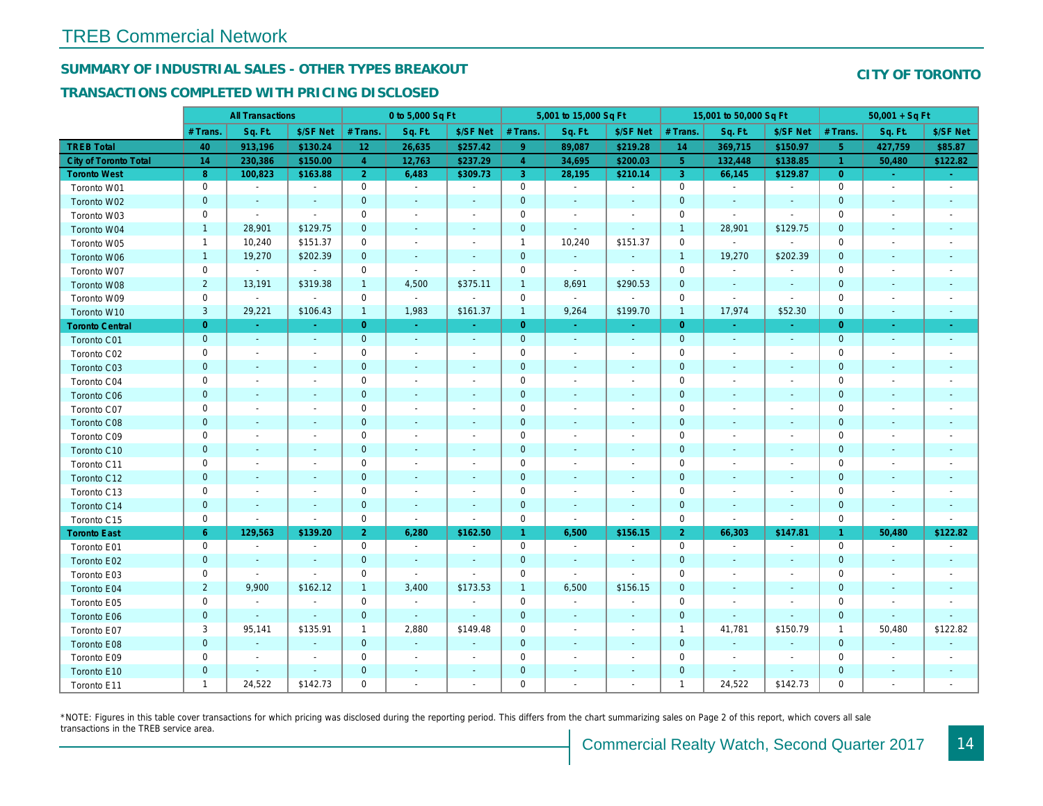## SUMMARY OF INDUSTRIAL SALES - OTHER TYPES BREAKOUT

#### TRANSACTIONS COMPLETED WITH PRICING DISCLOSED

|                        |                | <b>All Transactions</b>  |                          |                | 0 to 5,000 Sq Ft |                          |                     | 5,001 to 15,000 Sq Ft    |                |                | 15,001 to 50,000 Sq Ft   |                          |
|------------------------|----------------|--------------------------|--------------------------|----------------|------------------|--------------------------|---------------------|--------------------------|----------------|----------------|--------------------------|--------------------------|
|                        | # Trans        | Sq. Ft.                  | \$/SF Net                | # Trans.       | Sq. Ft.          | \$/SF Net                | # Trans.            | Sq. Ft.                  | \$/SF Net      | # Trans.       | Sq. Ft.                  | \$/SF Ne                 |
| <b>TREB Total</b>      | 40             | 913,196                  | \$130.24                 | 12             | 26,635           | \$257.42                 | 9 <sup>°</sup>      | 89,087                   | \$219.28       | 14             | 369,715                  | \$150.97                 |
| City of Toronto Total  | 14             | 230,386                  | \$150.00                 | $\overline{4}$ | 12,763           | \$237.29                 | $\overline{4}$      | 34,695                   | \$200.03       | 5 <sup>5</sup> | 132,448                  | \$138.85                 |
| <b>Toronto West</b>    | 8              | 100,823                  | \$163.88                 | $\overline{2}$ | 6,483            | \$309.73                 | 3 <sup>°</sup>      | 28,195                   | \$210.14       | $\mathbf{3}$   | 66,145                   | \$129.87                 |
| Toronto W01            | 0              | $\blacksquare$           | $\blacksquare$           | $\mathbf 0$    | $\sim$           | $\blacksquare$           | 0                   | $\blacksquare$           | $\blacksquare$ | $\mathbf 0$    | $\blacksquare$           | $\blacksquare$           |
| Toronto W02            | $\mathbf{0}$   |                          |                          | $\mathbf{0}$   | $\blacksquare$   | $\frac{1}{2}$            | $\mathbf 0$         | $\blacksquare$           | ÷,             | $\mathbf 0$    | $\blacksquare$           | $\blacksquare$           |
| Toronto W03            | 0              | $\sim$                   | $\sim$                   | $\mathbf 0$    | $\blacksquare$   | $\blacksquare$           | $\mathsf 0$         | $\blacksquare$           | $\blacksquare$ | $\mathbf 0$    | $\blacksquare$           | $\blacksquare$           |
| Toronto W04            | $\mathbf{1}$   | 28,901                   | \$129.75                 | $\mathbf 0$    | $\blacksquare$   | $\blacksquare$           | $\mathbf 0$         | $\sim$                   | $\blacksquare$ | $\overline{1}$ | 28,901                   | \$129.75                 |
| Toronto W05            | $\mathbf{1}$   | 10,240                   | \$151.37                 | 0              | $\blacksquare$   | $\blacksquare$           | $\mathbf{1}$        | 10,240                   | \$151.37       | 0              | $\blacksquare$           | $\overline{\phantom{a}}$ |
| Toronto W06            | $\mathbf{1}$   | 19,270                   | \$202.39                 | $\mathbf 0$    | $\sim$           | $\blacksquare$           | $\mathbf 0$         | $\blacksquare$           | $\blacksquare$ | $\mathbf{1}$   | 19,270                   | \$202.39                 |
| Toronto W07            | 0              | $\blacksquare$           | $\sim$                   | $\mathbf 0$    | $\sim$           | $\blacksquare$           | $\mathbf 0$         | $\sim$                   | $\sim$         | $\mathbf 0$    | $\blacksquare$           |                          |
| Toronto W08            | $\overline{2}$ | 13,191                   | \$319.38                 | $\mathbf{1}$   | 4,500            | \$375.11                 | $\mathbf{1}$        | 8,691                    | \$290.53       | $\mathbf 0$    | $\blacksquare$           | ٠                        |
| Toronto W09            | 0              | $\blacksquare$           | $\blacksquare$           | $\mathbf 0$    | $\blacksquare$   | $\blacksquare$           | $\mathsf{O}$        | $\blacksquare$           | $\blacksquare$ | $\mathbf 0$    | $\blacksquare$           | $\blacksquare$           |
| Toronto W10            | 3              | 29,221                   | \$106.43                 | $\mathbf{1}$   | 1,983            | \$161.37                 | $\mathbf{1}$        | 9,264                    | \$199.70       | $\mathbf{1}$   | 17,974                   | \$52.30                  |
| <b>Toronto Central</b> | $\overline{0}$ | $\sim$                   | $\sim$                   | $\overline{0}$ | $\sim$           | $\blacksquare$           | $\overline{0}$      | $\sim$                   | $\blacksquare$ | $\overline{0}$ | $\sim$                   | $\sim$                   |
| Toronto C01            | $\mathbf 0$    | $\sim$                   | $\sim$                   | $\mathbf 0$    | $\sim$           | $\blacksquare$           | $\overline{0}$      | $\sim$                   | $\sim$         | $\mathbf 0$    | $\omega$                 | $\sim$                   |
| Toronto C02            | 0              | $\sim$                   | $\sim$                   | $\mathbf 0$    | $\sim$           | $\blacksquare$           | $\mathbf 0$         | $\blacksquare$           | $\blacksquare$ | $\mathbf 0$    | $\sim$                   | $\blacksquare$           |
| Toronto C03            | $\mathbf{0}$   | $\blacksquare$           | $\sim$                   | $\mathbf{0}$   | $\blacksquare$   | $\blacksquare$           | $\mathbf 0$         | $\blacksquare$           | $\blacksquare$ | $\mathbf{0}$   | $\blacksquare$           | $\blacksquare$           |
| Toronto C04            | 0              | $\overline{\phantom{a}}$ |                          | $\mathbf 0$    | $\blacksquare$   | $\overline{\phantom{a}}$ | $\mathbf 0$         | $\overline{a}$           | $\overline{a}$ | $\mathbf 0$    | $\overline{a}$           | $\blacksquare$           |
| Toronto C06            | $\pmb{0}$      | $\blacksquare$           | $\blacksquare$           | $\mathbf 0$    | $\blacksquare$   | $\blacksquare$           | $\mathbf 0$         | $\blacksquare$           | $\blacksquare$ | $\mathbf 0$    | $\blacksquare$           | ٠                        |
| Toronto C07            | 0              | $\blacksquare$           | $\sim$                   | $\mathsf 0$    | $\blacksquare$   | $\blacksquare$           | $\mathsf{O}\xspace$ | $\overline{a}$           | $\overline{a}$ | $\mathbf 0$    | $\blacksquare$           | $\blacksquare$           |
| Toronto C08            | $\mathbf 0$    | $\sim$                   | $\sim$                   | $\mathbf 0$    | $\blacksquare$   | $\blacksquare$           | $\mathbf 0$         | $\blacksquare$           | $\blacksquare$ | $\mathbf 0$    | $\blacksquare$           | $\blacksquare$           |
| Toronto C09            | 0              | $\overline{\phantom{a}}$ | $\overline{\phantom{a}}$ | $\mathbf 0$    | $\sim$           | $\blacksquare$           | $\mathbf 0$         | $\overline{\phantom{a}}$ | $\blacksquare$ | 0              | $\blacksquare$           | $\blacksquare$           |
| Toronto C10            | $\mathbf{0}$   | $\sim$                   | $\sim$                   | $\mathbf{0}$   | $\sim$           | $\sim$                   | $\mathbf{0}$        | $\sim$                   | $\blacksquare$ | $\mathbf 0$    | $\sim$                   | $\sim$                   |
| Toronto C11            | 0              | $\overline{\phantom{a}}$ | $\overline{\phantom{a}}$ | $\mathbf 0$    | $\blacksquare$   | $\blacksquare$           | $\mathsf 0$         | $\blacksquare$           | $\blacksquare$ | $\mathbf 0$    | $\blacksquare$           | $\overline{\phantom{a}}$ |
| Toronto C12            | $\mathbf{0}$   | $\sim$                   | $\sim$                   | $\mathbf 0$    | $\sim$           | $\blacksquare$           | $\mathbf 0$         | $\blacksquare$           | $\blacksquare$ | $\mathbf{0}$   | $\blacksquare$           | $\blacksquare$           |
| Toronto C13            | 0              | $\blacksquare$           | $\overline{\phantom{a}}$ | 0              | $\blacksquare$   | $\blacksquare$           | 0                   | $\overline{\phantom{a}}$ | $\overline{a}$ | 0              | $\overline{\phantom{a}}$ | $\overline{\phantom{a}}$ |
| Toronto C14            | $\mathbf{0}$   | $\sim$                   | $\sim$                   | $\mathbf 0$    | $\sim$           | $\sim$                   | $\mathbf{0}$        | $\sim$                   | $\sim$         | $\mathbf{0}$   | $\sim$                   | $\sim$                   |
| Toronto C15            | 0              | $\blacksquare$           | $\blacksquare$           | $\mathsf 0$    | $\blacksquare$   | $\blacksquare$           | $\mathsf{O}\xspace$ | $\blacksquare$           | $\blacksquare$ | $\mathbf 0$    | $\blacksquare$           | $\blacksquare$           |
| <b>Toronto East</b>    | 6              | 129,563                  | \$139.20                 | $\overline{2}$ | 6,280            | \$162.50                 | $\mathbf{1}$        | 6,500                    | \$156.15       | $\overline{2}$ | 66,303                   | \$147.8                  |
| Toronto E01            | 0              | $\sim$                   | $\overline{\phantom{a}}$ | $\mathbf 0$    | $\sim$           | $\overline{\phantom{a}}$ | $\mathbf 0$         | $\sim$                   | $\blacksquare$ | $\mathbf 0$    | $\blacksquare$           | $\sim$                   |
| Toronto E02            | $\mathbf 0$    | $\sim$                   | $\sim$                   | $\mathbf 0$    | $\sim$           | $\blacksquare$           | $\mathbf 0$         | $\blacksquare$           | $\sim$         | $\mathbf{0}$   | $\blacksquare$           | $\blacksquare$           |
| Toronto E03            | 0              | $\blacksquare$           | $\sim$                   | 0              | $\sim$           | $\blacksquare$           | $\mathbf 0$         | $\blacksquare$           | $\blacksquare$ | 0              | $\blacksquare$           | $\blacksquare$           |
| Toronto E04            | $\overline{2}$ | 9,900                    | \$162.12                 | $\mathbf{1}$   | 3,400            | \$173.53                 | $\mathbf{1}$        | 6,500                    | \$156.15       | $\mathbf{0}$   | $\blacksquare$           |                          |
| Toronto E05            | 0              | $\sim$                   | $\blacksquare$           | $\mathbf 0$    | $\sim$           | $\sim$                   | $\mathbf 0$         | $\blacksquare$           | $\sim$         | $\mathbf 0$    | $\blacksquare$           | $\blacksquare$           |
| Toronto E06            | $\mathbf 0$    | $\blacksquare$           | $\sim$                   | $\mathbf 0$    | $\omega$         | $\sim$                   | $\pmb{0}$           | $\blacksquare$           | $\sim$         | $\mathbf 0$    | $\blacksquare$           |                          |
| Toronto E07            | 3              | 95,141                   | \$135.91                 | 1              | 2,880            | \$149.48                 | $\mathbf 0$         | $\blacksquare$           | $\blacksquare$ | $\mathbf{1}$   | 41,781                   | \$150.79                 |
| Toronto E08            | $\mathbf{0}$   | $\sim$                   | $\sim$                   | $\mathbf 0$    | $\sim$           | $\blacksquare$           | $\mathbf 0$         | $\sim$                   | $\blacksquare$ | $\mathbf 0$    | $\blacksquare$           | ٠                        |
| Toronto E09            | 0              | $\sim$                   | $\sim$                   | $\mathbf 0$    | $\blacksquare$   | $\sim$                   | $\mathbf 0$         | $\blacksquare$           | $\blacksquare$ | $\mathbf 0$    | $\sim$                   | $\blacksquare$           |
| Toronto E10            | $\mathbf 0$    | $\sim$                   | $\sim$                   | $\mathbf 0$    | $\blacksquare$   | $\overline{\phantom{a}}$ | $\mathbf 0$         | ٠                        | ٠              | $\mathbf 0$    | $\sim$                   |                          |
| Toronto E11            | $\mathbf{1}$   | 24,522                   | \$142.73                 | $\mathbf 0$    | $\blacksquare$   | $\blacksquare$           | $\mathbf 0$         | ä,                       | $\blacksquare$ | $\overline{1}$ | 24,522                   | \$142.73                 |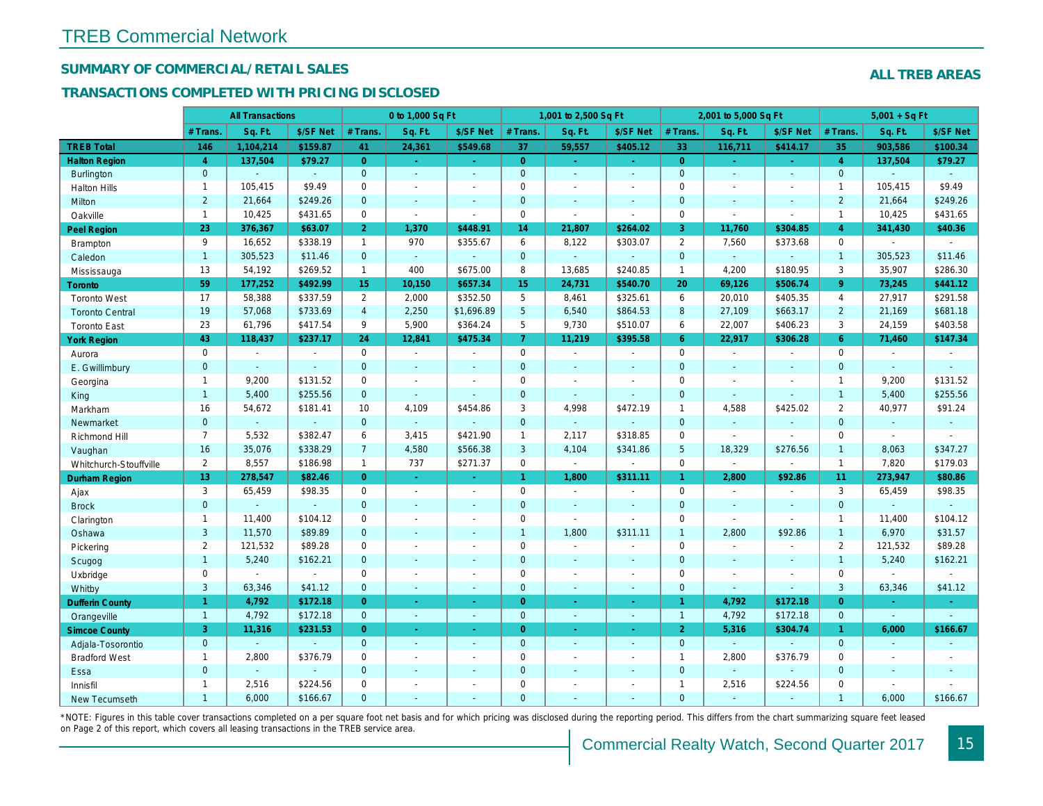## SUMMARY OF COMMERCIAL/RETAIL SALES

#### TRANSACTIONS COMPLETED WITH PRICING DISCLOSED

|                        |                       | <b>All Transactions</b>  |                |                       | 0 to 1,000 Sq Ft |                     |                     | 1,001 to 2,500 Sq Ft     |                       |                 | 2,001 to 5,000 Sq Ft |                  |
|------------------------|-----------------------|--------------------------|----------------|-----------------------|------------------|---------------------|---------------------|--------------------------|-----------------------|-----------------|----------------------|------------------|
|                        | # Trans.              | Sq. Ft.                  | \$/SF Net      | # Trans.              | Sq. Ft.          | \$/SF Net           | # Trans.            | Sq. Ft.                  | \$/SF Net             | # Trans.        | Sq. Ft.              | \$/SF Ne         |
| <b>TREB Total</b>      | 146                   | 1,104,214                | \$159.87       | 41                    | 24,361           | \$549.68            | 37                  | 59,557                   | \$405.12              | 33              | 116,711              | \$414.1          |
| <b>Halton Region</b>   | $\overline{4}$        | 137,504                  | \$79.27        | $\overline{0}$        | $\omega$         | $\omega_{\rm{eff}}$ | $\overline{0}$      | $\omega_{\rm c}$         | $\omega_{\rm{eff}}$   | $\overline{0}$  | $\omega$             | $\omega_{\rm c}$ |
| <b>Burlington</b>      | $\overline{0}$        |                          | $\omega$       | $\mathbf{0}$          | $\sim$           | $\blacksquare$      | $\mathbf{0}$        | $\blacksquare$           | $\sim$                | $\mathbf{0}$    | $\blacksquare$       | $\blacksquare$   |
| <b>Halton Hills</b>    | $\mathbf{1}$          | 105,415                  | \$9.49         | 0                     | $\overline{a}$   |                     | $\mathbf 0$         | $\blacksquare$           | $\blacksquare$        | $\mathbf 0$     | $\sim$               | $\blacksquare$   |
| Milton                 | $\overline{2}$        | 21,664                   | \$249.26       | $\mathbf 0$           | $\omega$         | $\blacksquare$      | $\mathbf 0$         | $\blacksquare$           | $\blacksquare$        | $\mathbf{0}$    | $\blacksquare$       | $\blacksquare$   |
| Oakville               | $\mathbf{1}$          | 10,425                   | \$431.65       | $\mathbf{0}$          | $\blacksquare$   | $\sim$              | $\mathsf{O}$        | $\blacksquare$           | $\blacksquare$        | $\mathbf 0$     | $\blacksquare$       | $\blacksquare$   |
| <b>Peel Region</b>     | 23                    | 376,367                  | \$63.07        | 2 <sup>1</sup>        | 1,370            | \$448.91            | 14                  | 21,807                   | \$264.02              | 3               | 11,760               | \$304.85         |
| <b>Brampton</b>        | 9                     | 16,652                   | \$338.19       | $\mathbf{1}$          | 970              | \$355.67            | 6                   | 8,122                    | \$303.07              | 2               | 7,560                | \$373.68         |
| Caledon                | $\mathbf{1}$          | 305,523                  | \$11.46        | $\mathbf 0$           | $\omega$         | ä,                  | $\mathbf{0}$        | $\omega$                 | $\blacksquare$        | $\mathbf{0}$    | $\omega$             | $\blacksquare$   |
| Mississauga            | 13                    | 54,192                   | \$269.52       | $\mathbf{1}$          | 400              | \$675.00            | 8                   | 13,685                   | \$240.85              | $\overline{1}$  | 4,200                | \$180.95         |
| <b>Toronto</b>         | 59                    | 177,252                  | \$492.99       | 15                    | 10,150           | \$657.34            | 15 <sub>15</sub>    | 24,731                   | \$540.70              | 20              | 69,126               | \$506.7          |
| <b>Toronto West</b>    | 17                    | 58,388                   | \$337.59       | $\mathbf{2}^{\prime}$ | 2,000            | \$352.50            | 5                   | 8,461                    | \$325.61              | 6               | 20,010               | \$405.35         |
| <b>Toronto Central</b> | 19                    | 57,068                   | \$733.69       | $\overline{4}$        | 2,250            | \$1,696.89          | $5\phantom{.0}$     | 6,540                    | \$864.53              | 8               | 27,109               | \$663.17         |
| <b>Toronto East</b>    | 23                    | 61,796                   | \$417.54       | 9                     | 5,900            | \$364.24            | 5                   | 9,730                    | \$510.07              | 6               | 22,007               | \$406.23         |
| <b>York Region</b>     | 43                    | 118,437                  | \$237.17       | 24                    | 12,841           | \$475.34            | $\overline{7}$      | 11,219                   | \$395.58              | $6^{\circ}$     | 22,917               | \$306.28         |
| Aurora                 | $\mathbf{0}$          | $\blacksquare$           | $\sim$         | $\mathbf 0$           | $\sim$           | $\blacksquare$      | $\mathsf{O}$        | $\blacksquare$           | $\sim$                | $\mathbf 0$     | $\blacksquare$       | $\sim$           |
| E. Gwillimbury         | $\mathbf{0}$          | $\sim$                   | $\sim$         | $\mathbf{0}$          | ÷.               | ٠                   | $\mathbf{0}$        | $\blacksquare$           | $\blacksquare$        | $\mathbf{0}$    | $\omega$             | $\blacksquare$   |
| Georgina               | $\mathbf{1}$          | 9,200                    | \$131.52       | 0                     | $\blacksquare$   | $\blacksquare$      | $\mathbf 0$         | $\blacksquare$           | $\blacksquare$        | $\mathbf 0$     | $\blacksquare$       | $\blacksquare$   |
| King                   | $\mathbf{1}$          | 5,400                    | \$255.56       | $\mathbf{0}$          | $\mathbf{r}$     | $\overline{a}$      | $\mathbf 0$         | $\blacksquare$           | $\sim$                | $\mathbf{0}$    | $\omega$             | $\blacksquare$   |
| Markham                | 16                    | 54,672                   | \$181.41       | 10                    | 4,109            | \$454.86            | 3                   | 4,998                    | \$472.19              | $\mathbf{1}$    | 4,588                | \$425.02         |
| Newmarket              | $\overline{0}$        | $\blacksquare$           | $\blacksquare$ | $\overline{0}$        | $\Delta$         |                     | $\mathbf{0}$        | $\omega$                 | ä,                    | $\mathbf{0}$    | $\omega$             | $\sim$           |
| Richmond Hill          | $\overline{7}$        | 5,532                    | \$382.47       | 6                     | 3,415            | \$421.90            | $\mathbf{1}$        | 2,117                    | \$318.85              | 0               | $\sim$               | $\blacksquare$   |
| Vaughan                | 16                    | 35,076                   | \$338.29       | $\overline{7}$        | 4,580            | \$566.38            | $\mathbf{3}$        | 4,104                    | \$341.86              | $5\phantom{.0}$ | 18,329               | \$276.56         |
| Whitchurch-Stouffville | $\mathbf{2}^{\prime}$ | 8,557                    | \$186.98       | $\mathbf{1}$          | 737              | \$271.37            | $\mathsf{O}$        | $\omega$                 | ä,                    | $\mathbf 0$     | $\sim$               | $\blacksquare$   |
| <b>Durham Region</b>   | 13                    | 278,547                  | \$82.46        | $\overline{0}$        | $\omega$         | $\sim$              | $\mathbf{1}$        | 1,800                    | \$311.11              | $\mathbf{1}$    | 2,800                | \$92.86          |
| Ajax                   | 3                     | 65,459                   | \$98.35        | $\mathbf 0$           | $\sim$           | $\blacksquare$      | $\mathbf 0$         | $\blacksquare$           | $\overline{a}$        | $\mathbf 0$     | $\blacksquare$       | $\blacksquare$   |
| <b>Brock</b>           | $\overline{0}$        | $\mathbf{r}$             | $\sim$         | $\overline{0}$        | $\blacksquare$   | $\blacksquare$      | $\mathbf{0}$        | $\omega$                 | ä,                    | $\mathbf{0}$    | $\Delta$             | $\sim$           |
| Clarington             | $\mathbf{1}$          | 11,400                   | \$104.12       | 0                     | $\blacksquare$   | $\blacksquare$      | $\mathsf{O}\xspace$ | $\overline{\phantom{a}}$ | $\tilde{\phantom{a}}$ | $\mathbf 0$     | $\sim$               | $\blacksquare$   |
| Oshawa                 | 3                     | 11,570                   | \$89.89        | $\mathbf{0}$          | $\blacksquare$   | ٠                   | $\mathbf{1}$        | 1,800                    | \$311.11              | $\mathbf{1}$    | 2,800                | \$92.86          |
| Pickering              | $\mathbf{2}$          | 121,532                  | \$89.28        | 0                     | $\sim$           | $\blacksquare$      | $\mathbf 0$         | $\blacksquare$           | $\blacksquare$        | $\mathbf 0$     | $\sim$               | $\blacksquare$   |
| Scugog                 | $\mathbf{1}$          | 5,240                    | \$162.21       | $\overline{0}$        | $\omega$         | $\blacksquare$      | $\mathbf{0}$        | $\omega$                 | $\blacksquare$        | $\mathbf{0}$    | $\omega$             | $\blacksquare$   |
| Uxbridge               | 0                     | $\overline{\phantom{a}}$ | $\blacksquare$ | $\mathbf 0$           | $\blacksquare$   | $\blacksquare$      | 0                   | $\overline{a}$           | $\overline{a}$        | $\mathbf 0$     | $\sim$               | $\blacksquare$   |
| Whitby                 | 3                     | 63,346                   | \$41.12        | $\mathbf{0}$          | $\blacksquare$   | $\sim$              | $\mathbf{0}$        | $\blacksquare$           | $\sim$                | $\mathbf{0}$    | $\blacksquare$       | $\blacksquare$   |
| <b>Dufferin County</b> | $\mathbf{1}$          | 4,792                    | \$172.18       | $\overline{0}$        | ÷.               | $\sim$              | $\overline{0}$      | ÷.                       | $\sim$                | 1               | 4,792                | \$172.1          |
| Orangeville            | $\overline{1}$        | 4,792                    | \$172.18       | $\overline{0}$        | $\omega$         | $\omega$            | $\mathbf{0}$        | $\omega$                 | $\omega_{\rm c}$      | $\overline{1}$  | 4,792                | \$172.18         |
| <b>Simcoe County</b>   | 3                     | 11,316                   | \$231.53       | $\overline{0}$        | $\omega$         | $\omega$            | $\overline{0}$      | $\omega$                 | $\omega_{\rm c}$      | 2 <sup>1</sup>  | 5,316                | \$304.7          |
| Adjala-Tosorontio      | $\mathbf{0}$          |                          |                | $\overline{0}$        | $\mathbf{r}$     | $\blacksquare$      | $\mathbf{0}$        | $\blacksquare$           | $\blacksquare$        | $\mathbf{0}$    | ÷.                   |                  |
| <b>Bradford West</b>   | $\mathbf{1}$          | 2,800                    | \$376.79       | 0                     | $\sim$           | $\sim$              | $\mathsf{O}\xspace$ | $\blacksquare$           | $\blacksquare$        | $\mathbf{1}$    | 2,800                | \$376.79         |
| Essa                   | $\mathbf{0}$          |                          |                | $\mathbf{0}$          | $\blacksquare$   | $\blacksquare$      | $\mathbf 0$         | ä,                       | $\blacksquare$        | $\mathbf{0}$    | $\Delta$             |                  |
| Innisfil               | $\mathbf{1}$          | 2,516                    | \$224.56       | 0                     | $\blacksquare$   | $\blacksquare$      | $\mathbf 0$         | $\blacksquare$           | $\blacksquare$        | $\mathbf{1}$    | 2,516                | \$224.56         |
| <b>New Tecumseth</b>   | $\overline{1}$        | 6,000                    | \$166.67       | $\Omega$              |                  |                     | $\mathbf{0}$        |                          |                       | $\Omega$        |                      |                  |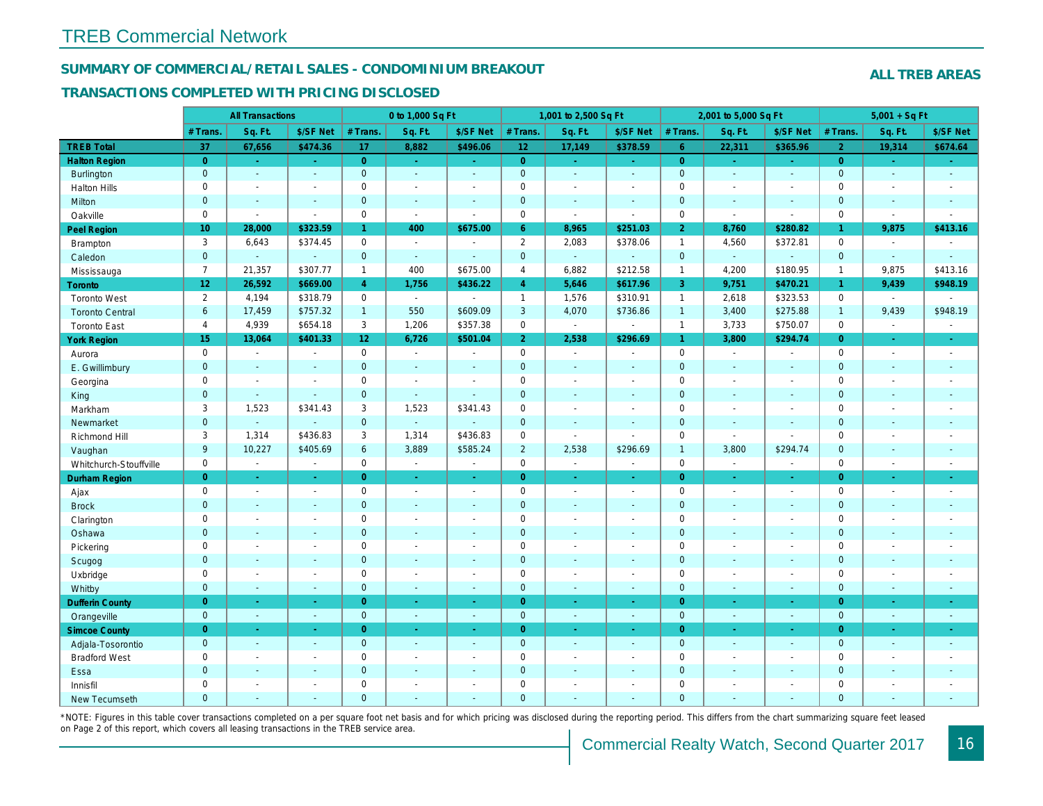#### SUMMARY OF COMMERCIAL/RETAIL SALES - CONDOMINIUM BREAKOUT

#### TRANSACTIONS COMPLETED WITH PRICING DISCLOSED

|                        |                 | <b>All Transactions</b> |                       |                 | 0 to 1,000 Sq Ft |                          |                | 1,001 to 2,500 Sq Ft  |                          |                | 2,001 to 5,000 Sq Ft |                |
|------------------------|-----------------|-------------------------|-----------------------|-----------------|------------------|--------------------------|----------------|-----------------------|--------------------------|----------------|----------------------|----------------|
|                        | # Trans         | Sq. Ft.                 | \$/SF Net             | # Trans.        | Sq. Ft.          | \$/SF Net                | # Trans.       | Sq. Ft.               | \$/SF Net                | # Trans.       | Sq. Ft.              | \$/SF Ne       |
| <b>TREB Total</b>      | 37              | 67,656                  | \$474.36              | 17              | 8,882            | \$496.06                 | $12$           | 17,149                | \$378.59                 | 6 <sup>°</sup> | 22,311               | \$365.96       |
| <b>Halton Region</b>   | $\overline{0}$  | $\sim$                  | $\omega$              | $\overline{0}$  | $\sim$           | $\omega$                 | $\overline{0}$ | $\omega_{\rm c}$      | ÷.                       | $\overline{0}$ | $\omega$             | $\sim$         |
| Burlington             | $\mathbf{0}$    | $\omega$                | $\Delta$              | $\mathbf{0}$    | $\omega$         | $\sim$                   | $\mathbf{0}$   | $\Box$                | $\blacksquare$           | $\mathbf{0}$   | $\mathbf{r}$         | $\sim$         |
| <b>Halton Hills</b>    | $\mathbf 0$     | $\omega$                | $\tilde{\phantom{a}}$ | $\mathbf 0$     | $\sim$           | $\overline{\phantom{a}}$ | $\pmb{0}$      | $\blacksquare$        | $\blacksquare$           | $\mathbf 0$    | $\overline{a}$       | $\blacksquare$ |
| Milton                 | $\mathbf{0}$    | $\sim$                  | $\blacksquare$        | $\mathbf{0}$    | $\sim$           | $\sim$                   | $\mathbf 0$    | $\omega$              | $\blacksquare$           | $\mathbf 0$    | $\omega$             | $\sim$         |
| Oakville               | $\mathbf 0$     | $\sim$                  | $\sim$                | $\mathbf 0$     | $\mathbf{r}$     | $\sim$                   | $\pmb{0}$      | $\sim$                | $\sim$                   | $\mathbf 0$    | $\blacksquare$       | $\sim$         |
| Peel Region            | 10 <sub>1</sub> | 28,000                  | \$323.59              | $\mathbf{1}$    | 400              | \$675.00                 | 6 <sup>°</sup> | 8,965                 | \$251.03                 | $\overline{2}$ | 8,760                | \$280.82       |
| Brampton               | 3               | 6,643                   | \$374.45              | $\mathbf 0$     | $\blacksquare$   | $\blacksquare$           | $\overline{2}$ | 2,083                 | \$378.06                 | $\mathbf{1}$   | 4,560                | \$372.8'       |
| Caledon                | $\mathbf{0}$    | $\omega$                | $\blacksquare$        | $\mathbf{0}$    | $\sim$           | $\sim$                   | $\mathbf{0}$   | $\omega_{\rm c}$      | $\omega$                 | $\mathbf{0}$   | $\omega$             | $\blacksquare$ |
| Mississauga            | $\overline{7}$  | 21,357                  | \$307.77              | $\mathbf{1}$    | 400              | \$675.00                 | $\overline{4}$ | 6,882                 | \$212.58                 | $\mathbf{1}$   | 4,200                | \$180.95       |
| Toronto                | 12 <sub>2</sub> | 26,592                  | \$669.00              | $\overline{4}$  | 1,756            | \$436.22                 | $\overline{4}$ | 5,646                 | \$617.96                 | 3              | 9,751                | \$470.2'       |
| <b>Toronto West</b>    | $\overline{2}$  | 4,194                   | \$318.79              | $\mathbf 0$     | $\sim$           | $\overline{a}$           | $\mathbf{1}$   | 1,576                 | \$310.91                 | $\mathbf{1}$   | 2,618                | \$323.53       |
| <b>Toronto Central</b> | 6               | 17,459                  | \$757.32              | $\mathbf{1}$    | 550              | \$609.09                 | $\mathbf{3}$   | 4,070                 | \$736.86                 | $\mathbf{1}$   | 3,400                | \$275.88       |
| <b>Toronto East</b>    | $\overline{4}$  | 4,939                   | \$654.18              | 3               | 1,206            | \$357.38                 | 0              | $\sim$                | $\blacksquare$           | $\overline{1}$ | 3,733                | \$750.07       |
| <b>York Region</b>     | 15              | 13,064                  | \$401.33              | 12 <sup>°</sup> | 6,726            | \$501.04                 | 2 <sup>1</sup> | 2,538                 | \$296.69                 | $\mathbf{1}$   | 3,800                | \$294.74       |
| Aurora                 | $\mathbf 0$     | $\sim$                  | $\blacksquare$        | $\mathbf 0$     | $\bullet$        | $\sim$                   | $\mathbf 0$    | $\sim$                | $\sim$                   | $\mathbf 0$    | $\blacksquare$       | $\sim$         |
| E. Gwillimbury         | $\mathbf{0}$    | $\sim$                  | $\sim$                | $\mathbf{0}$    | $\sim$           |                          | $\mathbf 0$    | $\blacksquare$        | $\blacksquare$           | $\mathbf 0$    | $\blacksquare$       | $\blacksquare$ |
| Georgina               | $\mathbf 0$     | $\blacksquare$          | $\blacksquare$        | $\mathbf 0$     | $\sim$           | $\sim$                   | $\mathbf 0$    | $\blacksquare$        | $\sim$                   | $\mathbf 0$    | $\blacksquare$       | $\blacksquare$ |
| King                   | $\mathbf{0}$    | $\blacksquare$          | $\blacksquare$        | $\mathbf{0}$    | $\sim$           |                          | $\mathbf 0$    | $\blacksquare$        | $\blacksquare$           | $\mathbf{0}$   | $\blacksquare$       | $\blacksquare$ |
| Markham                | 3               | 1,523                   | \$341.43              | 3               | 1,523            | \$341.43                 | $\mathbf 0$    | $\blacksquare$        | $\blacksquare$           | $\mathbf 0$    | $\blacksquare$       | $\blacksquare$ |
| Newmarket              | $\mathbf{0}$    | $\omega$                | $\sim$                | $\mathbf{0}$    | $\omega$         |                          | $\pmb{0}$      | $\blacksquare$        | $\blacksquare$           | $\mathbf 0$    | $\blacksquare$       | $\blacksquare$ |
| Richmond Hill          | 3               | 1,314                   | \$436.83              | 3               | 1,314            | \$436.83                 | $\mathbf 0$    | $\blacksquare$        | $\sim$                   | $\mathbf 0$    | $\blacksquare$       | $\blacksquare$ |
| Vaughan                | 9               | 10,227                  | \$405.69              | 6               | 3,889            | \$585.24                 | $\overline{2}$ | 2,538                 | \$296.69                 | $\overline{1}$ | 3,800                | \$294.74       |
| Whitchurch-Stouffville | $\mathbf 0$     | $\blacksquare$          | $\blacksquare$        | 0               | $\blacksquare$   | $\blacksquare$           | $\mathbf 0$    | $\omega$              | $\overline{\phantom{a}}$ | $\mathsf 0$    | $\blacksquare$       | $\blacksquare$ |
| <b>Durham Region</b>   | $\overline{0}$  | $\omega$                | $\omega$              | $\overline{0}$  | $\omega$         | $\sim$                   | $\overline{0}$ | $\omega$              | $\omega$                 | $\overline{0}$ | $\omega$             | $\sim$         |
| Ajax                   | $\mathbf 0$     | $\sim$                  | $\blacksquare$        | $\mathbf 0$     | $\sim$           | $\sim$                   | $\pmb{0}$      | $\sim$                | $\blacksquare$           | $\mathbf 0$    | $\blacksquare$       | $\sim$         |
| <b>Brock</b>           | $\mathbf{0}$    | $\omega$                | $\blacksquare$        | $\mathbf 0$     | $\omega$         | $\sim$                   | $\pmb{0}$      | $\omega$              | $\omega$                 | $\mathbf 0$    | $\omega$             | $\omega$       |
| Clarington             | $\mathbf 0$     | $\blacksquare$          | $\blacksquare$        | $\mathbf 0$     |                  | $\blacksquare$           | $\pmb{0}$      | $\blacksquare$        | $\blacksquare$           | $\mathbf 0$    | L.                   | $\blacksquare$ |
| Oshawa                 | $\overline{0}$  | $\sim$                  | $\sim$                | $\mathbf{0}$    | $\blacksquare$   |                          | $\mathbf 0$    | $\blacksquare$        | $\blacksquare$           | $\mathbf{0}$   | $\blacksquare$       | $\blacksquare$ |
| Pickering              | $\mathbf 0$     | $\blacksquare$          | $\blacksquare$        | $\mathbf 0$     | $\sim$           |                          | $\pmb{0}$      | $\tilde{\phantom{a}}$ | $\blacksquare$           | $\mathbf 0$    | ÷,                   | $\blacksquare$ |
| Scugog                 | $\mathbf{0}$    | $\blacksquare$          | $\blacksquare$        | $\mathbf{0}$    | $\sim$           | $\sim$                   | $\mathbf 0$    | $\blacksquare$        | $\blacksquare$           | $\mathbf 0$    | $\blacksquare$       | $\blacksquare$ |
| Uxbridge               | $\mathbf 0$     | $\blacksquare$          | $\sim$                | $\mathbf 0$     | $\sim$           | $\sim$                   | $\pmb{0}$      | $\blacksquare$        | $\blacksquare$           | $\mathbf 0$    | L.                   | $\blacksquare$ |
| Whitby                 | $\overline{0}$  | $\blacksquare$          | $\sim$                | $\mathbf{0}$    | $\sim$           | $\blacksquare$           | $\mathbf 0$    | $\blacksquare$        | $\blacksquare$           | $\mathbf{0}$   | $\blacksquare$       | $\sim$         |
| <b>Dufferin County</b> | $\overline{0}$  | $\sim$                  | $\sim$                | $\overline{0}$  | ÷.               | $\blacksquare$           | $\overline{0}$ | $\blacksquare$        | $\blacksquare$           | $\overline{0}$ | ×.                   | $\sim$         |
| Orangeville            | $\mathbf{0}$    | $\omega$                | $\sim$                | $\mathbf{0}$    | $\omega$         | $\sim$                   | $\mathbf{0}$   | $\omega$              | $\blacksquare$           | $\mathbf{0}$   | $\omega$             | $\sim$         |
| <b>Simcoe County</b>   | $\overline{0}$  | $\sim$                  | $\omega$              | $\overline{0}$  | $\sim$           | $\blacksquare$           | $\overline{0}$ | $\blacksquare$        | $\blacksquare$           | $\overline{0}$ | $\blacksquare$       | $\bullet$      |
| Adjala-Tosorontio      | $\mathbf{0}$    | $\sim$                  | $\sim$                | $\mathbf 0$     | $\sim$           | $\sim$                   | $\mathbf 0$    | $\blacksquare$        | $\blacksquare$           | $\mathbf 0$    | $\omega$             | $\sim$         |
| <b>Bradford West</b>   | $\mathbf 0$     | $\sim$                  | $\blacksquare$        | $\mathbf 0$     | $\sim$           | $\sim$                   | $\pmb{0}$      | $\blacksquare$        | $\blacksquare$           | $\mathbf 0$    | $\blacksquare$       | $\blacksquare$ |
| Essa                   | $\mathbf{0}$    | $\sim$                  | $\blacksquare$        | $\mathbf{0}$    |                  | $\sim$                   | $\pmb{0}$      | $\blacksquare$        | $\blacksquare$           | $\mathbf 0$    | $\blacksquare$       |                |
| Innisfil               | $\mathbf 0$     | $\blacksquare$          | $\blacksquare$        | $\mathbf 0$     | $\sim$           | $\sim$                   | $\pmb{0}$      | $\blacksquare$        | $\blacksquare$           | $\mathbf 0$    | $\blacksquare$       | $\blacksquare$ |
| <b>New Tecumseth</b>   | $\Omega$        |                         |                       | $\Omega$        |                  |                          | $\Omega$       |                       |                          | $\overline{0}$ |                      |                |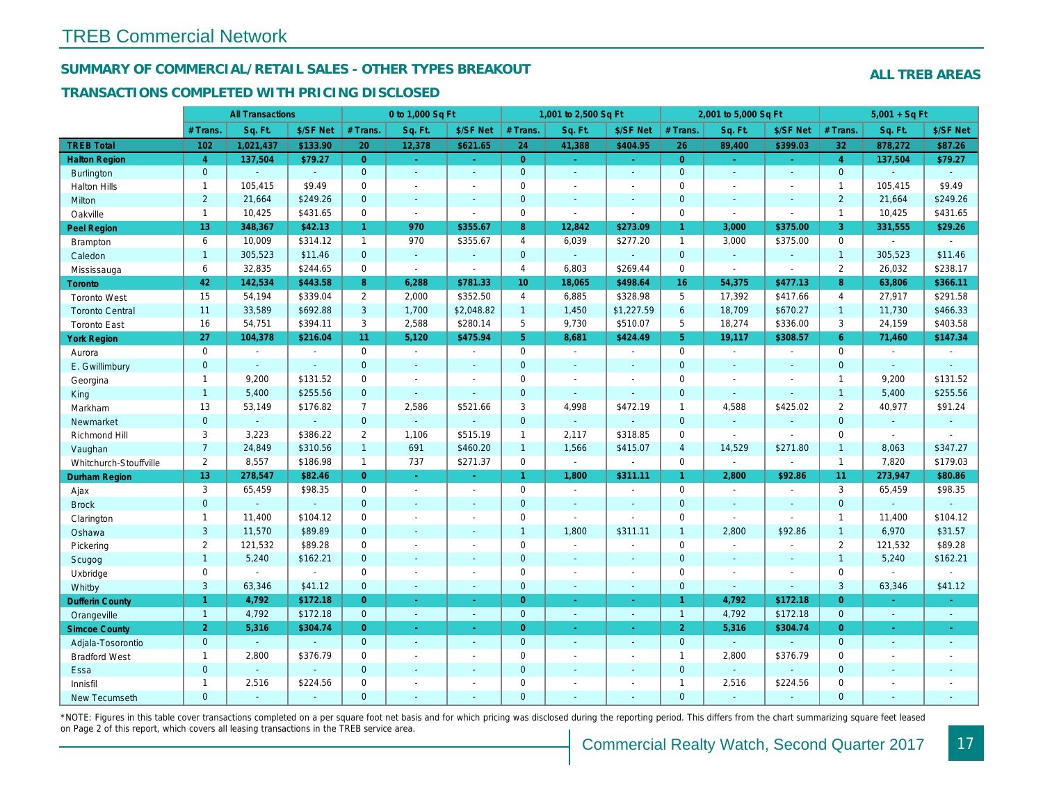#### SUMMARY OF COMMERCIAL/RETAIL SALES - OTHER TYPES BREAKOUT

#### TRANSACTIONS COMPLETED WITH PRICING DISCLOSED

|                        |                 | <b>All Transactions</b> |                |                | 0 to 1,000 Sq Ft      |                |                     | 1,001 to 2,500 Sq Ft |                          |                 | 2,001 to 5,000 Sq Ft |                          |
|------------------------|-----------------|-------------------------|----------------|----------------|-----------------------|----------------|---------------------|----------------------|--------------------------|-----------------|----------------------|--------------------------|
|                        | # Trans         | Sq. Ft.                 | \$/SF Net      | # Trans.       | Sq. Ft.               | \$/SF Net      | # Trans.            | Sq. Ft.              | \$/SF Net                | # Trans.        | Sq. Ft.              | \$/SF Ne                 |
| <b>TREB Total</b>      | 102             | 1,021,437               | \$133.90       | 20             | 12,378                | \$621.65       | 24                  | 41,388               | \$404.95                 | 26              | 89,400               | \$399.03                 |
| <b>Halton Region</b>   | $\overline{4}$  | 137,504                 | \$79.27        | $\overline{0}$ | $\omega$              | $\omega$       | $\overline{0}$      | $\blacksquare$       | ÷.                       | $\overline{0}$  | ÷.                   | $\omega$                 |
| <b>Burlington</b>      | $\mathbf{0}$    |                         | $\omega$       | $\mathbf{0}$   | ä,                    | ä,             | $\mathbf{0}$        | ÷.                   | $\Delta$                 | $\overline{0}$  | $\Delta$             | $\omega$                 |
| <b>Halton Hills</b>    | $\mathbf{1}$    | 105,415                 | \$9.49         | $\mathbf 0$    | $\sim$                | $\blacksquare$ | $\mathsf{O}\xspace$ | $\blacksquare$       | $\blacksquare$           | $\mathbf 0$     | $\blacksquare$       | $\blacksquare$           |
| Milton                 | $\overline{2}$  | 21,664                  | \$249.26       | $\overline{0}$ | $\sim$                | $\blacksquare$ | $\mathbf{0}$        | $\omega$             | $\omega$                 | $\mathbf{0}$    | $\blacksquare$       | $\sim$                   |
| Oakville               | $\mathbf{1}$    | 10,425                  | \$431.65       | $\mathbf 0$    | $\Delta$              | $\blacksquare$ | $\mathbf 0$         | $\mathbf{r}$         | $\blacksquare$           | $\mathbf 0$     | $\blacksquare$       | $\blacksquare$           |
| <b>Peel Region</b>     | 13              | 348,367                 | \$42.13        | $\mathbf{1}$   | 970                   | \$355.67       | 8                   | 12,842               | \$273.09                 | $\mathbf{1}$    | 3,000                | \$375.00                 |
| Brampton               | 6               | 10,009                  | \$314.12       | $\mathbf{1}$   | 970                   | \$355.67       | $\overline{4}$      | 6,039                | \$277.20                 | $\overline{1}$  | 3,000                | \$375.00                 |
| Caledon                | $\mathbf{1}$    | 305,523                 | \$11.46        | $\overline{0}$ | $\omega$              | $\omega$       | $\mathbf{0}$        | $\omega$             | $\blacksquare$           | $\overline{0}$  | $\omega$             | $\blacksquare$           |
| Mississauga            | 6               | 32,835                  | \$244.65       | $\mathbf 0$    | $\blacksquare$        | $\blacksquare$ | $\overline{4}$      | 6,803                | \$269.44                 | $\mathbf 0$     | $\blacksquare$       | $\blacksquare$           |
| <b>Toronto</b>         | 42              | 142,534                 | \$443.58       | 8              | 6,288                 | \$781.33       | 10 <sup>°</sup>     | 18,065               | \$498.64                 | 16 <sup>°</sup> | 54,375               | \$477.13                 |
| <b>Toronto West</b>    | 15              | 54,194                  | \$339.04       | $\overline{2}$ | 2,000                 | \$352.50       | $\overline{4}$      | 6,885                | \$328.98                 | 5               | 17,392               | \$417.66                 |
| <b>Toronto Central</b> | 11              | 33,589                  | \$692.88       | 3              | 1,700                 | \$2,048.82     | $\mathbf{1}$        | 1,450                | \$1,227.59               | 6               | 18,709               | \$670.27                 |
| <b>Toronto East</b>    | 16              | 54,751                  | \$394.11       | 3              | 2,588                 | \$280.14       | 5                   | 9,730                | \$510.07                 | 5               | 18,274               | \$336.00                 |
| <b>York Region</b>     | 27              | 104,378                 | \$216.04       | 11             | 5,120                 | \$475.94       | 5 <sup>1</sup>      | 8,681                | \$424.49                 | 5 <sup>5</sup>  | 19,117               | \$308.57                 |
| Aurora                 | $\mathbf 0$     | $\sim$                  | $\sim$         | $\mathbf 0$    | $\sim$                | $\sim$         | $\mathbf 0$         | $\sim$               | $\blacksquare$           | $\mathbf 0$     | $\blacksquare$       | $\sim$                   |
| E. Gwillimbury         | $\mathbf{0}$    | $\sim$                  | $\sim$         | $\overline{0}$ | $\sim$                | $\omega$       | $\mathbf{0}$        | $\omega$             | ä,                       | $\mathbf{0}$    | $\omega$             | $\blacksquare$           |
| Georgina               | $\mathbf{1}$    | 9,200                   | \$131.52       | $\Omega$       | $\sim$                | $\blacksquare$ | $\mathbf 0$         | $\blacksquare$       | $\blacksquare$           | $\Omega$        | $\blacksquare$       | $\blacksquare$           |
| King                   | $\mathbf{1}$    | 5,400                   | \$255.56       | $\mathbf{0}$   | $\blacksquare$        | ÷,             | $\mathbf{0}$        | $\blacksquare$       | $\omega$                 | $\mathbf{0}$    | $\blacksquare$       | $\blacksquare$           |
| Markham                | 13              | 53,149                  | \$176.82       | $\overline{7}$ | 2,586                 | \$521.66       | 3                   | 4,998                | \$472.19                 | $\overline{1}$  | 4,588                | \$425.02                 |
| Newmarket              | $\mathbf{0}$    | $\sim$                  | $\sim$         | $\mathbf{0}$   | $\omega$              | ä,             | $\mathbf 0$         | $\Delta$             | ä,                       | $\mathbf{0}$    | $\omega$             | $\sim$                   |
| Richmond Hill          | 3               | 3,223                   | \$386.22       | $\overline{2}$ | 1,106                 | \$515.19       | $\mathbf{1}$        | 2,117                | \$318.85                 | $\mathbf 0$     | $\blacksquare$       | $\overline{\phantom{a}}$ |
| Vaughan                | $\overline{7}$  | 24,849                  | \$310.56       | $\mathbf{1}$   | 691                   | \$460.20       | $\mathbf{1}$        | 1,566                | \$415.07                 | $\overline{4}$  | 14,529               | \$271.80                 |
| Whitchurch-Stouffville | $\overline{2}$  | 8,557                   | \$186.98       | $\mathbf{1}$   | 737                   | \$271.37       | $\mathsf{O}\xspace$ | $\blacksquare$       | $\overline{\phantom{a}}$ | $\mathbf 0$     | $\blacksquare$       | $\blacksquare$           |
| <b>Durham Region</b>   | 13 <sup>°</sup> | 278,547                 | \$82.46        | $\overline{0}$ | $\sim$                | $\omega$       | $\mathbf{1}$        | 1,800                | \$311.11                 | $\mathbf{1}$    | 2,800                | \$92.86                  |
| Ajax                   | 3               | 65,459                  | \$98.35        | $\mathbf 0$    | $\sim$                | $\blacksquare$ | $\mathbf 0$         | $\blacksquare$       | $\blacksquare$           | $\mathbf 0$     | $\blacksquare$       | $\sim$                   |
| <b>Brock</b>           | $\mathbf 0$     | $\omega$                | $\omega$       | $\mathbf{0}$   | ä,                    | $\omega$       | $\mathbf{0}$        | $\omega$             | $\Delta$                 | $\mathbf{0}$    | $\omega$             | $\omega$                 |
| Clarington             | $\mathbf{1}$    | 11,400                  | \$104.12       | $\mathbf 0$    | $\sim$                | $\blacksquare$ | $\mathbf 0$         | $\blacksquare$       | $\overline{\phantom{a}}$ | $\mathbf 0$     | $\blacksquare$       | $\blacksquare$           |
| Oshawa                 | 3               | 11,570                  | \$89.89        | $\Omega$       | ä,                    | $\blacksquare$ | $\overline{1}$      | 1,800                | \$311.11                 | $\mathbf{1}$    | 2,800                | \$92.86                  |
| Pickering              | $\overline{2}$  | 121,532                 | \$89.28        | $\mathbf 0$    | $\tilde{\phantom{a}}$ | $\blacksquare$ | $\mathbf 0$         | ÷,                   | $\blacksquare$           | $\mathbf 0$     | $\sim$               | $\blacksquare$           |
| Scugog                 | $\mathbf{1}$    | 5,240                   | \$162.21       | $\mathbf{0}$   | $\omega$              | $\blacksquare$ | $\mathbf{0}$        | $\blacksquare$       | $\blacksquare$           | $\mathbf{0}$    | $\blacksquare$       | $\blacksquare$           |
| Uxbridge               | $\mathbf 0$     |                         | $\blacksquare$ | $\mathbf 0$    | $\blacksquare$        | $\blacksquare$ | $\mathbf 0$         | $\blacksquare$       | $\blacksquare$           | $\mathbf 0$     | $\blacksquare$       | $\blacksquare$           |
| Whitby                 | 3               | 63,346                  | \$41.12        | $\mathbf{0}$   | $\blacksquare$        | $\blacksquare$ | $\mathbf{0}$        | $\blacksquare$       | $\blacksquare$           | $\mathbf{0}$    | $\blacksquare$       | $\blacksquare$           |
| <b>Dufferin County</b> | $\mathbf{1}$    | 4,792                   | \$172.18       | $\overline{0}$ | ÷.                    | $\sim$         | $\overline{0}$      | $\sim$               | $\sim$                   | $\mathbf{1}$    | 4,792                | \$172.1                  |
| Orangeville            | $\mathbf{1}$    | 4,792                   | \$172.18       | $\overline{0}$ | $\omega$              | $\omega$       | $\mathbf{0}$        | $\omega$             | $\blacksquare$           | $\overline{1}$  | 4,792                | \$172.18                 |
| <b>Simcoe County</b>   | 2 <sup>1</sup>  | 5,316                   | \$304.74       | $\overline{0}$ | $\omega$              | Ξ              | $\overline{0}$      | $\omega$             | ÷.                       | $\overline{2}$  | 5,316                | \$304.74                 |
| Adjala-Tosorontio      | $\mathbf{0}$    |                         |                | $\mathbf{0}$   | $\Delta$              | $\Delta$       | $\mathbf{0}$        | $\Delta$             | $\Delta$                 | $\mathbf{0}$    | $\Delta$             |                          |
| <b>Bradford West</b>   | $\mathbf{1}$    | 2,800                   | \$376.79       | $\mathbf 0$    | $\blacksquare$        | $\blacksquare$ | $\mathbf 0$         | $\blacksquare$       | $\blacksquare$           | $\overline{1}$  | 2,800                | \$376.79                 |
| Essa                   | $\mathbf{0}$    |                         | $\sim$         | $\overline{0}$ | $\sim$                | $\omega$       | $\mathbf 0$         | ٠                    | $\omega$                 | $\mathbf{0}$    | $\omega$             |                          |
| Innisfil               | $\mathbf{1}$    | 2,516                   | \$224.56       | $\mathbf 0$    | $\blacksquare$        | $\blacksquare$ | $\mathbf 0$         | ä,                   | $\blacksquare$           | $\mathbf{1}$    | 2,516                | \$224.56                 |
| <b>New Tecumseth</b>   | $\Omega$        |                         |                | $\Omega$       |                       |                | $\mathbf{0}$        |                      |                          | $\Omega$        |                      |                          |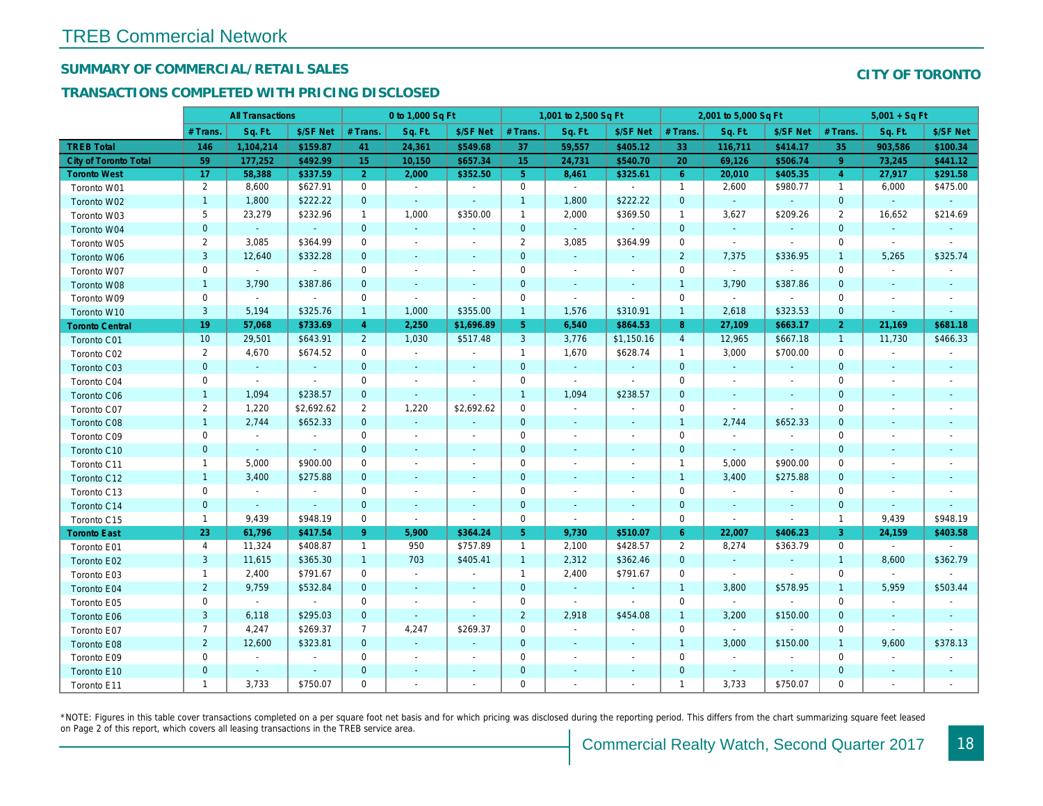## SUMMARY OF COMMERCIAL/RETAIL SALES

#### TRANSACTIONS COMPLETED WITH PRICING DISCLOSED

|                              |                | <b>All Transactions</b> |                |                | 0 to 1,000 Sq Ft         |                          |                 | 1,001 to 2,500 Sq Ft     |                          |                | 2,001 to 5,000 Sq Ft |                          |
|------------------------------|----------------|-------------------------|----------------|----------------|--------------------------|--------------------------|-----------------|--------------------------|--------------------------|----------------|----------------------|--------------------------|
|                              | # Trans.       | Sq. Ft.                 | \$/SF Net      | # Trans.       | Sq. Ft.                  | \$/SF Net                | # Trans.        | Sq. Ft.                  | \$/SF Net                | # Trans.       | Sq. Ft.              | \$/SF Ne                 |
| <b>TREB Total</b>            | 146            | 1,104,214               | \$159.87       | 41             | 24,361                   | \$549.68                 | 37              | 59,557                   | \$405.12                 | 33             | 116,711              | \$414.1                  |
| <b>City of Toronto Total</b> | 59             | 177,252                 | \$492.99       | 15             | 10,150                   | \$657.34                 | 15 <sub>1</sub> | 24,731                   | \$540.70                 | 20             | 69,126               | \$506.7                  |
| <b>Toronto West</b>          | 17             | 58,388                  | \$337.59       | 2 <sup>1</sup> | 2,000                    | \$352.50                 | 5 <sup>5</sup>  | 8,461                    | \$325.61                 | 6              | 20,010               | \$405.3                  |
| Toronto W01                  | $\overline{2}$ | 8,600                   | \$627.91       | $\mathbf 0$    | $\sim$                   | $\blacksquare$           | $\mathbf 0$     | $\sim$                   | $\sim$                   | $\mathbf{1}$   | 2,600                | \$980.77                 |
| Toronto W02                  | $\mathbf{1}$   | 1,800                   | \$222.22       | $\mathbf{0}$   | $\sim$                   | $\omega$                 | $\mathbf{1}$    | 1,800                    | \$222.22                 | $\mathbf 0$    | $\omega$             | $\sim$                   |
| Toronto W03                  | 5              | 23,279                  | \$232.96       | $\mathbf{1}$   | 1,000                    | \$350.00                 | $\mathbf{1}$    | 2,000                    | \$369.50                 | $\overline{1}$ | 3,627                | \$209.26                 |
| Toronto W04                  | $\mathbf 0$    | $\omega$                | $\sim$         | $\mathbf{0}$   | $\omega$                 | $\blacksquare$           | $\mathbf 0$     | $\omega$                 | $\omega$                 | $\mathbf 0$    | $\blacksquare$       | $\bullet$                |
| Toronto W05                  | $\overline{2}$ | 3,085                   | \$364.99       | $\mathbf 0$    | $\sim$                   | $\sim$                   | $\overline{2}$  | 3,085                    | \$364.99                 | $\mathbf 0$    | $\blacksquare$       | $\sim$                   |
| Toronto W06                  | 3              | 12,640                  | \$332.28       | $\mathbf{0}$   | $\blacksquare$           | $\blacksquare$           | $\mathbf 0$     | $\blacksquare$           | ٠                        | $\overline{2}$ | 7,375                | \$336.95                 |
| Toronto W07                  | 0              | $\blacksquare$          | $\sim$         | $\mathbf 0$    | $\sim$                   | $\blacksquare$           | $\mathbf 0$     | $\blacksquare$           | $\blacksquare$           | $\mathbf 0$    | $\blacksquare$       | $\blacksquare$           |
| Toronto W08                  | $\mathbf{1}$   | 3,790                   | \$387.86       | $\mathbf 0$    | $\blacksquare$           | $\blacksquare$           | $\mathbf 0$     | $\blacksquare$           | $\blacksquare$           | $\mathbf{1}$   | 3,790                | \$387.86                 |
| Toronto W09                  | $\mathbf 0$    | $\sim$                  | $\sim$         | 0              | $\blacksquare$           | $\overline{\phantom{a}}$ | $\mathbf 0$     | $\overline{\phantom{a}}$ | $\overline{\phantom{a}}$ | $\mathbf 0$    | $\sim$               | $\sim$                   |
| Toronto W10                  | $\mathbf{3}$   | 5,194                   | \$325.76       | $\mathbf{1}$   | 1,000                    | \$355.00                 | $\mathbf{1}$    | 1,576                    | \$310.91                 | $\mathbf{1}$   | 2,618                | \$323.53                 |
| <b>Toronto Central</b>       | 19             | 57,068                  | \$733.69       | $\overline{4}$ | 2,250                    | \$1,696.89               | 5 <sup>5</sup>  | 6,540                    | \$864.53                 | 8              | 27,109               | \$663.1                  |
| Toronto C01                  | 10             | 29,501                  | \$643.91       | $2^{\circ}$    | 1,030                    | \$517.48                 | 3               | 3,776                    | \$1,150.16               | $\overline{4}$ | 12,965               | \$667.18                 |
| Toronto C02                  | $\overline{2}$ | 4,670                   | \$674.52       | 0              | $\blacksquare$           | $\blacksquare$           | $\mathbf{1}$    | 1,670                    | \$628.74                 | $\overline{1}$ | 3,000                | \$700.00                 |
| Toronto C03                  | $\mathbf{0}$   | $\blacksquare$          | $\sim$         | $\mathbf{0}$   | $\blacksquare$           | $\blacksquare$           | $\mathbf{0}$    | $\blacksquare$           | $\sim$                   | $\mathbf{0}$   | $\sim$               | $\blacksquare$           |
| Toronto C04                  | 0              | $\sim$                  | $\sim$         | $\mathbf 0$    | $\blacksquare$           | $\overline{\phantom{a}}$ | $\mathbf 0$     | $\blacksquare$           | $\blacksquare$           | $\mathbf 0$    | $\blacksquare$       | $\blacksquare$           |
| Toronto C06                  | $\mathbf{1}$   | 1,094                   | \$238.57       | $\mathbf{0}$   | $\omega$                 | $\omega$                 | $\mathbf{1}$    | 1,094                    | \$238.57                 | $\mathbf{0}$   | $\blacksquare$       | $\sim$                   |
| Toronto C07                  | $\overline{2}$ | 1,220                   | \$2,692.62     | 2              | 1,220                    | \$2,692.62               | $\mathbf 0$     | $\blacksquare$           | $\blacksquare$           | $\mathbf 0$    | $\sim$               | $\blacksquare$           |
| Toronto C08                  | $\mathbf{1}$   | 2,744                   | \$652.33       | $\mathbf{0}$   | $\mathcal{L}$            | $\blacksquare$           | $\mathbf 0$     | $\blacksquare$           | $\blacksquare$           | $\mathbf{1}$   | 2,744                | \$652.33                 |
| Toronto C09                  | 0              | $\blacksquare$          | $\blacksquare$ | $\mathbf 0$    | $\sim$                   | $\blacksquare$           | $\mathbf 0$     | $\sim$                   | $\blacksquare$           | $\mathbf 0$    | $\blacksquare$       | $\blacksquare$           |
| Toronto C10                  | $\mathbf{0}$   | $\omega$                | $\omega$       | $\overline{0}$ | $\omega$                 | $\blacksquare$           | $\mathbf{0}$    | $\omega$                 | $\sim$                   | $\mathbf{0}$   | $\omega$             | $\omega$                 |
| Toronto C11                  | $\mathbf{1}$   | 5,000                   | \$900.00       | 0              | $\sim$                   | $\blacksquare$           | $\mathbf 0$     | $\blacksquare$           | $\blacksquare$           | $\overline{1}$ | 5,000                | \$900.00                 |
| Toronto C12                  | $\mathbf{1}$   | 3,400                   | \$275.88       | $\mathbf{0}$   | $\sim$                   | $\blacksquare$           | $\mathbf 0$     | $\sim$                   | $\sim$                   | $\mathbf{1}$   | 3,400                | \$275.88                 |
| Toronto C13                  | 0              | $\blacksquare$          | $\sim$         | 0              | $\blacksquare$           | $\blacksquare$           | 0               | $\overline{\phantom{a}}$ | $\overline{\phantom{a}}$ | 0              | $\blacksquare$       | $\overline{\phantom{a}}$ |
| Toronto C14                  | $\mathbf{0}$   | $\sim$                  | $\sim$         | $\overline{0}$ | $\sim$                   | $\sim$                   | $\mathbf 0$     | $\sim$                   | $\sim$                   | $\mathbf{0}$   | $\sim$               | $\sim$                   |
| Toronto C15                  | $\mathbf{1}$   | 9,439                   | \$948.19       | $\mathbf 0$    | $\blacksquare$           | $\blacksquare$           | $\mathbf 0$     | $\blacksquare$           | $\blacksquare$           | $\mathbf 0$    | $\blacksquare$       | $\blacksquare$           |
| <b>Toronto East</b>          | 23             | 61,796                  | \$417.54       | $9^{\circ}$    | 5,900                    | \$364.24                 | 5 <sub>1</sub>  | 9,730                    | \$510.07                 | $6^{\circ}$    | 22,007               | \$406.23                 |
| Toronto E01                  | 4              | 11,324                  | \$408.87       | $\mathbf{1}$   | 950                      | \$757.89                 | $\mathbf{1}$    | 2,100                    | \$428.57                 | $\overline{2}$ | 8,274                | \$363.79                 |
| Toronto E02                  | 3              | 11,615                  | \$365.30       | $\mathbf{1}$   | 703                      | \$405.41                 | $\mathbf{1}$    | 2,312                    | \$362.46                 | $\mathbf{0}$   | $\sim$               | $\sim$                   |
| Toronto E03                  | $\mathbf{1}$   | 2,400                   | \$791.67       | $\mathbf 0$    | $\sim$                   | $\blacksquare$           | $\mathbf{1}$    | 2,400                    | \$791.67                 | $\mathbf 0$    | $\blacksquare$       | $\blacksquare$           |
| Toronto E04                  | $\overline{2}$ | 9,759                   | \$532.84       | $\mathbf{0}$   | $\sim$                   | $\blacksquare$           | $\mathbf 0$     | $\sim$                   | $\sim$                   | $\overline{1}$ | 3,800                | \$578.95                 |
| Toronto E05                  | 0              | $\blacksquare$          | $\blacksquare$ | $\mathbf 0$    | $\overline{\phantom{a}}$ | $\blacksquare$           | $\mathbf 0$     | $\blacksquare$           | $\blacksquare$           | $\mathbf 0$    | $\blacksquare$       |                          |
| Toronto E06                  | 3              | 6,118                   | \$295.03       | $\mathbf{0}$   | $\blacksquare$           | $\blacksquare$           | $\overline{2}$  | 2,918                    | \$454.08                 | $\overline{1}$ | 3,200                | \$150.00                 |
| Toronto E07                  | $\overline{7}$ | 4,247                   | \$269.37       | $\overline{7}$ | 4,247                    | \$269.37                 | 0               | $\sim$                   | $\sim$                   | $\Omega$       | $\blacksquare$       | $\sim$                   |
| Toronto E08                  | $\overline{2}$ | 12,600                  | \$323.81       | $\mathbf{0}$   | $\omega$                 | $\blacksquare$           | $\mathbf{0}$    | $\blacksquare$           | $\omega$                 | $\overline{1}$ | 3,000                | \$150.00                 |
| Toronto E09                  | 0              | $\sim$                  | $\blacksquare$ | $\mathbf 0$    | $\blacksquare$           | $\blacksquare$           | $\mathbf 0$     | $\blacksquare$           | $\blacksquare$           | $\mathbf 0$    | $\blacksquare$       | $\blacksquare$           |
| Toronto E10                  | $\mathbf{0}$   | $\sim$                  | $\sim$         | $\mathbf 0$    | $\blacksquare$           | $\blacksquare$           | $\mathbf 0$     |                          |                          | $\mathbf 0$    | $\sim$               | $\blacksquare$           |
| Toronto E11                  | $\mathbf{1}$   | 3,733                   | \$750.07       | $\mathbf 0$    | $\blacksquare$           | $\blacksquare$           | $\mathbf 0$     | $\blacksquare$           | $\blacksquare$           | $\mathbf{1}$   | 3,733                | \$750.07                 |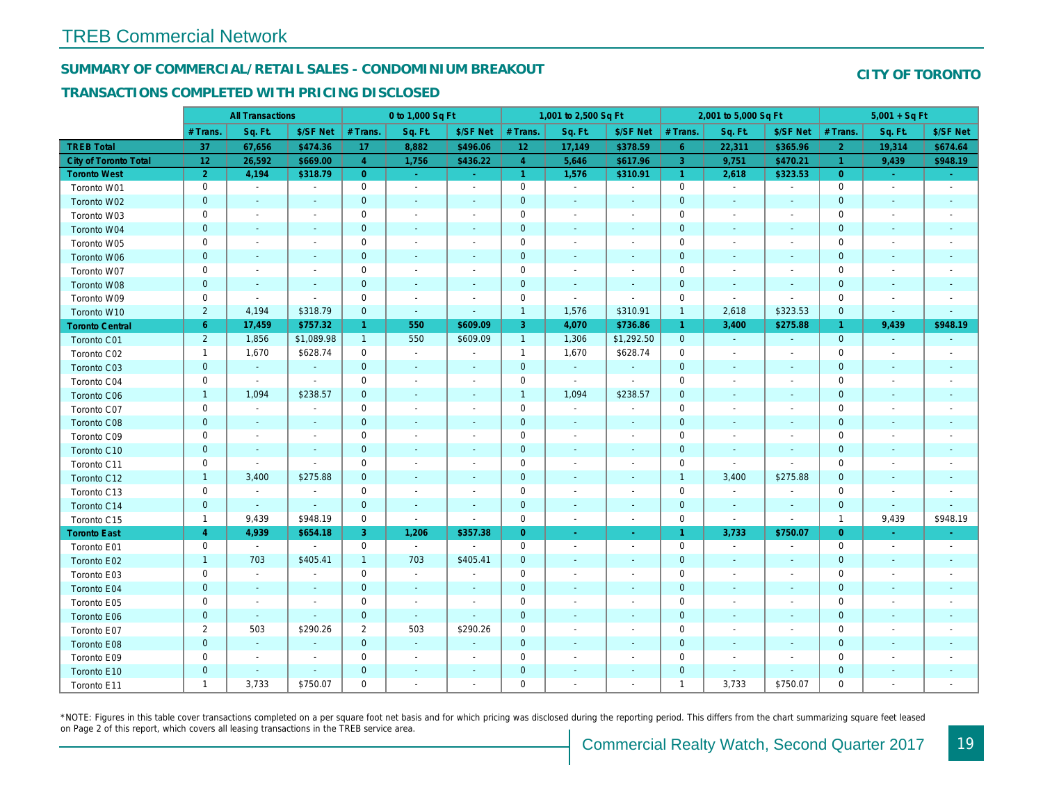#### SUMMARY OF COMMERCIAL/RETAIL SALES - CONDOMINIUM BREAKOUT

#### TRANSACTIONS COMPLETED WITH PRICING DISCLOSED

|                        |                | <b>All Transactions</b>  |                          |                         | 0 to 1,000 Sq Ft         |                          |                      | 1,001 to 2,500 Sq Ft     |                          |                      | 2,001 to 5,000 Sq Ft     |                          |
|------------------------|----------------|--------------------------|--------------------------|-------------------------|--------------------------|--------------------------|----------------------|--------------------------|--------------------------|----------------------|--------------------------|--------------------------|
|                        | # Trans.       | Sq. Ft.                  | \$/SF Net                | # Trans.                | Sq. Ft.                  | \$/SF Net                | # Trans.             | Sq. Ft.                  | \$/SF Net                | # Trans.             | Sq. Ft.                  | \$/SF Ne                 |
| <b>TREB Total</b>      | 37             | 67,656                   | \$474.36                 | 17                      | 8,882                    | \$496.06                 | 12 <sub>2</sub>      | 17,149                   | \$378.59                 | $6^{\circ}$          | 22,311                   | \$365.96                 |
| City of Toronto Total  | 12             | 26,592                   | \$669.00                 | $\overline{4}$          | 1,756                    | \$436.22                 | $\overline{4}$       | 5,646                    | \$617.96                 | $\overline{3}$       | 9,751                    | \$470.2                  |
| <b>Toronto West</b>    | $\overline{2}$ | 4,194                    | \$318.79                 | $\overline{0}$          | $\omega$                 | $\sim$                   | $\blacktriangleleft$ | 1,576                    | \$310.91                 | $\blacktriangleleft$ | 2,618                    | \$323.53                 |
| Toronto W01            | 0              | $\blacksquare$           | $\blacksquare$           | 0                       | $\blacksquare$           | $\blacksquare$           | $\mathbf 0$          | $\blacksquare$           | $\blacksquare$           | $\mathbf 0$          | $\blacksquare$           | $\blacksquare$           |
| Toronto W02            | $\mathbf{0}$   | $\sim$                   | $\sim$                   | $\mathbf{0}$            | $\sim$                   | $\blacksquare$           | $\mathbf 0$          | $\blacksquare$           | $\blacksquare$           | $\mathbf 0$          | $\blacksquare$           | $\sim$                   |
| Toronto W03            | 0              | $\overline{\phantom{a}}$ | $\sim$                   | $\mathbf 0$             | $\sim$                   | $\blacksquare$           | $\mathbf 0$          | $\overline{a}$           | $\blacksquare$           | $\mathbf 0$          | $\overline{\phantom{a}}$ | $\blacksquare$           |
| Toronto W04            | $\mathbf 0$    | $\sim$                   | $\sim$                   | $\mathbf 0$             | $\blacksquare$           | $\blacksquare$           | $\mathbf 0$          | $\blacksquare$           | $\blacksquare$           | $\mathbf 0$          | $\blacksquare$           | $\blacksquare$           |
| Toronto W05            | 0              | $\overline{\phantom{a}}$ | $\overline{a}$           | $\mathbf 0$             | $\sim$                   | $\blacksquare$           | $\mathbf 0$          | $\blacksquare$           | $\blacksquare$           | $\mathbf 0$          | $\blacksquare$           | $\blacksquare$           |
| Toronto W06            | $\mathbf{0}$   | $\blacksquare$           | $\sim$                   | $\mathbf{0}$            | $\blacksquare$           | ٠                        | $\mathbf 0$          | $\blacksquare$           | $\blacksquare$           | $\mathbf 0$          | $\blacksquare$           |                          |
| Toronto W07            | 0              | $\overline{\phantom{a}}$ |                          | $\mathsf 0$             | $\sim$                   |                          | $\mathbf 0$          | $\overline{a}$           | $\blacksquare$           | $\mathbf 0$          | $\blacksquare$           |                          |
| Toronto W08            | $\pmb{0}$      | $\blacksquare$           | $\blacksquare$           | $\mathbf 0$             | $\blacksquare$           | $\blacksquare$           | $\mathbf 0$          | $\blacksquare$           | $\blacksquare$           | $\mathbf 0$          | $\blacksquare$           |                          |
| Toronto W09            | 0              | $\overline{\phantom{a}}$ | $\blacksquare$           | $\mathbf 0$             | $\blacksquare$           | $\overline{\phantom{a}}$ | $\mathbf 0$          | $\blacksquare$           | $\overline{\phantom{a}}$ | $\mathbf 0$          | $\blacksquare$           | $\sim$                   |
| Toronto W10            | $\overline{2}$ | 4,194                    | \$318.79                 | $\mathbf 0$             | $\omega$                 | $\blacksquare$           | $\mathbf{1}$         | 1,576                    | \$310.91                 | $\mathbf{1}$         | 2,618                    | \$323.53                 |
| <b>Toronto Central</b> | 6              | 17,459                   | \$757.32                 | $\mathbf{1}$            | 550                      | \$609.09                 | 3                    | 4,070                    | \$736.86                 | $\mathbf{1}$         | 3,400                    | \$275.88                 |
| Toronto C01            | $\overline{2}$ | 1,856                    | \$1,089.98               | $\mathbf{1}$            | 550                      | \$609.09                 | $\overline{1}$       | 1,306                    | \$1,292.50               | $\mathbf{0}$         | $\sim$                   | $\sim$                   |
| Toronto C02            | $\mathbf{1}$   | 1,670                    | \$628.74                 | 0                       | $\blacksquare$           | $\blacksquare$           | $\mathbf{1}$         | 1,670                    | \$628.74                 | $\mathbf 0$          | $\blacksquare$           | $\blacksquare$           |
| Toronto C03            | $\mathbf 0$    | $\blacksquare$           | $\sim$                   | $\mathbf 0$             | $\sim$                   | $\sim$                   | $\mathbf 0$          | $\bullet$                | $\omega$                 | $\mathbf 0$          | $\blacksquare$           | $\blacksquare$           |
| Toronto C04            | 0              | $\blacksquare$           | $\blacksquare$           | 0                       | $\blacksquare$           | $\overline{\phantom{a}}$ | $\mathbf 0$          | $\blacksquare$           | $\tilde{\phantom{a}}$    | 0                    | $\blacksquare$           | $\overline{\phantom{a}}$ |
| Toronto C06            | $\mathbf{1}$   | 1,094                    | \$238.57                 | $\mathbf{0}$            | $\sim$                   | $\sim$                   | $\mathbf{1}$         | 1,094                    | \$238.57                 | $\mathbf{0}$         | $\blacksquare$           | $\sim$                   |
| Toronto C07            | 0              | $\blacksquare$           | $\blacksquare$           | $\mathbf 0$             | $\blacksquare$           | $\overline{\phantom{a}}$ | $\mathbf 0$          | $\blacksquare$           | $\blacksquare$           | $\mathbf 0$          | $\blacksquare$           | $\blacksquare$           |
| Toronto C08            | $\mathbf 0$    | $\blacksquare$           | $\sim$                   | $\mathbf 0$             | $\sim$                   | $\blacksquare$           | $\mathbf 0$          | $\blacksquare$           | $\blacksquare$           | $\mathbf 0$          | $\sim$                   | $\blacksquare$           |
| Toronto C09            | 0              | $\blacksquare$           | $\overline{\phantom{a}}$ | $\mathbf 0$             | $\overline{\phantom{a}}$ | $\blacksquare$           | $\mathbf 0$          | $\blacksquare$           | $\blacksquare$           | 0                    | $\overline{\phantom{a}}$ | $\blacksquare$           |
| Toronto C10            | $\mathbf{0}$   | $\sim$                   | $\sim$                   | $\mathbf 0$             | $\sim$                   | $\blacksquare$           | $\mathbf 0$          | $\blacksquare$           | $\sim$                   | $\mathbf 0$          | $\sim$                   | $\blacksquare$           |
| Toronto C11            | 0              | $\blacksquare$           | $\sim$                   | $\mathbf 0$             | $\blacksquare$           | $\overline{\phantom{a}}$ | $\mathbf 0$          | $\blacksquare$           | $\blacksquare$           | $\mathbf 0$          | $\omega$                 | $\blacksquare$           |
| Toronto C12            | $\mathbf{1}$   | 3,400                    | \$275.88                 | $\mathbf 0$             | $\sim$                   | $\blacksquare$           | $\mathbf 0$          | $\blacksquare$           | $\blacksquare$           | $\overline{1}$       | 3,400                    | \$275.88                 |
| Toronto C13            | 0              | $\blacksquare$           | $\blacksquare$           | $\mathbf 0$             | $\blacksquare$           | $\overline{\phantom{a}}$ | $\mathbf 0$          | $\overline{\phantom{a}}$ | $\overline{a}$           | $\mathbf 0$          | $\blacksquare$           | $\overline{\phantom{a}}$ |
| Toronto C14            | $\mathbf{0}$   | $\sim$                   | $\sim$                   | $\mathbf 0$             | $\sim$                   | $\blacksquare$           | $\pmb{0}$            | $\blacksquare$           | $\sim$                   | $\mathbf{0}$         | $\blacksquare$           | $\sim$                   |
| Toronto C15            | $\mathbf{1}$   | 9,439                    | \$948.19                 | 0                       | $\sim$                   | $\blacksquare$           | $\mathsf{O}\xspace$  | $\blacksquare$           | $\sim$                   | $\mathbf 0$          | $\blacksquare$           | $\sim$                   |
| <b>Toronto East</b>    | $\overline{4}$ | 4,939                    | \$654.18                 | 3                       | 1,206                    | \$357.38                 | $\overline{0}$       | $\blacksquare$           | $\omega_{\rm c}$         | $\mathbf{1}$         | 3,733                    | \$750.07                 |
| Toronto E01            | 0              | $\sim$                   | $\sim$                   | 0                       | $\sim$                   | $\sim$                   | $\mathbf 0$          | $\blacksquare$           | $\sim$                   | 0                    | $\blacksquare$           | $\sim$                   |
| Toronto E02            | $\mathbf{1}$   | 703                      | \$405.41                 | $\mathbf{1}$            | 703                      | \$405.41                 | $\mathbf 0$          | $\blacksquare$           | $\blacksquare$           | $\mathbf 0$          | $\sim$                   | $\blacksquare$           |
| Toronto E03            | 0              | $\overline{\phantom{a}}$ | $\overline{\phantom{a}}$ | $\mathbf 0$             | $\sim$                   | $\blacksquare$           | $\mathbf 0$          | $\blacksquare$           | $\blacksquare$           | 0                    | $\sim$                   | $\overline{\phantom{a}}$ |
| Toronto E04            | $\mathbf 0$    | $\blacksquare$           | $\sim$                   | $\mathbf 0$             | $\sim$                   | $\overline{\phantom{a}}$ | $\mathbf 0$          | $\blacksquare$           | $\blacksquare$           | $\mathbf 0$          | $\blacksquare$           | $\blacksquare$           |
| Toronto E05            | 0              | $\overline{\phantom{a}}$ | $\overline{\phantom{a}}$ | $\mathbf 0$             | $\blacksquare$           | $\ddot{\phantom{1}}$     | $\mathbf 0$          | $\blacksquare$           | $\blacksquare$           | $\mathbf 0$          | $\ddot{\phantom{1}}$     | $\blacksquare$           |
| Toronto E06            | $\mathbf 0$    | $\sim$                   | $\sim$                   | $\mathbf 0$             | $\sim$                   | $\blacksquare$           | $\mathbf 0$          | $\blacksquare$           | ٠                        | $\mathbf 0$          | $\blacksquare$           | $\blacksquare$           |
| Toronto E07            | $\overline{2}$ | 503                      | \$290.26                 | $\overline{\mathbf{c}}$ | 503                      | \$290.26                 | 0                    | $\overline{a}$           | $\blacksquare$           | 0                    | $\overline{\phantom{a}}$ | $\overline{\phantom{a}}$ |
| Toronto E08            | $\mathbf 0$    | $\sim$                   | $\sim$                   | $\mathbf{0}$            | $\sim$                   | $\blacksquare$           | $\mathbf 0$          | $\blacksquare$           | $\blacksquare$           | $\mathbf 0$          | $\blacksquare$           |                          |
| Toronto E09            | 0              | $\blacksquare$           | $\overline{\phantom{a}}$ | $\mathbf 0$             | $\sim$                   |                          | $\mathsf{O}\xspace$  | $\blacksquare$           | $\blacksquare$           | $\mathbf 0$          |                          |                          |
| Toronto E10            | $\mathbf{0}$   |                          |                          | $\mathbf 0$             | ٠                        | $\frac{1}{2}$            | $\mathbf 0$          |                          | ÷,                       | $\mathbf 0$          |                          |                          |
| Toronto E11            | $\mathbf{1}$   | 3,733                    | \$750.07                 | $\mathbf 0$             | ÷                        |                          | $\mathbf 0$          |                          | $\blacksquare$           | $\overline{1}$       | 3,733                    | \$750.07                 |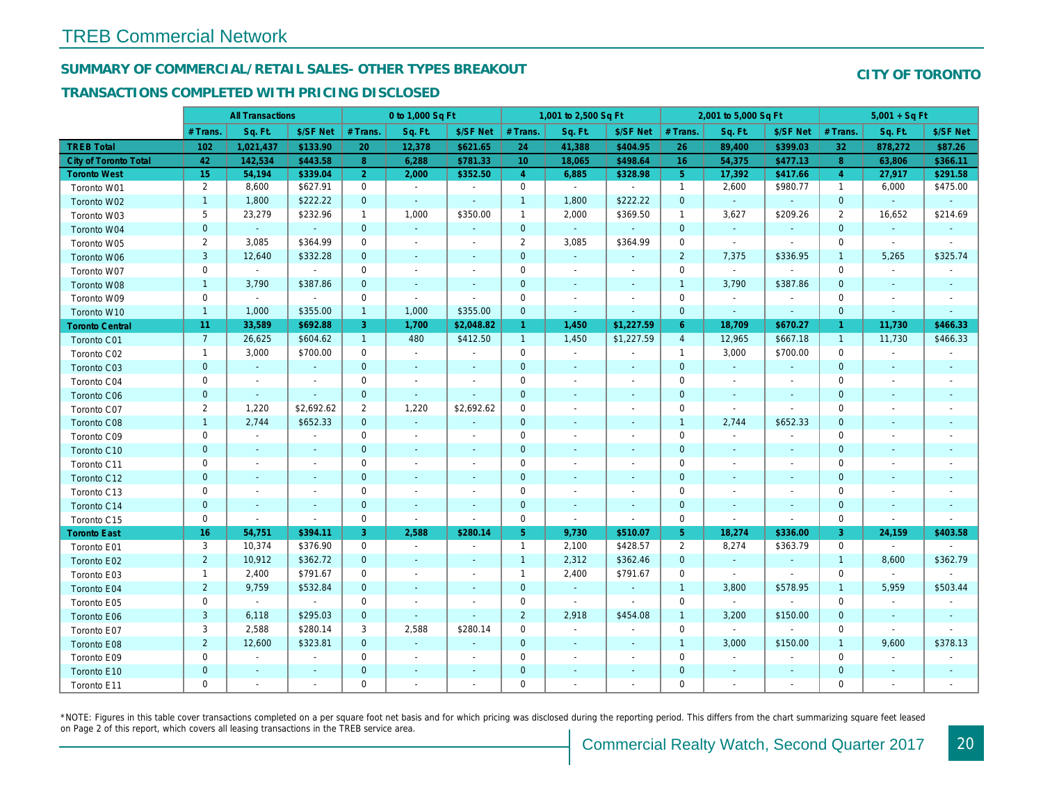### SUMMARY OF COMMERCIAL/RETAIL SALES- OTHER TYPES BREAKOUT

#### TRANSACTIONS COMPLETED WITH PRICING DISCLOSED

|                              |                | <b>All Transactions</b>  |                          |                | 0 to 1,000 Sq Ft |                          |                | 1,001 to 2,500 Sq Ft     |                |                | 2,001 to 5,000 Sq Ft     |                |
|------------------------------|----------------|--------------------------|--------------------------|----------------|------------------|--------------------------|----------------|--------------------------|----------------|----------------|--------------------------|----------------|
|                              | # Trans        | Sq. Ft.                  | \$/SF Net                | # Trans.       | Sq. Ft.          | \$/SF Net                | # Trans.       | Sq. Ft.                  | \$/SF Net      | # Trans.       | Sq. Ft.                  | \$/SF Ne       |
| <b>TREB Total</b>            | 102            | 1,021,437                | \$133.90                 | 20             | 12,378           | \$621.65                 | 24             | 41,388                   | \$404.95       | 26             | 89,400                   | \$399.03       |
| <b>City of Toronto Total</b> | 42             | 142,534                  | \$443.58                 | 8              | 6,288            | \$781.33                 | 10             | 18,065                   | \$498.64       | 16             | 54,375                   | \$477.1        |
| <b>Toronto West</b>          | 15             | 54,194                   | \$339.04                 | $\overline{2}$ | 2,000            | \$352.50                 | $\overline{4}$ | 6,885                    | \$328.98       | 5 <sup>5</sup> | 17,392                   | \$417.6        |
| Toronto W01                  | $\overline{2}$ | 8,600                    | \$627.91                 | $\mathbf 0$    | $\sim$           | $\blacksquare$           | $\mathsf{O}$   | $\sim$                   | $\blacksquare$ | $\mathbf{1}$   | 2,600                    | \$980.77       |
| Toronto W02                  | $\mathbf{1}$   | 1,800                    | \$222.22                 | $\mathbf 0$    | $\sim$           | $\blacksquare$           | $\mathbf{1}$   | 1,800                    | \$222.22       | $\mathbf 0$    | $\omega$                 | $\sim$         |
| Toronto W03                  | 5              | 23,279                   | \$232.96                 | $\mathbf{1}$   | 1,000            | \$350.00                 | $\mathbf{1}$   | 2,000                    | \$369.50       | $\overline{1}$ | 3,627                    | \$209.26       |
| Toronto W04                  | $\mathbf{0}$   | $\omega$                 | $\omega$                 | $\mathbf{0}$   | $\omega$         | $\blacksquare$           | $\mathbf 0$    | $\omega$                 | $\omega$       | $\mathbf{0}$   | $\omega$                 | $\blacksquare$ |
| Toronto W05                  | $\overline{2}$ | 3,085                    | \$364.99                 | 0              | $\blacksquare$   | $\blacksquare$           | $\overline{2}$ | 3,085                    | \$364.99       | $\mathbf 0$    | $\blacksquare$           | $\blacksquare$ |
| Toronto W06                  | 3              | 12,640                   | \$332.28                 | $\mathbf 0$    | $\blacksquare$   | ٠                        | $\mathbf 0$    | $\blacksquare$           | $\blacksquare$ | $\overline{2}$ | 7,375                    | \$336.95       |
| Toronto W07                  | 0              | $\sim$                   | $\blacksquare$           | 0              | $\blacksquare$   | $\blacksquare$           | $\mathbf 0$    | $\blacksquare$           | $\blacksquare$ | $\mathbf 0$    | $\sim$                   | $\sim$         |
| Toronto W08                  | $\mathbf{1}$   | 3,790                    | \$387.86                 | $\mathbf 0$    | $\sim$           | $\blacksquare$           | $\mathbf 0$    | $\blacksquare$           | $\sim$         | $\overline{1}$ | 3,790                    | \$387.86       |
| Toronto W09                  | 0              | $\blacksquare$           | $\bullet$                | $\mathbf 0$    | $\blacksquare$   | $\blacksquare$           | $\mathbf 0$    | $\blacksquare$           | $\blacksquare$ | $\mathbf 0$    | $\blacksquare$           | $\blacksquare$ |
| Toronto W10                  | $\mathbf{1}$   | 1,000                    | \$355.00                 | $\mathbf{1}$   | 1,000            | \$355.00                 | $\mathbf 0$    | $\blacksquare$           | ä,             | $\mathbf 0$    | $\omega$                 | $\sim$         |
| <b>Toronto Central</b>       | 11             | 33,589                   | \$692.88                 | 3              | 1,700            | \$2,048.82               | $\mathbf{1}$   | 1,450                    | \$1,227.59     | $6^{\circ}$    | 18,709                   | \$670.27       |
| <b>Toronto C01</b>           | $\overline{7}$ | 26,625                   | \$604.62                 | $\mathbf{1}$   | 480              | \$412.50                 | $\mathbf{1}$   | 1,450                    | \$1,227.59     | $\overline{4}$ | 12,965                   | \$667.18       |
| Toronto C02                  | $\mathbf{1}$   | 3,000                    | \$700.00                 | $\mathbf 0$    | $\blacksquare$   | $\overline{a}$           | $\mathsf{O}$   | $\sim$                   | $\blacksquare$ | $\overline{1}$ | 3,000                    | \$700.00       |
| Toronto C03                  | $\mathbf{0}$   | $\blacksquare$           | $\sim$                   | $\mathbf 0$    | $\sim$           | $\blacksquare$           | $\mathbf 0$    | $\blacksquare$           | $\blacksquare$ | $\mathbf 0$    | $\blacksquare$           |                |
| Toronto C04                  | 0              | $\overline{\phantom{a}}$ | $\overline{\phantom{a}}$ | 0              | $\blacksquare$   |                          | $\mathbf 0$    | $\blacksquare$           | $\overline{a}$ | 0              | $\blacksquare$           | $\blacksquare$ |
| Toronto C06                  | $\mathbf 0$    | $\blacksquare$           | $\sim$                   | $\mathbf 0$    | $\sim$           | $\blacksquare$           | $\mathbf 0$    | $\blacksquare$           | $\blacksquare$ | $\mathbf{0}$   | $\blacksquare$           | $\blacksquare$ |
| Toronto C07                  | $\overline{2}$ | 1,220                    | \$2,692.62               | $\mathbf{2}$   | 1,220            | \$2,692.62               | $\mathsf{O}$   | $\blacksquare$           | $\blacksquare$ | $\mathbf 0$    | $\sim$                   | $\blacksquare$ |
| Toronto C08                  | $\mathbf{1}$   | 2,744                    | \$652.33                 | $\mathbf{0}$   | $\blacksquare$   | $\blacksquare$           | $\mathbf{0}$   | $\blacksquare$           | $\blacksquare$ | $\mathbf{1}$   | 2,744                    | \$652.33       |
| Toronto C09                  | 0              | $\blacksquare$           |                          | $\mathbf 0$    | $\blacksquare$   |                          | $\mathbf 0$    | $\overline{a}$           | $\overline{a}$ | $\mathbf 0$    | $\overline{\phantom{a}}$ | $\blacksquare$ |
| Toronto C10                  | $\pmb{0}$      | $\blacksquare$           | $\blacksquare$           | $\mathbf 0$    | $\blacksquare$   | $\blacksquare$           | $\mathbf 0$    | $\blacksquare$           | $\blacksquare$ | $\mathbf 0$    | $\blacksquare$           | $\blacksquare$ |
| Toronto C11                  | 0              | $\sim$                   | $\sim$                   | 0              | $\blacksquare$   | $\blacksquare$           | $\mathbf 0$    | ä,                       | $\blacksquare$ | $\mathbf 0$    | $\blacksquare$           | $\blacksquare$ |
| Toronto C12                  | $\mathbf 0$    | $\sim$                   | $\sim$                   | $\mathbf{0}$   | $\blacksquare$   | $\blacksquare$           | $\mathbf 0$    | $\blacksquare$           | $\blacksquare$ | $\mathbf 0$    | $\blacksquare$           | $\blacksquare$ |
| Toronto C13                  | 0              | $\sim$                   | $\overline{\phantom{a}}$ | $\mathbf 0$    | $\sim$           | $\blacksquare$           | $\mathbf 0$    | $\overline{\phantom{a}}$ | $\blacksquare$ | $\mathbf 0$    | $\blacksquare$           | $\blacksquare$ |
| Toronto C14                  | $\mathbf 0$    | $\sim$                   | $\sim$                   | $\mathbf 0$    | $\blacksquare$   | $\blacksquare$           | $\mathbf 0$    | $\sim$                   | $\sim$         | $\mathbf{0}$   | $\blacksquare$           | $\sim$         |
| Toronto C15                  | 0              | $\sim$                   | $\sim$                   | $\mathbf 0$    | $\sim$           | $\sim$                   | $\mathbf 0$    | $\blacksquare$           | $\sim$         | $\mathbf 0$    | $\blacksquare$           | $\blacksquare$ |
| <b>Toronto East</b>          | 16             | 54,751                   | \$394.11                 | 3              | 2,588            | \$280.14                 | 5 <sup>5</sup> | 9,730                    | \$510.07       | 5 <sup>5</sup> | 18,274                   | \$336.00       |
| Toronto E01                  | 3              | 10,374                   | \$376.90                 | 0              | $\sim$           | $\sim$                   | $\mathbf{1}$   | 2,100                    | \$428.57       | $\overline{2}$ | 8,274                    | \$363.79       |
| Toronto E02                  | $\overline{2}$ | 10,912                   | \$362.72                 | $\mathbf 0$    | $\sim$           | $\sim$                   | $\mathbf{1}$   | 2,312                    | \$362.46       | $\mathbf{0}$   | $\omega$                 | $\sim$         |
| Toronto E03                  | $\mathbf{1}$   | 2,400                    | \$791.67                 | 0              | $\sim$           | $\overline{\phantom{a}}$ | $\mathbf{1}$   | 2,400                    | \$791.67       | $\mathbf 0$    | $\sim$                   | $\sim$         |
| Toronto E04                  | $\overline{2}$ | 9,759                    | \$532.84                 | $\mathbf{0}$   | $\mathbf{r}$     | $\blacksquare$           | $\mathbf 0$    | $\sim$                   | $\sim$         | $\overline{1}$ | 3,800                    | \$578.95       |
| Toronto E05                  | 0              | $\blacksquare$           | $\blacksquare$           | $\mathbf 0$    | $\blacksquare$   | $\overline{\phantom{a}}$ | $\mathbf 0$    | $\blacksquare$           | $\blacksquare$ | $\mathbf 0$    | $\blacksquare$           |                |
| Toronto E06                  | 3              | 6,118                    | \$295.03                 | $\mathbf 0$    | $\sim$           | $\sim$                   | $\overline{2}$ | 2,918                    | \$454.08       | $\overline{1}$ | 3,200                    | \$150.00       |
| Toronto E07                  | 3              | 2,588                    | \$280.14                 | 3              | 2,588            | \$280.14                 | $\mathbf 0$    | $\blacksquare$           | $\blacksquare$ | 0              | $\blacksquare$           | $\blacksquare$ |
| Toronto E08                  | $\overline{2}$ | 12,600                   | \$323.81                 | $\mathbf{0}$   | $\omega$         | $\blacksquare$           | $\mathbf 0$    | $\sim$                   | $\blacksquare$ | $\overline{1}$ | 3,000                    | \$150.00       |
| Toronto E09                  | 0              | $\blacksquare$           | $\blacksquare$           | $\mathbf 0$    | $\blacksquare$   | $\overline{\phantom{a}}$ | $\mathbf 0$    | $\overline{\phantom{a}}$ | $\blacksquare$ | $\mathbf 0$    | $\blacksquare$           | $\blacksquare$ |
| Toronto E10                  | $\mathbf 0$    |                          |                          | $\mathbf 0$    | $\blacksquare$   |                          | $\mathbf 0$    | $\overline{\phantom{a}}$ | ٠              | $\mathbf{0}$   | $\blacksquare$           |                |
| Toronto E11                  | 0              | $\blacksquare$           | $\overline{\phantom{a}}$ | $\mathbf 0$    | $\blacksquare$   | $\blacksquare$           | $\mathbf 0$    | $\blacksquare$           | $\blacksquare$ | $\mathbf 0$    | $\blacksquare$           | $\blacksquare$ |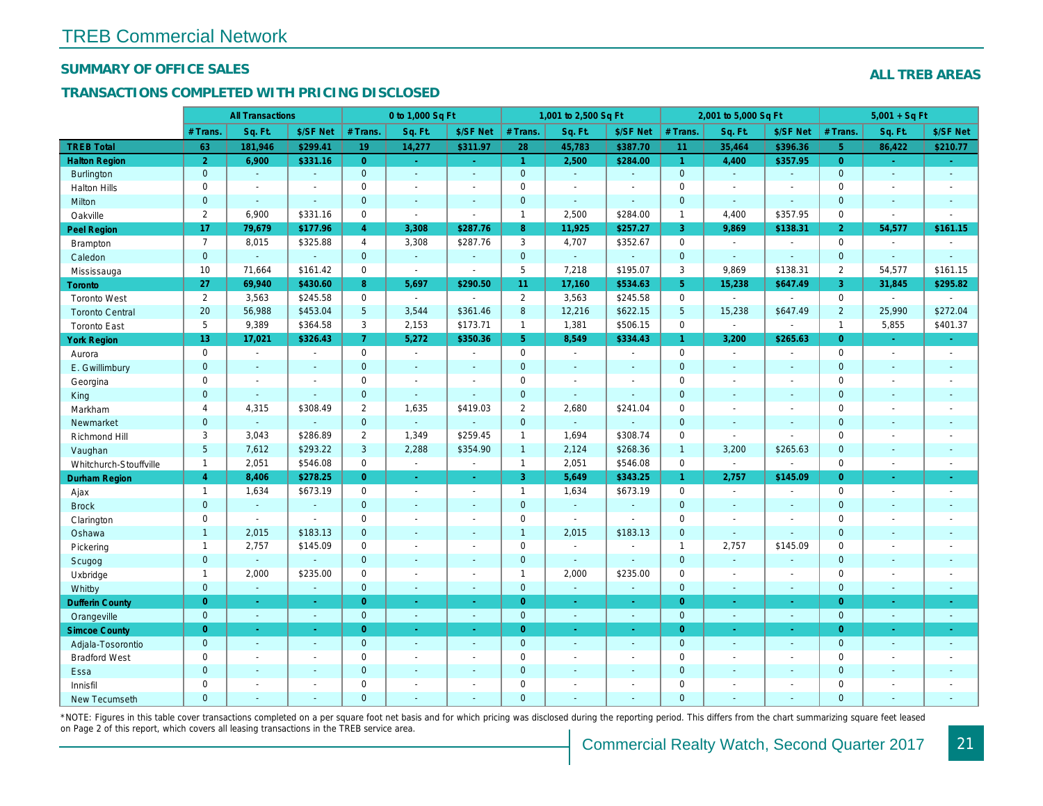#### SUMMARY OF OFFICE SALES

#### TRANSACTIONS COMPLETED WITH PRICING DISCLOSED

|                        |                       | <b>All Transactions</b> |                |                | 0 to 1,000 Sq Ft |                                          |                      | 1,001 to 2,500 Sq Ft     |                       |                 | 2,001 to 5,000 Sq Ft |                          |
|------------------------|-----------------------|-------------------------|----------------|----------------|------------------|------------------------------------------|----------------------|--------------------------|-----------------------|-----------------|----------------------|--------------------------|
|                        | # Trans.              | Sq. Ft.                 | \$/SF Net      | # Trans.       | Sq. Ft.          | \$/SF Net                                | # Trans.             | Sq. Ft.                  | \$/SF Net             | # Trans.        | Sq. Ft.              | \$/SF Ne                 |
| <b>TREB Total</b>      | 63                    | 181,946                 | \$299.41       | 19             | 14,277           | \$311.97                                 | 28                   | 45,783                   | \$387.70              | 11              | 35,464               | \$396.3                  |
| <b>Halton Region</b>   | $\overline{2}$        | 6,900                   | \$331.16       | $\overline{0}$ | $\sim$ .         | $\frac{1}{2} \left( \frac{1}{2} \right)$ | $\blacktriangleleft$ | 2,500                    | \$284.00              | $\mathbf{1}$    | 4,400                | \$357.95                 |
| <b>Burlington</b>      | $\mathbf{0}$          | $\sim$                  | $\omega$       | $\mathbf{0}$   | $\omega$         | $\blacksquare$                           | $\mathbf{0}$         | $\omega$                 | $\omega$              | $\overline{0}$  | $\omega$             | $\blacksquare$           |
| <b>Halton Hills</b>    | 0                     | $\sim$                  | $\sim$         | $\mathbf 0$    | $\blacksquare$   | $\blacksquare$                           | $\mathbf 0$          | $\blacksquare$           | $\blacksquare$        | $\mathbf 0$     | $\sim$               | $\blacksquare$           |
| Milton                 | $\mathbf{0}$          | $\sim$                  | $\blacksquare$ | $\mathbf 0$    | $\omega$         | $\blacksquare$                           | $\pmb{0}$            | $\omega_{\rm c}$         | $\blacksquare$        | $\mathbf{0}$    | $\omega$             | $\blacksquare$           |
| Oakville               | $\mathbf{2}^{\prime}$ | 6,900                   | \$331.16       | $\mathbf 0$    | $\blacksquare$   | $\sim$                                   | $\mathbf{1}$         | 2,500                    | \$284.00              | $\mathbf{1}$    | 4,400                | \$357.95                 |
| Peel Region            | 17                    | 79,679                  | \$177.96       | $\overline{4}$ | 3,308            | \$287.76                                 | 8 <sup>°</sup>       | 11,925                   | \$257.27              | $\mathbf{3}$    | 9,869                | \$138.3                  |
| <b>Brampton</b>        | $\overline{7}$        | 8,015                   | \$325.88       | $\overline{4}$ | 3,308            | \$287.76                                 | 3                    | 4,707                    | \$352.67              | $\mathbf 0$     | $\omega$             | $\blacksquare$           |
| Caledon                | $\mathbf{0}$          | $\sim$                  | $\sim$         | $\mathbf 0$    | $\omega$         | $\blacksquare$                           | $\mathbf{0}$         | $\omega$                 | $\omega$              | $\mathbf 0$     | $\Delta$             | $\mathbf{r}$             |
| Mississauga            | 10                    | 71,664                  | \$161.42       | $\mathbf 0$    | $\blacksquare$   | $\blacksquare$                           | 5                    | 7,218                    | \$195.07              | 3               | 9,869                | \$138.3                  |
| <b>Toronto</b>         | 27                    | 69,940                  | \$430.60       | 8              | 5,697            | \$290.50                                 | 11                   | 17,160                   | \$534.63              | 5 <sup>5</sup>  | 15,238               | \$647.49                 |
| <b>Toronto West</b>    | $\overline{2}$        | 3,563                   | \$245.58       | $\mathbf 0$    | $\sim$           |                                          | $\overline{2}$       | 3,563                    | \$245.58              | $\mathbf 0$     | $\blacksquare$       | $\mathbf{r}$             |
| <b>Toronto Central</b> | 20                    | 56,988                  | \$453.04       | 5              | 3,544            | \$361.46                                 | $\boldsymbol{8}$     | 12,216                   | \$622.15              | $5\phantom{.0}$ | 15,238               | \$647.49                 |
| <b>Toronto East</b>    | 5                     | 9,389                   | \$364.58       | 3              | 2,153            | \$173.71                                 | $\mathbf{1}$         | 1,381                    | \$506.15              | $\mathbf 0$     | $\blacksquare$       | $\blacksquare$           |
| <b>York Region</b>     | 13                    | 17,021                  | \$326.43       | 7 <sup>1</sup> | 5,272            | \$350.36                                 | 5 <sup>5</sup>       | 8,549                    | \$334.43              | $\mathbf{1}$    | 3,200                | \$265.63                 |
| Aurora                 | $\mathbf 0$           | $\blacksquare$          | $\sim$         | $\mathbf 0$    | $\sim$           | $\blacksquare$                           | $\mathsf{O}$         | $\sim$                   | $\blacksquare$        | $\mathbf 0$     | $\blacksquare$       | $\sim$                   |
| E. Gwillimbury         | $\mathbf{0}$          | $\sim$                  | $\sim$         | $\mathbf{0}$   | $\sim$           | $\blacksquare$                           | $\mathbf{0}$         | $\blacksquare$           | $\blacksquare$        | $\mathbf{0}$    | $\omega$             | $\blacksquare$           |
| Georgina               | 0                     | $\sim$                  | $\blacksquare$ | 0              | $\blacksquare$   | $\blacksquare$                           | $\mathbf 0$          | $\blacksquare$           | $\blacksquare$        | $\mathbf 0$     | $\blacksquare$       | $\blacksquare$           |
| King                   | $\mathbf{0}$          | $\sim$                  | $\sim$         | $\mathbf 0$    | $\mathbf{r}$     | $\sim$                                   | $\mathbf 0$          | $\blacksquare$           | $\blacksquare$        | $\mathbf{0}$    | $\sim$               | $\sim$                   |
| Markham                | $\overline{4}$        | 4,315                   | \$308.49       | $\mathbf{2}$   | 1,635            | \$419.03                                 | $\overline{2}$       | 2,680                    | \$241.04              | $\mathbf 0$     | $\blacksquare$       | $\blacksquare$           |
| Newmarket              | $\overline{0}$        | $\blacksquare$          | $\blacksquare$ | $\overline{0}$ | $\Delta$         | $\sim$                                   | $\mathbf{0}$         | $\Box$                   | ÷,                    | $\mathbf{0}$    | $\omega$             | $\sim$                   |
| Richmond Hill          | 3                     | 3,043                   | \$286.89       | $\overline{2}$ | 1,349            | \$259.45                                 | $\mathbf{1}$         | 1,694                    | \$308.74              | 0               | $\blacksquare$       | $\blacksquare$           |
| Vaughan                | 5 <sup>5</sup>        | 7,612                   | \$293.22       | 3              | 2,288            | \$354.90                                 | $\mathbf{1}$         | 2,124                    | \$268.36              | $\overline{1}$  | 3,200                | \$265.63                 |
| Whitchurch-Stouffville | $\mathbf{1}$          | 2,051                   | \$546.08       | $\mathbf 0$    | $\omega$         | $\sim$                                   | $\mathbf{1}$         | 2,051                    | \$546.08              | $\mathbf 0$     | $\sim$               | $\blacksquare$           |
| <b>Durham Region</b>   | $\overline{4}$        | 8,406                   | \$278.25       | $\overline{0}$ | $\bullet$        | $\bullet$                                | 3 <sup>°</sup>       | 5,649                    | \$343.25              | 1 <sup>1</sup>  | 2,757                | \$145.09                 |
| Ajax                   | $\mathbf{1}$          | 1,634                   | \$673.19       | $\mathbf 0$    | $\sim$           | $\blacksquare$                           | $\mathbf{1}$         | 1,634                    | \$673.19              | $\mathbf 0$     | $\blacksquare$       | $\blacksquare$           |
| <b>Brock</b>           | $\mathbf{0}$          | $\omega$                | $\sim$         | $\overline{0}$ | $\blacksquare$   | $\sim$                                   | $\mathbf{0}$         | ä,                       | ä,                    | $\overline{0}$  | $\omega$             | $\blacksquare$           |
| Clarington             | 0                     | $\sim$                  | $\blacksquare$ | 0              | $\blacksquare$   | $\blacksquare$                           | $\mathsf{O}\xspace$  | $\overline{\phantom{a}}$ | $\tilde{\phantom{a}}$ | $\mathbf 0$     | ÷,                   | $\blacksquare$           |
| Oshawa                 | $\mathbf{1}$          | 2,015                   | \$183.13       | $\mathbf{0}$   | $\blacksquare$   | ٠                                        | $\mathbf{1}$         | 2,015                    | \$183.13              | $\mathbf{0}$    | $\blacksquare$       | $\blacksquare$           |
| Pickering              | $\mathbf{1}$          | 2,757                   | \$145.09       | $\mathbf 0$    | $\sim$           | $\blacksquare$                           | $\mathbf 0$          | $\blacksquare$           | $\blacksquare$        | $\mathbf{1}$    | 2,757                | \$145.09                 |
| Scugog                 | $\overline{0}$        | $\omega$                | $\mathbf{r}$   | $\overline{0}$ | $\omega$         | $\blacksquare$                           | $\mathbf{0}$         | $\blacksquare$           | $\omega$              | $\mathbf{0}$    | $\omega$             | $\blacksquare$           |
| Uxbridge               | $\mathbf{1}$          | 2,000                   | \$235.00       | 0              | $\blacksquare$   | $\blacksquare$                           | $\mathbf{1}$         | 2,000                    | \$235.00              | $\mathbf 0$     | $\blacksquare$       | $\overline{\phantom{a}}$ |
| Whitby                 | $\mathbf{0}$          | $\sim$                  | $\sim$         | $\mathbf 0$    | $\sim$           | $\sim$                                   | $\mathbf{0}$         | $\omega$                 | $\blacksquare$        | $\mathbf{0}$    | $\blacksquare$       | $\sim$                   |
| <b>Dufferin County</b> | $\overline{0}$        | $\sim$                  | $\sim$         | $\overline{0}$ | ÷.               | $\omega$                                 | $\overline{0}$       | $\omega$                 | $\omega$              | $\overline{0}$  | ÷.                   | $\sim$                   |
| Orangeville            | $\mathbf{0}$          | $\omega$                | $\omega$       | $\mathbf 0$    | $\omega$         | $\omega$                                 | $\overline{0}$       | $\omega$                 | $\omega_{\rm c}$      | $\mathbf{0}$    | $\omega$             | $\omega_{\rm c}$         |
| <b>Simcoe County</b>   | $\overline{0}$        | $\omega$                | $\sim$         | $\overline{0}$ | $\omega$         | $\omega$                                 | $\overline{0}$       | $\omega$                 | $\omega_{\rm c}$      | $\overline{0}$  | $\omega$             | $\sim$                   |
| Adjala-Tosorontio      | $\mathbf{0}$          | $\omega$                | $\sim$         | $\mathbf 0$    | $\omega$         | $\blacksquare$                           | $\mathbf{0}$         | $\blacksquare$           | $\blacksquare$        | $\mathbf{0}$    | $\Delta$             | $\sim$                   |
| <b>Bradford West</b>   | 0                     | $\blacksquare$          | $\blacksquare$ | 0              | $\sim$           | $\sim$                                   | $\mathsf{O}\xspace$  | $\blacksquare$           | $\blacksquare$        | $\mathbf 0$     | $\blacksquare$       | $\blacksquare$           |
| Essa                   | $\mathbf{0}$          | $\sim$                  | $\sim$         | $\mathbf 0$    | $\blacksquare$   | $\blacksquare$                           | $\mathbf 0$          | ä,                       | ä,                    | $\mathbf{0}$    | $\sim$               |                          |
| Innisfil               | 0                     | $\sim$                  | $\sim$         | $\mathbf 0$    | $\blacksquare$   | $\blacksquare$                           | $\mathbf 0$          | $\blacksquare$           | $\blacksquare$        | $\mathbf 0$     | $\sim$               | $\blacksquare$           |
| <b>New Tecumseth</b>   | $\Omega$              |                         |                | $\Omega$       |                  |                                          | $\mathbf{0}$         |                          |                       | $\Omega$        |                      |                          |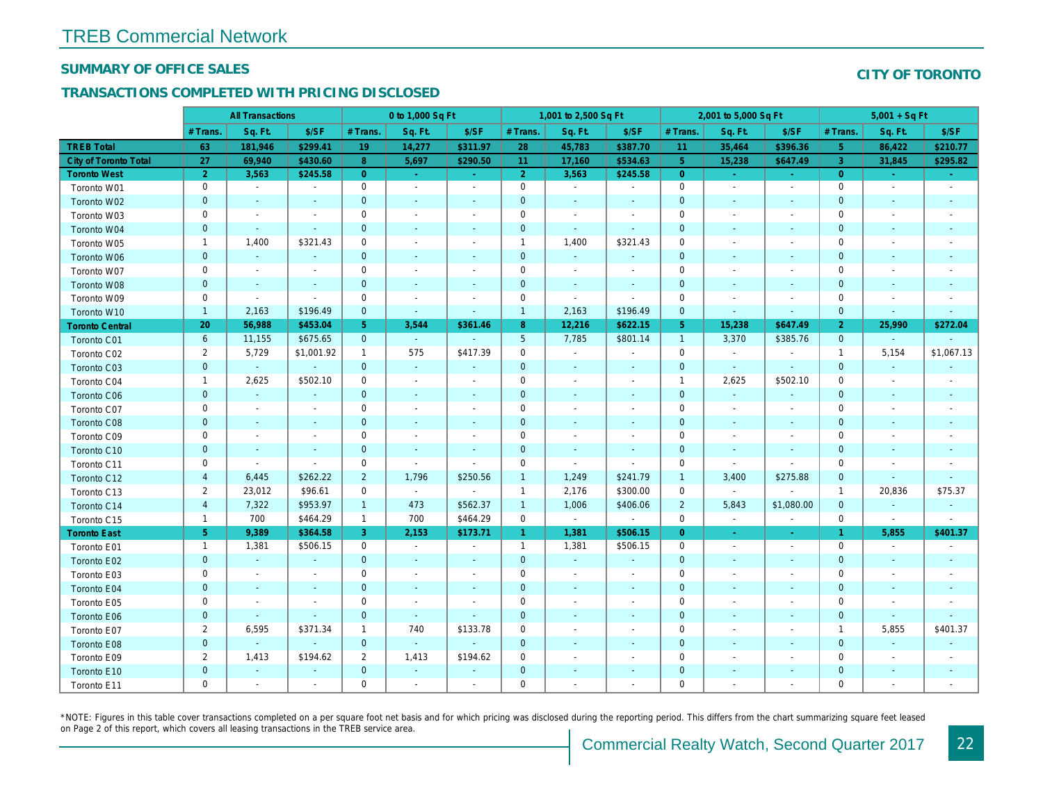#### SUMMARY OF OFFICE SALES

#### TRANSACTIONS COMPLETED WITH PRICING DISCLOSED

|                              |                | <b>All Transactions</b>  |                          |                | 0 to 1,000 Sq Ft         |                          |                 | 1,001 to 2,500 Sq Ft     |                          |                | 2,001 to 5,000 Sq Ft     |                          |
|------------------------------|----------------|--------------------------|--------------------------|----------------|--------------------------|--------------------------|-----------------|--------------------------|--------------------------|----------------|--------------------------|--------------------------|
|                              | # Trans.       | Sq. Ft.                  | \$/SF                    | # Trans.       | Sq. Ft.                  | \$/SF                    | # Trans.        | Sq. Ft.                  | \$/SF                    | # Trans.       | Sq. Ft.                  | \$/SF                    |
| <b>TREB Total</b>            | 63             | 181,946                  | \$299.41                 | 19             | 14,277                   | \$311.97                 | 28              | 45,783                   | \$387.70                 | 11             | 35,464                   | \$396.36                 |
| <b>City of Toronto Total</b> | 27             | 69,940                   | \$430.60                 | 8              | 5,697                    | \$290.50                 | 11              | 17,160                   | \$534.63                 | 5 <sup>5</sup> | 15,238                   | \$647.49                 |
| <b>Toronto West</b>          | $\overline{2}$ | 3,563                    | \$245.58                 | $\overline{0}$ | $\omega$                 | $\sim$                   | $\overline{2}$  | 3,563                    | \$245.58                 | $\overline{0}$ | $\sim$                   | $\sim$                   |
| Toronto W01                  | 0              | $\blacksquare$           | $\blacksquare$           | 0              | $\sim$                   | $\overline{a}$           | $\pmb{0}$       | $\sim$                   | $\sim$                   | 0              | $\sim$                   | $\sim$                   |
| Toronto W02                  | $\mathbf 0$    | $\sim$                   | $\sim$                   | $\mathbf{0}$   | $\sim$                   | $\sim$                   | $\pmb{0}$       | $\sim$                   | $\sim$                   | $\mathbf 0$    | $\sim$                   | $\sim$                   |
| Toronto W03                  | 0              | $\sim$                   | $\blacksquare$           | 0              | $\sim$                   | $\overline{\phantom{a}}$ | $\mathbf 0$     | $\sim$                   | $\overline{\phantom{a}}$ | 0              | $\sim$                   | $\overline{\phantom{a}}$ |
| Toronto W04                  | $\mathbf{0}$   | $\sim$                   | $\sim$                   | $\mathbf{0}$   | $\sim$                   | $\sim$                   | $\mathbf 0$     | $\sim$                   | $\omega$                 | $\mathbf{0}$   | $\sim$                   | $\sim$                   |
| Toronto W05                  | $\mathbf{1}$   | 1,400                    | \$321.43                 | $\mathbf 0$    | $\sim$                   | $\overline{\phantom{a}}$ | $\mathbf{1}$    | 1,400                    | \$321.43                 | $\mathbf 0$    | ÷.                       |                          |
| Toronto W06                  | $\mathbf 0$    | $\blacksquare$           | $\blacksquare$           | $\mathbf{0}$   | $\sim$                   | $\sim$                   | $\pmb{0}$       | $\blacksquare$           |                          | $\mathbf 0$    | $\sim$                   |                          |
| Toronto W07                  | 0              | $\overline{\phantom{a}}$ | $\overline{\phantom{a}}$ | 0              | $\overline{\phantom{a}}$ |                          | $\pmb{0}$       | $\blacksquare$           |                          | $\mathbf 0$    | $\blacksquare$           |                          |
| Toronto W08                  | $\mathbf 0$    | $\blacksquare$           | $\blacksquare$           | $\mathbf{0}$   | $\sim$                   |                          | $\pmb{0}$       | $\sim$                   | $\blacksquare$           | $\mathbf 0$    | $\sim$                   |                          |
| Toronto W09                  | 0              | $\blacksquare$           | $\omega$                 | $\mathbf 0$    | $\sim$                   |                          | $\mathbf 0$     | $\blacksquare$           | $\blacksquare$           | $\mathbf 0$    |                          |                          |
| Toronto W10                  | $\mathbf{1}$   | 2,163                    | \$196.49                 | $\mathbf{0}$   | $\sim$                   | $\blacksquare$           | $\mathbf{1}$    | 2,163                    | \$196.49                 | $\mathbf 0$    | $\blacksquare$           | $\sim$                   |
| <b>Toronto Central</b>       | 20             | 56,988                   | \$453.04                 | 5              | 3,544                    | \$361.46                 | 8               | 12,216                   | \$622.15                 | 5 <sub>5</sub> | 15,238                   | \$647.49                 |
| Toronto C01                  | 6              | 11,155                   | \$675.65                 | $\mathbf{0}$   | $\omega$                 | $\sim$                   | $5\phantom{.0}$ | 7,785                    | \$801.14                 | $\mathbf{1}$   | 3,370                    | \$385.76                 |
| Toronto C02                  | $\overline{2}$ | 5,729                    | \$1,001.92               | $\mathbf{1}$   | 575                      | \$417.39                 | $\pmb{0}$       | $\sim$                   | $\blacksquare$           | $\mathbf 0$    | $\blacksquare$           |                          |
| Toronto C03                  | $\mathbf{0}$   | $\blacksquare$           | $\blacksquare$           | $\mathbf{0}$   | $\omega$                 | $\blacksquare$           | $\pmb{0}$       | $\sim$                   | $\sim$                   | $\mathbf 0$    | $\omega$                 | $\sim$                   |
| Toronto C04                  | $\mathbf{1}$   | 2,625                    | \$502.10                 | 0              | $\sim$                   | $\blacksquare$           | $\pmb{0}$       | $\blacksquare$           | $\overline{\phantom{a}}$ | $\mathbf{1}$   | 2,625                    | \$502.10                 |
| <b>Toronto C06</b>           | $\mathbf{0}$   | $\sim$                   | $\blacksquare$           | $\mathbf{0}$   | $\sim$                   | $\overline{\phantom{a}}$ | $\mathbf 0$     | $\sim$                   | $\sim$                   | $\mathbf 0$    | $\blacksquare$           | $\sim$                   |
| Toronto C07                  | $\mathbf 0$    | $\overline{\phantom{a}}$ | $\blacksquare$           | $\mathbf 0$    | $\sim$                   | $\overline{\phantom{a}}$ | $\pmb{0}$       | $\sim$                   | $\overline{\phantom{a}}$ | 0              | $\sim$                   |                          |
| Toronto C08                  | $\mathbf 0$    | $\sim$                   | $\sim$                   | $\overline{0}$ | $\sim$                   | $\sim$                   | $\mathbf 0$     | $\sim$                   | $\sim$                   | $\mathbf 0$    | $\sim$                   | $\sim$                   |
| Toronto C09                  | 0              | $\overline{\phantom{a}}$ | $\overline{\phantom{a}}$ | 0              | $\overline{\phantom{a}}$ |                          | $\pmb{0}$       | $\overline{\phantom{a}}$ | $\overline{\phantom{a}}$ | 0              | $\blacksquare$           | $\overline{\phantom{a}}$ |
| Toronto C10                  | $\mathbf 0$    | $\overline{\phantom{a}}$ | $\blacksquare$           | $\mathbf{0}$   | $\overline{\phantom{a}}$ | $\sim$                   | $\pmb{0}$       | $\sim$                   | $\sim$                   | $\mathbf 0$    | $\overline{\phantom{a}}$ | $\sim$                   |
| Toronto C11                  | 0              | $\blacksquare$           | $\blacksquare$           | 0              | $\sim$                   | $\overline{\phantom{a}}$ | $\mathbf 0$     | $\blacksquare$           | $\sim$                   | $\mathbf 0$    | $\sim$                   |                          |
| Toronto C12                  | $\overline{4}$ | 6,445                    | \$262.22                 | $\overline{2}$ | 1,796                    | \$250.56                 | $\mathbf{1}$    | 1,249                    | \$241.79                 | $\mathbf{1}$   | 3,400                    | \$275.88                 |
| Toronto C13                  | $\overline{2}$ | 23,012                   | \$96.61                  | 0              | $\blacksquare$           | $\sim$                   | $\mathbf{1}$    | 2,176                    | \$300.00                 | 0              | $\blacksquare$           |                          |
| Toronto C14                  | $\overline{4}$ | 7,322                    | \$953.97                 | $\mathbf{1}$   | 473                      | \$562.37                 | $\mathbf{1}$    | 1,006                    | \$406.06                 | $\overline{2}$ | 5,843                    | \$1,080.0                |
| Toronto C15                  | $\mathbf{1}$   | 700                      | \$464.29                 | $\mathbf{1}$   | 700                      | \$464.29                 | 0               | $\sim$                   | $\blacksquare$           | $\mathbf 0$    | $\blacksquare$           | $\blacksquare$           |
| <b>Toronto East</b>          | 5 <sub>5</sub> | 9,389                    | \$364.58                 | 3              | 2,153                    | \$173.71                 | $\mathbf{1}$    | 1,381                    | \$506.15                 | $\overline{0}$ | $\sim$                   | $\sim$                   |
| Toronto E01                  | $\mathbf{1}$   | 1,381                    | \$506.15                 | 0              | $\blacksquare$           | $\overline{\phantom{a}}$ | $\mathbf{1}$    | 1,381                    | \$506.15                 | 0              | $\blacksquare$           | $\blacksquare$           |
| Toronto E02                  | $\mathbf 0$    | $\blacksquare$           |                          | $\mathbf{0}$   |                          |                          | $\pmb{0}$       | $\blacksquare$           |                          | $\mathbf 0$    | $\sim$                   |                          |
| Toronto E03                  | 0              | $\sim$                   | $\blacksquare$           | $\mathbf 0$    | $\sim$                   | $\overline{\phantom{a}}$ | $\mathbf 0$     | $\sim$                   | $\overline{\phantom{a}}$ | 0              | $\overline{\phantom{a}}$ |                          |
| Toronto E04                  | $\mathbf{0}$   | $\blacksquare$           | $\sim$                   | $\mathbf{0}$   |                          |                          | $\pmb{0}$       | $\sim$                   |                          | $\mathbf 0$    |                          |                          |
| Toronto E05                  | 0              | $\blacksquare$           | $\blacksquare$           | 0              | $\blacksquare$           | $\overline{\phantom{a}}$ | $\pmb{0}$       | $\blacksquare$           | $\overline{\phantom{a}}$ | 0              | $\sim$                   |                          |
| Toronto E06                  | $\mathbf 0$    | $\overline{\phantom{a}}$ | $\sim$                   | $\mathbf{0}$   | $\sim$                   |                          | $\pmb{0}$       | $\overline{\phantom{a}}$ |                          | $\mathbf 0$    |                          |                          |
| Toronto E07                  | $\overline{2}$ | 6,595                    | \$371.34                 | $\mathbf 1$    | 740                      | \$133.78                 | $\mathbf 0$     | $\overline{\phantom{a}}$ | $\overline{\phantom{a}}$ | 0              | $\blacksquare$           |                          |
| Toronto E08                  | $\mathbf{0}$   | $\omega$                 | $\omega$                 | $\mathbf{0}$   | $\omega$                 | $\omega$                 | $\mathbf 0$     | $\sim$                   | $\sim$                   | $\mathbf 0$    | $\sim$                   |                          |
| Toronto E09                  | $\overline{2}$ | 1,413                    | \$194.62                 | $\overline{2}$ | 1,413                    | \$194.62                 | $\mathbf 0$     | $\sim$                   |                          | 0              | $\sim$                   |                          |
| Toronto E10                  | $\mathbf 0$    | $\sim$                   |                          | $\mathbf{0}$   | $\sim$                   |                          | $\pmb{0}$       |                          |                          | $\mathbf 0$    |                          |                          |
| Toronto E11                  | $\mathbf 0$    | $\sim$                   | $\blacksquare$           | $\mathbf 0$    | $\sim$                   | $\overline{\phantom{a}}$ | $\mathbf 0$     | $\sim$                   |                          | $\mathbf 0$    | $\sim$                   |                          |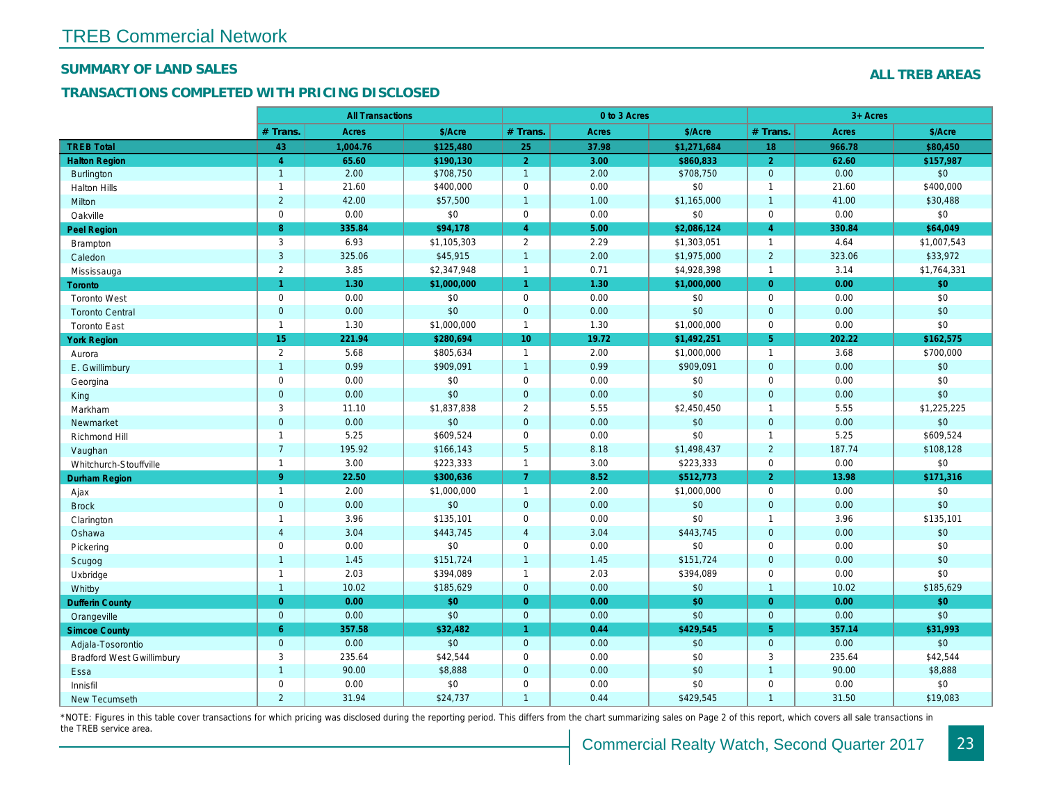## SUMMARY OF LAND SALES

#### TRANSACTIONS COMPLETED WITH PRICING DISCLOSED

|                                  |                | <b>All Transactions</b> |             | 0 to 3 Acres         |       |             |                |  |  |
|----------------------------------|----------------|-------------------------|-------------|----------------------|-------|-------------|----------------|--|--|
|                                  | # Trans.       | Acres                   | \$/Acre     | # Trans.             | Acres | \$/Acre     | # Trans.       |  |  |
| <b>TREB Total</b>                | 43             | 1,004.76                | \$125,480   | 25                   | 37.98 | \$1,271,684 | 18             |  |  |
| <b>Halton Region</b>             | $\overline{4}$ | 65.60                   | \$190,130   | $\overline{2}$       | 3.00  | \$860,833   | $\overline{2}$ |  |  |
| <b>Burlington</b>                | $\mathbf{1}$   | 2.00                    | \$708,750   | $\mathbf{1}$         | 2.00  | \$708,750   | $\mathbf{0}$   |  |  |
| <b>Halton Hills</b>              | $\mathbf{1}$   | 21.60                   | \$400,000   | $\pmb{0}$            | 0.00  | \$0         | $\overline{1}$ |  |  |
| <b>Milton</b>                    | $\overline{2}$ | 42.00                   | \$57,500    | $\mathbf{1}$         | 1.00  | \$1,165,000 | $\overline{1}$ |  |  |
| Oakville                         | $\mathsf 0$    | 0.00                    | \$0         | $\mathbf 0$          | 0.00  | \$0         | $\mathbf 0$    |  |  |
| <b>Peel Region</b>               | 8              | 335.84                  | \$94,178    | $\overline{4}$       | 5.00  | \$2,086,124 | $\overline{4}$ |  |  |
| Brampton                         | 3              | 6.93                    | \$1,105,303 | $\overline{2}$       | 2.29  | \$1,303,051 | $\overline{1}$ |  |  |
| Caledon                          | $\mathbf{3}$   | 325.06                  | \$45,915    | $\mathbf{1}$         | 2.00  | \$1,975,000 | $\overline{2}$ |  |  |
| Mississauga                      | $\overline{2}$ | 3.85                    | \$2,347,948 | $\mathbf{1}$         | 0.71  | \$4,928,398 | $\overline{1}$ |  |  |
| Toronto                          | $\overline{1}$ | 1.30                    | \$1,000,000 | $\overline{1}$       | 1.30  | \$1,000,000 | $\overline{0}$ |  |  |
| <b>Toronto West</b>              | $\mathbf 0$    | 0.00                    | \$0         | $\mathbf 0$          | 0.00  | \$0         | $\mathbf 0$    |  |  |
| <b>Toronto Central</b>           | $\mathbf{0}$   | 0.00                    | \$0         | $\mathbf{0}$         | 0.00  | \$0         | $\mathbf{0}$   |  |  |
| <b>Toronto East</b>              | $\mathbf{1}$   | 1.30                    | \$1,000,000 | $\mathbf{1}$         | 1.30  | \$1,000,000 | $\mathbf 0$    |  |  |
| <b>York Region</b>               | 15             | 221.94                  | \$280,694   | 10 <sup>°</sup>      | 19.72 | \$1,492,251 | 5 <sup>5</sup> |  |  |
| Aurora                           | $\overline{2}$ | 5.68                    | \$805,634   | $\mathbf{1}$         | 2.00  | \$1,000,000 | $\overline{1}$ |  |  |
| E. Gwillimbury                   | $\mathbf{1}$   | 0.99                    | \$909,091   | $\mathbf{1}$         | 0.99  | \$909,091   | $\mathbf{0}$   |  |  |
| Georgina                         | $\mathbf 0$    | 0.00                    | \$0         | $\pmb{0}$            | 0.00  | \$0         | $\mathbf 0$    |  |  |
| King                             | $\mathbf 0$    | 0.00                    | \$0         | $\mathbf 0$          | 0.00  | \$0         | $\overline{0}$ |  |  |
| Markham                          | 3              | 11.10                   | \$1,837,838 | $\overline{2}$       | 5.55  | \$2,450,450 | $\overline{1}$ |  |  |
| Newmarket                        | $\mathbf 0$    | 0.00                    | \$0         | $\mathbf 0$          | 0.00  | \$0         | $\mathbf 0$    |  |  |
| Richmond Hill                    | $\mathbf{1}$   | 5.25                    | \$609,524   | $\pmb{0}$            | 0.00  | \$0         | $\overline{1}$ |  |  |
| Vaughan                          | $\overline{7}$ | 195.92                  | \$166,143   | $\overline{5}$       | 8.18  | \$1,498,437 | $\overline{2}$ |  |  |
| Whitchurch-Stouffville           | $\mathbf{1}$   | 3.00                    | \$223,333   | $\mathbf{1}$         | 3.00  | \$223,333   | $\mathbf 0$    |  |  |
| <b>Durham Region</b>             | 9 <sup>°</sup> | 22.50                   | \$300,636   | $\overline{7}$       | 8.52  | \$512,773   | $\overline{2}$ |  |  |
| Ajax                             | $\mathbf{1}$   | 2.00                    | \$1,000,000 | $\mathbf{1}$         | 2.00  | \$1,000,000 | $\mathbf 0$    |  |  |
| <b>Brock</b>                     | $\mathbf 0$    | 0.00                    | \$0         | $\mathbf 0$          | 0.00  | \$0         | $\mathbf{0}$   |  |  |
| Clarington                       | $\mathbf{1}$   | 3.96                    | \$135,101   | $\mathbf 0$          | 0.00  | \$0         | $\overline{1}$ |  |  |
| Oshawa                           | $\overline{4}$ | 3.04                    | \$443,745   | $\overline{4}$       | 3.04  | \$443,745   | $\mathbf{0}$   |  |  |
| Pickering                        | $\mathbf 0$    | 0.00                    | \$0         | $\pmb{0}$            | 0.00  | \$0         | $\mathbf 0$    |  |  |
| Scugog                           | $\overline{1}$ | 1.45                    | \$151,724   | $\overline{1}$       | 1.45  | \$151,724   | $\overline{0}$ |  |  |
| Uxbridge                         | $\mathbf{1}$   | 2.03                    | \$394,089   | $\mathbf{1}$         | 2.03  | \$394,089   | $\mathbf 0$    |  |  |
| Whitby                           | $\overline{1}$ | 10.02                   | \$185,629   | $\mathbf{0}$         | 0.00  | \$0         | $\overline{1}$ |  |  |
| <b>Dufferin County</b>           | $\overline{0}$ | 0.00                    | \$0         | $\mathbf{0}$         | 0.00  | \$0         | $\overline{0}$ |  |  |
| Orangeville                      | $\mathbf{0}$   | 0.00                    | \$0         | $\mathbf{0}$         | 0.00  | \$0         | $\mathbf{0}$   |  |  |
| <b>Simcoe County</b>             | 6              | 357.58                  | \$32,482    | $\blacktriangleleft$ | 0.44  | \$429,545   | 5 <sup>5</sup> |  |  |
| Adjala-Tosorontio                | $\mathbf{0}$   | 0.00                    | \$0         | $\mathbf 0$          | 0.00  | \$0         | $\mathbf{0}$   |  |  |
| <b>Bradford West Gwillimbury</b> | 3              | 235.64                  | \$42,544    | $\pmb{0}$            | 0.00  | \$0         | 3              |  |  |
| Essa                             | $\mathbf{1}$   | 90.00                   | \$8,888     | $\mathbf 0$          | 0.00  | \$0         | $\overline{1}$ |  |  |
| Innisfil                         | $\mathbf 0$    | 0.00                    | \$0         | $\pmb{0}$            | 0.00  | \$0         | $\mathbf 0$    |  |  |
| New Tecumseth                    | $\overline{2}$ | 31.94                   | \$24,737    | $\overline{1}$       | 0.44  | \$429,545   | $\overline{1}$ |  |  |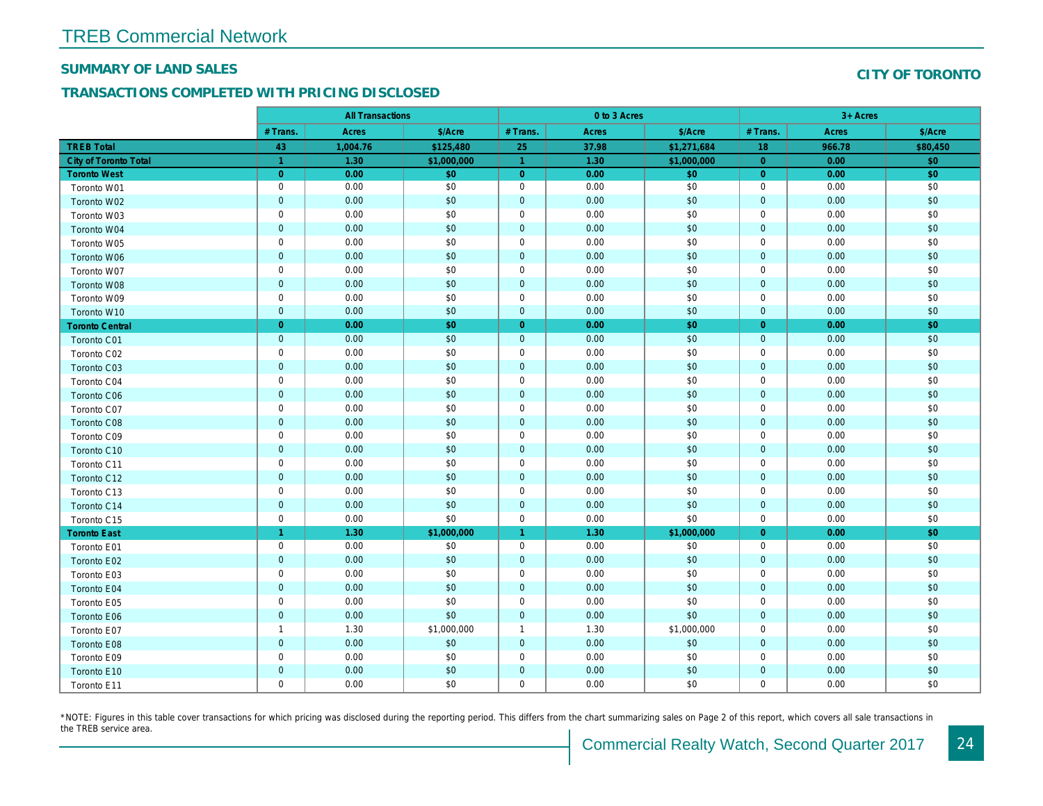#### SUMMARY OF LAND SALES

#### TRANSACTIONS COMPLETED WITH PRICING DISCLOSED

|                              |                | <b>All Transactions</b> |             |                      | 0 to 3 Acres |             |                |  |
|------------------------------|----------------|-------------------------|-------------|----------------------|--------------|-------------|----------------|--|
|                              | # Trans.       | <b>Acres</b>            | \$/Acre     | # Trans.             | <b>Acres</b> | \$/Acre     | # Trans.       |  |
| <b>TREB Total</b>            | 43             | 1,004.76                | \$125,480   | 25                   | 37.98        | \$1,271,684 | 18             |  |
| <b>City of Toronto Total</b> | $\overline{1}$ | 1.30                    | \$1,000,000 | $\blacktriangleleft$ | 1.30         | \$1,000,000 | $\overline{0}$ |  |
| <b>Toronto West</b>          | $\overline{0}$ | 0.00                    | \$0         | $\overline{0}$       | 0.00         | \$0         | $\overline{0}$ |  |
| Toronto W01                  | $\mathbf 0$    | 0.00                    | \$0         | $\mathbf 0$          | 0.00         | \$0         | $\mathbf 0$    |  |
| Toronto W02                  | $\mathbf 0$    | 0.00                    | \$0         | $\mathbf{0}$         | 0.00         | \$0         | $\mathbf 0$    |  |
| Toronto W03                  | $\mathbf 0$    | 0.00                    | \$0         | 0                    | 0.00         | \$0         | $\mathbf 0$    |  |
| Toronto W04                  | $\mathbf 0$    | 0.00                    | \$0         | $\mathbf 0$          | 0.00         | \$0         | $\mathbf{0}$   |  |
| Toronto W05                  | $\mathbf 0$    | 0.00                    | \$0         | $\mathbf 0$          | 0.00         | \$0         | $\mathbf 0$    |  |
| Toronto W06                  | $\mathbf 0$    | 0.00                    | \$0         | $\mathbf{0}$         | 0.00         | \$0         | $\mathbf{0}$   |  |
| Toronto W07                  | $\mathbf 0$    | 0.00                    | \$0         | $\mathbf 0$          | 0.00         | \$0         | $\mathbf 0$    |  |
| Toronto W08                  | $\mathbf 0$    | 0.00                    | \$0         | $\mathbf{0}$         | 0.00         | \$0         | $\mathbf{0}$   |  |
| Toronto W09                  | $\mathbf 0$    | 0.00                    | \$0         | $\mathbf 0$          | 0.00         | \$0         | $\mathbf 0$    |  |
| Toronto W10                  | $\mathbf 0$    | 0.00                    | \$0         | $\mathbf{0}$         | 0.00         | \$0         | $\mathbf{0}$   |  |
| <b>Toronto Central</b>       | $\overline{0}$ | 0.00                    | \$0         | $\overline{0}$       | 0.00         | \$0         | $\overline{0}$ |  |
| Toronto C01                  | $\mathbf 0$    | 0.00                    | \$0         | $\mathbf{0}$         | 0.00         | \$0         | $\mathbf{0}$   |  |
| Toronto C02                  | $\mathbf 0$    | 0.00                    | \$0         | $\mathbf 0$          | 0.00         | \$0         | $\mathbf 0$    |  |
| Toronto C03                  | $\mathbf 0$    | 0.00                    | \$0         | $\mathbf{0}$         | 0.00         | \$0         | $\mathbf{0}$   |  |
| Toronto C04                  | $\mathbf 0$    | 0.00                    | \$0         | $\mathbf 0$          | 0.00         | \$0         | $\mathbf 0$    |  |
| Toronto C06                  | $\mathbf 0$    | 0.00                    | \$0         | $\mathbf 0$          | 0.00         | \$0         | $\mathbf{0}$   |  |
| Toronto C07                  | $\mathbf 0$    | 0.00                    | \$0         | $\mathbf 0$          | 0.00         | \$0         | $\mathbf 0$    |  |
| Toronto C08                  | $\mathbf 0$    | 0.00                    | \$0         | $\mathbf 0$          | 0.00         | \$0         | $\mathbf 0$    |  |
| Toronto C09                  | $\mathbf 0$    | 0.00                    | \$0         | $\mathbf 0$          | 0.00         | \$0         | $\mathbf 0$    |  |
| Toronto C10                  | $\mathbf 0$    | 0.00                    | \$0         | $\mathbf{0}$         | 0.00         | \$0         | $\mathbf{0}$   |  |
| Toronto C11                  | $\mathbf 0$    | 0.00                    | \$0         | $\mathbf 0$          | 0.00         | \$0         | $\mathbf 0$    |  |
| Toronto C12                  | $\mathbf 0$    | 0.00                    | \$0         | $\mathbf{0}$         | 0.00         | \$0         | $\mathbf{0}$   |  |
| Toronto C13                  | $\mathbf 0$    | 0.00                    | \$0         | $\mathbf 0$          | 0.00         | \$0         | $\mathbf 0$    |  |
| Toronto C14                  | $\mathbf 0$    | 0.00                    | \$0         | $\mathbf{0}$         | 0.00         | \$0         | $\mathbf{0}$   |  |
| Toronto C15                  | $\mathbf 0$    | 0.00                    | \$0         | $\mathbf 0$          | 0.00         | \$0         | $\mathbf 0$    |  |
| <b>Toronto East</b>          | $\overline{1}$ | 1.30                    | \$1,000,000 | $\mathbf{1}$         | 1.30         | \$1,000,000 | $\overline{0}$ |  |
| Toronto E01                  | $\mathbf 0$    | 0.00                    | \$0         | $\mathsf{O}$         | 0.00         | \$0         | $\mathbf 0$    |  |
| Toronto E02                  | $\mathbf 0$    | 0.00                    | \$0         | $\mathbf{0}$         | 0.00         | \$0         | $\mathbf{0}$   |  |
| Toronto E03                  | $\mathsf 0$    | 0.00                    | \$0         | $\mathbf 0$          | 0.00         | \$0         | $\mathbf 0$    |  |
| Toronto E04                  | $\mathbf 0$    | 0.00                    | \$0         | $\mathbf{0}$         | 0.00         | \$0         | $\mathbf{0}$   |  |
| Toronto E05                  | $\mathbf 0$    | 0.00                    | \$0         | $\mathbf 0$          | 0.00         | \$0         | $\mathbf 0$    |  |
| Toronto E06                  | $\mathbf 0$    | 0.00                    | \$0         | $\mathbf{0}$         | 0.00         | \$0         | $\mathbf{0}$   |  |
| Toronto E07                  | $\overline{1}$ | 1.30                    | \$1,000,000 | $\mathbf{1}$         | 1.30         | \$1,000,000 | $\mathbf 0$    |  |
| Toronto E08                  | $\mathbf 0$    | 0.00                    | \$0         | $\mathbf{0}$         | 0.00         | \$0         | $\mathbf{0}$   |  |
| Toronto E09                  | $\mathbf 0$    | 0.00                    | \$0         | $\mathbf 0$          | 0.00         | \$0         | $\mathbf 0$    |  |
| Toronto E10                  | $\mathbf 0$    | 0.00                    | \$0         | $\mathbf{0}$         | 0.00         | \$0         | $\mathbf 0$    |  |
| Toronto E11                  | $\mathbf 0$    | 0.00                    | \$0         | $\mathbf 0$          | 0.00         | \$0         | $\mathbf 0$    |  |